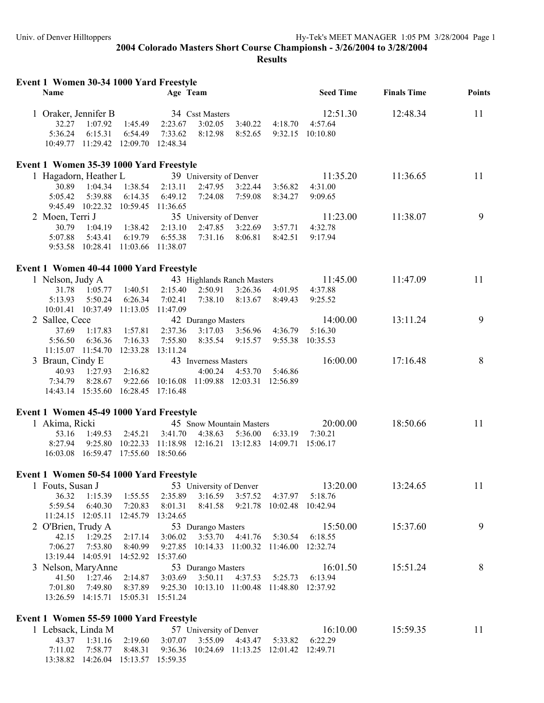| Event 1 Women 30-34 1000 Yard Freestyle |  |
|-----------------------------------------|--|
|-----------------------------------------|--|

| $\frac{1}{2}$<br>Name                                     |                   | Age Team                                    |                                    |         |                                             | <b>Seed Time</b> | <b>Finals Time</b> | <b>Points</b> |
|-----------------------------------------------------------|-------------------|---------------------------------------------|------------------------------------|---------|---------------------------------------------|------------------|--------------------|---------------|
| 1 Oraker, Jennifer B                                      |                   |                                             | 34 Csst Masters                    |         |                                             | 12:51.30         | 12:48.34           | 11            |
| 1:07.92<br>32.27                                          | 1:45.49           | 2:23.67                                     | 3:02.05                            | 3:40.22 | 4:18.70                                     | 4:57.64          |                    |               |
| 5:36.24<br>6:15.31                                        | 6:54.49           | 7:33.62                                     | 8:12.98                            | 8:52.65 |                                             | 9:32.15 10:10.80 |                    |               |
| 10:49.77 11:29.42 12:09.70                                |                   | 12:48.34                                    |                                    |         |                                             |                  |                    |               |
| Event 1 Women 35-39 1000 Yard Freestyle                   |                   |                                             |                                    |         |                                             |                  |                    |               |
| 1 Hagadorn, Heather L                                     |                   |                                             | 39 University of Denver            |         |                                             | 11:35.20         | 11:36.65           | 11            |
| 30.89<br>1:04.34                                          | 1:38.54           | 2:13.11                                     | 2:47.95                            | 3:22.44 | 3:56.82                                     | 4:31.00          |                    |               |
| 5:05.42<br>5:39.88                                        | 6:14.35           | 6:49.12                                     | 7:24.08                            | 7:59.08 | 8:34.27                                     | 9:09.65          |                    |               |
| 9:45.49  10:22.32  10:59.45                               |                   | 11:36.65                                    |                                    |         |                                             |                  |                    |               |
| 2 Moen, Terri J                                           |                   |                                             | 35 University of Denver            |         |                                             | 11:23.00         | 11:38.07           | 9             |
| 30.79<br>1:04.19                                          | 1:38.42           | 2:13.10                                     | 2:47.85                            | 3:22.69 | 3:57.71                                     | 4:32.78          |                    |               |
| 5:07.88<br>5:43.41                                        | 6:19.79           | 6:55.38                                     | 7:31.16                            | 8:06.81 | 8:42.51                                     | 9:17.94          |                    |               |
| 9:53.58 10:28.41 11:03.66 11:38.07                        |                   |                                             |                                    |         |                                             |                  |                    |               |
| Event 1 Women 40-44 1000 Yard Freestyle                   |                   |                                             |                                    |         |                                             |                  |                    |               |
| 1 Nelson, Judy A                                          |                   |                                             | 43 Highlands Ranch Masters         |         |                                             | 11:45.00         | 11:47.09           | 11            |
| 1:05.77<br>31.78                                          | 1:40.51           | 2:15.40                                     | 2:50.91                            | 3:26.36 | 4:01.95                                     | 4:37.88          |                    |               |
| 5:13.93<br>5:50.24                                        | 6:26.34           | 7:02.41                                     | 7:38.10                            | 8:13.67 | 8:49.43                                     | 9:25.52          |                    |               |
| 10:01.41 10:37.49                                         | 11:13.05          | 11:47.09                                    |                                    |         |                                             |                  |                    |               |
| 2 Sallee, Cece                                            |                   |                                             | 42 Durango Masters                 |         |                                             | 14:00.00         | 13:11.24           | 9             |
| 37.69<br>1:17.83                                          | 1:57.81           | 2:37.36                                     | 3:17.03                            | 3:56.96 | 4:36.79                                     | 5:16.30          |                    |               |
| 5:56.50<br>6:36.36                                        | 7:16.33           | 7:55.80                                     | 8:35.54                            | 9:15.57 |                                             | 9:55.38 10:35.53 |                    |               |
| 11:15.07 11:54.70 12:33.28 13:11.24                       |                   |                                             |                                    |         |                                             |                  |                    |               |
| 3 Braun, Cindy E                                          |                   |                                             | 43 Inverness Masters               |         |                                             | 16:00.00         | 17:16.48           | 8             |
| 40.93<br>1:27.93<br>8:28.67<br>7:34.79                    | 2:16.82           | 9:22.66 10:16.08 11:09.88 12:03.31 12:56.89 | 4:00.24                            | 4:53.70 | 5:46.86                                     |                  |                    |               |
| 14:43.14 15:35.60 16:28.45 17:16.48                       |                   |                                             |                                    |         |                                             |                  |                    |               |
|                                                           |                   |                                             |                                    |         |                                             |                  |                    |               |
| Event 1 Women 45-49 1000 Yard Freestyle<br>1 Akima, Ricki |                   |                                             | 45 Snow Mountain Masters           |         |                                             | 20:00.00         | 18:50.66           | 11            |
| 53.16<br>1:49.53                                          | 2:45.21           | 3:41.70                                     | 4:38.63                            | 5:36.00 | 6:33.19                                     | 7:30.21          |                    |               |
| 8:27.94<br>9:25.80                                        | 10:22.33          | 11:18.98                                    |                                    |         | 12:16.21 13:12.83 14:09.71 15:06.17         |                  |                    |               |
| 16:03.08 16:59.47 17:55.60 18:50.66                       |                   |                                             |                                    |         |                                             |                  |                    |               |
|                                                           |                   |                                             |                                    |         |                                             |                  |                    |               |
| Event 1 Women 50-54 1000 Yard Freestyle                   |                   |                                             |                                    |         |                                             | 13:20.00         | 13:24.65           | 11            |
| 1 Fouts, Susan J<br>36.32<br>1:15.39                      | 1:55.55           | 2:35.89                                     | 53 University of Denver<br>3:16.59 | 3:57.52 | 4:37.97                                     | 5:18.76          |                    |               |
| 5:59.54<br>6:40.30                                        | 7:20.83           | 8:01.31                                     | 8:41.58                            |         | 9:21.78 10:02.48 10:42.94                   |                  |                    |               |
| 11:24.15 12:05.11                                         | 12:45.79          | 13:24.65                                    |                                    |         |                                             |                  |                    |               |
| 2 O'Brien, Trudy A                                        |                   |                                             | 53 Durango Masters                 |         |                                             | 15:50.00         | 15:37.60           | 9             |
| 42.15<br>1:29.25                                          | 2:17.14           | 3:06.02                                     | 3:53.70                            | 4:41.76 | 5:30.54                                     | 6:18.55          |                    |               |
| 7:06.27<br>7:53.80                                        | 8:40.99           |                                             |                                    |         | 9:27.85 10:14.33 11:00.32 11:46.00 12:32.74 |                  |                    |               |
| 13:19.44 14:05.91                                         | 14:52.92 15:37.60 |                                             |                                    |         |                                             |                  |                    |               |
| 3 Nelson, MaryAnne                                        |                   |                                             | 53 Durango Masters                 |         |                                             | 16:01.50         | 15:51.24           | 8             |
| 41.50<br>1:27.46                                          | 2:14.87           | 3:03.69                                     | 3:50.11                            | 4:37.53 | 5:25.73                                     | 6:13.94          |                    |               |
| 7:01.80<br>7:49.80                                        | 8:37.89           |                                             |                                    |         | 9:25.30 10:13.10 11:00.48 11:48.80 12:37.92 |                  |                    |               |
| 13:26.59 14:15.71 15:05.31 15:51.24                       |                   |                                             |                                    |         |                                             |                  |                    |               |
| Event 1 Women 55-59 1000 Yard Freestyle                   |                   |                                             |                                    |         |                                             |                  |                    |               |
| 1 Lebsack, Linda M                                        |                   |                                             | 57 University of Denver            |         |                                             | 16:10.00         | 15:59.35           | 11            |
| 43.37<br>1:31.16                                          | 2:19.60           | 3:07.07                                     | 3:55.09                            | 4:43.47 | 5:33.82                                     | 6:22.29          |                    |               |
| 7:58.77<br>7:11.02                                        | 8:48.31           |                                             |                                    |         | 9:36.36 10:24.69 11:13.25 12:01.42 12:49.71 |                  |                    |               |
| 13:38.82  14:26.04  15:13.57  15:59.35                    |                   |                                             |                                    |         |                                             |                  |                    |               |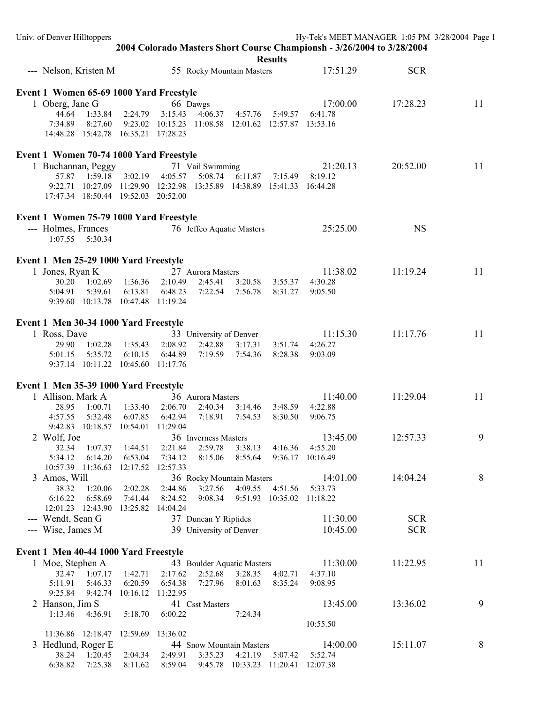| Univ. of Denver Hilltoppers                                            |                                     |                    |                           |                                                      |          |                                        |                  | Hy-Tek's MEET MANAGER 1:05 PM 3/28/2004 Page 1 |    |  |  |
|------------------------------------------------------------------------|-------------------------------------|--------------------|---------------------------|------------------------------------------------------|----------|----------------------------------------|------------------|------------------------------------------------|----|--|--|
| 2004 Colorado Masters Short Course Championsh - 3/26/2004 to 3/28/2004 |                                     |                    |                           |                                                      |          |                                        |                  |                                                |    |  |  |
|                                                                        |                                     |                    |                           |                                                      |          | <b>Results</b>                         |                  |                                                |    |  |  |
| --- Nelson, Kristen M                                                  |                                     |                    | 55 Rocky Mountain Masters |                                                      | 17:51.29 | <b>SCR</b>                             |                  |                                                |    |  |  |
|                                                                        |                                     |                    |                           |                                                      |          |                                        |                  |                                                |    |  |  |
| Event 1 Women 65-69 1000 Yard Freestyle                                |                                     |                    |                           |                                                      |          |                                        |                  |                                                |    |  |  |
| 1 Oberg, Jane G                                                        |                                     |                    |                           | 66 Dawgs                                             |          |                                        | 17:00.00         | 17:28.23                                       | 11 |  |  |
| 44.64                                                                  | 1:33.84                             | 2:24.79            | 3:15.43                   | 4:06.37                                              | 4:57.76  | 5:49.57                                | 6:41.78          |                                                |    |  |  |
| 7:34.89                                                                | 8:27.60                             |                    |                           | 9:23.02 10:15.23 11:08.58 12:01.62 12:57.87 13:53.16 |          |                                        |                  |                                                |    |  |  |
|                                                                        | 14:48.28 15:42.78 16:35.21 17:28.23 |                    |                           |                                                      |          |                                        |                  |                                                |    |  |  |
| Event 1 Women 70-74 1000 Yard Freestyle                                |                                     |                    |                           |                                                      |          |                                        |                  |                                                |    |  |  |
| 1 Buchannan, Peggy                                                     |                                     |                    |                           | 71 Vail Swimming                                     |          |                                        | 21:20.13         | 20:52.00                                       | 11 |  |  |
| 57.87                                                                  | 1:59.18                             | 3:02.19            | 4:05.57                   | 5:08.74                                              | 6:11.87  | 7:15.49                                | 8:19.12          |                                                |    |  |  |
|                                                                        | 9:22.71 10:27.09 11:29.90 12:32.98  |                    |                           |                                                      |          | 13:35.89  14:38.89  15:41.33  16:44.28 |                  |                                                |    |  |  |
|                                                                        | 17:47.34 18:50.44 19:52.03 20:52.00 |                    |                           |                                                      |          |                                        |                  |                                                |    |  |  |
|                                                                        |                                     |                    |                           |                                                      |          |                                        |                  |                                                |    |  |  |
| Event 1 Women 75-79 1000 Yard Freestyle                                |                                     |                    |                           |                                                      |          |                                        |                  |                                                |    |  |  |
| --- Holmes, Frances                                                    |                                     |                    |                           | 76 Jeffco Aquatic Masters                            |          |                                        | 25:25.00         | <b>NS</b>                                      |    |  |  |
|                                                                        | 1:07.55   5:30.34                   |                    |                           |                                                      |          |                                        |                  |                                                |    |  |  |
|                                                                        |                                     |                    |                           |                                                      |          |                                        |                  |                                                |    |  |  |
| Event 1 Men 25-29 1000 Yard Freestyle                                  |                                     |                    |                           |                                                      |          |                                        |                  |                                                |    |  |  |
| 1 Jones, Ryan K                                                        |                                     |                    |                           | 27 Aurora Masters                                    |          |                                        | 11:38.02         | 11:19.24                                       | 11 |  |  |
|                                                                        | 30.20 1:02.69                       | 1:36.36            | 2:10.49                   | 2:45.41                                              | 3:20.58  | 3:55.37                                | 4:30.28          |                                                |    |  |  |
| 5:04.91                                                                | 5:39.61                             | 6:13.81            | 6:48.23                   | 7:22.54                                              | 7:56.78  | 8:31.27                                | 9:05.50          |                                                |    |  |  |
|                                                                        | 9:39.60 10:13.78 10:47.48 11:19.24  |                    |                           |                                                      |          |                                        |                  |                                                |    |  |  |
|                                                                        |                                     |                    |                           |                                                      |          |                                        |                  |                                                |    |  |  |
| Event 1 Men 30-34 1000 Yard Freestyle                                  |                                     |                    |                           |                                                      |          |                                        |                  |                                                |    |  |  |
| 1 Ross, Dave                                                           |                                     |                    |                           | 33 University of Denver                              |          |                                        | 11:15.30         | 11:17.76                                       | 11 |  |  |
| 29.90<br>5:01.15                                                       | 1:02.28<br>5:35.72                  | 1:35.43<br>6:10.15 | 2:08.92<br>6:44.89        | 2:42.88<br>7:19.59                                   | 3:17.31  | 3:51.74                                | 4:26.27          |                                                |    |  |  |
|                                                                        | 9:37.14 10:11.22 10:45.60 11:17.76  |                    |                           |                                                      | 7:54.36  | 8:28.38                                | 9:03.09          |                                                |    |  |  |
|                                                                        |                                     |                    |                           |                                                      |          |                                        |                  |                                                |    |  |  |
| Event 1 Men 35-39 1000 Yard Freestyle                                  |                                     |                    |                           |                                                      |          |                                        |                  |                                                |    |  |  |
| 1 Allison, Mark A                                                      |                                     |                    |                           | 36 Aurora Masters                                    |          |                                        | 11:40.00         | 11:29.04                                       | 11 |  |  |
| 28.95                                                                  | 1:00.71                             | 1:33.40            | 2:06.70                   | 2:40.34                                              | 3:14.46  | 3:48.59                                | 4:22.88          |                                                |    |  |  |
| 4:57.55                                                                | 5:32.48                             | 6:07.85            | 6:42.94                   | 7:18.91                                              | 7:54.53  | 8:30.50                                | 9:06.75          |                                                |    |  |  |
|                                                                        | 9:42.83 10:18.57 10:54.01           |                    | 11:29.04                  |                                                      |          |                                        |                  |                                                |    |  |  |
| 2 Wolf, Joe                                                            |                                     |                    |                           | 36 Inverness Masters                                 |          |                                        | 13:45.00         | 12:57.33                                       | 9  |  |  |
| 32.34                                                                  | 1:07.37                             | 1:44.51            | 2:21.84                   | 2:59.78                                              | 3:38.13  | 4:16.36                                | 4:55.20          |                                                |    |  |  |
| 5:34.12                                                                | 6:14.20                             | 6:53.04            | 7:34.12                   | 8:15.06                                              | 8:55.64  |                                        | 9:36.17 10:16.49 |                                                |    |  |  |
|                                                                        | 10:57.39 11:36.63                   | 12:17.52 12:57.33  |                           |                                                      |          |                                        |                  |                                                |    |  |  |
| 3 Amos, Will                                                           |                                     |                    |                           | 36 Rocky Mountain Masters                            |          |                                        | 14:01.00         | 14:04.24                                       | 8  |  |  |
| 38.32                                                                  | 1:20.06                             | 2:02.28            | 2:44.86                   | 3:27.56                                              |          | 4:09.55 4:51.56                        | 5:33.73          |                                                |    |  |  |
| 6:16.22                                                                | 6:58.69                             | 7:41.44            | 8:24.52                   | 9:08.34                                              |          | 9:51.93 10:35.02 11:18.22              |                  |                                                |    |  |  |
| --- Wendt, Sean G                                                      | 12:01.23 12:43.90 13:25.82          |                    | 14:04.24                  |                                                      |          |                                        | 11:30.00         | <b>SCR</b>                                     |    |  |  |
|                                                                        |                                     |                    |                           | 37 Duncan Y Riptides<br>39 University of Denver      |          |                                        | 10:45.00         | <b>SCR</b>                                     |    |  |  |
| --- Wise, James M                                                      |                                     |                    |                           |                                                      |          |                                        |                  |                                                |    |  |  |
| Event 1 Men 40-44 1000 Yard Freestyle                                  |                                     |                    |                           |                                                      |          |                                        |                  |                                                |    |  |  |
| 1 Moe, Stephen A                                                       |                                     |                    |                           | 43 Boulder Aquatic Masters                           |          |                                        | 11:30.00         | 11:22.95                                       | 11 |  |  |
| 32.47                                                                  | 1:07.17                             | 1:42.71            | 2:17.62                   | 2:52.68                                              | 3:28.35  | 4:02.71                                | 4:37.10          |                                                |    |  |  |
| 5:11.91                                                                | 5:46.33                             | 6:20.59            | 6:54.38                   | 7:27.96                                              | 8:01.63  | 8:35.24                                | 9:08.95          |                                                |    |  |  |
| 9:25.84                                                                | 9:42.74                             |                    | 10:16.12 11:22.95         |                                                      |          |                                        |                  |                                                |    |  |  |
| 2 Hanson, Jim S                                                        |                                     |                    |                           | 41 Csst Masters                                      |          |                                        | 13:45.00         | 13:36.02                                       | 9  |  |  |
| 1:13.46                                                                | 4:36.91                             | 5:18.70            | 6:00.22                   |                                                      | 7:24.34  |                                        |                  |                                                |    |  |  |
|                                                                        |                                     |                    |                           |                                                      |          |                                        | 10:55.50         |                                                |    |  |  |
|                                                                        | 11:36.86 12:18.47 12:59.69 13:36.02 |                    |                           |                                                      |          |                                        |                  |                                                |    |  |  |
| 3 Hedlund, Roger E                                                     |                                     |                    |                           | 44 Snow Mountain Masters                             |          |                                        | 14:00.00         | 15:11.07                                       | 8  |  |  |
| 38.24                                                                  | 1:20.45                             | 2:04.34            | 2:49.91                   | 3:35.23                                              |          | 4:21.19    5:07.42                     | 5:52.74          |                                                |    |  |  |
| 6:38.82                                                                | 7:25.38                             | 8:11.62            | 8:59.04                   |                                                      |          | 9:45.78 10:33.23 11:20.41 12:07.38     |                  |                                                |    |  |  |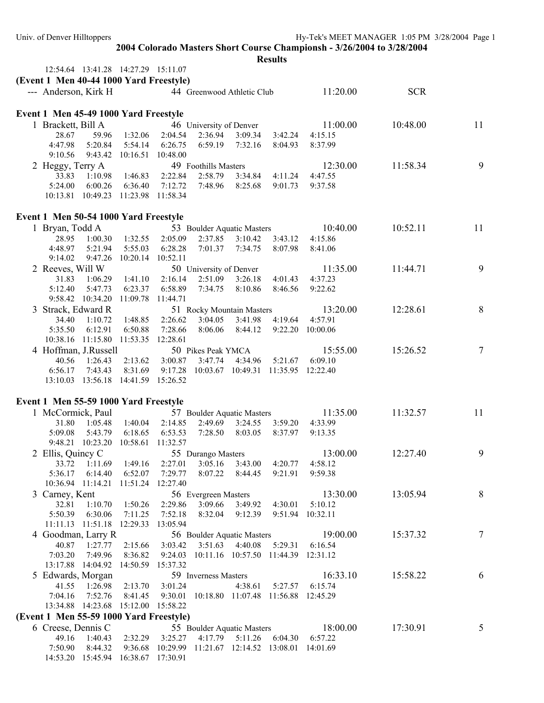| Univ. of Denver Hilltoppers                                                              |                                               |                               |                     |                                                                             |                                |                         |                                     | Hy-Tek's MEET MANAGER 1:05 PM 3/28/2004 Page 1 |    |  |  |
|------------------------------------------------------------------------------------------|-----------------------------------------------|-------------------------------|---------------------|-----------------------------------------------------------------------------|--------------------------------|-------------------------|-------------------------------------|------------------------------------------------|----|--|--|
| 2004 Colorado Masters Short Course Championsh - 3/26/2004 to 3/28/2004<br><b>Results</b> |                                               |                               |                     |                                                                             |                                |                         |                                     |                                                |    |  |  |
|                                                                                          | 12:54.64  13:41.28  14:27.29  15:11.07        |                               |                     |                                                                             |                                |                         |                                     |                                                |    |  |  |
| (Event 1 Men 40-44 1000 Yard Freestyle)                                                  |                                               |                               |                     |                                                                             |                                |                         |                                     |                                                |    |  |  |
| --- Anderson, Kirk H                                                                     |                                               |                               |                     | 44 Greenwood Athletic Club                                                  |                                |                         | 11:20.00                            | <b>SCR</b>                                     |    |  |  |
|                                                                                          |                                               |                               |                     |                                                                             |                                |                         |                                     |                                                |    |  |  |
| Event 1 Men 45-49 1000 Yard Freestyle                                                    |                                               |                               |                     |                                                                             |                                |                         |                                     |                                                |    |  |  |
| 1 Brackett, Bill A                                                                       |                                               |                               |                     | 46 University of Denver                                                     |                                |                         | 11:00.00                            | 10:48.00                                       | 11 |  |  |
| 28.67                                                                                    | 59.96                                         | 1:32.06                       | 2:04.54             | 2:36.94                                                                     | 3:09.34                        | 3:42.24                 | 4:15.15                             |                                                |    |  |  |
| 4:47.98                                                                                  | 5:20.84                                       | 5:54.14                       | 6:26.75             | 6:59.19                                                                     | 7:32.16                        | 8:04.93                 | 8:37.99                             |                                                |    |  |  |
| 9:10.56                                                                                  | 9:43.42 10:16.51                              |                               | 10:48.00            |                                                                             |                                |                         |                                     |                                                |    |  |  |
| 2 Heggy, Terry A                                                                         |                                               |                               |                     | 49 Foothills Masters                                                        |                                |                         | 12:30.00                            | 11:58.34                                       | 9  |  |  |
| 33.83                                                                                    | 1:10.98                                       | 1:46.83                       | 2:22.84             | 2:58.79                                                                     | 3:34.84                        | 4:11.24                 | 4:47.55                             |                                                |    |  |  |
| 5:24.00                                                                                  | 6:00.26                                       | 6:36.40                       | 7:12.72             | 7:48.96                                                                     | 8:25.68                        | 9:01.73                 | 9:37.58                             |                                                |    |  |  |
|                                                                                          | 10:13.81  10:49.23  11:23.98  11:58.34        |                               |                     |                                                                             |                                |                         |                                     |                                                |    |  |  |
|                                                                                          |                                               |                               |                     |                                                                             |                                |                         |                                     |                                                |    |  |  |
| Event 1 Men 50-54 1000 Yard Freestyle                                                    |                                               |                               |                     |                                                                             |                                |                         |                                     |                                                |    |  |  |
| 1 Bryan, Todd A                                                                          |                                               |                               |                     | 53 Boulder Aquatic Masters                                                  |                                |                         | 10:40.00                            | 10:52.11                                       | 11 |  |  |
| 28.95<br>4:48.97                                                                         | 1:00.30<br>5:21.94                            | 1:32.55<br>5:55.03            | 2:05.09<br>6:28.28  | 2:37.85<br>7:01.37                                                          | $3:10.42$ $3:43.12$<br>7:34.75 | 8:07.98                 | 4:15.86<br>8:41.06                  |                                                |    |  |  |
| 9:14.02                                                                                  |                                               | 9:47.26 10:20.14 10:52.11     |                     |                                                                             |                                |                         |                                     |                                                |    |  |  |
| 2 Reeves, Will W                                                                         |                                               |                               |                     | 50 University of Denver                                                     |                                |                         | 11:35.00                            | 11:44.71                                       | 9  |  |  |
| 31.83                                                                                    | 1:06.29                                       | 1:41.10                       | 2:16.14             | 2:51.09                                                                     | 3:26.18                        | 4:01.43                 | 4:37.23                             |                                                |    |  |  |
| 5:12.40                                                                                  | 5:47.73                                       | 6:23.37                       | 6:58.89             | 7:34.75                                                                     | 8:10.86                        | 8:46.56                 | 9:22.62                             |                                                |    |  |  |
|                                                                                          | 9:58.42 10:34.20 11:09.78 11:44.71            |                               |                     |                                                                             |                                |                         |                                     |                                                |    |  |  |
| 3 Strack, Edward R                                                                       |                                               |                               |                     | 51 Rocky Mountain Masters                                                   |                                |                         | 13:20.00                            | 12:28.61                                       | 8  |  |  |
| 34.40                                                                                    | 1:10.72                                       | 1:48.85                       | 2:26.62             | 3:04.05                                                                     | 3:41.98                        | 4:19.64                 | 4:57.91                             |                                                |    |  |  |
| 5:35.50                                                                                  | 6:12.91                                       | 6:50.88                       | 7:28.66             | 8:06.06                                                                     | 8:44.12                        |                         | 9:22.20 10:00.06                    |                                                |    |  |  |
|                                                                                          | 10:38.16 11:15.80 11:53.35 12:28.61           |                               |                     |                                                                             |                                |                         |                                     |                                                |    |  |  |
| 4 Hoffman, J.Russell                                                                     |                                               |                               |                     | 50 Pikes Peak YMCA                                                          |                                |                         | 15:55.00                            | 15:26.52                                       | 7  |  |  |
| 40.56                                                                                    | 1:26.43                                       | 2:13.62                       | 3:00.87             | 3:47.74                                                                     | 4:34.96                        | 5:21.67                 | 6:09.10                             |                                                |    |  |  |
| 6:56.17                                                                                  | 7:43.43                                       | 8:31.69                       | 9:17.28             | 10:03.67 10:49.31 11:35.95 12:22.40                                         |                                |                         |                                     |                                                |    |  |  |
|                                                                                          | 13:10.03 13:56.18 14:41.59 15:26.52           |                               |                     |                                                                             |                                |                         |                                     |                                                |    |  |  |
| Event 1 Men 55-59 1000 Yard Freestyle                                                    |                                               |                               |                     |                                                                             |                                |                         |                                     |                                                |    |  |  |
| 1 McCormick, Paul                                                                        |                                               |                               |                     | 57 Boulder Aquatic Masters                                                  |                                |                         | 11:35.00                            | 11:32.57                                       | 11 |  |  |
|                                                                                          |                                               |                               |                     | 31.80 1:05.48 1:40.04 2:14.85 2:49.69 3:24.55 3:59.20                       |                                |                         | 4:33.99                             |                                                |    |  |  |
| 5:09.08                                                                                  | 5:43.79                                       | 6:18.65                       | 6:53.53             |                                                                             | 7:28.50 8:03.05                | 8:37.97                 | 9:13.35                             |                                                |    |  |  |
|                                                                                          | 9:48.21 10:23.20 10:58.61 11:32.57            |                               |                     |                                                                             |                                |                         |                                     |                                                |    |  |  |
| 2 Ellis, Quincy C                                                                        |                                               |                               |                     | 55 Durango Masters                                                          |                                |                         | 13:00.00                            | 12:27.40                                       | 9  |  |  |
| 33.72                                                                                    | $1:11.69$ 1:49.16                             |                               | 2:27.01             | 3:05.16                                                                     | 3:43.00 4:20.77                |                         | 4:58.12                             |                                                |    |  |  |
| 5:36.17                                                                                  | 6:14.40                                       | 6:52.07                       | 7:29.77             |                                                                             | 8:07.22  8:44.45               | 9:21.91                 | 9:59.38                             |                                                |    |  |  |
|                                                                                          | 10:36.94 11:14.21 11:51.24 12:27.40           |                               |                     |                                                                             |                                |                         |                                     |                                                |    |  |  |
| 3 Carney, Kent                                                                           |                                               |                               |                     | 56 Evergreen Masters                                                        |                                |                         | 13:30.00                            | 13:05.94                                       | 8  |  |  |
| 32.81                                                                                    |                                               | $1:10.70$ $1:50.26$           |                     | 2:29.86 3:09.66 3:49.92 4:30.01                                             |                                |                         | 5:10.12                             |                                                |    |  |  |
|                                                                                          | 5:50.39 6:30.06<br>11:11.13 11:51.18 12:29.33 | 7:11.25                       | 7:52.18<br>13:05.94 |                                                                             | 8:32.04 9:12.39                |                         | 9:51.94 10:32.11                    |                                                |    |  |  |
| 4 Goodman, Larry R                                                                       |                                               |                               |                     |                                                                             |                                |                         | 56 Boulder Aquatic Masters 19:00.00 | 15:37.32                                       | 7  |  |  |
| 40.87                                                                                    |                                               | $1:27.77$ $2:15.66$ $3:03.42$ |                     |                                                                             | $3:51.63$ $4:40.08$ $5:29.31$  |                         | 6:16.54                             |                                                |    |  |  |
| 7:03.20                                                                                  | 7:49.96                                       |                               |                     | 8:36.82  9:24.03  10:11.16  10:57.50  11:44.39  12:31.12                    |                                |                         |                                     |                                                |    |  |  |
|                                                                                          | 13:17.88 14:04.92 14:50.59 15:37.32           |                               |                     |                                                                             |                                |                         |                                     |                                                |    |  |  |
| 5 Edwards, Morgan                                                                        |                                               |                               |                     | 59 Inverness Masters                                                        |                                |                         | 16:33.10                            | 15:58.22                                       | 6  |  |  |
| 41.55                                                                                    | 1:26.98 2:13.70 3:01.24                       |                               |                     |                                                                             |                                | 4:38.61 5:27.57 6:15.74 |                                     |                                                |    |  |  |
| 7:04.16                                                                                  | 7:52.76                                       |                               |                     | 8:41.45  9:30.01  10:18.80  11:07.48  11:56.88  12:45.29                    |                                |                         |                                     |                                                |    |  |  |
|                                                                                          | 13:34.88 14:23.68 15:12.00 15:58.22           |                               |                     |                                                                             |                                |                         |                                     |                                                |    |  |  |
| (Event 1 Men 55-59 1000 Yard Freestyle)                                                  |                                               |                               |                     |                                                                             |                                |                         |                                     |                                                |    |  |  |
| 6 Creese, Dennis C                                                                       |                                               |                               |                     | 55 Boulder Aquatic Masters                                                  |                                |                         | 18:00.00                            | 17:30.91                                       | 5  |  |  |
|                                                                                          |                                               |                               |                     | 49.16 1:40.43 2:32.29 3:25.27 4:17.79 5:11.26 6:04.30                       |                                |                         | 6:57.22                             |                                                |    |  |  |
|                                                                                          |                                               |                               |                     | 7:50.90  8:44.32  9:36.68  10:29.99  11:21.67  12:14.52  13:08.01  14:01.69 |                                |                         |                                     |                                                |    |  |  |
|                                                                                          | 14:53.20 15:45.94 16:38.67 17:30.91           |                               |                     |                                                                             |                                |                         |                                     |                                                |    |  |  |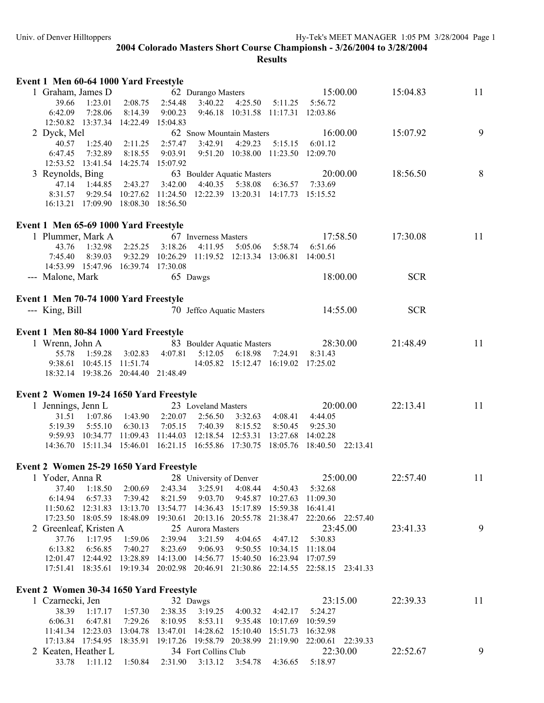| Event 1 Men 60-64 1000 Yard Freestyle   |                                        |         |         |                                                                |                   |                                                               |                                                                                  |            |    |
|-----------------------------------------|----------------------------------------|---------|---------|----------------------------------------------------------------|-------------------|---------------------------------------------------------------|----------------------------------------------------------------------------------|------------|----|
| 1 Graham, James D                       |                                        |         |         | 62 Durango Masters                                             |                   |                                                               | 15:00.00                                                                         | 15:04.83   | 11 |
| 39.66                                   | 1:23.01                                | 2:08.75 | 2:54.48 | 3:40.22                                                        | 4:25.50           | 5:11.25                                                       | 5:56.72                                                                          |            |    |
| 6:42.09                                 | 7:28.06                                | 8:14.39 | 9:00.23 |                                                                |                   | 9:46.18 10:31.58 11:17.31 12:03.86                            |                                                                                  |            |    |
|                                         | 12:50.82  13:37.34  14:22.49  15:04.83 |         |         |                                                                |                   |                                                               |                                                                                  |            |    |
| 2 Dyck, Mel                             |                                        |         |         | 62 Snow Mountain Masters                                       |                   |                                                               | 16:00.00                                                                         | 15:07.92   | 9  |
| 40.57                                   | 1:25.40                                | 2:11.25 | 2:57.47 | 3:42.91                                                        | 4:29.23           | 5:15.15                                                       | 6:01.12                                                                          |            |    |
| 6:47.45                                 | 7:32.89                                | 8:18.55 | 9:03.91 |                                                                |                   | 9:51.20 10:38.00 11:23.50 12:09.70                            |                                                                                  |            |    |
|                                         | 12:53.52  13:41.54  14:25.74  15:07.92 |         |         |                                                                |                   |                                                               |                                                                                  |            |    |
| 3 Reynolds, Bing                        |                                        |         |         | 63 Boulder Aquatic Masters                                     |                   |                                                               | 20:00.00                                                                         | 18:56.50   | 8  |
|                                         | 47.14 1:44.85                          | 2:43.27 | 3:42.00 |                                                                | 4:40.35   5:38.08 | 6:36.57                                                       | 7:33.69                                                                          |            |    |
| 8:31.57                                 |                                        |         |         |                                                                |                   | 9:29.54 10:27.62 11:24.50 12:22.39 13:20.31 14:17.73 15:15.52 |                                                                                  |            |    |
|                                         | 16:13.21 17:09.90 18:08.30 18:56.50    |         |         |                                                                |                   |                                                               |                                                                                  |            |    |
| Event 1 Men 65-69 1000 Yard Freestyle   |                                        |         |         |                                                                |                   |                                                               |                                                                                  |            |    |
| 1 Plummer, Mark A                       |                                        |         |         | 67 Inverness Masters                                           |                   |                                                               | 17:58.50                                                                         | 17:30.08   | 11 |
|                                         | 43.76 1:32.98                          | 2:25.25 | 3:18.26 | 4:11.95                                                        | 5:05.06           | 5:58.74                                                       | 6:51.66                                                                          |            |    |
| 7:45.40                                 | 8:39.03                                |         |         |                                                                |                   | 9:32.29 10:26.29 11:19.52 12:13.34 13:06.81 14:00.51          |                                                                                  |            |    |
|                                         | 14:53.99  15:47.96  16:39.74  17:30.08 |         |         |                                                                |                   |                                                               |                                                                                  |            |    |
| --- Malone, Mark                        |                                        |         |         | 65 Dawgs                                                       |                   |                                                               | 18:00.00                                                                         | <b>SCR</b> |    |
| Event 1 Men 70-74 1000 Yard Freestyle   |                                        |         |         |                                                                |                   |                                                               |                                                                                  |            |    |
| --- King, Bill                          |                                        |         |         | 70 Jeffco Aquatic Masters                                      |                   |                                                               | 14:55.00                                                                         | <b>SCR</b> |    |
|                                         |                                        |         |         |                                                                |                   |                                                               |                                                                                  |            |    |
| Event 1 Men 80-84 1000 Yard Freestyle   |                                        |         |         |                                                                |                   |                                                               |                                                                                  |            |    |
| 1 Wrenn, John A                         |                                        |         |         | 83 Boulder Aquatic Masters                                     |                   |                                                               | 28:30.00                                                                         | 21:48.49   | 11 |
|                                         | 55.78 1:59.28                          | 3:02.83 | 4:07.81 |                                                                | 5:12.05 6:18.98   | 7:24.91                                                       | 8:31.43                                                                          |            |    |
|                                         | 9:38.61  10:45.15  11:51.74            |         |         |                                                                |                   | 14:05.82 15:12.47 16:19.02 17:25.02                           |                                                                                  |            |    |
|                                         | 18:32.14 19:38.26 20:44.40 21:48.49    |         |         |                                                                |                   |                                                               |                                                                                  |            |    |
| Event 2 Women 19-24 1650 Yard Freestyle |                                        |         |         |                                                                |                   |                                                               |                                                                                  |            |    |
| 1 Jennings, Jenn L                      |                                        |         |         | 23 Loveland Masters                                            |                   |                                                               | 20:00.00                                                                         | 22:13.41   | 11 |
| 31.51                                   | 1:07.86                                | 1:43.90 | 2:20.07 | 2:56.50                                                        | 3:32.63           | 4:08.41                                                       | 4:44.05                                                                          |            |    |
| 5:19.39                                 | 5:55.10                                | 6:30.13 | 7:05.15 | 7:40.39                                                        | 8:15.52           | 8:50.45                                                       | 9:25.30                                                                          |            |    |
|                                         | 9:59.93 10:34.77 11:09.43 11:44.03     |         |         | 12:18.54 12:53.31                                              |                   | 13:27.68                                                      | 14:02.28                                                                         |            |    |
|                                         |                                        |         |         |                                                                |                   |                                                               | 14:36.70 15:11.34 15:46.01 16:21.15 16:55.86 17:30.75 18:05.76 18:40.50 22:13.41 |            |    |
| Event 2 Women 25-29 1650 Yard Freestyle |                                        |         |         |                                                                |                   |                                                               |                                                                                  |            |    |
| 1 Yoder, Anna R                         |                                        |         |         | 28 University of Denver                                        |                   |                                                               | 25:00.00                                                                         | 22:57.40   | 11 |
| 37.40                                   | 1:18.50                                | 2:00.69 | 2:43.34 | 3:25.91                                                        | 4:08.44           | 4:50.43                                                       | 5:32.68                                                                          |            |    |
| 6:14.94                                 | 6:57.33                                | 7:39.42 | 8:21.59 | 9:03.70                                                        |                   | 9:45.87 10:27.63                                              | 11:09.30                                                                         |            |    |
| 11:50.62 12:31.83                       |                                        |         |         |                                                                |                   | 13:13.70 13:54.77 14:36.43 15:17.89 15:59.38 16:41.41         |                                                                                  |            |    |
|                                         | 17:23.50 18:05.59 18:48.09             |         |         |                                                                |                   |                                                               | 19:30.61 20:13.16 20:55.78 21:38.47 22:20.66 22:57.40                            |            |    |
| 2 Greenleaf, Kristen A                  |                                        |         |         | 25 Aurora Masters                                              |                   |                                                               | 23:45.00                                                                         | 23:41.33   | 9  |
| 37.76                                   | 1:17.95                                | 1:59.06 | 2:39.94 | 3:21.59                                                        | 4:04.65           | 4:47.12                                                       | 5:30.83                                                                          |            |    |
| 6:13.82                                 | 6:56.85                                | 7:40.27 | 8:23.69 | 9:06.93                                                        |                   | 9:50.55 10:34.15                                              | 11:18.04                                                                         |            |    |
|                                         |                                        |         |         | 12:01.47 12:44.92 13:28.89 14:13.00 14:56.77 15:40.50 16:23.94 |                   |                                                               | 17:07.59                                                                         |            |    |
|                                         |                                        |         |         |                                                                |                   |                                                               | 17:51.41 18:35.61 19:19.34 20:02.98 20:46.91 21:30.86 22:14.55 22:58.15 23:41.33 |            |    |
| Event 2 Women 30-34 1650 Yard Freestyle |                                        |         |         |                                                                |                   |                                                               |                                                                                  |            |    |
| 1 Czarnecki, Jen                        |                                        |         |         | 32 Dawgs                                                       |                   |                                                               | 23:15.00                                                                         | 22:39.33   | 11 |
| 38.39                                   | 1:17.17                                | 1:57.30 | 2:38.35 | 3:19.25                                                        | 4:00.32           | 4:42.17                                                       | 5:24.27                                                                          |            |    |
| 6:06.31                                 | 6:47.81                                | 7:29.26 | 8:10.95 | 8:53.11                                                        |                   | 9:35.48 10:17.69                                              | 10:59.59                                                                         |            |    |
|                                         | 11:41.34 12:23.03 13:04.78             |         |         | 13:47.01  14:28.62  15:10.40  15:51.73                         |                   |                                                               | 16:32.98                                                                         |            |    |
|                                         |                                        |         |         |                                                                |                   |                                                               | 17:13.84 17:54.95 18:35.91 19:17.26 19:58.79 20:38.99 21:19.90 22:00.61 22:39.33 |            |    |
| 2 Keaten, Heather L                     |                                        |         |         | 34 Fort Collins Club                                           |                   |                                                               | 22:30.00                                                                         | 22:52.67   | 9  |

33.78 1:11.12 1:50.84 2:31.90 3:13.12 3:54.78 4:36.65 5:18.97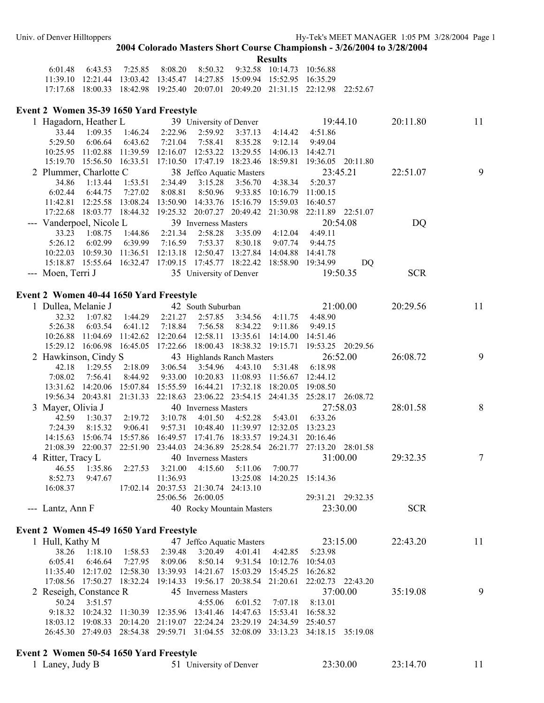**Results** 

|  | 6.01.48 6.43.53 7.25.85 8.08.20 8.50.32 9.32.58 10.14.73 10.56.88       |  |  |                                                                                  |  |
|--|-------------------------------------------------------------------------|--|--|----------------------------------------------------------------------------------|--|
|  | 11:39.10 12:21.44 13:03.42 13:45.47 14:27.85 15:09.94 15:52.95 16:35.29 |  |  |                                                                                  |  |
|  |                                                                         |  |  | 17:17.68 18:00.33 18:42.98 19:25.40 20:07.01 20:49.20 21:31.15 22:12.98 22:52.67 |  |

### **Event 2 Women 35-39 1650 Yard Freestyle**

| 1 Hagadorn, Heather L                   |         |                         | 39 University of Denver                                              |                         |                            |                                                                                  | 19:44.10          |                   | 20:11.80   | 11     |
|-----------------------------------------|---------|-------------------------|----------------------------------------------------------------------|-------------------------|----------------------------|----------------------------------------------------------------------------------|-------------------|-------------------|------------|--------|
| 33.44                                   | 1:09.35 |                         | 1:46.24 2:22.96                                                      |                         | 2:59.92 3:37.13            | 4:14.42                                                                          | 4:51.86           |                   |            |        |
| 5:29.50                                 | 6:06.64 | 6:43.62                 | 7:21.04                                                              | 7:58.41                 | 8:35.28                    | 9:12.14                                                                          | 9:49.04           |                   |            |        |
|                                         |         |                         | 10:25.95 11:02.88 11:39.59 12:16.07 12:53.22 13:29.55                |                         |                            | 14:06.13 14:42.71                                                                |                   |                   |            |        |
|                                         |         |                         |                                                                      |                         |                            | 15:19.70 15:56.50 16:33.51 17:10.50 17:47.19 18:23.46 18:59.81 19:36.05 20:11.80 |                   |                   |            |        |
| 2 Plummer, Charlotte C                  |         |                         |                                                                      |                         | 38 Jeffco Aquatic Masters  |                                                                                  |                   | 23:45.21          | 22:51.07   | 9      |
| 34.86                                   | 1:13.44 | 1:53.51                 | 2:34.49                                                              | 3:15.28                 | 3:56.70                    | 4:38.34                                                                          | 5:20.37           |                   |            |        |
| 6:02.44                                 | 6:44.75 | 7:27.02                 | 8:08.81                                                              | 8:50.96                 |                            | 9:33.85 10:16.79                                                                 | 11:00.15          |                   |            |        |
|                                         |         |                         | 11:42.81  12:25.58  13:08.24  13:50.90  14:33.76  15:16.79  15:59.03 |                         |                            |                                                                                  | 16:40.57          |                   |            |        |
|                                         |         |                         |                                                                      |                         |                            | 17:22.68 18:03.77 18:44.32 19:25.32 20:07.27 20:49.42 21:30.98 22:11.89 22:51.07 |                   |                   |            |        |
| --- Vanderpoel, Nicole L                |         |                         |                                                                      | 39 Inverness Masters    |                            |                                                                                  |                   | 20:54.08          | DQ         |        |
| 33.23                                   | 1:08.75 | 1:44.86                 | 2:21.34                                                              | 2:58.28                 |                            | 3:35.09 4:12.04                                                                  | 4:49.11           |                   |            |        |
| 5:26.12                                 | 6:02.99 |                         | 6:39.99 7:16.59                                                      | 7:53.37                 | 8:30.18                    | 9:07.74                                                                          | 9:44.75           |                   |            |        |
|                                         |         |                         |                                                                      |                         |                            | 10:22.03 10:59.30 11:36.51 12:13.18 12:50.47 13:27.84 14:04.88 14:41.78          |                   |                   |            |        |
|                                         |         |                         |                                                                      |                         |                            | 15:18.87  15:55.64  16:32.47  17:09.15  17:45.77  18:22.42  18:58.90  19:34.99   |                   | DQ                |            |        |
| --- Moen, Terri J                       |         |                         |                                                                      | 35 University of Denver |                            |                                                                                  |                   | 19:50.35          | <b>SCR</b> |        |
|                                         |         |                         |                                                                      |                         |                            |                                                                                  |                   |                   |            |        |
| Event 2 Women 40-44 1650 Yard Freestyle |         |                         |                                                                      |                         |                            |                                                                                  |                   |                   |            |        |
| 1 Dullea, Melanie J 42 South Suburban   |         |                         |                                                                      |                         |                            |                                                                                  |                   | 21:00.00          | 20:29.56   | 11     |
| 32.32                                   |         | 1:07.82 1:44.29 2:21.27 |                                                                      |                         | 2:57.85 3:34.56 4:11.75    |                                                                                  | 4:48.90           |                   |            |        |
| 5:26.38                                 | 6:03.54 | 6:41.12                 | 7:18.84                                                              | 7:56.58                 | 8:34.22                    | 9:11.86                                                                          | 9:49.15           |                   |            |        |
|                                         |         |                         | 10:26.88 11:04.69 11:42.62 12:20.64 12:58.11 13:35.61                |                         |                            | 14:14.00                                                                         | 14:51.46          |                   |            |        |
|                                         |         |                         | 15:29.12 16:06.98 16:45.05 17:22.66 18:00.43 18:38.32 19:15.71       |                         |                            |                                                                                  | 19:53.25 20:29.56 |                   |            |        |
| 2 Hawkinson, Cindy S                    |         |                         |                                                                      |                         | 43 Highlands Ranch Masters |                                                                                  |                   | 26:52.00          | 26:08.72   | 9      |
| 42.18                                   | 1:29.55 |                         | 2:18.09 3:06.54                                                      | 3:54.96                 | 4:43.10                    | 5:31.48                                                                          | 6:18.98           |                   |            |        |
| 7:08.02                                 | 7:56.41 | 8:44.92                 | 9:33.00 10:20.83                                                     |                         | 11:08.93 11:56.67          |                                                                                  | 12:44.12          |                   |            |        |
|                                         |         |                         | 13:31.62  14:20.06  15:07.84  15:55.59  16:44.21  17:32.18  18:20.05 |                         |                            |                                                                                  | 19:08.50          |                   |            |        |
|                                         |         |                         |                                                                      |                         |                            | 19:56.34 20:43.81 21:31.33 22:18.63 23:06.22 23:54.15 24:41.35 25:28.17 26:08.72 |                   |                   |            |        |
|                                         |         |                         |                                                                      |                         |                            |                                                                                  |                   | 27:58.03          |            | 8      |
| 3 Mayer, Olivia J                       |         |                         |                                                                      | 40 Inverness Masters    |                            |                                                                                  |                   |                   | 28:01.58   |        |
| 42.59                                   |         | 1:30.37 2:19.72 3:10.78 |                                                                      | 4:01.50                 |                            | 4:52.28   5:43.01                                                                | 6:33.26           |                   |            |        |
| 7:24.39                                 | 8:15.32 | 9:06.41                 |                                                                      |                         |                            | 9:57.31 10:48.40 11:39.97 12:32.05 13:23.23                                      |                   |                   |            |        |
|                                         |         |                         |                                                                      |                         |                            | 14:15.63 15:06.74 15:57.86 16:49.57 17:41.76 18:33.57 19:24.31 20:16.46          |                   |                   |            |        |
|                                         |         |                         |                                                                      |                         |                            | 21:08.39 22:00.37 22:51.90 23:44.03 24:36.89 25:28.54 26:21.77 27:13.20 28:01.58 |                   |                   |            |        |
| 4 Ritter, Tracy L                       |         |                         |                                                                      | 40 Inverness Masters    |                            |                                                                                  |                   | 31:00.00          | 29:32.35   | $\tau$ |
| 46.55                                   | 1:35.86 | 2:27.53                 | 3:21.00                                                              | 4:15.60                 | 5:11.06                    | 7:00.77                                                                          |                   |                   |            |        |
| 8:52.73                                 | 9:47.67 |                         | 11:36.93                                                             |                         | 13:25.08                   | 14:20.25 15:14.36                                                                |                   |                   |            |        |
| 16:08.37                                |         |                         | 17:02.14 20:37.53 21:30.74 24:13.10                                  |                         |                            |                                                                                  |                   |                   |            |        |
|                                         |         |                         |                                                                      | 25:06.56 26:00.05       |                            |                                                                                  |                   | 29:31.21 29:32.35 |            |        |
| --- Lantz, Ann $F$                      |         |                         |                                                                      |                         | 40 Rocky Mountain Masters  |                                                                                  |                   | 23:30.00          | <b>SCR</b> |        |
|                                         |         |                         |                                                                      |                         |                            |                                                                                  |                   |                   |            |        |
| Event 2 Women 45-49 1650 Yard Freestyle |         |                         |                                                                      |                         |                            |                                                                                  |                   |                   |            |        |
| 1 Hull, Kathy M                         |         |                         |                                                                      |                         | 47 Jeffco Aquatic Masters  |                                                                                  |                   | 23:15.00          | 22:43.20   | 11     |
| 38.26                                   | 1:18.10 | 1:58.53                 | 2:39.48                                                              | 3:20.49                 | 4:01.41                    | 4:42.85                                                                          | 5:23.98           |                   |            |        |
| 6:05.41                                 | 6:46.64 | 7:27.95                 | 8:09.06                                                              | 8:50.14                 | 9:31.54                    | 10:12.76                                                                         | 10:54.03          |                   |            |        |
|                                         |         |                         | 11:35.40 12:17.02 12:58.30 13:39.93 14:21.67 15:03.29 15:45.25       |                         |                            |                                                                                  | 16:26.82          |                   |            |        |
|                                         |         |                         | 17:08.56 17:50.27 18:32.24 19:14.33 19:56.17 20:38.54 21:20.61       |                         |                            |                                                                                  |                   | 22:02.73 22:43.20 |            |        |
| 2 Reseigh, Constance R                  |         |                         |                                                                      | 45 Inverness Masters    |                            |                                                                                  |                   | 37:00.00          | 35:19.08   | 9      |
| 50.24                                   | 3:51.57 |                         |                                                                      | 4:55.06                 | 6:01.52                    | 7:07.18                                                                          | 8:13.01           |                   |            |        |
|                                         |         |                         | 9:18.32 10:24.32 11:30.39 12:35.96 13:41.46                          |                         | 14:47.63                   | 15:53.41                                                                         | 16:58.32          |                   |            |        |
|                                         |         |                         | 18:03.12 19:08.33 20:14.20 21:19.07 22:24.24 23:29.19                |                         |                            | 24:34.59                                                                         | 25:40.57          |                   |            |        |
|                                         |         |                         |                                                                      |                         |                            | 26:45.30 27:49.03 28:54.38 29:59.71 31:04.55 32:08.09 33:13.23 34:18.15          |                   | 35:19.08          |            |        |
|                                         |         |                         |                                                                      |                         |                            |                                                                                  |                   |                   |            |        |
| Event 2 Women 50-54 1650 Yard Freestyle |         |                         |                                                                      |                         |                            |                                                                                  |                   |                   |            |        |
| 1 Laney, Judy B                         |         |                         |                                                                      | 51 University of Denver |                            |                                                                                  |                   | 23:30.00          | 23:14.70   | 11     |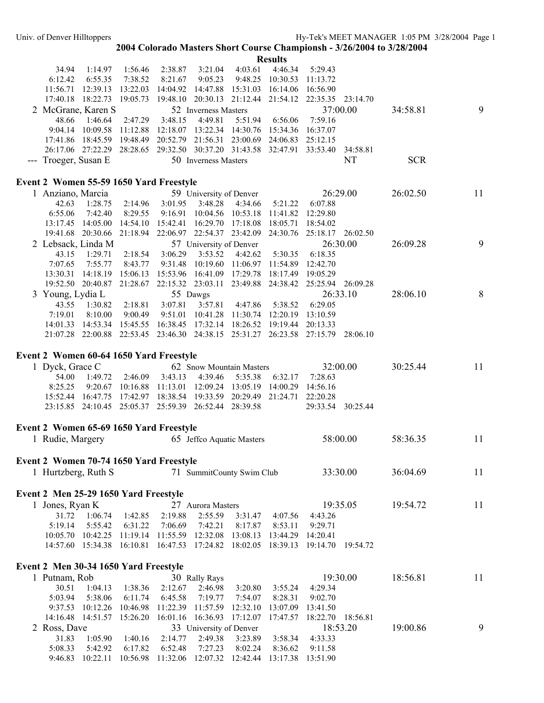|                                         |                              |                     |                              |                                                                                  |                     | <b>Results</b>                         |                     |          |            |    |
|-----------------------------------------|------------------------------|---------------------|------------------------------|----------------------------------------------------------------------------------|---------------------|----------------------------------------|---------------------|----------|------------|----|
| 34.94                                   | 1:14.97                      | 1:56.46             | 2:38.87                      | 3:21.04                                                                          | 4:03.61             | 4:46.34                                | 5:29.43             |          |            |    |
| 6:12.42                                 | 6:55.35                      | 7:38.52             | 8:21.67                      | 9:05.23                                                                          | 9:48.25             | 10:30.53                               | 11:13.72            |          |            |    |
|                                         |                              |                     |                              | 11:56.71  12:39.13  13:22.03  14:04.92  14:47.88                                 | 15:31.03            | 16:14.06                               | 16:56.90            |          |            |    |
|                                         |                              |                     |                              | 17:40.18 18:22.73 19:05.73 19:48.10 20:30.13 21:12.44 21:54.12 22:35.35 23:14.70 |                     |                                        |                     | 37:00.00 |            | 9  |
| 2 McGrane, Karen S                      |                              |                     |                              | 52 Inverness Masters                                                             |                     |                                        |                     |          | 34:58.81   |    |
| 48.66                                   | 1:46.64<br>9:04.14 10:09.58  | 2:47.29<br>11:12.88 | 3:48.15<br>12:18.07 13:22.34 | 4:49.81                                                                          | 5:51.94<br>14:30.76 | 6:56.06<br>15:34.36                    | 7:59.16<br>16:37.07 |          |            |    |
|                                         |                              |                     |                              | 17:41.86 18:45.59 19:48.49 20:52.79 21:56.31 23:00.69 24:06.83 25:12.15          |                     |                                        |                     |          |            |    |
|                                         |                              |                     |                              | 26:17.06 27:22.29 28:28.65 29:32.50 30:37.20 31:43.58 32:47.91 33:53.40          |                     |                                        |                     | 34:58.81 |            |    |
| --- Troeger, Susan E                    |                              |                     |                              | 50 Inverness Masters                                                             |                     |                                        |                     | NT       | <b>SCR</b> |    |
|                                         |                              |                     |                              |                                                                                  |                     |                                        |                     |          |            |    |
| Event 2 Women 55-59 1650 Yard Freestyle |                              |                     |                              |                                                                                  |                     |                                        |                     |          |            |    |
| 1 Anziano, Marcia                       |                              |                     |                              | 59 University of Denver                                                          |                     |                                        |                     | 26:29.00 | 26:02.50   | 11 |
| 42.63                                   | 1:28.75                      | 2:14.96             | 3:01.95                      | 3:48.28                                                                          | 4:34.66             | 5:21.22                                | 6:07.88             |          |            |    |
| 6:55.06                                 | 7:42.40                      | 8:29.55             | 9:16.91                      | 10:04.56 10:53.18                                                                |                     | 11:41.82                               | 12:29.80            |          |            |    |
| 13:17.45 14:05.00                       |                              | 14:54.10 15:42.41   |                              | 16:29.70 17:18.08<br>19:41.68 20:30.66 21:18.94 22:06.97 22:54.37 23:42.09       |                     | 18:05.71<br>24:30.76 25:18.17 26:02.50 | 18:54.02            |          |            |    |
| 2 Lebsack, Linda M                      |                              |                     |                              | 57 University of Denver                                                          |                     |                                        |                     | 26:30.00 | 26:09.28   | 9  |
| 43.15                                   | 1:29.71                      | 2:18.54             | 3:06.29                      | 3:53.52                                                                          | 4:42.62             | 5:30.35                                | 6:18.35             |          |            |    |
| 7:07.65                                 | 7:55.77                      | 8:43.77             | 9:31.48                      | 10:19.60                                                                         | 11:06.97            | 11:54.89                               | 12:42.70            |          |            |    |
|                                         | 13:30.31 14:18.19            | 15:06.13            | 15:53.96 16:41.09            |                                                                                  | 17:29.78            | 18:17.49                               | 19:05.29            |          |            |    |
|                                         |                              |                     |                              | 19:52.50 20:40.87 21:28.67 22:15.32 23:03.11 23:49.88                            |                     | 24:38.42 25:25.94 26:09.28             |                     |          |            |    |
| 3 Young, Lydia L                        |                              |                     |                              | 55 Dawgs                                                                         |                     |                                        |                     | 26:33.10 | 28:06.10   | 8  |
| 43.55                                   | 1:30.82                      | 2:18.81             | 3:07.81                      | 3:57.81                                                                          | 4:47.86             | 5:38.52                                | 6:29.05             |          |            |    |
| 7:19.01                                 | 8:10.00                      | 9:00.49             | 9:51.01                      | 10:41.28                                                                         | 11:30.74            | 12:20.19                               | 13:10.59            |          |            |    |
|                                         |                              |                     |                              | 14:01.33 14:53.34 15:45.55 16:38.45 17:32.14                                     | 18:26.52            | 19:19.44                               | 20:13.33            |          |            |    |
|                                         |                              |                     |                              | 21:07.28 22:00.88 22:53.45 23:46.30 24:38.15 25:31.27 26:23.58 27:15.79 28:06.10 |                     |                                        |                     |          |            |    |
|                                         |                              |                     |                              |                                                                                  |                     |                                        |                     |          |            |    |
| Event 2 Women 60-64 1650 Yard Freestyle |                              |                     |                              |                                                                                  |                     |                                        |                     |          |            |    |
| 1 Dyck, Grace C                         |                              |                     |                              | 62 Snow Mountain Masters                                                         |                     |                                        |                     | 32:00.00 | 30:25.44   | 11 |
| 54.00                                   | 1:49.72                      | 2:46.09             | 3:43.13                      | 4:39.46                                                                          | 5:35.38             | 6:32.17                                | 7:28.63             |          |            |    |
| 8:25.25                                 |                              | 9:20.67 10:16.88    | 11:13.01                     | 12:09.24                                                                         | 13:05.19            | 14:00.29                               | 14:56.16            |          |            |    |
|                                         |                              |                     |                              | 15:52.44 16:47.75 17:42.97 18:38.54 19:33.59 20:29.49                            |                     | 21:24.71                               | 22:20.28            |          |            |    |
|                                         |                              |                     |                              | 23:15.85 24:10.45 25:05.37 25:59.39 26:52.44 28:39.58                            |                     |                                        | 29:33.54            | 30:25.44 |            |    |
| Event 2 Women 65-69 1650 Yard Freestyle |                              |                     |                              |                                                                                  |                     |                                        |                     |          |            |    |
| 1 Rudie, Margery                        |                              |                     |                              | 65 Jeffco Aquatic Masters                                                        |                     |                                        |                     | 58:00.00 | 58:36.35   | 11 |
|                                         |                              |                     |                              |                                                                                  |                     |                                        |                     |          |            |    |
| Event 2 Women 70-74 1650 Yard Freestyle |                              |                     |                              |                                                                                  |                     |                                        |                     |          |            |    |
| 1 Hurtzberg, Ruth S                     |                              |                     |                              | 71 SummitCounty Swim Club                                                        |                     |                                        | 33:30.00            |          | 36:04.69   | 11 |
|                                         |                              |                     |                              |                                                                                  |                     |                                        |                     |          |            |    |
| Event 2 Men 25-29 1650 Yard Freestyle   |                              |                     |                              |                                                                                  |                     |                                        |                     |          |            |    |
| 1 Jones, Ryan K                         |                              |                     |                              | 27 Aurora Masters                                                                |                     |                                        |                     | 19:35.05 | 19:54.72   | 11 |
| 31.72                                   | 1:06.74                      | 1:42.85             | 2:19.88                      | 2:55.59                                                                          | 3:31.47             | 4:07.56                                | 4:43.26             |          |            |    |
| 5:19.14                                 | 5:55.42                      | 6:31.22             | 7:06.69                      | 7:42.21                                                                          | 8:17.87             | 8:53.11                                | 9:29.71             |          |            |    |
| 10:05.70  10:42.25                      |                              | 11:19.14            | 11:55.59                     | 12:32.08                                                                         | 13:08.13            | 13:44.29                               | 14:20.41            |          |            |    |
|                                         | 14:57.60 15:34.38 16:10.81   |                     | 16:47.53                     | 17:24.82                                                                         | 18:02.05            | 18:39.13                               | 19:14.70            | 19:54.72 |            |    |
|                                         |                              |                     |                              |                                                                                  |                     |                                        |                     |          |            |    |
| Event 2 Men 30-34 1650 Yard Freestyle   |                              |                     |                              |                                                                                  |                     |                                        |                     |          |            |    |
| 1 Putnam, Rob                           |                              |                     |                              | 30 Rally Rays                                                                    |                     |                                        |                     | 19:30.00 | 18:56.81   | 11 |
| 30.51                                   | 1:04.13                      | 1:38.36             | 2:12.67                      | 2:46.98                                                                          | 3:20.80             | 3:55.24                                | 4:29.34             |          |            |    |
| 5:03.94                                 | 5:38.06                      | 6:11.74             | 6:45.58                      | 7:19.77                                                                          | 7:54.07             | 8:28.31                                | 9:02.70             |          |            |    |
|                                         | 9:37.53 10:12.26             | 10:46.98            | 11:22.39                     | 11:57.59                                                                         | 12:32.10            | 13:07.09                               | 13:41.50            |          |            |    |
|                                         | 14:16.48  14:51.57  15:26.20 |                     | 16:01.16 16:36.93            |                                                                                  | 17:12.07            | 17:47.57                               | 18:22.70            | 18:56.81 |            |    |
| 2 Ross, Dave                            |                              |                     |                              | 33 University of Denver                                                          |                     |                                        |                     | 18:53.20 | 19:00.86   | 9  |
| 31.83                                   | 1:05.90                      | 1:40.16             | 2:14.77                      | 2:49.38                                                                          | 3:23.89             | 3:58.34                                | 4:33.33             |          |            |    |
| 5:08.33                                 | 5:42.92                      | 6:17.82             | 6:52.48                      | 7:27.23                                                                          | 8:02.24             | 8:36.62                                | 9:11.58             |          |            |    |
| 9:46.83                                 | 10:22.11                     | 10:56.98            | 11:32.06                     | 12:07.32                                                                         | 12:42.44            | 13:17.38                               | 13:51.90            |          |            |    |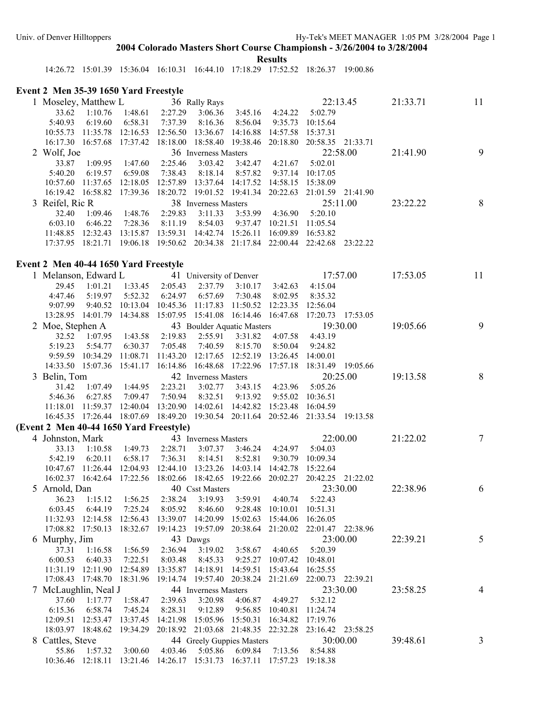**Results** 

14:26.72 15:01.39 15:36.04 16:10.31 16:44.10 17:18.29 17:52.52 18:26.37 19:00.86

# **Event 2 Men 35-39 1650 Yard Freestyle**

| 1 Moseley, Matthew L                                                    |               |                         | 36 Rally Rays                       |                         |                            |                                                                        | 22:13.45                                                                         | 21:33.71 | 11             |
|-------------------------------------------------------------------------|---------------|-------------------------|-------------------------------------|-------------------------|----------------------------|------------------------------------------------------------------------|----------------------------------------------------------------------------------|----------|----------------|
|                                                                         | 33.62 1:10.76 | 1:48.61                 | 2:27.29                             | 3:06.36                 | 3:45.16                    | 4:24.22                                                                | 5:02.79                                                                          |          |                |
| 5:40.93                                                                 | 6:19.60       | 6:58.31                 | 7:37.39                             | 8:16.36                 | 8:56.04                    | 9:35.73                                                                | 10:15.64                                                                         |          |                |
| 10:55.73 11:35.78                                                       |               |                         | 12:16.53 12:56.50 13:36.67 14:16.88 |                         |                            | 14:57.58 15:37.31                                                      |                                                                                  |          |                |
|                                                                         |               |                         |                                     |                         |                            |                                                                        | 16:17.30 16:57.68 17:37.42 18:18.00 18:58.40 19:38.46 20:18.80 20:58.35 21:33.71 |          |                |
| 2 Wolf, Joe                                                             |               |                         |                                     | 36 Inverness Masters    |                            |                                                                        | 22:58.00                                                                         | 21:41.90 | 9              |
| 33.87                                                                   | 1:09.95       | 1:47.60                 | 2:25.46                             | 3:03.42                 | 3:42.47                    | 4:21.67                                                                | 5:02.01                                                                          |          |                |
| 5:40.20                                                                 | 6:19.57       | 6:59.08                 | 7:38.43                             | 8:18.14                 | 8:57.82                    | 9:37.14                                                                | 10:17.05                                                                         |          |                |
| 10:57.60                                                                |               |                         |                                     |                         |                            | 11:37.65 12:18.05 12:57.89 13:37.64 14:17.52 14:58.15 15:38.09         |                                                                                  |          |                |
|                                                                         |               |                         |                                     |                         |                            |                                                                        | 16:19.42 16:58.82 17:39.36 18:20.72 19:01.52 19:41.34 20:22.63 21:01.59 21:41.90 |          |                |
| 3 Reifel, Ric R                                                         |               |                         |                                     | 38 Inverness Masters    |                            |                                                                        | 25:11.00                                                                         | 23:22.22 | $8\phantom{.}$ |
| 32.40                                                                   |               | 1:09.46 1:48.76 2:29.83 |                                     | 3:11.33                 |                            | 3:53.99 4:36.90                                                        | 5:20.10                                                                          |          |                |
| 6:03.10                                                                 | 6:46.22       | 7:28.36                 | 8:11.19                             | 8:54.03                 | 9:37.47 10:21.51           |                                                                        | 11:05.54                                                                         |          |                |
| 11:48.85 12:32.43 13:15.87 13:59.31 14:42.74 15:26.11                   |               |                         |                                     |                         |                            | 16:09.89 16:53.82                                                      |                                                                                  |          |                |
|                                                                         |               |                         |                                     |                         |                            |                                                                        | 17:37.95 18:21.71 19:06.18 19:50.62 20:34.38 21:17.84 22:00.44 22:42.68 23:22.22 |          |                |
|                                                                         |               |                         |                                     |                         |                            |                                                                        |                                                                                  |          |                |
| Event 2 Men 40-44 1650 Yard Freestyle<br>1 Melanson, Edward L           |               |                         |                                     |                         |                            |                                                                        | 17:57.00                                                                         | 17:53.05 | 11             |
|                                                                         |               |                         |                                     | 41 University of Denver |                            |                                                                        |                                                                                  |          |                |
| 29.45                                                                   | 1:01.21       |                         | 1:33.45 2:05.43                     | 2:37.79                 | 3:10.17                    | 3:42.63                                                                | 4:15.04                                                                          |          |                |
| 4:47.46                                                                 | 5:19.97       | 5:52.32                 | 6:24.97                             | 6:57.69                 | 7:30.48                    | 8:02.95                                                                | 8:35.32                                                                          |          |                |
| 9:07.99                                                                 |               |                         | 9:40.52 10:13.04 10:45.36 11:17.83  |                         | 11:50.52                   | 12:23.35                                                               | 12:56.04                                                                         |          |                |
| 13:28.95 14:01.79 14:34.88 15:07.95 15:41.08 16:14.46 16:47.68          |               |                         |                                     |                         |                            |                                                                        | 17:20.73 17:53.05                                                                |          |                |
| 2 Moe, Stephen A                                                        |               |                         |                                     |                         | 43 Boulder Aquatic Masters |                                                                        | 19:30.00                                                                         | 19:05.66 | 9              |
| 32.52                                                                   |               | $1:07.95$ $1:43.58$     | 2:19.83                             | 2:55.91                 | 3:31.82                    | 4:07.58                                                                | 4:43.19                                                                          |          |                |
| 5:19.23                                                                 | 5:54.77       | 6:30.37                 | 7:05.48                             | 7:40.59                 | 8:15.70                    | 8:50.04                                                                | 9:24.82                                                                          |          |                |
|                                                                         |               |                         |                                     |                         |                            | 9:59.59 10:34.29 11:08.71 11:43.20 12:17.65 12:52.19 13:26.45 14:00.01 |                                                                                  |          |                |
|                                                                         |               |                         |                                     |                         |                            |                                                                        | 14:33.50 15:07.36 15:41.17 16:14.86 16:48.68 17:22.96 17:57.18 18:31.49 19:05.66 |          |                |
| 3 Belin, Tom                                                            |               |                         |                                     | 42 Inverness Masters    |                            |                                                                        | 20:25.00                                                                         | 19:13.58 | 8              |
| 31.42                                                                   |               | 1:07.49 1:44.95         | 2:23.21                             | 3:02.77                 |                            | 3:43.15 4:23.96                                                        | 5:05.26                                                                          |          |                |
| 5:46.36                                                                 | 6:27.85       | 7:09.47                 | 7:50.94                             | 8:32.51                 | 9:13.92                    | 9:55.02                                                                | 10:36.51                                                                         |          |                |
| 11:18.01                                                                |               |                         | 11:59.37 12:40.04 13:20.90 14:02.61 |                         | 14:42.82 15:23.48          |                                                                        | 16:04.59                                                                         |          |                |
|                                                                         |               |                         |                                     |                         |                            |                                                                        | 16:45.35 17:26.44 18:07.69 18:49.20 19:30.54 20:11.64 20:52.46 21:33.54 19:13.58 |          |                |
| (Event 2 Men 40-44 1650 Yard Freestyle)                                 |               |                         |                                     |                         |                            |                                                                        |                                                                                  |          |                |
| 4 Johnston, Mark                                                        |               |                         |                                     | 43 Inverness Masters    |                            |                                                                        | 22:00.00                                                                         | 21:22.02 | $\tau$         |
| 33.13                                                                   | 1:10.58       | 1:49.73                 | 2:28.71                             | 3:07.37                 |                            | 3:46.24 4:24.97                                                        | 5:04.03                                                                          |          |                |
| 5:42.19                                                                 | 6:20.11       | 6:58.17                 | 7:36.31                             | 8:14.51                 | 8:52.81                    | 9:30.79                                                                | 10:09.34                                                                         |          |                |
| 10:47.67 11:26.44 12:04.93                                              |               |                         | 12:44.10 13:23.26                   |                         | 14:03.14                   | 14:42.78                                                               | 15:22.64                                                                         |          |                |
| 16:02.37 16:42.64 17:22.56 18:02.66 18:42.65 19:22.66 20:02.27          |               |                         |                                     |                         |                            |                                                                        | 20:42.25 21:22.02                                                                |          |                |
| 5 Arnold, Dan                                                           |               |                         |                                     | 40 Csst Masters         |                            |                                                                        | 23:30.00                                                                         | 22:38.96 | 6              |
| 36.23                                                                   | 1:15.12       | 1:56.25                 | 2:38.24                             | 3:19.93                 | 3:59.91                    | 4:40.74                                                                | 5:22.43                                                                          |          |                |
| 6:03.45                                                                 | 6:44.19       | 7:25.24                 | 8:05.92                             | 8:46.60                 | 9:28.48                    | 10:10.01                                                               | 10:51.31                                                                         |          |                |
| 11:32.93 12:14.58 12:56.43 13:39.07 14:20.99 15:02.63                   |               |                         |                                     |                         |                            | 15:44.06                                                               | 16:26.05                                                                         |          |                |
| 17:08.82 17:50.13 18:32.67 19:14.23 19:57.09                            |               |                         |                                     |                         |                            |                                                                        | 20:38.64 21:20.02 22:01.47 22:38.96                                              |          |                |
| 6 Murphy, Jim                                                           |               |                         |                                     | 43 Dawgs                |                            |                                                                        | 23:00.00                                                                         | 22:39.21 | 5              |
| 37.31                                                                   | 1:16.58       | 1:56.59                 | 2:36.94                             | 3:19.02                 | 3:58.67                    | 4:40.65                                                                | 5:20.39                                                                          |          |                |
| 6:00.53                                                                 | 6:40.33       | 7:22.51                 | 8:03.48                             | 8:45.33                 |                            | 9:25.27 10:07.42 10:48.01                                              |                                                                                  |          |                |
| 11:31.19  12:11.90  12:54.89  13:35.87  14:18.91  14:59.51  15:43.64    |               |                         |                                     |                         |                            |                                                                        | 16:25.55                                                                         |          |                |
|                                                                         |               |                         |                                     |                         |                            |                                                                        | 17:08.43 17:48.70 18:31.96 19:14.74 19:57.40 20:38.24 21:21.69 22:00.73 22:39.21 |          |                |
| 7 McLaughlin, Neal J                                                    |               |                         |                                     | 44 Inverness Masters    |                            |                                                                        | 23:30.00                                                                         | 23:58.25 | $\overline{4}$ |
| 37.60                                                                   | 1:17.77       | 1:58.47                 | 2:39.63                             | 3:20.98                 | 4:06.87                    | 4:49.27                                                                | 5:32.12                                                                          |          |                |
| 6:15.36                                                                 | 6:58.74       | 7:45.24                 | 8:28.31                             | 9:12.89                 |                            | 9:56.85 10:40.81                                                       | 11:24.74                                                                         |          |                |
| 12:09.51  12:53.47  13:37.45  14:21.98  15:05.96  15:50.31              |               |                         |                                     |                         |                            | 16:34.82                                                               | 17:19.76                                                                         |          |                |
| 18:03.97 18:48.62 19:34.29 20:18.92 21:03.68 21:48.35 22:32.28          |               |                         |                                     |                         |                            |                                                                        | 23:16.42 23:58.25                                                                |          |                |
| 8 Cattles, Steve                                                        |               |                         |                                     |                         | 44 Greely Guppies Masters  |                                                                        | 30:00.00                                                                         | 39:48.61 | 3              |
| 55.86                                                                   | 1:57.32       | 3:00.60                 | 4:03.46                             | 5:05.86                 | 6:09.84                    | 7:13.56                                                                | 8:54.88                                                                          |          |                |
| 10:36.46 12:18.11 13:21.46 14:26.17 15:31.73 16:37.11 17:57.23 19:18.38 |               |                         |                                     |                         |                            |                                                                        |                                                                                  |          |                |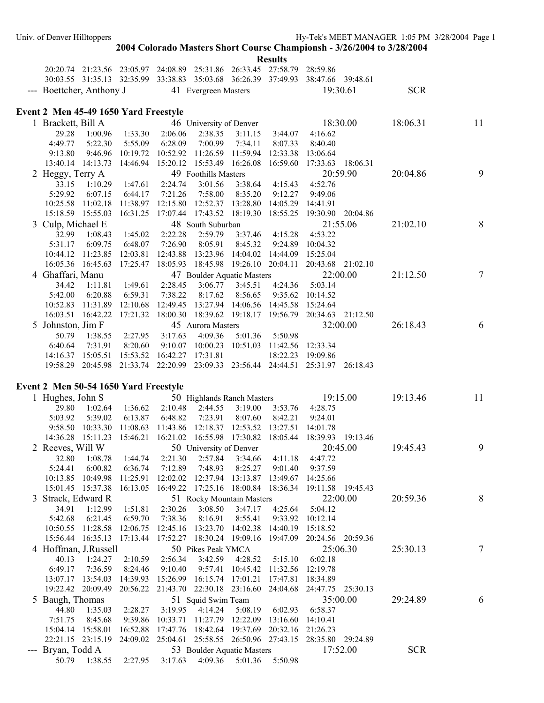|                                               |                  |                            |                                                                                          |                         |                                    | <b>IZCSUILS</b>     |                                                                                  |            |                |
|-----------------------------------------------|------------------|----------------------------|------------------------------------------------------------------------------------------|-------------------------|------------------------------------|---------------------|----------------------------------------------------------------------------------|------------|----------------|
|                                               |                  |                            | 20:20.74 21:23.56 23:05.97 24:08.89 25:31.86 26:33.45 27:58.79 28:59.86                  |                         |                                    |                     |                                                                                  |            |                |
|                                               |                  |                            |                                                                                          |                         |                                    |                     | 30:03.55 31:35.13 32:35.99 33:38.83 35:03.68 36:26.39 37:49.93 38:47.66 39:48.61 |            |                |
| --- Boettcher, Anthony J 41 Evergreen Masters |                  |                            |                                                                                          |                         |                                    |                     | 19:30.61                                                                         | <b>SCR</b> |                |
|                                               |                  |                            |                                                                                          |                         |                                    |                     |                                                                                  |            |                |
| Event 2 Men 45-49 1650 Yard Freestyle         |                  |                            |                                                                                          |                         |                                    |                     |                                                                                  |            |                |
| 1 Brackett, Bill A                            |                  |                            |                                                                                          | 46 University of Denver |                                    |                     | 18:30.00                                                                         | 18:06.31   | 11             |
| 29.28                                         |                  | 1:00.96 1:33.30 2:06.06    |                                                                                          |                         | 2:38.35 3:11.15                    | 3:44.07             | 4:16.62                                                                          |            |                |
| 4:49.77                                       | 5:22.30          |                            | 5:55.09 6:28.09                                                                          | 7:00.99                 | 7:34.11                            | 8:07.33             | 8:40.40                                                                          |            |                |
| 9:13.80                                       |                  |                            | 9:46.96 10:19.72 10:52.92 11:26.59 11:59.94                                              |                         |                                    | 12:33.38            | 13:06.64                                                                         |            |                |
|                                               |                  |                            | 13:40.14 14:13.73 14:46.94 15:20.12 15:53.49 16:26.08                                    |                         |                                    | 16:59.60            | 17:33.63 18:06.31                                                                |            |                |
| 2 Heggy, Terry A                              |                  |                            |                                                                                          | 49 Foothills Masters    |                                    |                     | 20:59.90                                                                         | 20:04.86   | 9              |
| 33.15                                         | 1:10.29          | 1:47.61                    | 2:24.74                                                                                  | 3:01.56                 | 3:38.64                            | 4:15.43             | 4:52.76                                                                          |            |                |
| 5:29.92<br>10:25.58 11:02.18                  | 6:07.15          | 6:44.17                    | 7:21.26<br>11:38.97 12:15.80 12:52.37 13:28.80                                           | 7:58.00                 | 8:35.20                            | 9:12.27<br>14:05.29 | 9:49.06<br>14:41.91                                                              |            |                |
|                                               |                  |                            | 15:18.59  15:55.03  16:31.25  17:07.44  17:43.52  18:19.30  18:55.25                     |                         |                                    |                     | 19:30.90 20:04.86                                                                |            |                |
| 3 Culp, Michael E                             |                  |                            |                                                                                          | 48 South Suburban       |                                    |                     | 21:55.06                                                                         | 21:02.10   | 8              |
| 32.99                                         | 1:08.43          | 1:45.02                    | 2:22.28                                                                                  | 2:59.79                 | 3:37.46                            | 4:15.28             | 4:53.22                                                                          |            |                |
| 5:31.17                                       | 6:09.75          | 6:48.07                    | 7:26.90                                                                                  | 8:05.91                 | 8:45.32                            | 9:24.89             | 10:04.32                                                                         |            |                |
|                                               |                  |                            | 10:44.12 11:23.85 12:03.81 12:43.88 13:23.96                                             |                         | 14:04.02  14:44.09                 |                     | 15:25.04                                                                         |            |                |
|                                               |                  |                            | 16:05.36 16:45.63 17:25.47 18:05.93 18:45.98 19:26.10 20:04.11                           |                         |                                    |                     | 20:43.68 21:02.10                                                                |            |                |
| 4 Ghaffari, Manu                              |                  |                            |                                                                                          |                         | 47 Boulder Aquatic Masters         |                     | 22:00.00                                                                         | 21:12.50   | $\overline{7}$ |
| 34.42                                         | 1:11.81          | 1:49.61                    | 2:28.45                                                                                  | 3:06.77                 | 3:45.51                            | 4:24.36             | 5:03.14                                                                          |            |                |
| 5:42.00                                       | 6:20.88          | 6:59.31                    | 7:38.22                                                                                  | 8:17.62                 | 8:56.65                            |                     | 9:35.62 10:14.52                                                                 |            |                |
|                                               |                  |                            | 10:52.83 11:31.89 12:10.68 12:49.45 13:27.94 14:06.56 14:45.58                           |                         |                                    |                     | 15:24.64                                                                         |            |                |
|                                               |                  |                            |                                                                                          |                         |                                    |                     | 16:03.51 16:42.22 17:21.32 18:00.30 18:39.62 19:18.17 19:56.79 20:34.63 21:12.50 |            |                |
| 5 Johnston, Jim F                             |                  |                            |                                                                                          | 45 Aurora Masters       |                                    |                     | 32:00.00                                                                         | 26:18.43   | 6              |
| 50.79                                         |                  | 1:38.55 2:27.95 3:17.63    |                                                                                          | 4:09.36                 | 5:01.36 5:50.98                    |                     |                                                                                  |            |                |
| 6:40.64                                       | 7:31.91          | 8:20.60                    |                                                                                          |                         | 9:10.07 10:00.23 10:51.03 11:42.56 |                     | 12:33.34                                                                         |            |                |
| 14:16.37 15:05.51                             |                  |                            | 15:53.52 16:42.27 17:31.81                                                               |                         |                                    | 18:22.23            | 19:09.86                                                                         |            |                |
|                                               |                  |                            |                                                                                          |                         |                                    |                     | 19:58.29 20:45.98 21:33.74 22:20.99 23:09.33 23:56.44 24:44.51 25:31.97 26:18.43 |            |                |
|                                               |                  |                            |                                                                                          |                         |                                    |                     |                                                                                  |            |                |
| Event 2 Men 50-54 1650 Yard Freestyle         |                  |                            |                                                                                          |                         |                                    |                     |                                                                                  |            |                |
| 1 Hughes, John S                              |                  |                            |                                                                                          |                         | 50 Highlands Ranch Masters         |                     | 19:15.00                                                                         | 19:13.46   | 11             |
| 29.80                                         | 1:02.64          | 1:36.62                    | 2:10.48                                                                                  | 2:44.55                 | 3:19.00                            | 3:53.76             | 4:28.75                                                                          |            |                |
| 5:03.92                                       | 5:39.02          | 6:13.87                    | 6:48.82                                                                                  | 7:23.91                 | 8:07.60                            | 8:42.21             | 9:24.01                                                                          |            |                |
|                                               | 9:58.50 10:33.30 | 11:08.63                   | 11:43.86 12:18.37 12:53.52                                                               |                         |                                    | 13:27.51            | 14:01.78                                                                         |            |                |
|                                               |                  |                            |                                                                                          |                         |                                    |                     | 14:36.28 15:11.23 15:46.21 16:21.02 16:55.98 17:30.82 18:05.44 18:39.93 19:13.46 |            | 9              |
| 2 Reeves, Will W                              |                  |                            |                                                                                          | 50 University of Denver |                                    |                     | 20:45.00                                                                         | 19:45.43   |                |
| 5:24.41                                       | 6:00.82          |                            | 32.80 1:08.78 1:44.74 2:21.30 2:57.84 3:34.66 4:11.18 4:47.72<br>6:36.74 7:12.89 7:48.93 |                         | 8:25.27                            | 9:01.40             | 9:37.59                                                                          |            |                |
|                                               |                  |                            | 10:13.85 10:49.98 11:25.91 12:02.02 12:37.94 13:13.87 13:49.67 14:25.66                  |                         |                                    |                     |                                                                                  |            |                |
|                                               |                  |                            |                                                                                          |                         |                                    |                     | 15:01.45 15:37.38 16:13.05 16:49.22 17:25.16 18:00.84 18:36.34 19:11.58 19:45.43 |            |                |
| Strack, Edward R                              |                  |                            |                                                                                          |                         | 51 Rocky Mountain Masters          |                     | 22:00.00                                                                         | 20:59.36   | 8              |
| 34.91                                         | 1:12.99          | 1:51.81                    | 2:30.26                                                                                  | 3:08.50                 | 3:47.17                            | 4:25.64             | 5:04.12                                                                          |            |                |
| 5:42.68                                       | 6:21.45          | 6:59.70                    | 7:38.36                                                                                  | 8:16.91                 | 8:55.41                            |                     | 9:33.92 10:12.14                                                                 |            |                |
|                                               |                  |                            | 10:50.55 11:28.58 12:06.75 12:45.16 13:23.70 14:02.38                                    |                         |                                    | 14:40.19            | 15:18.52                                                                         |            |                |
|                                               |                  | 15:56.44 16:35.13 17:13.44 | 17:52.27 18:30.24 19:09.16 19:47.09                                                      |                         |                                    |                     | 20:24.56 20:59.36                                                                |            |                |
| 4 Hoffman, J.Russell                          |                  |                            |                                                                                          | 50 Pikes Peak YMCA      |                                    |                     | 25:06.30                                                                         | 25:30.13   | $\tau$         |
| 40.13                                         | 1:24.27          | 2:10.59                    | 2:56.34                                                                                  | 3:42.59                 | 4:28.52                            | 5:15.10             | 6:02.18                                                                          |            |                |
| 6:49.17                                       | 7:36.59          | 8:24.46                    | 9:10.40                                                                                  | 9:57.41                 | 10:45.42 11:32.56                  |                     | 12:19.78                                                                         |            |                |
| 13:07.17 13:54.03                             |                  |                            | 14:39.93 15:26.99 16:15.74 17:01.21                                                      |                         |                                    | 17:47.81            | 18:34.89                                                                         |            |                |
|                                               |                  |                            | 19:22.42 20:09.49 20:56.22 21:43.70 22:30.18 23:16.60 24:04.68                           |                         |                                    |                     | 24:47.75 25:30.13                                                                |            |                |
| 5 Baugh, Thomas                               |                  |                            |                                                                                          | 51 Squid Swim Team      |                                    |                     | 35:00.00                                                                         | 29:24.89   | 6              |
| 44.80                                         | 1:35.03          |                            | 2:28.27 3:19.95                                                                          | 4:14.24                 | 5:08.19                            | 6:02.93             | 6:58.37                                                                          |            |                |
| 7:51.75                                       | 8:45.68          |                            | 9:39.86 10:33.71 11:27.79 12:22.09 13:16.60                                              |                         |                                    |                     | 14:10.41                                                                         |            |                |
|                                               |                  |                            | 15:04.14 15:58.01 16:52.88 17:47.76 18:42.64 19:37.69 20:32.16 21:26.23                  |                         |                                    |                     |                                                                                  |            |                |
|                                               |                  |                            |                                                                                          |                         |                                    |                     | 22:21.15 23:15.19 24:09.02 25:04.61 25:58.55 26:50.96 27:43.15 28:35.80 29:24.89 |            |                |
| --- Bryan, Todd A                             |                  |                            |                                                                                          |                         | 53 Boulder Aquatic Masters         |                     | 17:52.00                                                                         | <b>SCR</b> |                |
|                                               |                  |                            | 50.79  1:38.55  2:27.95  3:17.63  4:09.36  5:01.36  5:50.98                              |                         |                                    |                     |                                                                                  |            |                |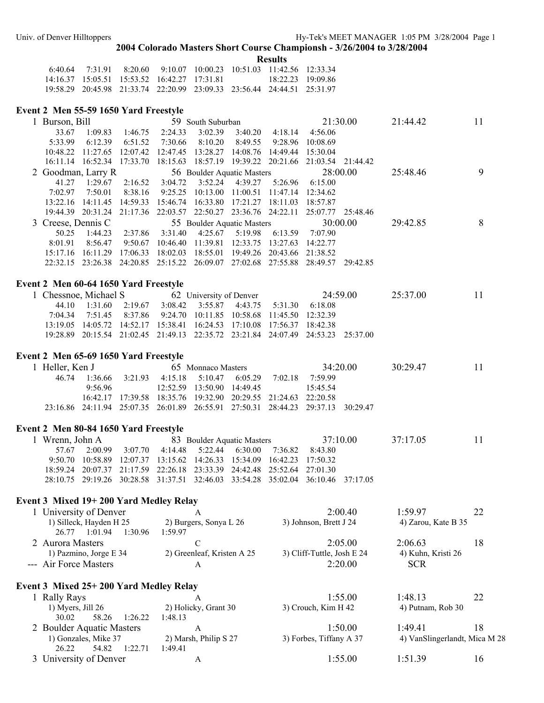**Results** 

|                                              |  |  | 6.40.64 7.31.91 8.20.60 9.10.07 10.00.23 10.51.03 11.42.56 12.33.34     |                     |
|----------------------------------------------|--|--|-------------------------------------------------------------------------|---------------------|
| 14 16 37 15 05 51 15 53 52 16 42 27 17 31 81 |  |  |                                                                         | $18.22.23$ 19.09.86 |
|                                              |  |  | 19:58.29 20:45.98 21:33.74 22:20.99 23:09.33 23:56.44 24:44.51 25:31.97 |                     |

### **Event 2 Men 55-59 1650 Yard Freestyle**

| Burson, Bill       |                            |                            |          | 59 South Suburban                   |          |          |                   | 21:30.00 | 21:44.42 | 11 |
|--------------------|----------------------------|----------------------------|----------|-------------------------------------|----------|----------|-------------------|----------|----------|----|
| 33.67              | 1:09.83                    | 1:46.75                    | 2:24.33  | 3:02.39                             | 3:40.20  | 4:18.14  | 4:56.06           |          |          |    |
| 5:33.99            | 6:12.39                    | 6:51.52                    | 7:30.66  | 8:10.20                             | 8:49.55  | 9:28.96  | 10:08.69          |          |          |    |
| 10:48.22           | 11:27.65                   | 12:07.42                   | 12:47.45 | 13:28.27                            | 14:08.76 | 14:49.44 | 15:30.04          |          |          |    |
|                    | 16:11.14 16:52.34 17:33.70 |                            |          | 18:15.63 18:57.19 19:39.22 20:21.66 |          |          | 21:03.54 21:44.42 |          |          |    |
| 2 Goodman, Larry R |                            |                            |          | 56 Boulder Aquatic Masters          |          |          | 28:00.00          |          | 25:48.46 | 9  |
| 41.27              | 1:29.67                    | 2:16.52                    | 3:04.72  | 3:52.24                             | 4:39.27  | 5:26.96  | 6:15.00           |          |          |    |
| 7:02.97            | 7:50.01                    | 8:38.16                    |          | $9:25.25$ 10:13.00                  | 11:00.51 | 11:47.14 | 12:34.62          |          |          |    |
| 13:22.16           | 14:11.45                   | 14:59.33                   | 15:46.74 | 16:33.80                            | 17:21.27 | 18:11.03 | 18:57.87          |          |          |    |
|                    | 19:44.39 20:31.24          | 21:17.36                   |          | 22:03.57 22:50.27 23:36.76 24:22.11 |          |          | 25:07.77          | 25:48.46 |          |    |
| 3 Creese, Dennis C |                            |                            |          | 55 Boulder Aquatic Masters          |          |          | 30:00.00          |          | 29:42.85 | 8  |
| 50.25              | 1:44.23                    | 2:37.86                    | 3:31.40  | 4:25.67                             | 5:19.98  | 6:13.59  | 7:07.90           |          |          |    |
| 8:01.91            | 8:56.47                    | 9:50.67                    | 10:46.40 | 11:39.81                            | 12:33.75 | 13:27.63 | 14:22.77          |          |          |    |
| 15:17.16           | 16:11.29                   | 17:06.33                   | 18:02.03 | 18:55.01                            | 19:49.26 | 20:43.66 | 21:38.52          |          |          |    |
|                    |                            | 22:32.15 23:26.38 24:20.85 | 25:15.22 | 26:09.07                            | 27:02.68 | 27:55.88 | 28:49.57          | 29:42.85 |          |    |
|                    |                            |                            |          |                                     |          |          |                   |          |          |    |

## **Event 2 Men 60-64 1650 Yard Freestyle**

| 1 Chessnoe, Michael S 62 University of Denver 24:59.00 |  |                                                                                  |  |  | 25:37.00 | 11 |
|--------------------------------------------------------|--|----------------------------------------------------------------------------------|--|--|----------|----|
|                                                        |  | 44.10 1:31.60 2:19.67 3:08.42 3:55.87 4:43.75 5:31.30 6:18.08                    |  |  |          |    |
|                                                        |  | 7:04.34 7:51.45 8:37.86 9:24.70 10:11.85 10:58.68 11:45.50 12:32.39              |  |  |          |    |
|                                                        |  | 13:19.05 14:05.72 14:52.17 15:38.41 16:24.53 17:10.08 17:56.37 18:42.38          |  |  |          |    |
|                                                        |  | 19:28.89 20:15.54 21:02.45 21:49.13 22:35.72 23:21.84 24:07.49 24:53.23 25:37.00 |  |  |          |    |
|                                                        |  |                                                                                  |  |  |          |    |

### **Event 2 Men 65-69 1650 Yard Freestyle**

| 1 Heller, Ken J |        | 65 Monnaco Masters           |  |  | 34.2000                                                               |                                                                                  | 30.2947 | 11. |  |
|-----------------|--------|------------------------------|--|--|-----------------------------------------------------------------------|----------------------------------------------------------------------------------|---------|-----|--|
| 46.74           |        |                              |  |  | $1:36.66$ $3:21.93$ $4:15.18$ $5:10.47$ $6:05.29$ $7:02.18$ $7:59.99$ |                                                                                  |         |     |  |
|                 | 9.5696 | $12:52:59$ 13:50.90 14:49.45 |  |  |                                                                       | 15:45.54                                                                         |         |     |  |
|                 |        |                              |  |  | 16:42.17 17:39.58 18:35.76 19:32.90 20:29.55 21:24.63 22:20.58        |                                                                                  |         |     |  |
|                 |        |                              |  |  |                                                                       | 23:16.86 24:11.94 25:07.35 26:01.89 26:55.91 27:50.31 28:44.23 29:37.13 30:29.47 |         |     |  |
|                 |        |                              |  |  |                                                                       |                                                                                  |         |     |  |

### **Event 2 Men 80-84 1650 Yard Freestyle**

| 1 Wrenn, John A |  |  |                                                                         | 83 Boulder Aquatic Masters 37:10.00                                              | 37.1705 | 11 |
|-----------------|--|--|-------------------------------------------------------------------------|----------------------------------------------------------------------------------|---------|----|
|                 |  |  | 57.67 2:00.99 3:07.70 4:14.48 5:22.44 6:30.00 7:36.82 8:43.80           |                                                                                  |         |    |
|                 |  |  | 9:50.70 10:58.89 12:07.37 13:15.62 14:26.33 15:34.09 16:42.23 17:50.32  |                                                                                  |         |    |
|                 |  |  | 18:59.24 20:07.37 21:17.59 22:26.18 23:33.39 24:42.48 25:52.64 27:01.30 |                                                                                  |         |    |
|                 |  |  |                                                                         | 28:10.75 29:19.26 30:28.58 31:37.51 32:46.03 33:54.28 35:02.04 36:10.46 37:17.05 |         |    |

### **Event 3 Mixed 19+ 200 Yard Medley Relay**

| 1 University of Denver     |                            | 2:00.40                    | 1.5997              |    |
|----------------------------|----------------------------|----------------------------|---------------------|----|
| 1) Silleck, Hayden H 25    | 2) Burgers, Sonya L 26     | 3) Johnson, Brett J 24     | 4) Zarou, Kate B 35 |    |
| 1:30.96<br>1.0194<br>26.77 | 1:59 97                    |                            |                     |    |
| 2 Aurora Masters           |                            | 2.0500                     | 2.0663              | 18 |
| 1) Pazmino, Jorge E 34     | 2) Greenleaf, Kristen A 25 | 3) Cliff-Tuttle, Josh E 24 | 4) Kuhn, Kristi 26  |    |
| --- Air Force Masters      |                            | 2.2000                     | <b>SCR</b>          |    |
|                            |                            |                            |                     |    |

## **Event 3 Mixed 25+ 200 Yard Medley Relay**  1 Rally Rays **A** 1:55.00 1:48.13 22

| 1) Myers, Jill $26$       | 2) Holicky, Grant 30  | 3) Crouch, Kim H 42     | 4) Putnam, Rob 30             |    |
|---------------------------|-----------------------|-------------------------|-------------------------------|----|
| 1:26.22<br>58.26<br>30.02 | 1:48.13               |                         |                               |    |
| 2 Boulder Aquatic Masters |                       | 1:50,00                 | 1.4941                        | 18 |
| 1) Gonzales, Mike 37      | 2) Marsh, Philip S 27 | 3) Forbes, Tiffany A 37 | 4) VanSlingerlandt, Mica M 28 |    |
| 54.82 1:22.71<br>26.22    | 1:49.41               |                         |                               |    |
| 3 University of Denver    |                       | 1:55.00                 | 1.5139                        | 16 |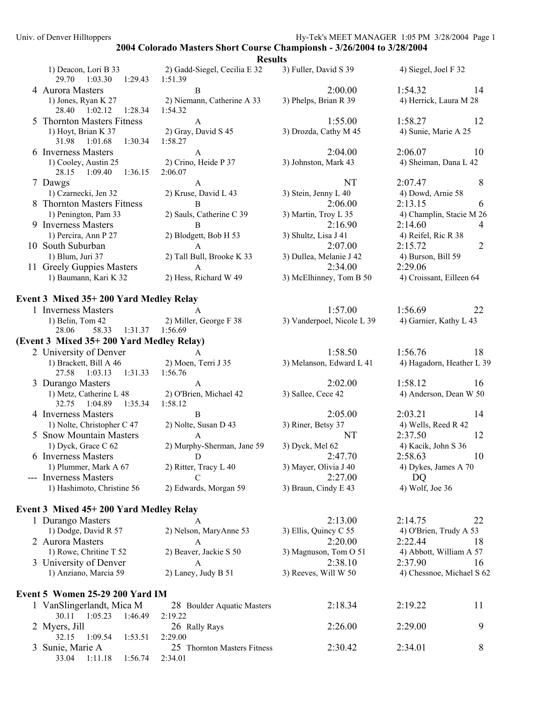|                                                     | Results                                 |                            |                           |
|-----------------------------------------------------|-----------------------------------------|----------------------------|---------------------------|
| 1) Deacon, Lori B 33<br>29.70 1:03.30 1:29.43       | 2) Gadd-Siegel, Cecilia E 32<br>1:51.39 | 3) Fuller, David S 39      | 4) Siegel, Joel F 32      |
| 4 Aurora Masters                                    | B                                       | 2:00.00                    | 1:54.32<br>14             |
| 1) Jones, Ryan K 27<br>28.40 1:02.12<br>1:28.34     | 2) Niemann, Catherine A 33<br>1:54.32   | 3) Phelps, Brian R 39      | 4) Herrick, Laura M 28    |
| 5 Thornton Masters Fitness                          | $\mathbf{A}$                            | 1:55.00                    | 1:58.27<br>12             |
| 1) Hoyt, Brian K 37<br>31.98<br>1:01.68<br>1:30.34  | 2) Gray, David S 45<br>1:58.27          | 3) Drozda, Cathy M 45      | 4) Sunie, Marie A 25      |
| 6 Inverness Masters                                 | A                                       | 2:04.00                    | 2:06.07<br>10             |
| 1) Cooley, Austin 25<br>28.15 1:09.40<br>1:36.15    | 2) Crino, Heide P 37<br>2:06.07         | 3) Johnston, Mark 43       | 4) Sheiman, Dana L 42     |
| 7 Dawgs                                             | A                                       | NT                         | 8<br>2:07.47              |
| 1) Czarnecki, Jen 32                                | 2) Kruse, David L 43                    | 3) Stein, Jenny L 40       | 4) Dowd, Arnie 58         |
| 8 Thornton Masters Fitness                          | B                                       | 2:06.00                    | 2:13.15<br>6              |
| 1) Penington, Pam 33                                | 2) Sauls, Catherine C 39                | 3) Martin, Troy L 35       | 4) Champlin, Stacie M 26  |
| 9 Inverness Masters                                 | B                                       | 2:16.90                    | 2:14.60<br>4              |
| 1) Percira, Ann P 27                                | 2) Blodgett, Bob H 53                   | 3) Shultz, Lisa J 41       | 4) Reifel, Ric R 38       |
| 10 South Suburban                                   | $\mathbf{A}$                            | 2:07.00                    | $\overline{2}$<br>2:15.72 |
| 1) Blum, Juri 37                                    | 2) Tall Bull, Brooke K 33               | 3) Dullea, Melanie J 42    | 4) Burson, Bill 59        |
| 11 Greely Guppies Masters                           | $\mathsf{A}$                            | 2:34.00                    | 2:29.06                   |
| 1) Baumann, Kari K 32                               | 2) Hess, Richard W 49                   | 3) McElhinney, Tom B 50    | 4) Croissant, Eilleen 64  |
| Event 3 Mixed 35+200 Yard Medley Relay              |                                         |                            |                           |
| 1 Inverness Masters                                 |                                         | 1:57.00                    | 1:56.69<br>22             |
| 1) Belin, Tom 42                                    | 2) Miller, George F 38                  | 3) Vanderpoel, Nicole L 39 | 4) Garnier, Kathy L 43    |
| 1:31.37 1:56.69<br>28.06<br>58.33                   |                                         |                            |                           |
| (Event 3 Mixed 35+200 Yard Medley Relay)            |                                         |                            |                           |
| 2 University of Denver                              | $\mathsf{A}$                            | 1:58.50                    | 1:56.76<br>18             |
| 1) Brackett, Bill A 46<br>27.58 1:03.13<br>1:31.33  | 2) Moen, Terri J 35<br>1:56.76          | 3) Melanson, Edward L 41   | 4) Hagadorn, Heather L 39 |
| 3 Durango Masters                                   | $\mathbf{A}$                            | 2:02.00                    | 1:58.12<br>16             |
| 1) Metz, Catherine L 48<br>32.75 1:04.89<br>1:35.34 | 2) O'Brien, Michael 42<br>1:58.12       | 3) Sallee, Cece 42         | 4) Anderson, Dean W 50    |
| 4 Inverness Masters                                 | B                                       | 2:05.00                    | 2:03.21<br>14             |
| 1) Nolte, Christopher C 47                          | 2) Nolte, Susan D 43                    | 3) Riner, Betsy 37         | 4) Wells, Reed R 42       |
| 5 Snow Mountain Masters                             | $\mathbf{A}$                            | NT                         | 2:37.50<br>12             |
| 1) Dyck, Grace C 62                                 | 2) Murphy-Sherman, Jane 59              | 3) Dyck, Mel 62            | 4) Kacik, John S 36       |
| 6 Inverness Masters                                 | $\Box$ $\Box$                           | 2:47.70                    | 2:58.63<br>10             |
| 1) Plummer, Mark A 67                               | 2) Ritter, Tracy L 40                   | 3) Mayer, Olivia J 40      | 4) Dykes, James A 70      |
| --- Inverness Masters                               | C                                       | 2:27.00                    | DQ                        |
| 1) Hashimoto, Christine 56                          | 2) Edwards, Morgan 59                   | 3) Braun, Cindy E 43       | 4) Wolf, Joe 36           |
| Event 3 Mixed 45+200 Yard Medley Relay              |                                         |                            |                           |
| 1 Durango Masters                                   | A                                       | 2:13.00                    | 2:14.75<br>22             |
| 1) Dodge, David R 57                                | 2) Nelson, MaryAnne 53                  | 3) Ellis, Quincy C 55      | 4) O'Brien, Trudy A 53    |
| 2 Aurora Masters                                    | A                                       | 2:20.00                    | 2:22.44<br>18             |
| 1) Rowe, Chritine T 52                              | 2) Beaver, Jackie S 50                  | 3) Magnuson, Tom O 51      | 4) Abbott, William A 57   |
| 3 University of Denver                              | $\mathbf{A}$                            | 2:38.10                    | 2:37.90<br>16             |
| 1) Anziano, Marcia 59                               | 2) Laney, Judy B 51                     | 3) Reeves, Will W 50       | 4) Chessnoe, Michael S 62 |
| Event 5 Women 25-29 200 Yard IM                     |                                         |                            |                           |
| 1 VanSlingerlandt, Mica M                           | 28 Boulder Aquatic Masters              | 2:18.34                    | 2:19.22<br>11             |
| 30.11 1:05.23<br>1:46.49                            | 2:19.22                                 |                            |                           |
| 2 Myers, Jill<br>32.15<br>1:09.54<br>1:53.51        | 26 Rally Rays<br>2:29.00                | 2:26.00                    | 2:29.00<br>9              |
| 3 Sunie, Marie A<br>33.04 1:11.18<br>1:56.74        | 25 Thornton Masters Fitness<br>2:34.01  | 2:30.42                    | 2:34.01<br>8              |
|                                                     |                                         |                            |                           |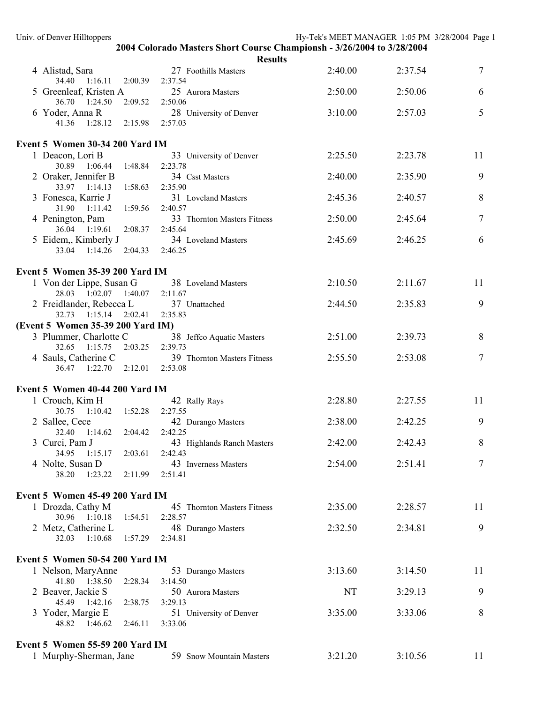| Univ. of Denver Hilltoppers                         |                                                                        | Hy-Tek's MEET MANAGER 1:05 PM 3/28/2004 Page 1 |         |        |
|-----------------------------------------------------|------------------------------------------------------------------------|------------------------------------------------|---------|--------|
|                                                     | 2004 Colorado Masters Short Course Championsh - 3/26/2004 to 3/28/2004 |                                                |         |        |
|                                                     | <b>Results</b>                                                         |                                                |         |        |
| 4 Alistad, Sara<br>34.40 1:16.11<br>2:00.39         | 27 Foothills Masters<br>2:37.54                                        | 2:40.00                                        | 2:37.54 | 7      |
| 5 Greenleaf, Kristen A<br>36.70  1:24.50<br>2:09.52 | 25 Aurora Masters<br>2:50.06                                           | 2:50.00                                        | 2:50.06 | 6      |
| 6 Yoder, Anna R<br>41.36 1:28.12 2:15.98            | 28 University of Denver<br>2:57.03                                     | 3:10.00                                        | 2:57.03 | 5      |
|                                                     |                                                                        |                                                |         |        |
| Event 5 Women 30-34 200 Yard IM                     |                                                                        |                                                |         |        |
| 1 Deacon, Lori B<br>30.89  1:06.44  1:48.84         | 33 University of Denver<br>2:23.78                                     | 2:25.50                                        | 2:23.78 | 11     |
| 2 Oraker, Jennifer B<br>33.97 1:14.13<br>1:58.63    | 34 Csst Masters<br>2:35.90                                             | 2:40.00                                        | 2:35.90 | 9      |
| 3 Fonesca, Karrie J<br>31.90 1:11.42<br>1:59.56     | 31 Loveland Masters<br>2:40.57                                         | 2:45.36                                        | 2:40.57 | 8      |
| 4 Penington, Pam                                    | 33 Thornton Masters Fitness                                            | 2:50.00                                        | 2:45.64 | 7      |
| 36.04 1:19.61<br>2:08.37<br>5 Eidem,, Kimberly J    | 2:45.64<br>34 Loveland Masters                                         | 2:45.69                                        | 2:46.25 | 6      |
| 33.04 1:14.26<br>2:04.33                            | 2:46.25                                                                |                                                |         |        |
| Event 5 Women 35-39 200 Yard IM                     |                                                                        |                                                |         |        |
| 1 Von der Lippe, Susan G<br>28.03 1:02.07 1:40.07   | 38 Loveland Masters<br>2:11.67                                         | 2:10.50                                        | 2:11.67 | 11     |
| 2 Freidlander, Rebecca L<br>32.73  1:15.14  2:02.41 | 37 Unattached<br>2:35.83                                               | 2:44.50                                        | 2:35.83 | 9      |
| (Event 5 Women 35-39 200 Yard IM)                   |                                                                        |                                                |         |        |
| 3 Plummer, Charlotte C                              | 38 Jeffco Aquatic Masters                                              | 2:51.00                                        | 2:39.73 | 8      |
| 2:03.25<br>32.65 1:15.75                            | 2:39.73                                                                |                                                |         |        |
| 4 Sauls, Catherine C<br>36.47 1:22.70<br>2:12.01    | 39 Thornton Masters Fitness<br>2:53.08                                 | 2:55.50                                        | 2:53.08 | $\tau$ |
| Event 5 Women 40-44 200 Yard IM                     |                                                                        |                                                |         |        |
| 1 Crouch, Kim H                                     | 42 Rally Rays                                                          | 2:28.80                                        | 2:27.55 | 11     |
| 30.75 1:10.42<br>1:52.28                            | 2:27.55                                                                |                                                |         |        |
| 2 Sallee, Cece<br>32.40 1:14.62<br>2:04.42          | 42 Durango Masters                                                     | 2:38.00                                        | 2:42.25 | 9      |
| 3 Curci, Pam J                                      | 2:42.25<br>43 Highlands Ranch Masters                                  | 2:42.00                                        | 2:42.43 | 8      |
| 34.95<br>1:15.17<br>2:03.61                         | 2:42.43                                                                |                                                |         |        |
| 4 Nolte, Susan D<br>38.20<br>1:23.22<br>2:11.99     | 43 Inverness Masters<br>2:51.41                                        | 2:54.00                                        | 2:51.41 | 7      |
| Event 5 Women 45-49 200 Yard IM                     |                                                                        |                                                |         |        |
| 1 Drozda, Cathy M                                   | 45 Thornton Masters Fitness                                            | 2:35.00                                        | 2:28.57 | 11     |
| 30.96 1:10.18<br>1:54.51<br>2 Metz, Catherine L     | 2:28.57<br>48 Durango Masters                                          | 2:32.50                                        | 2:34.81 | 9      |
| 1:10.68<br>1:57.29<br>32.03                         | 2:34.81                                                                |                                                |         |        |
| Event 5 Women 50-54 200 Yard IM                     |                                                                        |                                                |         |        |
| 1 Nelson, MaryAnne<br>41.80 1:38.50<br>2:28.34      | 53 Durango Masters<br>3:14.50                                          | 3:13.60                                        | 3:14.50 | 11     |
| 2 Beaver, Jackie S<br>45.49 1:42.16<br>2:38.75      | 50 Aurora Masters<br>3:29.13                                           | NT                                             | 3:29.13 | 9      |
| 3 Yoder, Margie E                                   | 51 University of Denver                                                | 3:35.00                                        | 3:33.06 | 8      |
| 2:46.11<br>48.82<br>1:46.62                         | 3:33.06                                                                |                                                |         |        |
| Event 5 Women 55-59 200 Yard IM                     |                                                                        |                                                |         |        |
| 1 Murphy-Sherman, Jane                              | 59 Snow Mountain Masters                                               | 3:21.20                                        | 3:10.56 | 11     |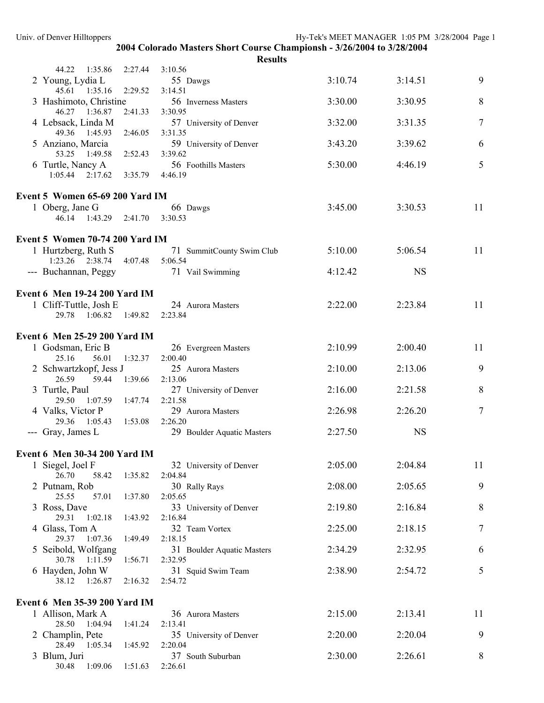| Univ. of Denver Hilltoppers                                            |                 |                                                                        | Hy-Tek's MEET MANAGER 1:05 PM 3/28/2004 Page 1 |           |    |
|------------------------------------------------------------------------|-----------------|------------------------------------------------------------------------|------------------------------------------------|-----------|----|
|                                                                        |                 | 2004 Colorado Masters Short Course Championsh - 3/26/2004 to 3/28/2004 |                                                |           |    |
| 44.22 1:35.86                                                          | 2:27.44         | <b>Results</b><br>3:10.56                                              |                                                |           |    |
| 2 Young, Lydia L<br>45.61 1:35.16 2:29.52                              |                 | 55 Dawgs<br>3:14.51                                                    | 3:10.74                                        | 3:14.51   | 9  |
| 3 Hashimoto, Christine<br>46.27 1:36.87                                | 2:41.33 3:30.95 | 56 Inverness Masters                                                   | 3:30.00                                        | 3:30.95   | 8  |
| 4 Lebsack, Linda M<br>49.36 1:45.93                                    | 2:46.05 3:31.35 | 57 University of Denver                                                | 3:32.00                                        | 3:31.35   | 7  |
| 5 Anziano, Marcia<br>53.25 1:49.58                                     | 2:52.43 3:39.62 | 59 University of Denver                                                | 3:43.20                                        | 3:39.62   | 6  |
| 6 Turtle, Nancy A<br>$1:05.44$ $2:17.62$                               | 3:35.79 4:46.19 | 56 Foothills Masters                                                   | 5:30.00                                        | 4:46.19   | 5  |
|                                                                        |                 |                                                                        |                                                |           |    |
| Event 5 Women 65-69 200 Yard IM                                        |                 |                                                                        |                                                |           |    |
| 1 Oberg, Jane G<br>46.14 1:43.29 2:41.70 3:30.53                       |                 | 66 Dawgs                                                               | 3:45.00                                        | 3:30.53   | 11 |
| Event 5 Women 70-74 200 Yard IM                                        |                 |                                                                        |                                                |           |    |
| 1 Hurtzberg, Ruth S<br>1:23.26 2:38.74 4:07.48 5:06.54                 |                 | 71 SummitCounty Swim Club                                              | 5:10.00                                        | 5:06.54   | 11 |
| --- Buchannan, Peggy                                                   |                 | 71 Vail Swimming                                                       | 4:12.42                                        | <b>NS</b> |    |
| Event 6 Men 19-24 200 Yard IM                                          |                 |                                                                        |                                                |           |    |
| 1 Cliff-Tuttle, Josh E<br>29.78 1:06.82 1:49.82 2:23.84                |                 | 24 Aurora Masters                                                      | 2:22.00                                        | 2:23.84   | 11 |
| Event 6 Men 25-29 200 Yard IM                                          |                 |                                                                        |                                                |           |    |
| 1 Godsman, Eric B                                                      |                 | 26 Evergreen Masters                                                   | 2:10.99                                        | 2:00.40   | 11 |
| 25.16<br>56.01<br>2 Schwartzkopf, Jess J                               | 1:32.37         | 2:00.40<br>25 Aurora Masters                                           | 2:10.00                                        | 2:13.06   | 9  |
| 59.44<br>26.59<br>3 Turtle, Paul                                       | 1:39.66         | 2:13.06<br>27 University of Denver                                     | 2:16.00                                        | 2:21.58   | 8  |
| 29.50<br>1:07.59 1:47.74<br>4 Valks, Victor P                          |                 | 2:21.58<br>29 Aurora Masters                                           | 2:26.98                                        | 2:26.20   | 7  |
| 29.36 1:05.43<br>--- Gray, James L                                     | 1:53.08         | 2:26.20<br>29 Boulder Aquatic Masters                                  | 2:27.50                                        | <b>NS</b> |    |
| Event 6 Men 30-34 200 Yard IM                                          |                 |                                                                        |                                                |           |    |
| 1 Siegel, Joel F<br>26.70<br>58.42                                     | 1:35.82         | 32 University of Denver<br>2:04.84                                     | 2:05.00                                        | 2:04.84   | 11 |
| 2 Putnam, Rob<br>57.01<br>25.55                                        | 1:37.80         | 30 Rally Rays<br>2:05.65                                               | 2:08.00                                        | 2:05.65   | 9  |
| 3 Ross, Dave<br>29.31<br>1:02.18                                       | 1:43.92         | 33 University of Denver<br>2:16.84                                     | 2:19.80                                        | 2:16.84   | 8  |
| 4 Glass, Tom A<br>29.37<br>1:07.36                                     | 1:49.49         | 32 Team Vortex<br>2:18.15                                              | 2:25.00                                        | 2:18.15   | 7  |
| 5 Seibold, Wolfgang<br>30.78 1:11.59                                   | 1:56.71         | 31 Boulder Aquatic Masters<br>2:32.95                                  | 2:34.29                                        | 2:32.95   | 6  |
| 6 Hayden, John W<br>38.12<br>1:26.87                                   | 2:16.32         | 31 Squid Swim Team<br>2:54.72                                          | 2:38.90                                        | 2:54.72   | 5  |
|                                                                        |                 |                                                                        |                                                |           |    |
| Event 6 Men 35-39 200 Yard IM<br>1 Allison, Mark A<br>28.50<br>1:04.94 | 1:41.24         | 36 Aurora Masters<br>2:13.41                                           | 2:15.00                                        | 2:13.41   | 11 |
| 2 Champlin, Pete<br>28.49 1:05.34                                      | 1:45.92         | 35 University of Denver<br>2:20.04                                     | 2:20.00                                        | 2:20.04   | 9  |
| 3 Blum, Juri<br>30.48<br>1:09.06                                       | 1:51.63         | 37 South Suburban<br>2:26.61                                           | 2:30.00                                        | 2:26.61   | 8  |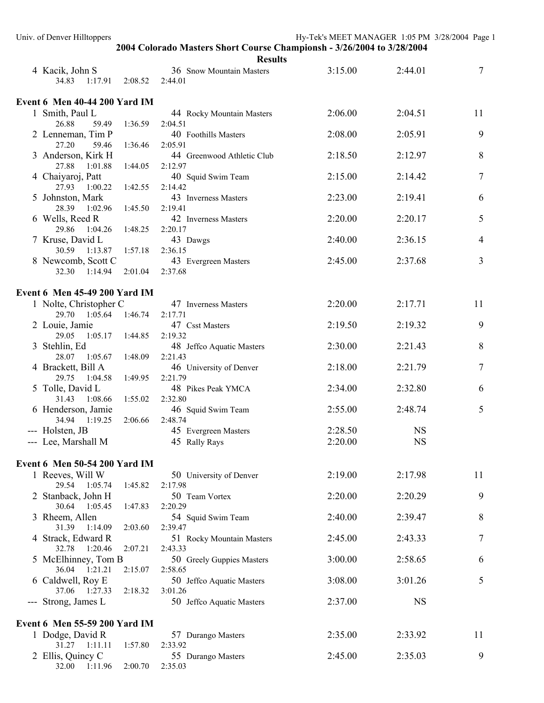| Univ. of Denver Hilltoppers               |         | 2004 Colorado Masters Short Course Championsh - 3/26/2004 to 3/28/2004 | Hy-Tek's MEET MANAGER 1:05 PM 3/28/2004 Page 1 |           |                  |
|-------------------------------------------|---------|------------------------------------------------------------------------|------------------------------------------------|-----------|------------------|
|                                           |         | <b>Results</b>                                                         |                                                |           |                  |
| 4 Kacik, John S<br>34.83<br>1:17.91       | 2:08.52 | 36 Snow Mountain Masters<br>2:44.01                                    | 3:15.00                                        | 2:44.01   | 7                |
| Event 6 Men 40-44 200 Yard IM             |         |                                                                        |                                                |           |                  |
| 1 Smith, Paul L                           |         | 44 Rocky Mountain Masters                                              | 2:06.00                                        | 2:04.51   | 11               |
| 26.88<br>59.49                            | 1:36.59 | 2:04.51                                                                |                                                |           |                  |
| 2 Lenneman, Tim P                         |         | 40 Foothills Masters                                                   | 2:08.00                                        | 2:05.91   | 9                |
| 27.20<br>59.46<br>3 Anderson, Kirk H      | 1:36.46 | 2:05.91<br>44 Greenwood Athletic Club                                  | 2:18.50                                        | 2:12.97   | 8                |
| 27.88<br>1:01.88                          | 1:44.05 | 2:12.97                                                                |                                                |           |                  |
| 4 Chaiyaroj, Patt                         |         | 40 Squid Swim Team                                                     | 2:15.00                                        | 2:14.42   | $\boldsymbol{7}$ |
| 27.93 1:00.22                             | 1:42.55 | 2:14.42                                                                |                                                |           |                  |
| 5 Johnston, Mark<br>28.39 1:02.96         | 1:45.50 | 43 Inverness Masters<br>2:19.41                                        | 2:23.00                                        | 2:19.41   | 6                |
| 6 Wells, Reed R                           |         | 42 Inverness Masters                                                   | 2:20.00                                        | 2:20.17   | 5                |
| 29.86 1:04.26                             | 1:48.25 | 2:20.17                                                                |                                                |           |                  |
| 7 Kruse, David L                          |         | 43 Dawgs                                                               | 2:40.00                                        | 2:36.15   | 4                |
| 30.59 1:13.87 1:57.18                     |         | 2:36.15                                                                | 2:45.00                                        | 2:37.68   | 3                |
| 8 Newcomb, Scott C<br>32.30 1:14.94       | 2:01.04 | 43 Evergreen Masters<br>2:37.68                                        |                                                |           |                  |
|                                           |         |                                                                        |                                                |           |                  |
| Event 6 Men 45-49 200 Yard IM             |         |                                                                        |                                                |           |                  |
| 1 Nolte, Christopher C<br>29.70 1:05.64   | 1:46.74 | 47 Inverness Masters<br>2:17.71                                        | 2:20.00                                        | 2:17.71   | 11               |
| 2 Louie, Jamie                            |         | 47 Csst Masters                                                        | 2:19.50                                        | 2:19.32   | 9                |
| 29.05 1:05.17                             | 1:44.85 | 2:19.32                                                                |                                                |           |                  |
| 3 Stehlin, Ed                             |         | 48 Jeffco Aquatic Masters                                              | 2:30.00                                        | 2:21.43   | 8                |
| 28.07 1:05.67                             | 1:48.09 | 2:21.43                                                                |                                                |           |                  |
| 4 Brackett, Bill A<br>29.75 1:04.58       | 1:49.95 | 46 University of Denver<br>2:21.79                                     | 2:18.00                                        | 2:21.79   | $\boldsymbol{7}$ |
| 5 Tolle, David L                          |         | 48 Pikes Peak YMCA                                                     | 2:34.00                                        | 2:32.80   | 6                |
| 31.43 1:08.66                             | 1:55.02 | 2:32.80                                                                |                                                |           |                  |
| 6 Henderson, Jamie<br>34.94 1:19.25       |         | 46 Squid Swim Team<br>2:48.74                                          | 2:55.00                                        | 2:48.74   | 5                |
| --- Holsten, JB                           | 2:06.66 | 45 Evergreen Masters                                                   | 2:28.50                                        | <b>NS</b> |                  |
| --- Lee, Marshall M                       |         | 45 Rally Rays                                                          | 2:20.00                                        | <b>NS</b> |                  |
|                                           |         |                                                                        |                                                |           |                  |
| Event 6 Men 50-54 200 Yard IM             |         |                                                                        |                                                |           |                  |
| 1 Reeves, Will W<br>29.54 1:05.74         | 1:45.82 | 50 University of Denver<br>2:17.98                                     | 2:19.00                                        | 2:17.98   | 11               |
| 2 Stanback, John H                        |         | 50 Team Vortex                                                         | 2:20.00                                        | 2:20.29   | 9                |
| 30.64 1:05.45                             | 1:47.83 | 2:20.29                                                                |                                                |           |                  |
| 3 Rheem, Allen                            |         | 54 Squid Swim Team                                                     | 2:40.00                                        | 2:39.47   | 8                |
| 31.39 1:14.09<br>4 Strack, Edward R       | 2:03.60 | 2:39.47                                                                | 2:45.00                                        | 2:43.33   | 7                |
| 32.78 1:20.46                             | 2:07.21 | 51 Rocky Mountain Masters<br>2:43.33                                   |                                                |           |                  |
| 5 McElhinney, Tom B                       |         | 50 Greely Guppies Masters                                              | 3:00.00                                        | 2:58.65   | 6                |
| 36.04 1:21.21                             | 2:15.07 | 2:58.65                                                                |                                                |           |                  |
| 6 Caldwell, Roy E<br>37.06 1:27.33        | 2:18.32 | 50 Jeffco Aquatic Masters<br>3:01.26                                   | 3:08.00                                        | 3:01.26   | 5                |
| --- Strong, James L                       |         | 50 Jeffco Aquatic Masters                                              | 2:37.00                                        | <b>NS</b> |                  |
|                                           |         |                                                                        |                                                |           |                  |
| Event 6 Men 55-59 200 Yard IM             |         |                                                                        |                                                |           |                  |
| 1 Dodge, David R<br>$31.27 \quad 1:11.11$ | 1:57.80 | 57 Durango Masters<br>2:33.92                                          | 2:35.00                                        | 2:33.92   | 11               |
| 2 Ellis, Quincy C                         |         | 55 Durango Masters                                                     | 2:45.00                                        | 2:35.03   | 9                |
| 32.00<br>1:11.96                          | 2:00.70 | 2:35.03                                                                |                                                |           |                  |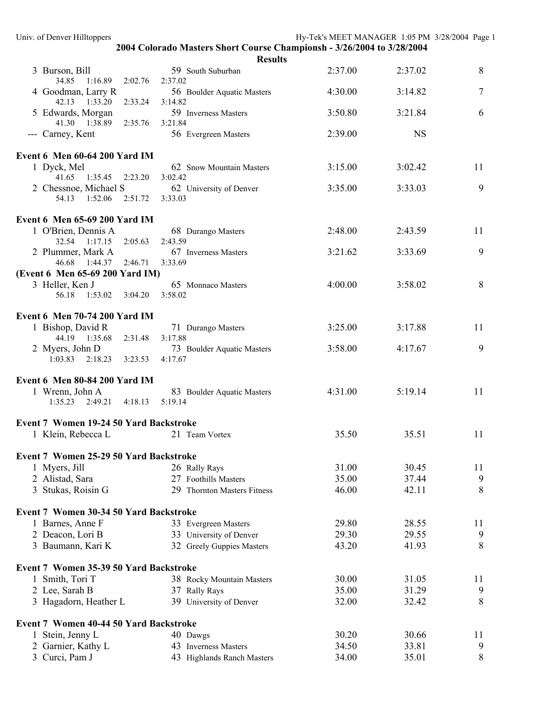| Univ. of Denver Hilltoppers                                                               | Hy-Tek's MEET MANAGER 1:05 PM 3/28/2004 Page 1 |    |
|-------------------------------------------------------------------------------------------|------------------------------------------------|----|
| 2004 Colorado Masters Short Course Championsh - 3/26/2004 to 3/28/2004                    |                                                |    |
| <b>Results</b>                                                                            |                                                |    |
| 59 South Suburban<br>3 Burson, Bill<br>34.85 1:16.89<br>2:02.76<br>2:37.02                | 2:37.00<br>2:37.02                             | 8  |
| 4 Goodman, Larry R<br>56 Boulder Aquatic Masters<br>42.13 1:33.20<br>3:14.82<br>2:33.24   | 4:30.00<br>3:14.82                             | 7  |
| 5 Edwards, Morgan<br>59 Inverness Masters                                                 | 3:50.80<br>3:21.84                             | 6  |
| 41.30 1:38.89<br>3:21.84<br>2:35.76<br>--- Carney, Kent<br>56 Evergreen Masters           | <b>NS</b><br>2:39.00                           |    |
| Event 6 Men 60-64 200 Yard IM                                                             |                                                |    |
| 1 Dyck, Mel<br>62 Snow Mountain Masters<br>41.65 1:35.45 2:23.20<br>3:02.42               | 3:15.00<br>3:02.42                             | 11 |
| 2 Chessnoe, Michael S<br>62 University of Denver                                          | 3:35.00<br>3:33.03                             | 9  |
| 54.13 1:52.06 2:51.72 3:33.03                                                             |                                                |    |
| Event 6 Men 65-69 200 Yard IM                                                             |                                                |    |
| 1 O'Brien, Dennis A<br>68 Durango Masters<br>32.54 1:17.15<br>2:43.59<br>2:05.63          | 2:48.00<br>2:43.59                             | 11 |
| 2 Plummer, Mark A<br>67 Inverness Masters                                                 | 3:33.69<br>3:21.62                             | 9  |
| 46.68 1:44.37<br>2:46.71<br>3:33.69<br>(Event 6 Men 65-69 200 Yard IM)                    |                                                |    |
| 3 Heller, Ken J<br>65 Monnaco Masters                                                     | 4:00.00<br>3:58.02                             | 8  |
| 56.18  1:53.02  3:04.20<br>3:58.02                                                        |                                                |    |
| Event 6 Men 70-74 200 Yard IM                                                             |                                                |    |
| 1 Bishop, David R<br>71 Durango Masters                                                   | 3:25.00<br>3:17.88                             | 11 |
| 44.19 1:35.68<br>3:17.88<br>2:31.48                                                       |                                                |    |
| 2 Myers, John D<br>73 Boulder Aquatic Masters<br>$1:03.83$ $2:18.23$ $3:23.53$<br>4:17.67 | 3:58.00<br>4:17.67                             | 9  |
| Event 6 Men 80-84 200 Yard IM                                                             |                                                |    |
| 1 Wrenn, John A<br>83 Boulder Aquatic Masters                                             | 4:31.00<br>5:19.14                             | 11 |
| $1:35.23$ $2:49.21$ $4:18.13$<br>5:19.14                                                  |                                                |    |
| Event 7 Women 19-24 50 Yard Backstroke                                                    |                                                |    |
| 1 Klein, Rebecca L<br>21 Team Vortex                                                      | 35.51<br>35.50                                 | 11 |
| Event 7 Women 25-29 50 Yard Backstroke                                                    |                                                |    |
| 1 Myers, Jill<br>26 Rally Rays                                                            | 31.00<br>30.45                                 | 11 |
| 2 Alistad, Sara<br>27 Foothills Masters                                                   | 35.00<br>37.44                                 | 9  |
| 3 Stukas, Roisin G<br>29<br><b>Thornton Masters Fitness</b>                               | 42.11<br>46.00                                 | 8  |
| Event 7 Women 30-34 50 Yard Backstroke                                                    |                                                |    |
| 1 Barnes, Anne F<br>33 Evergreen Masters                                                  | 29.80<br>28.55                                 | 11 |
| 2 Deacon, Lori B<br>33 University of Denver                                               | 29.30<br>29.55                                 | 9  |
| 3 Baumann, Kari K<br>32 Greely Guppies Masters                                            | 43.20<br>41.93                                 | 8  |
| Event 7 Women 35-39 50 Yard Backstroke                                                    |                                                |    |
| 1 Smith, Tori T<br>38 Rocky Mountain Masters                                              | 30.00<br>31.05                                 | 11 |
| 2 Lee, Sarah B<br>37 Rally Rays                                                           | 35.00<br>31.29                                 | 9  |
| 3 Hagadorn, Heather L<br>39 University of Denver                                          | 32.00<br>32.42                                 | 8  |
| Event 7 Women 40-44 50 Yard Backstroke                                                    |                                                |    |
| 1 Stein, Jenny L<br>40 Dawgs                                                              | 30.66<br>30.20                                 | 11 |
| 2 Garnier, Kathy L<br>43 Inverness Masters                                                | 34.50<br>33.81                                 | 9  |
| 3 Curci, Pam J<br>43 Highlands Ranch Masters                                              | 34.00<br>35.01                                 | 8  |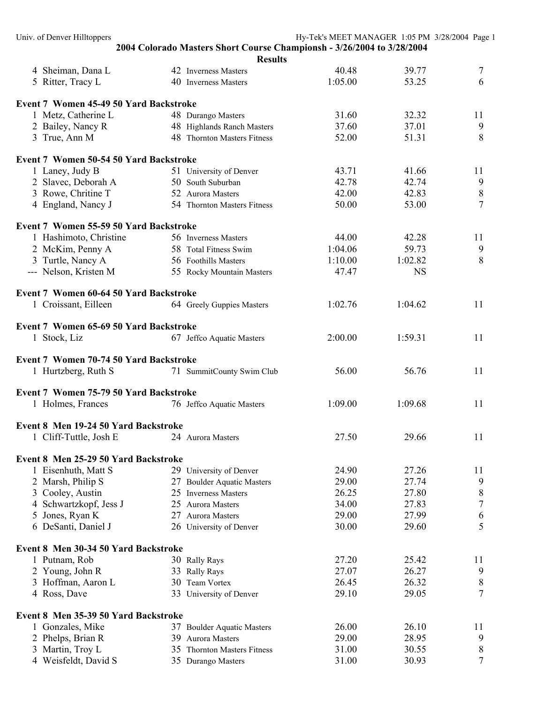| Univ. of Denver Hilltoppers              |                                                                        | Hy-Tek's MEET MANAGER 1:05 PM 3/28/2004 Page 1 |                |                |
|------------------------------------------|------------------------------------------------------------------------|------------------------------------------------|----------------|----------------|
|                                          | 2004 Colorado Masters Short Course Championsh - 3/26/2004 to 3/28/2004 |                                                |                |                |
|                                          |                                                                        | <b>Results</b>                                 |                |                |
| 4 Sheiman, Dana L                        | 42 Inverness Masters                                                   | 40.48                                          | 39.77          | 7              |
| 5 Ritter, Tracy L                        | 40 Inverness Masters                                                   | 1:05.00                                        | 53.25          | 6              |
| Event 7 Women 45-49 50 Yard Backstroke   |                                                                        |                                                |                |                |
| 1 Metz, Catherine L                      | 48 Durango Masters                                                     | 31.60                                          | 32.32          | 11             |
| 2 Bailey, Nancy R                        | 48 Highlands Ranch Masters                                             | 37.60                                          | 37.01          | 9              |
| 3 True, Ann M                            | 48 Thornton Masters Fitness                                            | 52.00                                          | 51.31          | 8              |
|                                          |                                                                        |                                                |                |                |
| Event 7 Women 50-54 50 Yard Backstroke   |                                                                        |                                                |                |                |
| 1 Laney, Judy B                          | 51 University of Denver                                                | 43.71                                          | 41.66          | 11             |
| 2 Slavec, Deborah A                      | 50 South Suburban                                                      | 42.78                                          | 42.74          | 9              |
| 3 Rowe, Chritine T                       | 52 Aurora Masters                                                      | 42.00                                          | 42.83          | $8\,$          |
| 4 England, Nancy J                       | 54 Thornton Masters Fitness                                            | 50.00                                          | 53.00          | $\overline{7}$ |
| Event 7 Women 55-59 50 Yard Backstroke   |                                                                        |                                                |                |                |
| 1 Hashimoto, Christine                   | 56 Inverness Masters                                                   | 44.00                                          | 42.28          | 11             |
| 2 McKim, Penny A                         | 58 Total Fitness Swim                                                  | 1:04.06                                        | 59.73          | 9              |
| 3 Turtle, Nancy A                        | 56 Foothills Masters                                                   | 1:10.00                                        | 1:02.82        | 8              |
| --- Nelson, Kristen M                    | 55 Rocky Mountain Masters                                              | 47.47                                          | <b>NS</b>      |                |
|                                          |                                                                        |                                                |                |                |
| Event 7 Women 60-64 50 Yard Backstroke   |                                                                        |                                                |                |                |
| 1 Croissant, Eilleen                     | 64 Greely Guppies Masters                                              | 1:02.76                                        | 1:04.62        | 11             |
| Event 7 Women 65-69 50 Yard Backstroke   |                                                                        |                                                |                |                |
| 1 Stock, Liz                             | 67 Jeffco Aquatic Masters                                              | 2:00.00                                        | 1:59.31        | 11             |
|                                          |                                                                        |                                                |                |                |
| Event 7 Women 70-74 50 Yard Backstroke   |                                                                        |                                                |                |                |
| 1 Hurtzberg, Ruth S                      | 71 SummitCounty Swim Club                                              | 56.00                                          | 56.76          | 11             |
| Event 7 Women 75-79 50 Yard Backstroke   |                                                                        |                                                |                |                |
| 1 Holmes, Frances                        | 76 Jeffco Aquatic Masters                                              | 1:09.00                                        | 1:09.68        | 11             |
| Event 8 Men 19-24 50 Yard Backstroke     |                                                                        |                                                |                |                |
| 1 Cliff-Tuttle, Josh E                   | 24 Aurora Masters                                                      | 27.50                                          | 29.66          | 11             |
|                                          |                                                                        |                                                |                |                |
| Event 8 Men 25-29 50 Yard Backstroke     |                                                                        |                                                |                |                |
| 1 Eisenhuth, Matt S                      | 29 University of Denver                                                | 24.90                                          | 27.26          | 11             |
| 2 Marsh, Philip S                        | <b>Boulder Aquatic Masters</b><br>27                                   | 29.00                                          | 27.74          | 9              |
| 3 Cooley, Austin                         | <b>Inverness Masters</b><br>25                                         | 26.25                                          | 27.80          | 8              |
| Schwartzkopf, Jess J<br>4                | 25<br>Aurora Masters                                                   | 34.00                                          | 27.83          | $\overline{7}$ |
| 5 Jones, Ryan K                          | 27<br><b>Aurora Masters</b>                                            | 29.00                                          | 27.99          | 6              |
| 6 DeSanti, Daniel J                      | 26 University of Denver                                                | 30.00                                          | 29.60          | 5              |
| Event 8 Men 30-34 50 Yard Backstroke     |                                                                        |                                                |                |                |
| 1 Putnam, Rob                            | 30 Rally Rays                                                          | 27.20                                          | 25.42          | 11             |
| 2 Young, John R                          | 33 Rally Rays                                                          | 27.07                                          | 26.27          | 9              |
| 3 Hoffman, Aaron L                       | Team Vortex<br>30                                                      | 26.45                                          | 26.32          | 8              |
| 4 Ross, Dave                             | 33 University of Denver                                                | 29.10                                          | 29.05          | $\overline{7}$ |
|                                          |                                                                        |                                                |                |                |
| Event 8 Men 35-39 50 Yard Backstroke     |                                                                        |                                                |                |                |
| 1 Gonzales, Mike                         | 37 Boulder Aquatic Masters                                             | 26.00                                          | 26.10          | 11             |
| 2 Phelps, Brian R                        | Aurora Masters<br>39                                                   | 29.00<br>31.00                                 | 28.95<br>30.55 | 9<br>8         |
| 3 Martin, Troy L<br>4 Weisfeldt, David S | 35 Thornton Masters Fitness<br>35 Durango Masters                      | 31.00                                          | 30.93          | $\tau$         |
|                                          |                                                                        |                                                |                |                |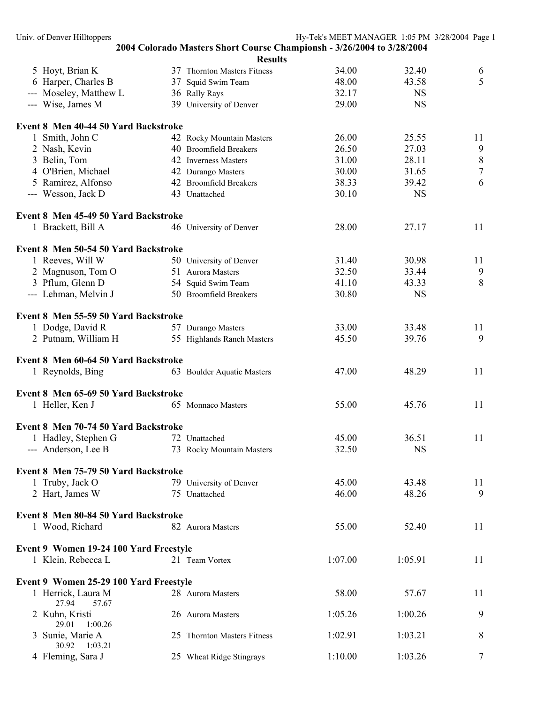|                                        | <b>Results</b>              |         |           |         |
|----------------------------------------|-----------------------------|---------|-----------|---------|
| 5 Hoyt, Brian K                        | 37 Thornton Masters Fitness | 34.00   | 32.40     | 6       |
| 6 Harper, Charles B                    | 37 Squid Swim Team          | 48.00   | 43.58     | 5       |
| --- Moseley, Matthew L                 | 36 Rally Rays               | 32.17   | <b>NS</b> |         |
| --- Wise, James M                      | 39 University of Denver     | 29.00   | <b>NS</b> |         |
| Event 8 Men 40-44 50 Yard Backstroke   |                             |         |           |         |
| 1 Smith, John C                        | 42 Rocky Mountain Masters   | 26.00   | 25.55     | 11      |
| 2 Nash, Kevin                          | 40 Broomfield Breakers      | 26.50   | 27.03     | 9       |
| 3 Belin, Tom                           | 42 Inverness Masters        | 31.00   | 28.11     | $\,8\,$ |
| 4 O'Brien, Michael                     | 42 Durango Masters          | 30.00   | 31.65     | $\tau$  |
| 5 Ramirez, Alfonso                     | 42 Broomfield Breakers      | 38.33   | 39.42     | 6       |
| --- Wesson, Jack D                     | 43 Unattached               | 30.10   | <b>NS</b> |         |
| Event 8 Men 45-49 50 Yard Backstroke   |                             |         |           |         |
| 1 Brackett, Bill A                     | 46 University of Denver     | 28.00   | 27.17     | 11      |
| Event 8 Men 50-54 50 Yard Backstroke   |                             |         |           |         |
| 1 Reeves, Will W                       | 50 University of Denver     | 31.40   | 30.98     | 11      |
| 2 Magnuson, Tom O                      | 51 Aurora Masters           | 32.50   | 33.44     | 9       |
| 3 Pflum, Glenn D                       | 54 Squid Swim Team          | 41.10   | 43.33     | 8       |
| --- Lehman, Melvin J                   | 50 Broomfield Breakers      | 30.80   | <b>NS</b> |         |
| Event 8 Men 55-59 50 Yard Backstroke   |                             |         |           |         |
| 1 Dodge, David R                       | 57 Durango Masters          | 33.00   | 33.48     | 11      |
| 2 Putnam, William H                    | 55 Highlands Ranch Masters  | 45.50   | 39.76     | 9       |
|                                        |                             |         |           |         |
| Event 8 Men 60-64 50 Yard Backstroke   |                             |         |           |         |
| 1 Reynolds, Bing                       | 63 Boulder Aquatic Masters  | 47.00   | 48.29     | 11      |
| Event 8 Men 65-69 50 Yard Backstroke   |                             |         |           |         |
| 1 Heller, Ken J                        | 65 Monnaco Masters          | 55.00   | 45.76     | 11      |
| Event 8 Men 70-74 50 Yard Backstroke   |                             |         |           |         |
| 1 Hadley, Stephen G                    | 72 Unattached               | 45.00   | 36.51     | 11      |
| --- Anderson, Lee B                    | 73 Rocky Mountain Masters   | 32.50   | <b>NS</b> |         |
| Event 8 Men 75-79 50 Yard Backstroke   |                             |         |           |         |
| 1 Truby, Jack O                        | 79 University of Denver     | 45.00   | 43.48     | 11      |
| 2 Hart, James W                        | 75 Unattached               | 46.00   | 48.26     | 9       |
|                                        |                             |         |           |         |
| Event 8 Men 80-84 50 Yard Backstroke   |                             |         |           |         |
| 1 Wood, Richard                        | 82 Aurora Masters           | 55.00   | 52.40     | 11      |
| Event 9 Women 19-24 100 Yard Freestyle |                             |         |           |         |
| 1 Klein, Rebecca L                     | 21 Team Vortex              | 1:07.00 | 1:05.91   | 11      |
| Event 9 Women 25-29 100 Yard Freestyle |                             |         |           |         |
| 1 Herrick, Laura M                     | 28 Aurora Masters           | 58.00   | 57.67     | 11      |
| 27.94<br>57.67<br>2 Kuhn, Kristi       | 26 Aurora Masters           | 1:05.26 | 1:00.26   | 9       |
| 29.01<br>1:00.26                       |                             |         |           |         |
| 3 Sunie, Marie A<br>30.92<br>1:03.21   | 25 Thornton Masters Fitness | 1:02.91 | 1:03.21   | 8       |
| 4 Fleming, Sara J                      | 25 Wheat Ridge Stingrays    | 1:10.00 | 1:03.26   | 7       |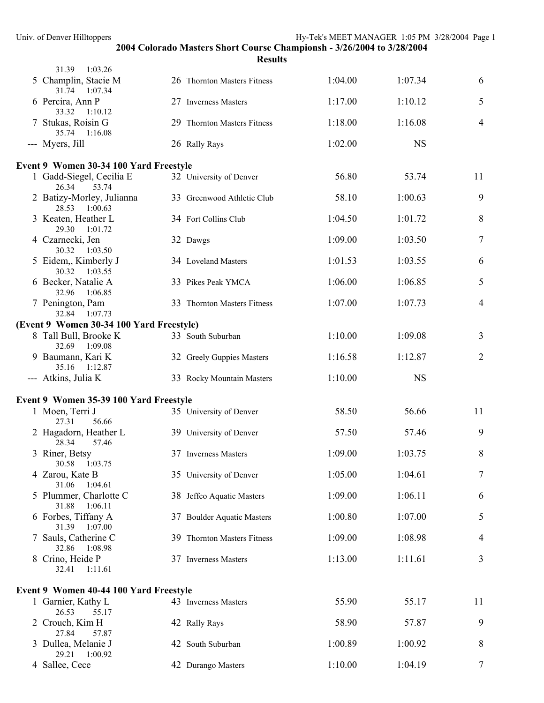| 31.39<br>1:03.26                           |                             |         |           |                |
|--------------------------------------------|-----------------------------|---------|-----------|----------------|
| 5 Champlin, Stacie M<br>31.74<br>1:07.34   | 26 Thornton Masters Fitness | 1:04.00 | 1:07.34   | 6              |
| 6 Percira, Ann P<br>33.32<br>1:10.12       | 27 Inverness Masters        | 1:17.00 | 1:10.12   | 5              |
| 7 Stukas, Roisin G<br>35.74<br>1:16.08     | 29 Thornton Masters Fitness | 1:18.00 | 1:16.08   | $\overline{4}$ |
| --- Myers, Jill                            | 26 Rally Rays               | 1:02.00 | <b>NS</b> |                |
| Event 9 Women 30-34 100 Yard Freestyle     |                             |         |           |                |
| 1 Gadd-Siegel, Cecilia E<br>26.34<br>53.74 | 32 University of Denver     | 56.80   | 53.74     | 11             |
| 2 Batizy-Morley, Julianna<br>28.53 1:00.63 | 33 Greenwood Athletic Club  | 58.10   | 1:00.63   | 9              |
| 3 Keaten, Heather L<br>29.30 1:01.72       | 34 Fort Collins Club        | 1:04.50 | 1:01.72   | $\,8\,$        |
| 4 Czarnecki, Jen<br>30.32 1:03.50          | 32 Dawgs                    | 1:09.00 | 1:03.50   | $\tau$         |
| 5 Eidem,, Kimberly J<br>30.32 1:03.55      | 34 Loveland Masters         | 1:01.53 | 1:03.55   | 6              |
| 6 Becker, Natalie A<br>32.96<br>1:06.85    | 33 Pikes Peak YMCA          | 1:06.00 | 1:06.85   | 5              |
| 7 Penington, Pam<br>32.84 1:07.73          | 33 Thornton Masters Fitness | 1:07.00 | 1:07.73   | $\overline{4}$ |
| (Event 9 Women 30-34 100 Yard Freestyle)   |                             |         |           |                |
| 8 Tall Bull, Brooke K<br>32.69 1:09.08     | 33 South Suburban           | 1:10.00 | 1:09.08   | $\mathfrak{Z}$ |
| 9 Baumann, Kari K<br>35.16 1:12.87         | 32 Greely Guppies Masters   | 1:16.58 | 1:12.87   | $\overline{2}$ |
| --- Atkins, Julia K                        | 33 Rocky Mountain Masters   | 1:10.00 | <b>NS</b> |                |
| Event 9 Women 35-39 100 Yard Freestyle     |                             |         |           |                |
| 1 Moen, Terri J<br>56.66<br>27.31          | 35 University of Denver     | 58.50   | 56.66     | 11             |
| 2 Hagadorn, Heather L<br>28.34<br>57.46    | 39 University of Denver     | 57.50   | 57.46     | 9              |
| 3 Riner, Betsy<br>30.58 1:03.75            | 37 Inverness Masters        | 1:09.00 | 1:03.75   | 8              |
| 4 Zarou, Kate B<br>31.06<br>1:04.61        | 35 University of Denver     | 1:05.00 | 1:04.61   | $\tau$         |
| 5 Plummer, Charlotte C<br>31.88<br>1:06.11 | 38 Jeffco Aquatic Masters   | 1:09.00 | 1:06.11   | 6              |
| 6 Forbes, Tiffany A<br>31.39<br>1:07.00    | 37 Boulder Aquatic Masters  | 1:00.80 | 1:07.00   | 5              |
| 7 Sauls, Catherine C<br>32.86<br>1:08.98   | 39 Thornton Masters Fitness | 1:09.00 | 1:08.98   | $\overline{4}$ |
| 8 Crino, Heide P<br>32.41<br>1:11.61       | 37 Inverness Masters        | 1:13.00 | 1:11.61   | 3              |
|                                            |                             |         |           |                |
| Event 9 Women 40-44 100 Yard Freestyle     |                             |         |           |                |
| 1 Garnier, Kathy L<br>26.53<br>55.17       | 43 Inverness Masters        | 55.90   | 55.17     | 11             |
| 2 Crouch, Kim H<br>27.84<br>57.87          | 42 Rally Rays               | 58.90   | 57.87     | 9              |
| 3 Dullea, Melanie J<br>29.21<br>1:00.92    | 42 South Suburban           | 1:00.89 | 1:00.92   | $8\,$          |
| 4 Sallee, Cece                             | 42 Durango Masters          | 1:10.00 | 1:04.19   | 7              |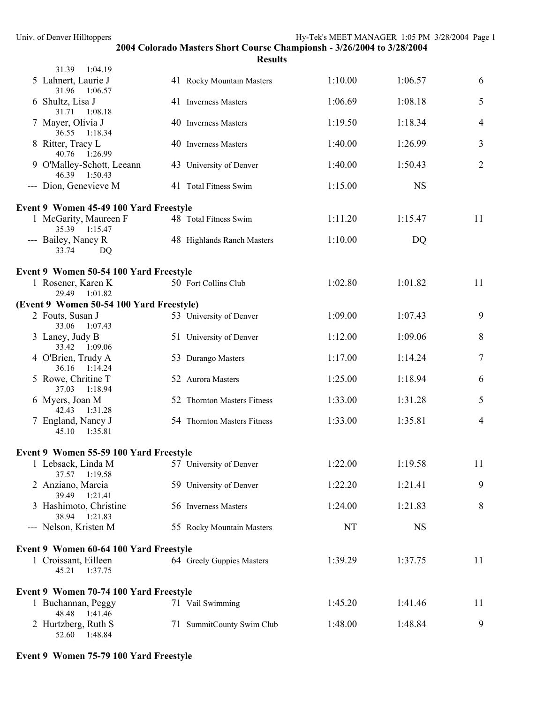| 31.39<br>1:04.19                                            |                             |         |           |                |
|-------------------------------------------------------------|-----------------------------|---------|-----------|----------------|
| 5 Lahnert, Laurie J<br>31.96<br>1:06.57                     | 41 Rocky Mountain Masters   | 1:10.00 | 1:06.57   | 6              |
| 6 Shultz, Lisa J<br>31.71<br>1:08.18                        | 41 Inverness Masters        | 1:06.69 | 1:08.18   | 5              |
| 7 Mayer, Olivia J<br>36.55 1:18.34                          | 40 Inverness Masters        | 1:19.50 | 1:18.34   | $\overline{4}$ |
| 8 Ritter, Tracy L<br>40.76 1:26.99                          | 40 Inverness Masters        | 1:40.00 | 1:26.99   | $\overline{3}$ |
| 9 O'Malley-Schott, Leeann<br>46.39 1:50.43                  | 43 University of Denver     | 1:40.00 | 1:50.43   | $\overline{2}$ |
| --- Dion, Genevieve M                                       | 41 Total Fitness Swim       | 1:15.00 | <b>NS</b> |                |
| Event 9 Women 45-49 100 Yard Freestyle                      |                             |         |           |                |
| 1 McGarity, Maureen F<br>35.39 1:15.47                      | 48 Total Fitness Swim       | 1:11.20 | 1:15.47   | 11             |
| --- Bailey, Nancy R<br>33.74<br>DQ                          | 48 Highlands Ranch Masters  | 1:10.00 | DQ        |                |
| Event 9 Women 50-54 100 Yard Freestyle                      |                             |         |           |                |
| 1 Rosener, Karen K<br>29.49 1:01.82                         | 50 Fort Collins Club        | 1:02.80 | 1:01.82   | 11             |
| (Event 9 Women 50-54 100 Yard Freestyle)                    |                             |         |           |                |
| 2 Fouts, Susan J<br>33.06 1:07.43                           | 53 University of Denver     | 1:09.00 | 1:07.43   | 9              |
| 3 Laney, Judy B<br>33.42 1:09.06                            | 51 University of Denver     | 1:12.00 | 1:09.06   | 8              |
| 4 O'Brien, Trudy A<br>36.16 1:14.24                         | 53 Durango Masters          | 1:17.00 | 1:14.24   | $\overline{7}$ |
| 5 Rowe, Chritine T<br>37.03<br>1:18.94                      | 52 Aurora Masters           | 1:25.00 | 1:18.94   | 6              |
| 6 Myers, Joan M<br>42.43 1:31.28                            | 52 Thornton Masters Fitness | 1:33.00 | 1:31.28   | 5              |
| 7 England, Nancy J<br>45.10 1:35.81                         | 54 Thornton Masters Fitness | 1:33.00 | 1:35.81   | $\overline{4}$ |
| Event 9 Women 55-59 100 Yard Freestyle                      |                             |         |           |                |
| 1 Lebsack, Linda M 57 University of Denver<br>37.57 1:19.58 |                             | 1:22.00 | 1:19.58   | 11             |
| 2 Anziano, Marcia<br>39.49<br>1:21.41                       | 59 University of Denver     | 1:22.20 | 1:21.41   | 9              |
| 3 Hashimoto, Christine<br>38.94 1:21.83                     | 56 Inverness Masters        | 1:24.00 | 1:21.83   | 8              |
| --- Nelson, Kristen M                                       | 55 Rocky Mountain Masters   | NT      | <b>NS</b> |                |
| Event 9 Women 60-64 100 Yard Freestyle                      |                             |         |           |                |
| 1 Croissant, Eilleen<br>45.21<br>1:37.75                    | 64 Greely Guppies Masters   | 1:39.29 | 1:37.75   | 11             |
| Event 9 Women 70-74 100 Yard Freestyle                      |                             |         |           |                |
| 1 Buchannan, Peggy<br>48.48<br>1:41.46                      | 71 Vail Swimming            | 1:45.20 | 1:41.46   | 11             |
| 2 Hurtzberg, Ruth S<br>52.60<br>1:48.84                     | 71 SummitCounty Swim Club   | 1:48.00 | 1:48.84   | 9              |

# **Event 9 Women 75-79 100 Yard Freestyle**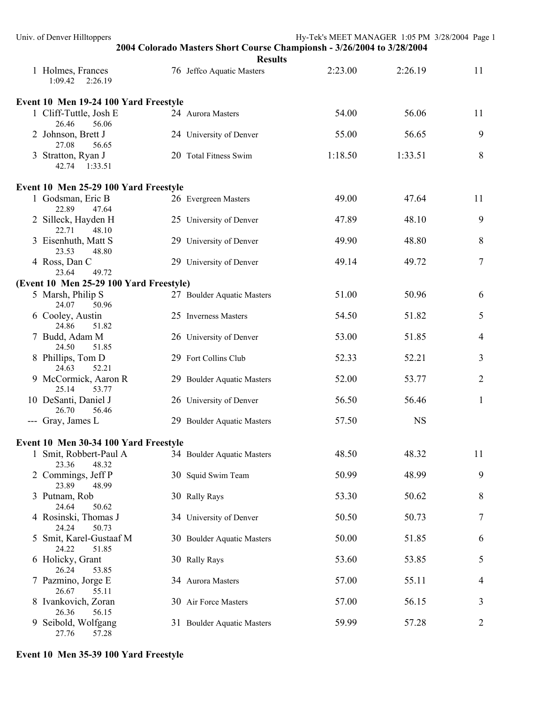| Univ. of Denver Hilltoppers               | 2004 Colorado Masters Short Course Championsh - 3/26/2004 to 3/28/2004 | Hy-Tek's MEET MANAGER 1:05 PM 3/28/2004 Page 1 |           |                |
|-------------------------------------------|------------------------------------------------------------------------|------------------------------------------------|-----------|----------------|
|                                           | <b>Results</b>                                                         |                                                |           |                |
| 1 Holmes, Frances<br>1:09.42  2:26.19     | 76 Jeffco Aquatic Masters                                              | 2:23.00                                        | 2:26.19   | 11             |
| Event 10 Men 19-24 100 Yard Freestyle     |                                                                        |                                                |           |                |
| 1 Cliff-Tuttle, Josh E<br>26.46<br>56.06  | 24 Aurora Masters                                                      | 54.00                                          | 56.06     | 11             |
| 2 Johnson, Brett J<br>27.08<br>56.65      | 24 University of Denver                                                | 55.00                                          | 56.65     | 9              |
| 3 Stratton, Ryan J<br>42.74 1:33.51       | 20 Total Fitness Swim                                                  | 1:18.50                                        | 1:33.51   | 8              |
| Event 10 Men 25-29 100 Yard Freestyle     |                                                                        |                                                |           |                |
| 1 Godsman, Eric B<br>22.89<br>47.64       | 26 Evergreen Masters                                                   | 49.00                                          | 47.64     | 11             |
| 2 Silleck, Hayden H<br>22.71<br>48.10     | 25 University of Denver                                                | 47.89                                          | 48.10     | 9              |
| 3 Eisenhuth, Matt S<br>23.53<br>48.80     | 29 University of Denver                                                | 49.90                                          | 48.80     | 8              |
| 4 Ross, Dan C<br>23.64<br>49.72           | 29 University of Denver                                                | 49.14                                          | 49.72     | 7              |
| (Event 10 Men 25-29 100 Yard Freestyle)   |                                                                        |                                                |           |                |
| 5 Marsh, Philip S<br>24.07<br>50.96       | 27 Boulder Aquatic Masters                                             | 51.00                                          | 50.96     | 6              |
| 6 Cooley, Austin<br>24.86<br>51.82        | 25 Inverness Masters                                                   | 54.50                                          | 51.82     | 5              |
| 7 Budd, Adam M<br>24.50<br>51.85          | 26 University of Denver                                                | 53.00                                          | 51.85     | 4              |
| 8 Phillips, Tom D<br>24.63<br>52.21       | 29 Fort Collins Club                                                   | 52.33                                          | 52.21     | 3              |
| 9 McCormick, Aaron R<br>25.14<br>53.77    | 29 Boulder Aquatic Masters                                             | 52.00                                          | 53.77     | $\overline{2}$ |
| 10 DeSanti, Daniel J<br>26.70<br>56.46    | 26 University of Denver                                                | 56.50                                          | 56.46     | $\mathbf{1}$   |
| --- Gray, James L                         | 29 Boulder Aquatic Masters                                             | 57.50                                          | <b>NS</b> |                |
| Event 10 Men 30-34 100 Yard Freestyle     |                                                                        |                                                |           |                |
| 1 Smit, Robbert-Paul A<br>23.36<br>48.32  | 34 Boulder Aquatic Masters                                             | 48.50                                          | 48.32     | 11             |
| 2 Commings, Jeff P<br>23.89<br>48.99      | 30 Squid Swim Team                                                     | 50.99                                          | 48.99     | 9              |
| 3 Putnam, Rob<br>24.64<br>50.62           | 30 Rally Rays                                                          | 53.30                                          | 50.62     | 8              |
| 4 Rosinski, Thomas J<br>24.24<br>50.73    | 34 University of Denver                                                | 50.50                                          | 50.73     | 7              |
| 5 Smit, Karel-Gustaaf M<br>24.22<br>51.85 | 30 Boulder Aquatic Masters                                             | 50.00                                          | 51.85     | 6              |
| 6 Holicky, Grant<br>26.24<br>53.85        | 30 Rally Rays                                                          | 53.60                                          | 53.85     | 5              |
| 7 Pazmino, Jorge E<br>26.67<br>55.11      | 34 Aurora Masters                                                      | 57.00                                          | 55.11     | 4              |
| 8 Ivankovich, Zoran<br>26.36<br>56.15     | 30 Air Force Masters                                                   | 57.00                                          | 56.15     | 3              |
| 9 Seibold, Wolfgang<br>27.76<br>57.28     | 31 Boulder Aquatic Masters                                             | 59.99                                          | 57.28     | 2              |

# **Event 10 Men 35-39 100 Yard Freestyle**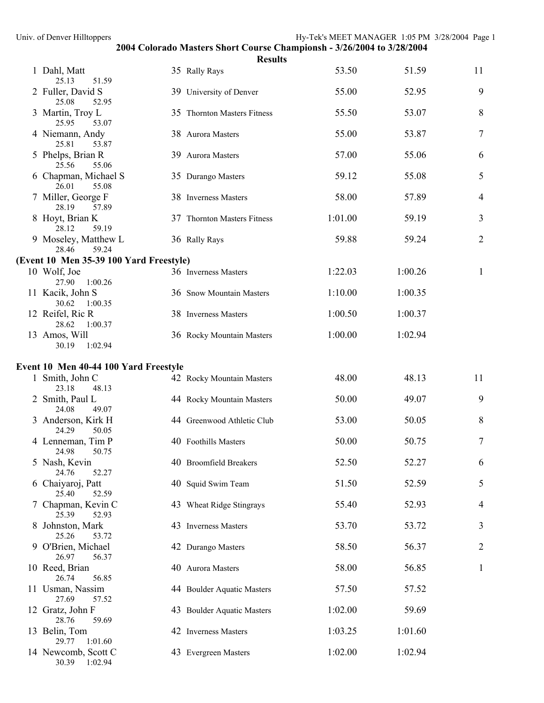| Univ. of Denver Hilltoppers                              |                                                                                          | Hy-Tek's MEET MANAGER 1:05 PM 3/28/2004 Page 1 |         |                |
|----------------------------------------------------------|------------------------------------------------------------------------------------------|------------------------------------------------|---------|----------------|
|                                                          | 2004 Colorado Masters Short Course Championsh - 3/26/2004 to 3/28/2004<br><b>Results</b> |                                                |         |                |
| 1 Dahl, Matt<br>25.13<br>51.59                           | 35 Rally Rays                                                                            | 53.50                                          | 51.59   | 11             |
| 2 Fuller, David S<br>25.08<br>52.95                      | 39 University of Denver                                                                  | 55.00                                          | 52.95   | 9              |
| 3 Martin, Troy L<br>25.95<br>53.07                       | 35 Thornton Masters Fitness                                                              | 55.50                                          | 53.07   | 8              |
| 4 Niemann, Andy<br>25.81<br>53.87                        | 38 Aurora Masters                                                                        | 55.00                                          | 53.87   | 7              |
| 5 Phelps, Brian R<br>25.56<br>55.06                      | 39 Aurora Masters                                                                        | 57.00                                          | 55.06   | 6              |
| 6 Chapman, Michael S<br>26.01<br>55.08                   | 35 Durango Masters                                                                       | 59.12                                          | 55.08   | 5              |
| 7 Miller, George F<br>28.19<br>57.89                     | 38 Inverness Masters                                                                     | 58.00                                          | 57.89   | 4              |
| 8 Hoyt, Brian K<br>28.12<br>59.19                        | 37 Thornton Masters Fitness                                                              | 1:01.00                                        | 59.19   | 3              |
| 9 Moseley, Matthew L<br>28.46<br>59.24                   | 36 Rally Rays                                                                            | 59.88                                          | 59.24   | $\overline{2}$ |
| (Event 10 Men 35-39 100 Yard Freestyle)                  |                                                                                          |                                                |         |                |
| 10 Wolf, Joe<br>27.90<br>1:00.26                         | 36 Inverness Masters                                                                     | 1:22.03                                        | 1:00.26 | 1              |
| 11 Kacik, John S<br>30.62<br>1:00.35                     | 36 Snow Mountain Masters                                                                 | 1:10.00                                        | 1:00.35 |                |
| 12 Reifel, Ric R<br>28.62<br>1:00.37                     | 38 Inverness Masters                                                                     | 1:00.50                                        | 1:00.37 |                |
| 13 Amos, Will<br>30.19<br>1:02.94                        | 36 Rocky Mountain Masters                                                                | 1:00.00                                        | 1:02.94 |                |
|                                                          |                                                                                          |                                                |         |                |
| Event 10 Men 40-44 100 Yard Freestyle<br>1 Smith, John C | 42 Rocky Mountain Masters                                                                | 48.00                                          | 48.13   | 11             |
| 23.18<br>48.13<br>2 Smith, Paul L<br>24.08<br>49.07      | 44 Rocky Mountain Masters                                                                | 50.00                                          | 49.07   | 9              |
| 3 Anderson, Kirk H<br>24.29 50.05                        | 44 Greenwood Athletic Club                                                               | 53.00                                          | 50.05   | 8              |
| 4 Lenneman, Tim P<br>24.98<br>50.75                      | 40 Foothills Masters                                                                     | 50.00                                          | 50.75   | 7              |
| 5 Nash, Kevin<br>52.27<br>24.76                          | 40 Broomfield Breakers                                                                   | 52.50                                          | 52.27   | 6              |
| 6 Chaiyaroj, Patt<br>25.40<br>52.59                      | 40 Squid Swim Team                                                                       | 51.50                                          | 52.59   | 5              |
| 7 Chapman, Kevin C<br>25.39<br>52.93                     | 43 Wheat Ridge Stingrays                                                                 | 55.40                                          | 52.93   | 4              |
| 8 Johnston, Mark<br>25.26<br>53.72                       | 43 Inverness Masters                                                                     | 53.70                                          | 53.72   | 3              |
| 9 O'Brien, Michael<br>26.97<br>56.37                     | 42 Durango Masters                                                                       | 58.50                                          | 56.37   | $\overline{2}$ |
| 10 Reed, Brian<br>26.74<br>56.85                         | 40 Aurora Masters                                                                        | 58.00                                          | 56.85   | $\mathbf{1}$   |
| 11 Usman, Nassim<br>27.69<br>57.52                       | 44 Boulder Aquatic Masters                                                               | 57.50                                          | 57.52   |                |
| 12 Gratz, John F<br>28.76<br>59.69                       | 43 Boulder Aquatic Masters                                                               | 1:02.00                                        | 59.69   |                |
| 13 Belin, Tom<br>1:01.60<br>29.77                        | 42 Inverness Masters                                                                     | 1:03.25                                        | 1:01.60 |                |
| 14 Newcomb, Scott C                                      | 43 Evergreen Masters                                                                     | 1:02.00                                        | 1:02.94 |                |

30.39 1:02.94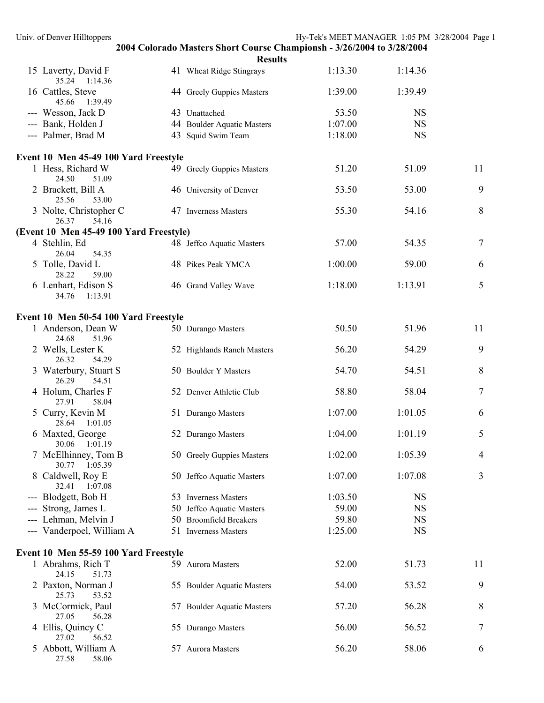| Univ. of Denver Hilltoppers                   |                                                                                          | Hy-Tek's MEET MANAGER 1:05 PM 3/28/2004 Page 1 |                        |    |
|-----------------------------------------------|------------------------------------------------------------------------------------------|------------------------------------------------|------------------------|----|
|                                               | 2004 Colorado Masters Short Course Championsh - 3/26/2004 to 3/28/2004<br><b>Results</b> |                                                |                        |    |
| 15 Laverty, David F<br>35.24 1:14.36          | 41 Wheat Ridge Stingrays                                                                 | 1:13.30                                        | 1:14.36                |    |
| 16 Cattles, Steve<br>45.66 1:39.49            | 44 Greely Guppies Masters                                                                | 1:39.00                                        | 1:39.49                |    |
| --- Wesson, Jack D                            | 43 Unattached                                                                            | 53.50                                          | <b>NS</b>              |    |
| --- Bank, Holden J                            | 44 Boulder Aquatic Masters                                                               | 1:07.00                                        | <b>NS</b>              |    |
| --- Palmer, Brad M                            | 43 Squid Swim Team                                                                       | 1:18.00                                        | <b>NS</b>              |    |
| Event 10 Men 45-49 100 Yard Freestyle         |                                                                                          |                                                |                        |    |
| 1 Hess, Richard W<br>51.09<br>24.50           | 49 Greely Guppies Masters                                                                | 51.20                                          | 51.09                  | 11 |
| 2 Brackett, Bill A<br>53.00<br>25.56          | 46 University of Denver                                                                  | 53.50                                          | 53.00                  | 9  |
| 3 Nolte, Christopher C<br>54.16<br>26.37      | 47 Inverness Masters                                                                     | 55.30                                          | 54.16                  | 8  |
| (Event 10 Men 45-49 100 Yard Freestyle)       |                                                                                          |                                                |                        |    |
| 4 Stehlin, Ed<br>26.04<br>54.35               | 48 Jeffco Aquatic Masters                                                                | 57.00                                          | 54.35                  | 7  |
| 5 Tolle, David L<br>28.22<br>59.00            | 48 Pikes Peak YMCA                                                                       | 1:00.00                                        | 59.00                  | 6  |
| 6 Lenhart, Edison S<br>1:13.91<br>34.76       | 46 Grand Valley Wave                                                                     | 1:18.00                                        | 1:13.91                | 5  |
| Event 10 Men 50-54 100 Yard Freestyle         |                                                                                          |                                                |                        |    |
| 1 Anderson, Dean W<br>24.68<br>51.96          | 50 Durango Masters                                                                       | 50.50                                          | 51.96                  | 11 |
| 2 Wells, Lester K<br>26.32<br>54.29           | 52 Highlands Ranch Masters                                                               | 56.20                                          | 54.29                  | 9  |
| 3 Waterbury, Stuart S<br>26.29<br>54.51       | 50 Boulder Y Masters                                                                     | 54.70                                          | 54.51                  | 8  |
| 4 Holum, Charles F<br>27.91<br>58.04          | 52 Denver Athletic Club                                                                  | 58.80                                          | 58.04                  | 7  |
| 5 Curry, Kevin M<br>28.64<br>1:01.05          | 51 Durango Masters                                                                       | 1:07.00                                        | 1:01.05                | 6  |
| 6 Maxted, George<br>30.06<br>1:01.19          | 52 Durango Masters                                                                       | 1:04.00                                        | 1:01.19                | 5  |
| 7 McElhinney, Tom B<br>30.77<br>1:05.39       | 50 Greely Guppies Masters                                                                | 1:02.00                                        | 1:05.39                | 4  |
| 8 Caldwell, Roy E<br>32.41<br>1:07.08         | 50 Jeffco Aquatic Masters                                                                | 1:07.00                                        | 1:07.08                | 3  |
| --- Blodgett, Bob H                           | 53 Inverness Masters                                                                     | 1:03.50                                        | <b>NS</b>              |    |
| Strong, James L                               | 50 Jeffco Aquatic Masters                                                                | 59.00                                          | <b>NS</b>              |    |
| Lehman, Melvin J<br>--- Vanderpoel, William A | 50 Broomfield Breakers<br>51 Inverness Masters                                           | 59.80<br>1:25.00                               | <b>NS</b><br><b>NS</b> |    |
| Event 10 Men 55-59 100 Yard Freestyle         |                                                                                          |                                                |                        |    |
| 1 Abrahms, Rich T<br>24.15<br>51.73           | 59 Aurora Masters                                                                        | 52.00                                          | 51.73                  | 11 |
| 2 Paxton, Norman J<br>25.73<br>53.52          | 55 Boulder Aquatic Masters                                                               | 54.00                                          | 53.52                  | 9  |
| 3 McCormick, Paul<br>27.05<br>56.28           | 57 Boulder Aquatic Masters                                                               | 57.20                                          | 56.28                  | 8  |
| 4 Ellis, Quincy C<br>27.02<br>56.52           | 55 Durango Masters                                                                       | 56.00                                          | 56.52                  | 7  |
| 5 Abbott, William A<br>27.58<br>58.06         | 57 Aurora Masters                                                                        | 56.20                                          | 58.06                  | 6  |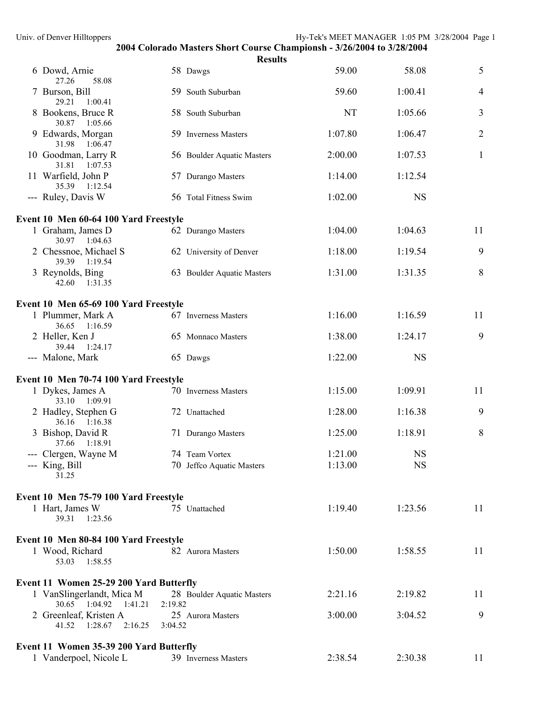|                                                                             |         | <b>Results</b>             |         |           |                |
|-----------------------------------------------------------------------------|---------|----------------------------|---------|-----------|----------------|
| 6 Dowd, Arnie<br>27.26<br>58.08                                             |         | 58 Dawgs                   | 59.00   | 58.08     | 5              |
| 7 Burson, Bill<br>29.21<br>1:00.41                                          |         | 59 South Suburban          | 59.60   | 1:00.41   | $\overline{4}$ |
| 8 Bookens, Bruce R<br>30.87<br>1:05.66                                      |         | 58 South Suburban          | NT      | 1:05.66   | 3              |
| 9 Edwards, Morgan<br>31.98<br>1:06.47                                       |         | 59 Inverness Masters       | 1:07.80 | 1:06.47   | $\overline{2}$ |
| 10 Goodman, Larry R<br>31.81<br>1:07.53                                     |         | 56 Boulder Aquatic Masters | 2:00.00 | 1:07.53   | $\mathbf{1}$   |
| 11 Warfield, John P<br>35.39 1:12.54                                        |         | 57 Durango Masters         | 1:14.00 | 1:12.54   |                |
| --- Ruley, Davis W                                                          |         | 56 Total Fitness Swim      | 1:02.00 | <b>NS</b> |                |
| Event 10 Men 60-64 100 Yard Freestyle                                       |         |                            |         |           |                |
| 1 Graham, James D<br>30.97 1:04.63                                          |         | 62 Durango Masters         | 1:04.00 | 1:04.63   | 11             |
| 2 Chessnoe, Michael S<br>39.39 1:19.54                                      |         | 62 University of Denver    | 1:18.00 | 1:19.54   | 9              |
| 3 Reynolds, Bing<br>42.60<br>1:31.35                                        |         | 63 Boulder Aquatic Masters | 1:31.00 | 1:31.35   | 8              |
|                                                                             |         |                            |         |           |                |
| Event 10 Men 65-69 100 Yard Freestyle<br>1 Plummer, Mark A<br>36.65 1:16.59 |         | 67 Inverness Masters       | 1:16.00 | 1:16.59   | 11             |
| 2 Heller, Ken J<br>39.44 1:24.17                                            |         | 65 Monnaco Masters         | 1:38.00 | 1:24.17   | 9              |
| --- Malone, Mark                                                            |         | 65 Dawgs                   | 1:22.00 | <b>NS</b> |                |
| Event 10 Men 70-74 100 Yard Freestyle                                       |         |                            |         |           |                |
| 1 Dykes, James A<br>33.10 1:09.91                                           |         | 70 Inverness Masters       | 1:15.00 | 1:09.91   | 11             |
| 2 Hadley, Stephen G<br>36.16 1:16.38                                        |         | 72 Unattached              | 1:28.00 | 1:16.38   | 9              |
| 3 Bishop, David R<br>37.66 1:18.91                                          |         | 71 Durango Masters         | 1:25.00 | 1:18.91   | 8              |
| - Clergen, Wayne M                                                          |         | 74 Team Vortex             | 1:21.00 | <b>NS</b> |                |
| --- King, Bill<br>31.25                                                     |         | 70 Jeffco Aquatic Masters  | 1:13.00 | <b>NS</b> |                |
| Event 10 Men 75-79 100 Yard Freestyle                                       |         |                            |         |           |                |
| 1 Hart, James W<br>39.31<br>1:23.56                                         |         | 75 Unattached              | 1:19.40 | 1:23.56   | 11             |
| Event 10 Men 80-84 100 Yard Freestyle                                       |         |                            |         |           |                |
| 1 Wood, Richard<br>53.03<br>1:58.55                                         |         | 82 Aurora Masters          | 1:50.00 | 1:58.55   | 11             |
| <b>Event 11 Women 25-29 200 Yard Butterfly</b>                              |         |                            |         |           |                |
| 1 VanSlingerlandt, Mica M<br>30.65 1:04.92<br>1:41.21                       | 2:19.82 | 28 Boulder Aquatic Masters | 2:21.16 | 2:19.82   | 11             |
| 2 Greenleaf, Kristen A<br>41.52<br>1:28.67<br>2:16.25                       | 3:04.52 | 25 Aurora Masters          | 3:00.00 | 3:04.52   | 9              |
| Event 11 Women 35-39 200 Yard Butterfly                                     |         |                            |         |           |                |
| 1 Vanderpoel, Nicole L                                                      |         | 39 Inverness Masters       | 2:38.54 | 2:30.38   | 11             |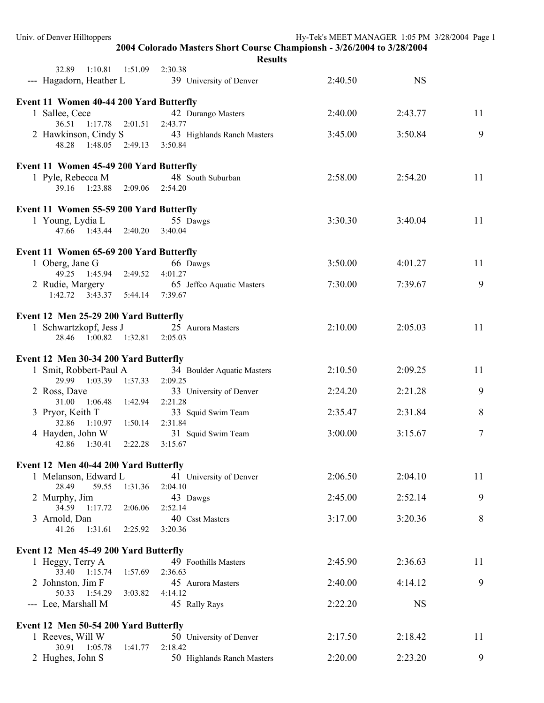| Univ. of Denver Hilltoppers                       |                                                                                          | Hy-Tek's MEET MANAGER 1:05 PM 3/28/2004 Page 1 |                   |  |
|---------------------------------------------------|------------------------------------------------------------------------------------------|------------------------------------------------|-------------------|--|
|                                                   | 2004 Colorado Masters Short Course Championsh - 3/26/2004 to 3/28/2004<br><b>Results</b> |                                                |                   |  |
| 32.89<br>1:10.81<br>1:51.09                       | 2:30.38                                                                                  |                                                |                   |  |
| --- Hagadorn, Heather L                           | 39 University of Denver                                                                  | 2:40.50                                        | <b>NS</b>         |  |
| Event 11 Women 40-44 200 Yard Butterfly           |                                                                                          |                                                |                   |  |
| 1 Sallee, Cece<br>36.51 1:17.78 2:01.51           | 42 Durango Masters<br>2:43.77                                                            | 2:40.00                                        | 11<br>2:43.77     |  |
| 2 Hawkinson, Cindy S                              | 43 Highlands Ranch Masters                                                               | 3:45.00                                        | 9<br>3:50.84      |  |
| 48.28<br>$1:48.05$ $2:49.13$                      | 3:50.84                                                                                  |                                                |                   |  |
| Event 11 Women 45-49 200 Yard Butterfly           |                                                                                          |                                                |                   |  |
| 1 Pyle, Rebecca M                                 | 48 South Suburban                                                                        | 2:58.00                                        | 11<br>2:54.20     |  |
| 39.16 1:23.88 2:09.06 2:54.20                     |                                                                                          |                                                |                   |  |
| Event 11 Women 55-59 200 Yard Butterfly           |                                                                                          |                                                |                   |  |
| 1 Young, Lydia L                                  | 55 Dawgs                                                                                 | 3:30.30                                        | 11<br>3:40.04     |  |
| 47.66 1:43.44 2:40.20                             | 3:40.04                                                                                  |                                                |                   |  |
| Event 11 Women 65-69 200 Yard Butterfly           |                                                                                          |                                                |                   |  |
| 1 Oberg, Jane G<br>49.25  1:45.94  2:49.52        | 66 Dawgs<br>4:01.27                                                                      | 3:50.00                                        | 11<br>4:01.27     |  |
| 2 Rudie, Margery                                  | 65 Jeffco Aquatic Masters                                                                | 7:30.00                                        | 9<br>7:39.67      |  |
| $1:42.72$ $3:43.37$ $5:44.14$                     | 7:39.67                                                                                  |                                                |                   |  |
| Event 12 Men 25-29 200 Yard Butterfly             |                                                                                          |                                                |                   |  |
| 1 Schwartzkopf, Jess J                            | 25 Aurora Masters                                                                        | 2:10.00                                        | 11<br>2:05.03     |  |
| $1:00.82$ $1:32.81$<br>28.46                      | 2:05.03                                                                                  |                                                |                   |  |
| Event 12 Men 30-34 200 Yard Butterfly             |                                                                                          |                                                |                   |  |
| 1 Smit, Robbert-Paul A                            | 34 Boulder Aquatic Masters                                                               | 2:10.50                                        | 11<br>2:09.25     |  |
| 29.99<br>1:03.39<br>1:37.33<br>2 Ross, Dave       | 2:09.25<br>33 University of Denver                                                       | 2:24.20                                        | 9<br>2:21.28      |  |
| 31.00<br>1:06.48<br>1:42.94                       | 2:21.28                                                                                  |                                                |                   |  |
| 3 Pryor, Keith T<br>1:10.97<br>1:50.14<br>32.86   | 33 Squid Swim Team<br>2:31.84                                                            | 2:35.47                                        | 8<br>2:31.84      |  |
| 4 Hayden, John W                                  | 31 Squid Swim Team                                                                       | 3:00.00                                        | $\tau$<br>3:15.67 |  |
| 42.86 1:30.41<br>2:22.28                          | 3:15.67                                                                                  |                                                |                   |  |
| Event 12 Men 40-44 200 Yard Butterfly             |                                                                                          |                                                |                   |  |
| 1 Melanson, Edward L<br>28.49<br>1:31.36<br>59.55 | 41 University of Denver<br>2:04.10                                                       | 2:06.50                                        | 2:04.10<br>11     |  |
| 2 Murphy, Jim                                     | 43 Dawgs                                                                                 | 2:45.00                                        | 9<br>2:52.14      |  |
| 34.59 1:17.72<br>2:06.06                          | 2:52.14                                                                                  |                                                | 8                 |  |
| 3 Arnold, Dan<br>41.26 1:31.61 2:25.92            | 40 Csst Masters<br>3:20.36                                                               | 3:17.00                                        | 3:20.36           |  |
| Event 12 Men 45-49 200 Yard Butterfly             |                                                                                          |                                                |                   |  |
| 1 Heggy, Terry A                                  | 49 Foothills Masters                                                                     | 2:45.90                                        | 2:36.63<br>11     |  |
| 33.40 1:15.74<br>1:57.69                          | 2:36.63                                                                                  |                                                |                   |  |
| 2 Johnston, Jim F<br>50.33 1:54.29<br>3:03.82     | 45 Aurora Masters<br>4:14.12                                                             | 2:40.00                                        | 9<br>4:14.12      |  |
| --- Lee, Marshall M                               | 45 Rally Rays                                                                            | 2:22.20                                        | <b>NS</b>         |  |
| Event 12 Men 50-54 200 Yard Butterfly             |                                                                                          |                                                |                   |  |
| 1 Reeves, Will W                                  | 50 University of Denver                                                                  | 2:17.50                                        | 2:18.42<br>11     |  |
| 30.91 1:05.78<br>1:41.77                          | 2:18.42                                                                                  |                                                |                   |  |
| 2 Hughes, John S                                  | 50 Highlands Ranch Masters                                                               | 2:20.00                                        | 9<br>2:23.20      |  |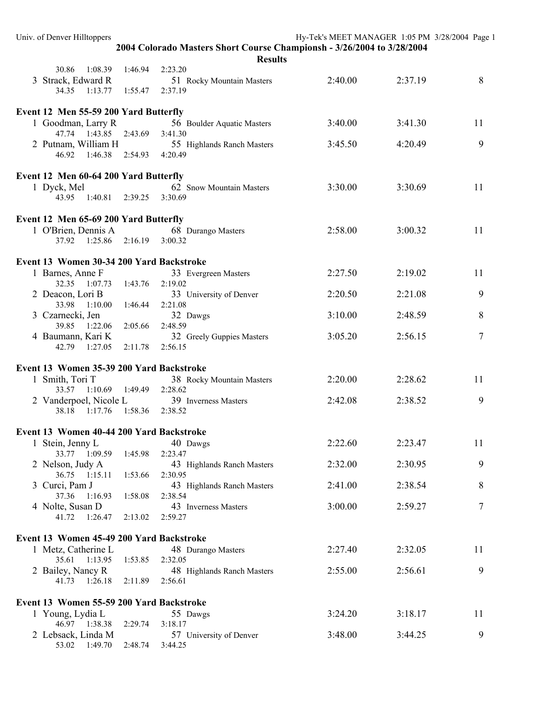| Univ. of Denver Hilltoppers                            |                                                                                          | Hy-Tek's MEET MANAGER 1:05 PM 3/28/2004 Page 1 |         |    |
|--------------------------------------------------------|------------------------------------------------------------------------------------------|------------------------------------------------|---------|----|
|                                                        | 2004 Colorado Masters Short Course Championsh - 3/26/2004 to 3/28/2004<br><b>Results</b> |                                                |         |    |
| 1:08.39<br>1:46.94<br>30.86                            | 2:23.20                                                                                  |                                                |         |    |
| 3 Strack, Edward R                                     | 51 Rocky Mountain Masters                                                                | 2:40.00                                        | 2:37.19 | 8  |
| 34.35 1:13.77<br>1:55.47                               | 2:37.19                                                                                  |                                                |         |    |
| Event 12 Men 55-59 200 Yard Butterfly                  |                                                                                          |                                                |         |    |
| 1 Goodman, Larry R                                     | 56 Boulder Aquatic Masters                                                               | 3:40.00                                        | 3:41.30 | 11 |
| 47.74 1:43.85<br>2:43.69                               | 3:41.30                                                                                  |                                                |         |    |
| 2 Putnam, William H                                    | 55 Highlands Ranch Masters                                                               | 3:45.50                                        | 4:20.49 | 9  |
| 1:46.38 2:54.93<br>46.92                               | 4:20.49                                                                                  |                                                |         |    |
| Event 12 Men 60-64 200 Yard Butterfly                  |                                                                                          |                                                |         |    |
| 1 Dyck, Mel                                            | 62 Snow Mountain Masters                                                                 | 3:30.00                                        | 3:30.69 | 11 |
| 43.95 1:40.81<br>2:39.25                               | 3:30.69                                                                                  |                                                |         |    |
| Event 12 Men 65-69 200 Yard Butterfly                  |                                                                                          |                                                |         |    |
| 1 O'Brien, Dennis A                                    | 68 Durango Masters                                                                       | 2:58.00                                        | 3:00.32 | 11 |
| $1:25.86$ $2:16.19$<br>37.92                           | 3:00.32                                                                                  |                                                |         |    |
| Event 13 Women 30-34 200 Yard Backstroke               |                                                                                          |                                                |         |    |
| 1 Barnes, Anne F                                       | 33 Evergreen Masters                                                                     | 2:27.50                                        | 2:19.02 | 11 |
| 32.35 1:07.73<br>1:43.76                               | 2:19.02                                                                                  |                                                |         |    |
| 2 Deacon, Lori B                                       | 33 University of Denver                                                                  | 2:20.50                                        | 2:21.08 | 9  |
| 33.98 1:10.00<br>1:46.44                               | 2:21.08                                                                                  |                                                |         |    |
| 3 Czarnecki, Jen                                       | 32 Dawgs                                                                                 | 3:10.00                                        | 2:48.59 | 8  |
| 39.85 1:22.06<br>2:05.66                               | 2:48.59                                                                                  |                                                |         |    |
| 4 Baumann, Kari K                                      | 32 Greely Guppies Masters                                                                | 3:05.20                                        | 2:56.15 | 7  |
| 1:27.05<br>2:11.78<br>42.79                            | 2:56.15                                                                                  |                                                |         |    |
| Event 13 Women 35-39 200 Yard Backstroke               |                                                                                          |                                                |         |    |
| 1 Smith, Tori T                                        | 38 Rocky Mountain Masters                                                                | 2:20.00                                        | 2:28.62 | 11 |
| 33.57 1:10.69 1:49.49                                  | 2:28.62                                                                                  |                                                |         |    |
| 2 Vanderpoel, Nicole L                                 | 39 Inverness Masters                                                                     | 2:42.08                                        | 2:38.52 | 9  |
| 1:17.76<br>1:58.36<br>38.18                            | 2:38.52                                                                                  |                                                |         |    |
| Event 13 Women 40-44 200 Yard Backstroke               |                                                                                          |                                                |         |    |
| 1 Stein, Jenny L                                       | 40 Dawgs                                                                                 | 2:22.60                                        | 2:23.47 | 11 |
| 33.77 1:09.59<br>1:45.98                               | 2:23.47                                                                                  |                                                |         |    |
| 2 Nelson, Judy A                                       | 43 Highlands Ranch Masters                                                               | 2:32.00                                        | 2:30.95 | 9  |
| 36.75 1:15.11<br>1:53.66                               | 2:30.95                                                                                  |                                                |         |    |
| 3 Curci, Pam J                                         | 43 Highlands Ranch Masters                                                               | 2:41.00                                        | 2:38.54 | 8  |
| 37.36<br>1:16.93<br>1:58.08                            | 2:38.54                                                                                  |                                                |         |    |
| 4 Nolte, Susan D<br>1:26.47<br>41.72<br>2:13.02        | 43 Inverness Masters<br>2:59.27                                                          | 3:00.00                                        | 2:59.27 | 7  |
|                                                        |                                                                                          |                                                |         |    |
| Event 13 Women 45-49 200 Yard Backstroke               |                                                                                          |                                                |         |    |
| 1 Metz, Catherine L                                    | 48 Durango Masters                                                                       | 2:27.40                                        | 2:32.05 | 11 |
| 35.61 1:13.95<br>1:53.85                               | 2:32.05                                                                                  |                                                |         |    |
| 2 Bailey, Nancy R<br>41.73  1:26.18<br>2:11.89         | 48 Highlands Ranch Masters<br>2:56.61                                                    | 2:55.00                                        | 2:56.61 | 9  |
|                                                        |                                                                                          |                                                |         |    |
| Event 13 Women 55-59 200 Yard Backstroke               |                                                                                          |                                                |         |    |
| 1 Young, Lydia L                                       | 55 Dawgs                                                                                 | 3:24.20                                        | 3:18.17 | 11 |
| 46.97 1:38.38<br>2:29.74                               | 3:18.17                                                                                  |                                                |         |    |
| 2 Lebsack, Linda M<br>53.02 1:49.70<br>2:48.74 3:44.25 | 57 University of Denver                                                                  | 3:48.00                                        | 3:44.25 | 9  |
|                                                        |                                                                                          |                                                |         |    |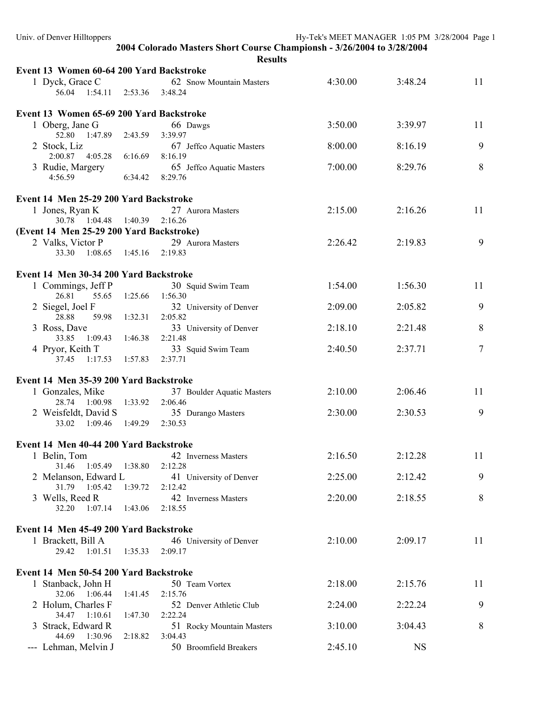| Univ. of Denver Hilltoppers              |         |                                                                        | Hy-Tek's MEET MANAGER 1:05 PM 3/28/2004 Page 1 |           |    |  |  |  |
|------------------------------------------|---------|------------------------------------------------------------------------|------------------------------------------------|-----------|----|--|--|--|
|                                          |         | 2004 Colorado Masters Short Course Championsh - 3/26/2004 to 3/28/2004 |                                                |           |    |  |  |  |
| <b>Results</b>                           |         |                                                                        |                                                |           |    |  |  |  |
| Event 13 Women 60-64 200 Yard Backstroke |         |                                                                        |                                                |           |    |  |  |  |
| 1 Dyck, Grace C                          |         | 62 Snow Mountain Masters                                               | 4:30.00                                        | 3:48.24   | 11 |  |  |  |
| 56.04  1:54.11  2:53.36  3:48.24         |         |                                                                        |                                                |           |    |  |  |  |
|                                          |         |                                                                        |                                                |           |    |  |  |  |
| Event 13 Women 65-69 200 Yard Backstroke |         |                                                                        |                                                |           |    |  |  |  |
| 1 Oberg, Jane G                          |         | 66 Dawgs                                                               | 3:50.00                                        | 3:39.97   | 11 |  |  |  |
| 52.80 1:47.89                            | 2:43.59 | 3:39.97                                                                |                                                |           |    |  |  |  |
| 2 Stock, Liz                             |         | 67 Jeffco Aquatic Masters                                              | 8:00.00                                        | 8:16.19   | 9  |  |  |  |
| 2:00.87 4:05.28                          | 6:16.69 | 8:16.19                                                                |                                                |           | 8  |  |  |  |
| 3 Rudie, Margery<br>4:56.59              | 6:34.42 | 65 Jeffco Aquatic Masters<br>8:29.76                                   | 7:00.00                                        | 8:29.76   |    |  |  |  |
|                                          |         |                                                                        |                                                |           |    |  |  |  |
| Event 14 Men 25-29 200 Yard Backstroke   |         |                                                                        |                                                |           |    |  |  |  |
| 1 Jones, Ryan K                          |         | 27 Aurora Masters                                                      | 2:15.00                                        | 2:16.26   | 11 |  |  |  |
| 30.78  1:04.48  1:40.39                  |         | 2:16.26                                                                |                                                |           |    |  |  |  |
| (Event 14 Men 25-29 200 Yard Backstroke) |         |                                                                        |                                                |           |    |  |  |  |
| 2 Valks, Victor P                        |         | 29 Aurora Masters                                                      | 2:26.42                                        | 2:19.83   | 9  |  |  |  |
| 33.30<br>1:08.65                         | 1:45.16 | 2:19.83                                                                |                                                |           |    |  |  |  |
|                                          |         |                                                                        |                                                |           |    |  |  |  |
| Event 14 Men 30-34 200 Yard Backstroke   |         |                                                                        |                                                |           |    |  |  |  |
| 1 Commings, Jeff P                       |         | 30 Squid Swim Team                                                     | 1:54.00                                        | 1:56.30   | 11 |  |  |  |
| 26.81<br>55.65                           | 1:25.66 | 1:56.30                                                                |                                                |           |    |  |  |  |
| 2 Siegel, Joel F                         |         | 32 University of Denver                                                | 2:09.00                                        | 2:05.82   | 9  |  |  |  |
| 59.98<br>28.88                           | 1:32.31 | 2:05.82                                                                |                                                |           |    |  |  |  |
| 3 Ross, Dave<br>33.85<br>1:09.43         | 1:46.38 | 33 University of Denver<br>2:21.48                                     | 2:18.10                                        | 2:21.48   | 8  |  |  |  |
| 4 Pryor, Keith T                         |         | 33 Squid Swim Team                                                     | 2:40.50                                        | 2:37.71   | 7  |  |  |  |
| 1:17.53<br>37.45                         | 1:57.83 | 2:37.71                                                                |                                                |           |    |  |  |  |
|                                          |         |                                                                        |                                                |           |    |  |  |  |
| Event 14 Men 35-39 200 Yard Backstroke   |         |                                                                        |                                                |           |    |  |  |  |
| 1 Gonzales, Mike                         |         | 37 Boulder Aquatic Masters                                             | 2:10.00                                        | 2:06.46   | 11 |  |  |  |
| 28.74 1:00.98 1:33.92                    |         | 2:06.46                                                                |                                                |           |    |  |  |  |
| 2 Weisfeldt, David S                     |         | 35 Durango Masters                                                     | 2:30.00                                        | 2:30.53   | 9  |  |  |  |
| 33.02 1:09.46                            | 1:49.29 | 2:30.53                                                                |                                                |           |    |  |  |  |
|                                          |         |                                                                        |                                                |           |    |  |  |  |
| Event 14 Men 40-44 200 Yard Backstroke   |         |                                                                        |                                                |           |    |  |  |  |
| 1 Belin, Tom                             |         | 42 Inverness Masters                                                   | 2:16.50                                        | 2:12.28   | 11 |  |  |  |
| 31.46<br>1:05.49                         | 1:38.80 | 2:12.28                                                                |                                                |           |    |  |  |  |
| 2 Melanson, Edward L<br>31.79 1:05.42    | 1:39.72 | 41 University of Denver<br>2:12.42                                     | 2:25.00                                        | 2:12.42   | 9  |  |  |  |
| 3 Wells, Reed R                          |         | 42 Inverness Masters                                                   | 2:20.00                                        | 2:18.55   | 8  |  |  |  |
| 32.20<br>$1:07.14$ $1:43.06$             |         | 2:18.55                                                                |                                                |           |    |  |  |  |
|                                          |         |                                                                        |                                                |           |    |  |  |  |
| Event 14 Men 45-49 200 Yard Backstroke   |         |                                                                        |                                                |           |    |  |  |  |
| 1 Brackett, Bill A                       |         | 46 University of Denver                                                | 2:10.00                                        | 2:09.17   | 11 |  |  |  |
| 29.42 1:01.51                            | 1:35.33 | 2:09.17                                                                |                                                |           |    |  |  |  |
|                                          |         |                                                                        |                                                |           |    |  |  |  |
| Event 14 Men 50-54 200 Yard Backstroke   |         |                                                                        |                                                |           |    |  |  |  |
| 1 Stanback, John H                       |         | 50 Team Vortex                                                         | 2:18.00                                        | 2:15.76   | 11 |  |  |  |
| 32.06 1:06.44                            | 1:41.45 | 2:15.76                                                                |                                                |           |    |  |  |  |
| 2 Holum, Charles F                       |         | 52 Denver Athletic Club                                                | 2:24.00                                        | 2:22.24   | 9  |  |  |  |
| 34.47 1:10.61                            | 1:47.30 | 2:22.24                                                                |                                                |           |    |  |  |  |
| 3 Strack, Edward R<br>44.69 1:30.96      | 2:18.82 | 51 Rocky Mountain Masters<br>3:04.43                                   | 3:10.00                                        | 3:04.43   | 8  |  |  |  |
| --- Lehman, Melvin J                     |         | 50 Broomfield Breakers                                                 | 2:45.10                                        | <b>NS</b> |    |  |  |  |
|                                          |         |                                                                        |                                                |           |    |  |  |  |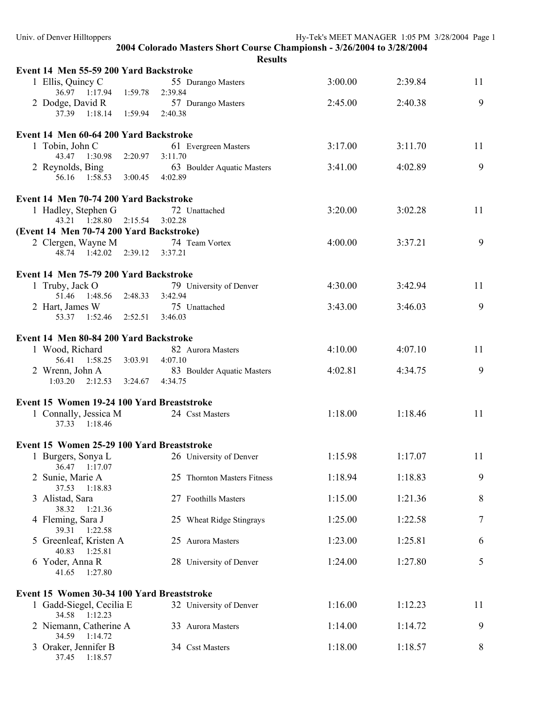| Event 14 Men 55-59 200 Yard Backstroke                         |         |                                       |         |         |    |
|----------------------------------------------------------------|---------|---------------------------------------|---------|---------|----|
| 1 Ellis, Quincy C                                              |         | 55 Durango Masters                    | 3:00.00 | 2:39.84 | 11 |
| 36.97 1:17.94 1:59.78<br>2 Dodge, David R                      |         | 2:39.84<br>57 Durango Masters         | 2:45.00 | 2:40.38 | 9  |
| 37.39 1:18.14 1:59.94                                          |         | 2:40.38                               |         |         |    |
| Event 14 Men 60-64 200 Yard Backstroke                         |         |                                       |         |         |    |
| 1 Tobin, John C                                                |         | 61 Evergreen Masters                  | 3:17.00 | 3:11.70 | 11 |
| 43.47 1:30.98<br>2 Reynolds, Bing                              | 2:20.97 | 3:11.70<br>63 Boulder Aquatic Masters | 3:41.00 | 4:02.89 | 9  |
| 56.16 1:58.53 3:00.45                                          |         | 4:02.89                               |         |         |    |
| Event 14 Men 70-74 200 Yard Backstroke                         |         |                                       |         |         |    |
| 1 Hadley, Stephen G                                            |         | 72 Unattached                         | 3:20.00 | 3:02.28 | 11 |
| 43.21  1:28.80  2:15.54                                        |         | 3:02.28                               |         |         |    |
| (Event 14 Men 70-74 200 Yard Backstroke)<br>2 Clergen, Wayne M |         | 74 Team Vortex                        | 4:00.00 | 3:37.21 | 9  |
| 48.74  1:42.02  2:39.12  3:37.21                               |         |                                       |         |         |    |
|                                                                |         |                                       |         |         |    |
| Event 14 Men 75-79 200 Yard Backstroke<br>1 Truby, Jack O      |         | 79 University of Denver               | 4:30.00 | 3:42.94 | 11 |
| 51.46 1:48.56 2:48.33                                          |         | 3:42.94                               |         |         |    |
| 2 Hart, James W                                                |         | 75 Unattached                         | 3:43.00 | 3:46.03 | 9  |
| 53.37 1:52.46 2:52.51 3:46.03                                  |         |                                       |         |         |    |
| Event 14 Men 80-84 200 Yard Backstroke                         |         |                                       |         |         |    |
| 1 Wood, Richard                                                |         | 82 Aurora Masters                     | 4:10.00 | 4:07.10 | 11 |
| 56.41  1:58.25  3:03.91                                        |         | 4:07.10                               |         |         |    |
| 2 Wrenn, John A<br>$1:03.20$ $2:12.53$ $3:24.67$ $4:34.75$     |         | 83 Boulder Aquatic Masters            | 4:02.81 | 4:34.75 | 9  |
| Event 15 Women 19-24 100 Yard Breaststroke                     |         |                                       |         |         |    |
| 1 Connally, Jessica M                                          |         | 24 Csst Masters                       | 1:18.00 | 1:18.46 | 11 |
| 37.33 1:18.46                                                  |         |                                       |         |         |    |
| Event 15 Women 25-29 100 Yard Breaststroke                     |         |                                       |         |         |    |
| 1 Burgers, Sonya L                                             |         | 26 University of Denver               | 1:15.98 | 1:17.07 | 11 |
| 36.47 1:17.07<br>2 Sunie, Marie A                              |         | 25 Thornton Masters Fitness           | 1:18.94 | 1:18.83 | 9  |
| 37.53<br>1:18.83                                               |         |                                       |         |         |    |
| 3 Alistad, Sara                                                |         | 27 Foothills Masters                  | 1:15.00 | 1:21.36 | 8  |
| 38.32<br>1:21.36<br>4 Fleming, Sara J                          |         | 25 Wheat Ridge Stingrays              | 1:25.00 | 1:22.58 | 7  |
| 39.31<br>1:22.58                                               |         |                                       |         |         |    |
| 5 Greenleaf, Kristen A<br>40.83<br>1:25.81                     |         | 25 Aurora Masters                     | 1:23.00 | 1:25.81 | 6  |
| 6 Yoder, Anna R                                                |         | 28 University of Denver               | 1:24.00 | 1:27.80 | 5  |
| 41.65<br>1:27.80                                               |         |                                       |         |         |    |
| Event 15 Women 30-34 100 Yard Breaststroke                     |         |                                       |         |         |    |
| 1 Gadd-Siegel, Cecilia E                                       |         | 32 University of Denver               | 1:16.00 | 1:12.23 | 11 |
| 34.58 1:12.23<br>2 Niemann, Catherine A                        |         | 33 Aurora Masters                     | 1:14.00 | 1:14.72 | 9  |
| 34.59 1:14.72                                                  |         |                                       |         |         |    |
| 3 Oraker, Jennifer B<br>37.45 1:18.57                          |         | 34 Csst Masters                       | 1:18.00 | 1:18.57 | 8  |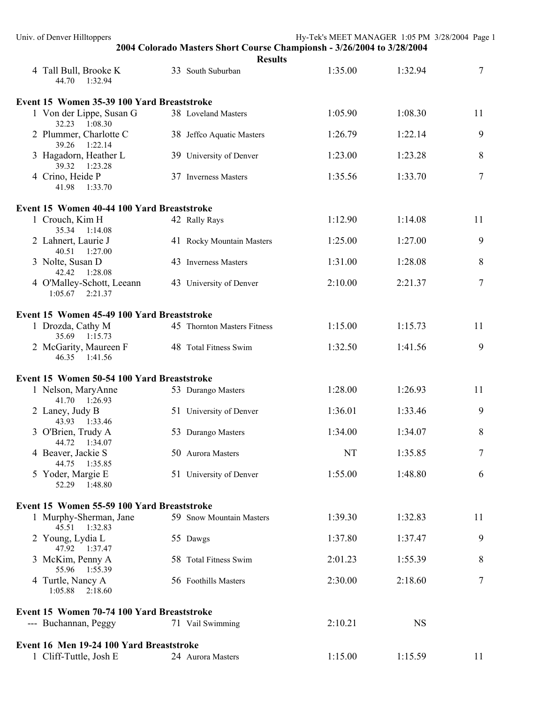| Univ. of Denver Hilltoppers                      |               |                                                                                          | Hy-Tek's MEET MANAGER 1:05 PM 3/28/2004 Page 1 |           |                |
|--------------------------------------------------|---------------|------------------------------------------------------------------------------------------|------------------------------------------------|-----------|----------------|
|                                                  |               | 2004 Colorado Masters Short Course Championsh - 3/26/2004 to 3/28/2004<br><b>Results</b> |                                                |           |                |
| 4 Tall Bull, Brooke K<br>44.70 1:32.94           |               | 33 South Suburban                                                                        | 1:35.00                                        | 1:32.94   | 7              |
| Event 15 Women 35-39 100 Yard Breaststroke       |               |                                                                                          |                                                |           |                |
| 1 Von der Lippe, Susan G<br>32.23 1:08.30        |               | 38 Loveland Masters                                                                      | 1:05.90                                        | 1:08.30   | 11             |
| 2 Plummer, Charlotte C<br>39.26 1:22.14          |               | 38 Jeffco Aquatic Masters                                                                | 1:26.79                                        | 1:22.14   | 9              |
| 3 Hagadorn, Heather L<br>39.32 1:23.28           |               | 39 University of Denver                                                                  | 1:23.00                                        | 1:23.28   | 8              |
| 4 Crino, Heide P<br>41.98<br>1:33.70             |               | 37 Inverness Masters                                                                     | 1:35.56                                        | 1:33.70   | $\overline{7}$ |
| Event 15 Women 40-44 100 Yard Breaststroke       |               |                                                                                          |                                                |           |                |
| 1 Crouch, Kim H<br>35.34 1:14.08                 | 42 Rally Rays |                                                                                          | 1:12.90                                        | 1:14.08   | 11             |
| 2 Lahnert, Laurie J<br>40.51  1:27.00            |               | 41 Rocky Mountain Masters                                                                | 1:25.00                                        | 1:27.00   | 9              |
| 3 Nolte, Susan D<br>42.42 1:28.08                |               | 43 Inverness Masters                                                                     | 1:31.00                                        | 1:28.08   | 8              |
| 4 O'Malley-Schott, Leeann<br>$1:05.67$ $2:21.37$ |               | 43 University of Denver                                                                  | 2:10.00                                        | 2:21.37   | 7              |
| Event 15 Women 45-49 100 Yard Breaststroke       |               |                                                                                          |                                                |           |                |
| 1 Drozda, Cathy M<br>35.69 1:15.73               |               | 45 Thornton Masters Fitness                                                              | 1:15.00                                        | 1:15.73   | 11             |
| 2 McGarity, Maureen F<br>46.35 1:41.56           |               | 48 Total Fitness Swim                                                                    | 1:32.50                                        | 1:41.56   | 9              |
| Event 15 Women 50-54 100 Yard Breaststroke       |               |                                                                                          |                                                |           |                |
| 1 Nelson, MaryAnne<br>41.70 1:26.93              |               | 53 Durango Masters                                                                       | 1:28.00                                        | 1:26.93   | 11             |
| 2 Laney, Judy B<br>43.93 1:33.46                 |               | 51 University of Denver                                                                  | 1:36.01                                        | 1:33.46   | 9              |
| 3 O'Brien, Trudy A<br>44.72  1:34.07             |               | 53 Durango Masters                                                                       | 1:34.00                                        | 1:34.07   | 8              |
| 4 Beaver, Jackie S<br>44.75  1:35.85             |               | 50 Aurora Masters                                                                        | NT                                             | 1:35.85   | 7              |
| 5 Yoder, Margie E<br>52.29 1:48.80               |               | 51 University of Denver                                                                  | 1:55.00                                        | 1:48.80   | 6              |
| Event 15 Women 55-59 100 Yard Breaststroke       |               |                                                                                          |                                                |           |                |
| 1 Murphy-Sherman, Jane<br>45.51 1:32.83          |               | 59 Snow Mountain Masters                                                                 | 1:39.30                                        | 1:32.83   | 11             |
| 2 Young, Lydia L<br>47.92 1:37.47                | 55 Dawgs      |                                                                                          | 1:37.80                                        | 1:37.47   | 9              |
| 3 McKim, Penny A<br>55.96 1:55.39                |               | 58 Total Fitness Swim                                                                    | 2:01.23                                        | 1:55.39   | 8              |
| 4 Turtle, Nancy A<br>1:05.88<br>2:18.60          |               | 56 Foothills Masters                                                                     | 2:30.00                                        | 2:18.60   | 7              |
| Event 15 Women 70-74 100 Yard Breaststroke       |               |                                                                                          |                                                |           |                |
| --- Buchannan, Peggy                             |               | 71 Vail Swimming                                                                         | 2:10.21                                        | <b>NS</b> |                |
| Event 16 Men 19-24 100 Yard Breaststroke         |               |                                                                                          |                                                |           |                |
| 1 Cliff-Tuttle, Josh E                           |               | 24 Aurora Masters                                                                        | 1:15.00                                        | 1:15.59   | 11             |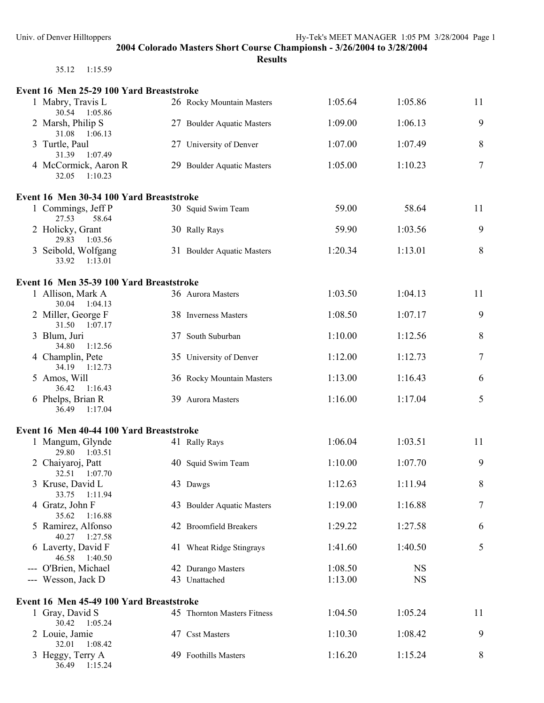| 35.12 | 1:15.59 |  |
|-------|---------|--|

| Event 16 Men 25-29 100 Yard Breaststroke |                             |         |           |        |
|------------------------------------------|-----------------------------|---------|-----------|--------|
| 1 Mabry, Travis L<br>30.54 1:05.86       | 26 Rocky Mountain Masters   | 1:05.64 | 1:05.86   | 11     |
| 2 Marsh, Philip S<br>31.08<br>1:06.13    | 27 Boulder Aquatic Masters  | 1:09.00 | 1:06.13   | 9      |
| 3 Turtle, Paul<br>31.39<br>1:07.49       | 27 University of Denver     | 1:07.00 | 1:07.49   | 8      |
| 4 McCormick, Aaron R<br>32.05<br>1:10.23 | 29 Boulder Aquatic Masters  | 1:05.00 | 1:10.23   | $\tau$ |
| Event 16 Men 30-34 100 Yard Breaststroke |                             |         |           |        |
| 1 Commings, Jeff P<br>27.53<br>58.64     | 30 Squid Swim Team          | 59.00   | 58.64     | 11     |
| 2 Holicky, Grant<br>29.83<br>1:03.56     | 30 Rally Rays               | 59.90   | 1:03.56   | 9      |
| 3 Seibold, Wolfgang<br>33.92 1:13.01     | 31 Boulder Aquatic Masters  | 1:20.34 | 1:13.01   | 8      |
| Event 16 Men 35-39 100 Yard Breaststroke |                             |         |           |        |
| 1 Allison, Mark A<br>30.04 1:04.13       | 36 Aurora Masters           | 1:03.50 | 1:04.13   | 11     |
| 2 Miller, George F<br>31.50 1:07.17      | 38 Inverness Masters        | 1:08.50 | 1:07.17   | 9      |
| 3 Blum, Juri<br>34.80<br>1:12.56         | 37 South Suburban           | 1:10.00 | 1:12.56   | 8      |
| 4 Champlin, Pete<br>34.19 1:12.73        | 35 University of Denver     | 1:12.00 | 1:12.73   | 7      |
| 5 Amos, Will<br>36.42<br>1:16.43         | 36 Rocky Mountain Masters   | 1:13.00 | 1:16.43   | 6      |
| 6 Phelps, Brian R<br>36.49<br>1:17.04    | 39 Aurora Masters           | 1:16.00 | 1:17.04   | 5      |
| Event 16 Men 40-44 100 Yard Breaststroke |                             |         |           |        |
| 1 Mangum, Glynde<br>29.80<br>1:03.51     | 41 Rally Rays               | 1:06.04 | 1:03.51   | 11     |
| 2 Chaiyaroj, Patt<br>32.51<br>1:07.70    | 40 Squid Swim Team          | 1:10.00 | 1:07.70   | 9      |
| 3 Kruse, David L<br>33.75<br>1:11.94     | 43 Dawgs                    | 1:12.63 | 1:11.94   | $\, 8$ |
| 4 Gratz, John F<br>35.62<br>1:16.88      | 43 Boulder Aquatic Masters  | 1:19.00 | 1:16.88   | $\tau$ |
| 5 Ramirez, Alfonso<br>40.27<br>1:27.58   | 42 Broomfield Breakers      | 1:29.22 | 1:27.58   | 6      |
| 6 Laverty, David F<br>46.58<br>1:40.50   | 41 Wheat Ridge Stingrays    | 1:41.60 | 1:40.50   | 5      |
| --- O'Brien, Michael                     | 42 Durango Masters          | 1:08.50 | <b>NS</b> |        |
| --- Wesson, Jack D                       | 43 Unattached               | 1:13.00 | <b>NS</b> |        |
| Event 16 Men 45-49 100 Yard Breaststroke |                             |         |           |        |
| 1 Gray, David S<br>30.42<br>1:05.24      | 45 Thornton Masters Fitness | 1:04.50 | 1:05.24   | 11     |
| 2 Louie, Jamie<br>1:08.42<br>32.01       | 47 Csst Masters             | 1:10.30 | 1:08.42   | 9      |
| 3 Heggy, Terry A<br>1:15.24<br>36.49     | 49 Foothills Masters        | 1:16.20 | 1:15.24   | 8      |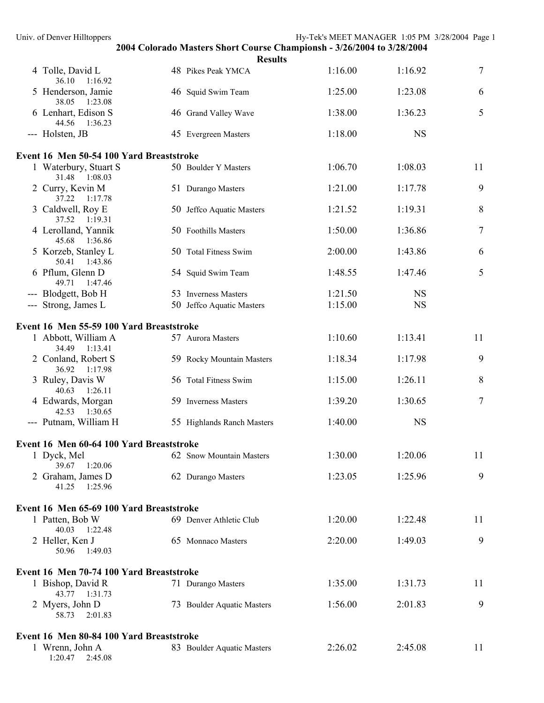| Univ. of Denver Hilltoppers              |                                                                                          |         | Hy-Tek's MEET MANAGER 1:05 PM 3/28/2004 Page 1 |                  |
|------------------------------------------|------------------------------------------------------------------------------------------|---------|------------------------------------------------|------------------|
|                                          | 2004 Colorado Masters Short Course Championsh - 3/26/2004 to 3/28/2004<br><b>Results</b> |         |                                                |                  |
| 4 Tolle, David L<br>36.10 1:16.92        | 48 Pikes Peak YMCA                                                                       | 1:16.00 | 1:16.92                                        | 7                |
| 5 Henderson, Jamie<br>38.05<br>1:23.08   | 46 Squid Swim Team                                                                       | 1:25.00 | 1:23.08                                        | 6                |
| 6 Lenhart, Edison S<br>44.56 1:36.23     | 46 Grand Valley Wave                                                                     | 1:38.00 | 1:36.23                                        | 5                |
| --- Holsten, JB                          | 45 Evergreen Masters                                                                     | 1:18.00 | <b>NS</b>                                      |                  |
| Event 16 Men 50-54 100 Yard Breaststroke |                                                                                          |         |                                                |                  |
| 1 Waterbury, Stuart S<br>31.48 1:08.03   | 50 Boulder Y Masters                                                                     | 1:06.70 | 1:08.03                                        | 11               |
| 2 Curry, Kevin M<br>37.22 1:17.78        | 51 Durango Masters                                                                       | 1:21.00 | 1:17.78                                        | 9                |
| 3 Caldwell, Roy E<br>37.52 1:19.31       | 50 Jeffco Aquatic Masters                                                                | 1:21.52 | 1:19.31                                        | 8                |
| 4 Lerolland, Yannik<br>45.68 1:36.86     | 50 Foothills Masters                                                                     | 1:50.00 | 1:36.86                                        | 7                |
| 5 Korzeb, Stanley L<br>50.41 1:43.86     | 50 Total Fitness Swim                                                                    | 2:00.00 | 1:43.86                                        | 6                |
| 6 Pflum, Glenn D<br>49.71<br>1:47.46     | 54 Squid Swim Team                                                                       | 1:48.55 | 1:47.46                                        | 5                |
| --- Blodgett, Bob H                      | 53 Inverness Masters                                                                     | 1:21.50 | <b>NS</b>                                      |                  |
| --- Strong, James L                      | 50 Jeffco Aquatic Masters                                                                | 1:15.00 | <b>NS</b>                                      |                  |
| Event 16 Men 55-59 100 Yard Breaststroke |                                                                                          |         |                                                |                  |
| 1 Abbott, William A<br>34.49<br>1:13.41  | 57 Aurora Masters                                                                        | 1:10.60 | 1:13.41                                        | 11               |
| 2 Conland, Robert S<br>36.92<br>1:17.98  | 59 Rocky Mountain Masters                                                                | 1:18.34 | 1:17.98                                        | 9                |
| 3 Ruley, Davis W<br>40.63<br>1:26.11     | 56 Total Fitness Swim                                                                    | 1:15.00 | 1:26.11                                        | 8                |
| 4 Edwards, Morgan<br>1:30.65<br>42.53    | 59 Inverness Masters                                                                     | 1:39.20 | 1:30.65                                        | $\boldsymbol{7}$ |
| --- Putnam, William H                    | 55 Highlands Ranch Masters                                                               | 1:40.00 | <b>NS</b>                                      |                  |
| Event 16 Men 60-64 100 Yard Breaststroke |                                                                                          |         |                                                |                  |
| 1 Dyck, Mel<br>39.67<br>1:20.06          | 62 Snow Mountain Masters                                                                 | 1:30.00 | 1:20.06                                        | 11               |
| 2 Graham, James D<br>41.25<br>1:25.96    | 62 Durango Masters                                                                       | 1:23.05 | 1:25.96                                        | 9                |
| Event 16 Men 65-69 100 Yard Breaststroke |                                                                                          |         |                                                |                  |
| 1 Patten, Bob W<br>40.03 1:22.48         | 69 Denver Athletic Club                                                                  | 1:20.00 | 1:22.48                                        | 11               |
| 2 Heller, Ken J<br>50.96<br>1:49.03      | 65 Monnaco Masters                                                                       | 2:20.00 | 1:49.03                                        | 9                |
| Event 16 Men 70-74 100 Yard Breaststroke |                                                                                          |         |                                                |                  |
| 1 Bishop, David R<br>43.77 1:31.73       | 71 Durango Masters                                                                       | 1:35.00 | 1:31.73                                        | 11               |
| 2 Myers, John D<br>58.73<br>2:01.83      | 73 Boulder Aquatic Masters                                                               | 1:56.00 | 2:01.83                                        | 9                |
| Event 16 Men 80-84 100 Yard Breaststroke |                                                                                          |         |                                                |                  |
| 1 Wrenn, John A<br>1:20.47 2:45.08       | 83 Boulder Aquatic Masters                                                               | 2:26.02 | 2:45.08                                        | 11               |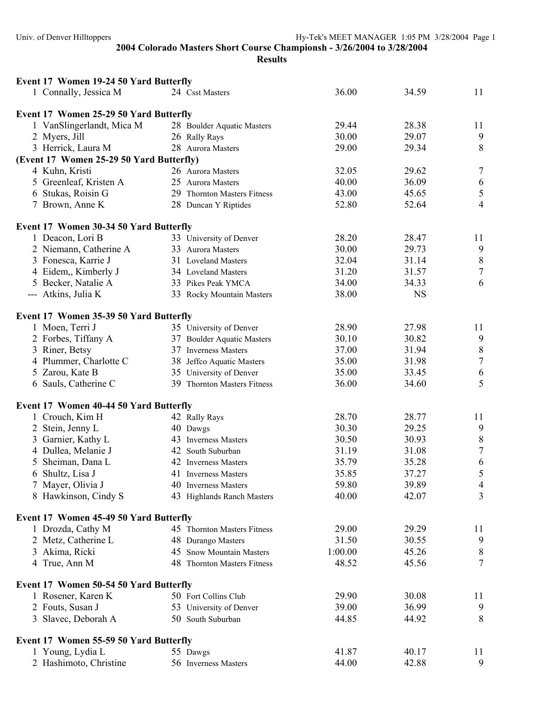| Event 17 Women 19-24 50 Yard Butterfly   |                             |         |           |                  |
|------------------------------------------|-----------------------------|---------|-----------|------------------|
| 1 Connally, Jessica M                    | 24 Csst Masters             | 36.00   | 34.59     | 11               |
| Event 17 Women 25-29 50 Yard Butterfly   |                             |         |           |                  |
| 1 VanSlingerlandt, Mica M                | 28 Boulder Aquatic Masters  | 29.44   | 28.38     | 11               |
| 2 Myers, Jill                            | 26 Rally Rays               | 30.00   | 29.07     | 9                |
| 3 Herrick, Laura M                       | 28 Aurora Masters           | 29.00   | 29.34     | $\,8\,$          |
| (Event 17 Women 25-29 50 Yard Butterfly) |                             |         |           |                  |
| 4 Kuhn, Kristi                           | 26 Aurora Masters           | 32.05   | 29.62     | $\boldsymbol{7}$ |
| 5 Greenleaf, Kristen A                   | 25 Aurora Masters           | 40.00   | 36.09     | 6                |
| 6 Stukas, Roisin G                       | 29 Thornton Masters Fitness | 43.00   | 45.65     | $\sqrt{5}$       |
| 7 Brown, Anne K                          | 28 Duncan Y Riptides        | 52.80   | 52.64     | $\overline{4}$   |
| Event 17 Women 30-34 50 Yard Butterfly   |                             |         |           |                  |
| 1 Deacon, Lori B                         | 33 University of Denver     | 28.20   | 28.47     | 11               |
| 2 Niemann, Catherine A                   | 33 Aurora Masters           | 30.00   | 29.73     | $\boldsymbol{9}$ |
| 3 Fonesca, Karrie J                      | 31 Loveland Masters         | 32.04   | 31.14     | $\,$ $\,$        |
| 4 Eidem, Kimberly J                      | 34 Loveland Masters         | 31.20   | 31.57     | $\overline{7}$   |
| 5 Becker, Natalie A                      | 33 Pikes Peak YMCA          | 34.00   | 34.33     | 6                |
| --- Atkins, Julia K                      | 33 Rocky Mountain Masters   | 38.00   | <b>NS</b> |                  |
|                                          |                             |         |           |                  |
| Event 17 Women 35-39 50 Yard Butterfly   |                             |         |           |                  |
| 1 Moen, Terri J                          | 35 University of Denver     | 28.90   | 27.98     | 11               |
| 2 Forbes, Tiffany A                      | 37 Boulder Aquatic Masters  | 30.10   | 30.82     | $\boldsymbol{9}$ |
| 3 Riner, Betsy                           | 37 Inverness Masters        | 37.00   | 31.94     | $\, 8$           |
| 4 Plummer, Charlotte C                   | 38 Jeffco Aquatic Masters   | 35.00   | 31.98     | $\overline{7}$   |
| 5 Zarou, Kate B                          | 35 University of Denver     | 35.00   | 33.45     | 6                |
| 6 Sauls, Catherine C                     | 39 Thornton Masters Fitness | 36.00   | 34.60     | 5                |
| Event 17 Women 40-44 50 Yard Butterfly   |                             |         |           |                  |
| 1 Crouch, Kim H                          | 42 Rally Rays               | 28.70   | 28.77     | 11               |
| 2 Stein, Jenny L                         | 40 Dawgs                    | 30.30   | 29.25     | 9                |
| 3 Garnier, Kathy L                       | 43 Inverness Masters        | 30.50   | 30.93     | $\,8\,$          |
| 4 Dullea, Melanie J                      | 42 South Suburban           | 31.19   | 31.08     | $\overline{7}$   |
| 5 Sheiman, Dana L                        | 42 Inverness Masters        | 35.79   | 35.28     | 6                |
| 6 Shultz, Lisa J                         | 41 Inverness Masters        | 35.85   | 37.27     | 5                |
| 7 Mayer, Olivia J                        | 40 Inverness Masters        | 59.80   | 39.89     | $\overline{4}$   |
| 8 Hawkinson, Cindy S                     | 43 Highlands Ranch Masters  | 40.00   | 42.07     | 3                |
| Event 17 Women 45-49 50 Yard Butterfly   |                             |         |           |                  |
| 1 Drozda, Cathy M                        | 45 Thornton Masters Fitness | 29.00   | 29.29     | 11               |
| 2 Metz, Catherine L                      | 48 Durango Masters          | 31.50   | 30.55     | 9                |
| 3 Akima, Ricki                           | 45 Snow Mountain Masters    | 1:00.00 | 45.26     | $8\,$            |
| 4 True, Ann M                            | 48 Thornton Masters Fitness | 48.52   | 45.56     | 7                |
|                                          |                             |         |           |                  |
| Event 17 Women 50-54 50 Yard Butterfly   |                             |         |           |                  |
| 1 Rosener, Karen K                       | 50 Fort Collins Club        | 29.90   | 30.08     | 11               |
| 2 Fouts, Susan J                         | 53 University of Denver     | 39.00   | 36.99     | 9                |
| 3 Slavec, Deborah A                      | 50 South Suburban           | 44.85   | 44.92     | 8                |
| Event 17 Women 55-59 50 Yard Butterfly   |                             |         |           |                  |
| 1 Young, Lydia L                         | 55 Dawgs                    | 41.87   | 40.17     | 11               |
| 2 Hashimoto, Christine                   | 56 Inverness Masters        | 44.00   | 42.88     | 9                |
|                                          |                             |         |           |                  |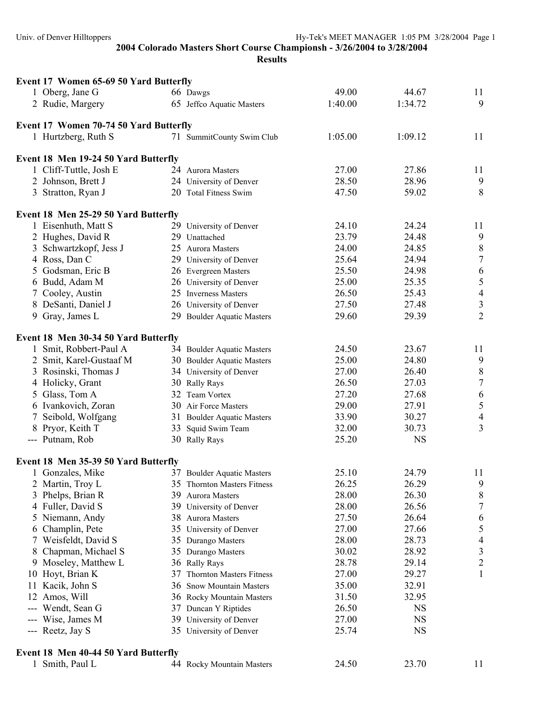|                 | Event 17 Women 65-69 50 Yard Butterfly |                             |         |           |                                       |
|-----------------|----------------------------------------|-----------------------------|---------|-----------|---------------------------------------|
|                 | 1 Oberg, Jane G                        | 66 Dawgs                    | 49.00   | 44.67     | 11                                    |
|                 | 2 Rudie, Margery                       | 65 Jeffco Aquatic Masters   | 1:40.00 | 1:34.72   | 9                                     |
|                 | Event 17 Women 70-74 50 Yard Butterfly |                             |         |           |                                       |
|                 | 1 Hurtzberg, Ruth S                    | 71 SummitCounty Swim Club   | 1:05.00 | 1:09.12   | 11                                    |
|                 | Event 18 Men 19-24 50 Yard Butterfly   |                             |         |           |                                       |
|                 | 1 Cliff-Tuttle, Josh E                 | 24 Aurora Masters           | 27.00   | 27.86     | 11                                    |
|                 | 2 Johnson, Brett J                     | 24 University of Denver     | 28.50   | 28.96     | 9                                     |
|                 | 3 Stratton, Ryan J                     | 20 Total Fitness Swim       | 47.50   | 59.02     | 8                                     |
|                 | Event 18 Men 25-29 50 Yard Butterfly   |                             |         |           |                                       |
|                 | 1 Eisenhuth, Matt S                    | 29 University of Denver     | 24.10   | 24.24     | 11                                    |
|                 | 2 Hughes, David R                      | 29 Unattached               | 23.79   | 24.48     | $\boldsymbol{9}$                      |
|                 | 3 Schwartzkopf, Jess J                 | 25 Aurora Masters           | 24.00   | 24.85     | $\,8\,$                               |
|                 | 4 Ross, Dan C                          | 29 University of Denver     | 25.64   | 24.94     | $\boldsymbol{7}$                      |
|                 | 5 Godsman, Eric B                      | 26 Evergreen Masters        | 25.50   | 24.98     | $\boldsymbol{6}$                      |
|                 | 6 Budd, Adam M                         | 26 University of Denver     | 25.00   | 25.35     | 5                                     |
| $7\phantom{.0}$ | Cooley, Austin                         | 25 Inverness Masters        | 26.50   | 25.43     | $\overline{4}$                        |
|                 | 8 DeSanti, Daniel J                    | 26 University of Denver     | 27.50   | 27.48     | $\mathfrak z$                         |
|                 | 9 Gray, James L                        | 29 Boulder Aquatic Masters  | 29.60   | 29.39     | $\overline{2}$                        |
|                 | Event 18 Men 30-34 50 Yard Butterfly   |                             |         |           |                                       |
|                 | 1 Smit, Robbert-Paul A                 | 34 Boulder Aquatic Masters  | 24.50   | 23.67     | 11                                    |
|                 | 2 Smit, Karel-Gustaaf M                | 30 Boulder Aquatic Masters  | 25.00   | 24.80     | $\boldsymbol{9}$                      |
|                 | 3 Rosinski, Thomas J                   | 34 University of Denver     | 27.00   | 26.40     |                                       |
|                 | 4 Holicky, Grant                       | 30 Rally Rays               | 26.50   | 27.03     | $\begin{array}{c} 8 \\ 7 \end{array}$ |
|                 | 5 Glass, Tom A                         | 32 Team Vortex              | 27.20   | 27.68     | $\boldsymbol{6}$                      |
|                 | 6 Ivankovich, Zoran                    | 30 Air Force Masters        | 29.00   | 27.91     | $\sqrt{5}$                            |
|                 | 7 Seibold, Wolfgang                    | 31 Boulder Aquatic Masters  | 33.90   | 30.27     | $\overline{4}$                        |
|                 | 8 Pryor, Keith T                       | 33 Squid Swim Team          | 32.00   | 30.73     | $\overline{3}$                        |
|                 | --- Putnam, Rob                        | 30 Rally Rays               | 25.20   | <b>NS</b> |                                       |
|                 | Event 18 Men 35-39 50 Yard Butterfly   |                             |         |           |                                       |
|                 | Gonzales, Mike                         | 37 Boulder Aquatic Masters  | 25.10   | 24.79     | 11                                    |
|                 | 2 Martin, Troy L                       | 35 Thornton Masters Fitness | 26.25   | 26.29     | 9                                     |
| 3               | Phelps, Brian R                        | 39 Aurora Masters           | 28.00   | 26.30     | 8                                     |
|                 | 4 Fuller, David S                      | 39 University of Denver     | 28.00   | 26.56     | $\boldsymbol{7}$                      |
|                 | 5 Niemann, Andy                        | 38 Aurora Masters           | 27.50   | 26.64     | 6                                     |
| 6               | Champlin, Pete                         | 35 University of Denver     | 27.00   | 27.66     | 5                                     |
|                 | 7 Weisfeldt, David S                   | 35 Durango Masters          | 28.00   | 28.73     | 4                                     |
| 8               | Chapman, Michael S                     | 35 Durango Masters          | 30.02   | 28.92     | $\mathfrak{Z}$                        |
|                 | 9 Moseley, Matthew L                   | 36 Rally Rays               | 28.78   | 29.14     | $\overline{c}$                        |
|                 | 10 Hoyt, Brian K                       | 37 Thornton Masters Fitness | 27.00   | 29.27     | 1                                     |
|                 | 11 Kacik, John S                       | 36 Snow Mountain Masters    | 35.00   | 32.91     |                                       |
|                 | 12 Amos, Will                          | 36 Rocky Mountain Masters   | 31.50   | 32.95     |                                       |
|                 | --- Wendt, Sean G                      | 37 Duncan Y Riptides        | 26.50   | <b>NS</b> |                                       |
|                 | --- Wise, James M                      | 39 University of Denver     | 27.00   | <b>NS</b> |                                       |
|                 | --- Reetz, Jay S                       | 35 University of Denver     | 25.74   | NS        |                                       |
|                 | Event 18 Men 40-44 50 Yard Butterfly   |                             |         |           |                                       |
|                 | 1 Smith, Paul L                        | 44 Rocky Mountain Masters   | 24.50   | 23.70     | 11                                    |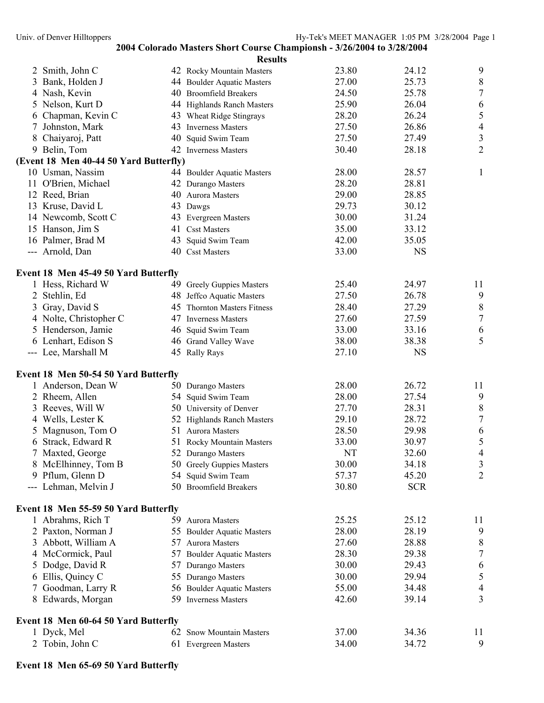|    |                                        | <b>Results</b>                        |                |                |                  |
|----|----------------------------------------|---------------------------------------|----------------|----------------|------------------|
|    | 2 Smith, John C                        | 42 Rocky Mountain Masters             | 23.80          | 24.12          | 9                |
| 3  | Bank, Holden J                         | 44 Boulder Aquatic Masters            | 27.00          | 25.73          | $8\,$            |
|    | 4 Nash, Kevin                          | 40 Broomfield Breakers                | 24.50          | 25.78          | $\boldsymbol{7}$ |
| 5  | Nelson, Kurt D                         | 44 Highlands Ranch Masters            | 25.90          | 26.04          | 6                |
| 6  | Chapman, Kevin C                       | 43 Wheat Ridge Stingrays              | 28.20          | 26.24          | 5                |
| 7  | Johnston, Mark<br>43                   | <b>Inverness Masters</b>              | 27.50          | 26.86          | $\overline{4}$   |
|    | 8 Chaiyaroj, Patt                      | 40 Squid Swim Team                    | 27.50          | 27.49          | $\mathfrak{Z}$   |
|    | 9 Belin, Tom                           | 42 Inverness Masters                  | 30.40          | 28.18          | $\overline{2}$   |
|    | (Event 18 Men 40-44 50 Yard Butterfly) |                                       |                |                |                  |
|    | 10 Usman, Nassim                       | 44 Boulder Aquatic Masters            | 28.00          | 28.57          | $\mathbf{1}$     |
|    | 11 O'Brien, Michael                    | 42 Durango Masters                    | 28.20          | 28.81          |                  |
|    | 12 Reed, Brian                         | 40 Aurora Masters                     | 29.00          | 28.85          |                  |
|    | 13 Kruse, David L                      | 43 Dawgs                              | 29.73          | 30.12          |                  |
|    | 14 Newcomb, Scott C                    | 43 Evergreen Masters                  | 30.00          | 31.24          |                  |
|    | 15 Hanson, Jim S<br>16 Palmer, Brad M  | 41 Csst Masters                       | 35.00<br>42.00 | 33.12<br>35.05 |                  |
|    | --- Arnold, Dan                        | 43 Squid Swim Team<br>40 Csst Masters | 33.00          | <b>NS</b>      |                  |
|    |                                        |                                       |                |                |                  |
|    | Event 18 Men 45-49 50 Yard Butterfly   |                                       |                |                |                  |
|    | 1 Hess, Richard W                      | 49 Greely Guppies Masters             | 25.40          | 24.97          | 11               |
| 2  | Stehlin, Ed                            | 48 Jeffco Aquatic Masters             | 27.50          | 26.78          | $\boldsymbol{9}$ |
| 3  | Gray, David S                          | 45 Thornton Masters Fitness           | 28.40          | 27.29          | $\,$ $\,$        |
|    | 4 Nolte, Christopher C                 | 47 Inverness Masters                  | 27.60          | 27.59          | $\overline{7}$   |
|    | 5 Henderson, Jamie                     | 46 Squid Swim Team                    | 33.00          | 33.16          | 6                |
|    | 6 Lenhart, Edison S                    | 46 Grand Valley Wave                  | 38.00          | 38.38          | 5                |
|    | --- Lee, Marshall M                    | 45 Rally Rays                         | 27.10          | <b>NS</b>      |                  |
|    | Event 18 Men 50-54 50 Yard Butterfly   |                                       |                |                |                  |
|    | 1 Anderson, Dean W                     | 50 Durango Masters                    | 28.00          | 26.72          | 11               |
| 2  | Rheem, Allen                           | 54 Squid Swim Team                    | 28.00          | 27.54          | 9                |
| 3  | Reeves, Will W                         | 50 University of Denver               | 27.70          | 28.31          | $\,8\,$          |
|    | 4 Wells, Lester K                      | 52 Highlands Ranch Masters            | 29.10          | 28.72          | $\overline{7}$   |
| 5  | Magnuson, Tom O                        | 51 Aurora Masters                     | 28.50          | 29.98          | 6                |
|    | 6 Strack, Edward R                     | 51 Rocky Mountain Masters             | 33.00          | 30.97          | 5                |
|    | 7 Maxted, George                       | 52 Durango Masters                    | NT             | 32.60          | $\overline{4}$   |
|    | 8 McElhinney, Tom B                    | 50 Greely Guppies Masters             | 30.00          | 34.18          | $\mathfrak{Z}$   |
|    | 9 Pflum, Glenn D                       | 54 Squid Swim Team                    | 57.37          | 45.20          | $\overline{2}$   |
|    | --- Lehman, Melvin J                   | 50 Broomfield Breakers                | 30.80          | <b>SCR</b>     |                  |
|    | Event 18 Men 55-59 50 Yard Butterfly   |                                       |                |                |                  |
|    | 1 Abrahms, Rich T                      | 59 Aurora Masters                     | 25.25          | 25.12          | 11               |
|    | 2 Paxton, Norman J                     | 55 Boulder Aquatic Masters            | 28.00          | 28.19          | 9                |
| 3  | Abbott, William A                      | 57 Aurora Masters                     | 27.60          | 28.88          | 8                |
|    | 4 McCormick, Paul                      | 57 Boulder Aquatic Masters            | 28.30          | 29.38          | $\sqrt{ }$       |
| 5. | Dodge, David R                         | 57 Durango Masters                    | 30.00          | 29.43          | 6                |
|    | 6 Ellis, Quincy C                      | 55 Durango Masters                    | 30.00          | 29.94          | 5                |
|    | Goodman, Larry R                       | 56 Boulder Aquatic Masters            | 55.00          | 34.48          | $\overline{4}$   |
|    | 8 Edwards, Morgan                      | 59 Inverness Masters                  | 42.60          | 39.14          | 3                |
|    | Event 18 Men 60-64 50 Yard Butterfly   |                                       |                |                |                  |
|    | 1 Dyck, Mel                            | 62 Snow Mountain Masters              | 37.00          | 34.36          | 11               |
|    | 2 Tobin, John C                        | 61 Evergreen Masters                  | 34.00          | 34.72          | 9                |
|    |                                        |                                       |                |                |                  |

# **Event 18 Men 65-69 50 Yard Butterfly**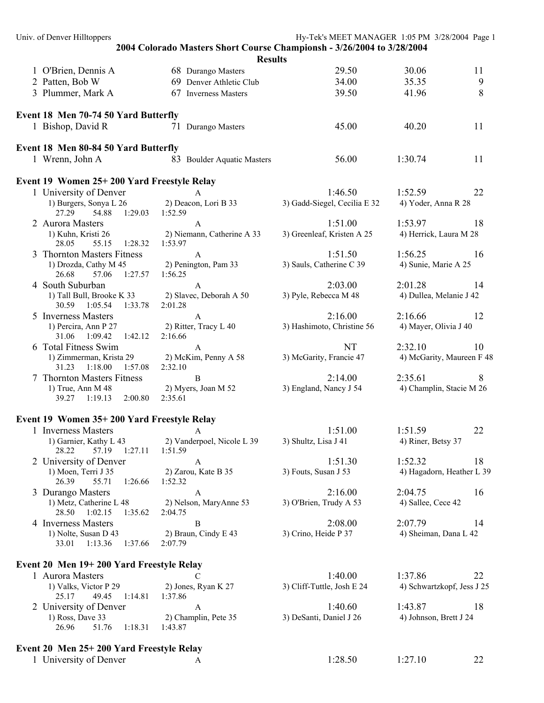| Univ. of Denver Hilltoppers                         |                                                                        | Hy-Tek's MEET MANAGER 1:05 PM 3/28/2004 Page 1 |                            |    |
|-----------------------------------------------------|------------------------------------------------------------------------|------------------------------------------------|----------------------------|----|
|                                                     | 2004 Colorado Masters Short Course Championsh - 3/26/2004 to 3/28/2004 |                                                |                            |    |
|                                                     | <b>Results</b>                                                         |                                                |                            |    |
| 1 O'Brien, Dennis A                                 | 68 Durango Masters                                                     | 29.50                                          | 30.06                      | 11 |
| 2 Patten, Bob W                                     | 69 Denver Athletic Club                                                | 34.00                                          | 35.35                      | 9  |
| 3 Plummer, Mark A                                   | 67 Inverness Masters                                                   | 39.50                                          | 41.96                      | 8  |
| Event 18 Men 70-74 50 Yard Butterfly                |                                                                        |                                                |                            |    |
| 1 Bishop, David R                                   | 71 Durango Masters                                                     | 45.00                                          | 40.20                      | 11 |
| Event 18 Men 80-84 50 Yard Butterfly                |                                                                        |                                                |                            |    |
| 1 Wrenn, John A                                     | 83 Boulder Aquatic Masters                                             | 56.00                                          | 1:30.74                    | 11 |
| Event 19 Women 25+200 Yard Freestyle Relay          |                                                                        |                                                |                            |    |
| 1 University of Denver                              | A                                                                      | 1:46.50                                        | 1:52.59                    | 22 |
| 1) Burgers, Sonya L 26                              | 2) Deacon, Lori B 33                                                   | 3) Gadd-Siegel, Cecilia E 32                   | 4) Yoder, Anna R 28        |    |
| 27.29<br>54.88<br>1:29.03                           | 1:52.59                                                                |                                                |                            |    |
| 2 Aurora Masters                                    | A                                                                      | 1:51.00                                        | 1:53.97                    | 18 |
| 1) Kuhn, Kristi 26<br>28.05<br>55.15<br>1:28.32     | 2) Niemann, Catherine A 33<br>1:53.97                                  | 3) Greenleaf, Kristen A 25                     | 4) Herrick, Laura M 28     |    |
| 3 Thornton Masters Fitness                          | $\mathbf{A}$                                                           | 1:51.50                                        | 1:56.25                    | 16 |
| 1) Drozda, Cathy M 45                               | 2) Penington, Pam 33                                                   | 3) Sauls, Catherine C 39                       | 4) Sunie, Marie A 25       |    |
| 26.68<br>1:27.57<br>57.06<br>4 South Suburban       | 1:56.25<br>$\mathbf{A}$                                                | 2:03.00                                        | 2:01.28                    | 14 |
| 1) Tall Bull, Brooke K 33                           | 2) Slavec, Deborah A 50                                                | 3) Pyle, Rebecca M 48                          | 4) Dullea, Melanie J 42    |    |
| 30.59 1:05.54<br>1:33.78                            | 2:01.28                                                                |                                                |                            |    |
| 5 Inverness Masters                                 | A                                                                      | 2:16.00                                        | 2:16.66                    | 12 |
| 1) Percira, Ann P 27<br>31.06 1:09.42<br>1:42.12    | 2) Ritter, Tracy L 40<br>2:16.66                                       | 3) Hashimoto, Christine 56                     | 4) Mayer, Olivia J 40      |    |
| 6 Total Fitness Swim                                | $\mathsf{A}$                                                           | <b>NT</b>                                      | 2:32.10                    | 10 |
| 1) Zimmerman, Krista 29                             | 2) McKim, Penny A 58                                                   | 3) McGarity, Francie 47                        | 4) McGarity, Maureen F 48  |    |
| 31.23<br>1:18.00<br>1:57.08                         | 2:32.10                                                                |                                                |                            |    |
| 7 Thornton Masters Fitness                          | $\mathbf{B}$                                                           | 2:14.00                                        | 2:35.61                    | 8  |
| 1) True, Ann M 48<br>39.27 1:19.13<br>2:00.80       | 2) Myers, Joan M 52<br>2:35.61                                         | 3) England, Nancy J 54                         | 4) Champlin, Stacie M 26   |    |
|                                                     |                                                                        |                                                |                            |    |
| Event 19 Women 35+200 Yard Freestyle Relay          |                                                                        |                                                |                            |    |
| 1 Inverness Masters                                 |                                                                        | 1:51.00                                        | 1:51.59                    | 22 |
| 1) Garnier, Kathy L 43<br>28.22<br>57.19<br>1:27.11 | 2) Vanderpoel, Nicole L 39                                             | 3) Shultz, Lisa J 41                           | 4) Riner, Betsy 37         |    |
| 2 University of Denver                              | 1:51.59<br>$\mathbf{A}$                                                | 1:51.30                                        | 1:52.32                    | 18 |
| 1) Moen, Terri J 35                                 | 2) Zarou, Kate B 35                                                    | 3) Fouts, Susan J 53                           | 4) Hagadorn, Heather L 39  |    |
| 26.39<br>55.71<br>1:26.66                           | 1:52.32                                                                |                                                |                            |    |
| 3 Durango Masters                                   | A                                                                      | 2:16.00                                        | 2:04.75                    | 16 |
| 1) Metz, Catherine L 48<br>28.50 1:02.15<br>1:35.62 | 2) Nelson, MaryAnne 53<br>2:04.75                                      | 3) O'Brien, Trudy A 53                         | 4) Sallee, Cece 42         |    |
| 4 Inverness Masters                                 | B                                                                      | 2:08.00                                        | 2:07.79                    | 14 |
| 1) Nolte, Susan D 43                                | 2) Braun, Cindy E 43                                                   | 3) Crino, Heide P 37                           | 4) Sheiman, Dana L 42      |    |
| 33.01 1:13.36<br>1:37.66                            | 2:07.79                                                                |                                                |                            |    |
| Event 20 Men 19+200 Yard Freestyle Relay            |                                                                        |                                                |                            |    |
| 1 Aurora Masters                                    |                                                                        | 1:40.00                                        | 1:37.86                    | 22 |
| 1) Valks, Victor P 29                               | 2) Jones, Ryan K 27                                                    | 3) Cliff-Tuttle, Josh E 24                     | 4) Schwartzkopf, Jess J 25 |    |
| 49.45<br>1:14.81<br>25.17                           | 1:37.86                                                                |                                                |                            |    |
| 2 University of Denver                              | A                                                                      | 1:40.60                                        | 1:43.87                    | 18 |
| 1) Ross, Dave 33<br>26.96<br>51.76<br>1:18.31       | 2) Champlin, Pete 35<br>1:43.87                                        | 3) DeSanti, Daniel J 26                        | 4) Johnson, Brett J 24     |    |
|                                                     |                                                                        |                                                |                            |    |
| Event 20 Men 25+200 Yard Freestyle Relay            |                                                                        |                                                |                            |    |
| 1 University of Denver                              | A                                                                      | 1:28.50                                        | 1:27.10                    | 22 |
|                                                     |                                                                        |                                                |                            |    |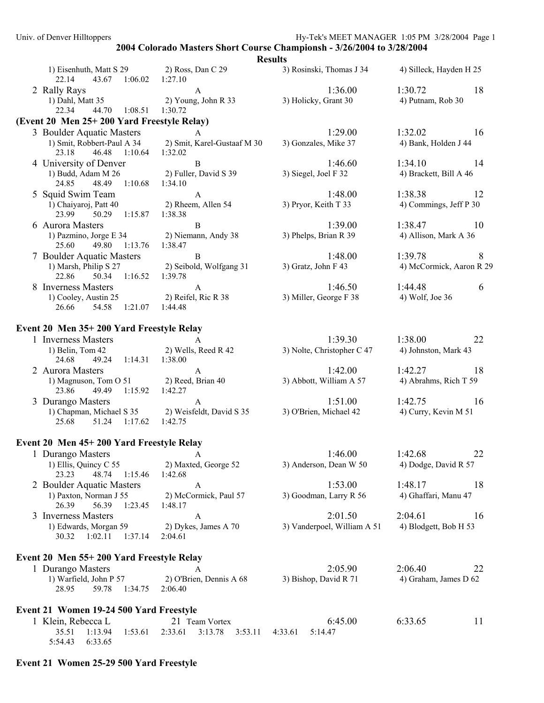|                                                                                      |                                                          | <b>Results</b>                         |                                          |
|--------------------------------------------------------------------------------------|----------------------------------------------------------|----------------------------------------|------------------------------------------|
| 1) Eisenhuth, Matt S 29<br>22.14<br>43.67<br>1:06.02                                 | 2) Ross, Dan C 29<br>1:27.10                             | 3) Rosinski, Thomas J 34               | 4) Silleck, Hayden H 25                  |
| 2 Rally Rays<br>1) Dahl, Matt 35<br>1:08.51<br>22.34<br>44.70                        | A<br>2) Young, John R 33<br>1:30.72                      | 1:36.00<br>3) Holicky, Grant 30        | 1:30.72<br>18<br>4) Putnam, Rob 30       |
| (Event 20 Men 25+200 Yard Freestyle Relay)                                           |                                                          |                                        |                                          |
| 3 Boulder Aquatic Masters<br>1) Smit, Robbert-Paul A 34<br>23.18<br>46.48<br>1:10.64 | $\overline{A}$<br>2) Smit, Karel-Gustaaf M 30<br>1:32.02 | 1:29.00<br>3) Gonzales, Mike 37        | 1:32.02<br>16<br>4) Bank, Holden J 44    |
| 4 University of Denver<br>1) Budd, Adam M 26<br>24.85<br>48.49 1:10.68               | $\, {\bf B}$<br>2) Fuller, David S 39<br>1:34.10         | 1:46.60<br>3) Siegel, Joel F 32        | 1:34.10<br>14<br>4) Brackett, Bill A 46  |
| 5 Squid Swim Team<br>1) Chaiyaroj, Patt 40<br>23.99<br>50.29<br>1:15.87              | $\mathbf{A}$<br>2) Rheem, Allen 54<br>1:38.38            | 1:48.00<br>3) Pryor, Keith T 33        | 1:38.38<br>12<br>4) Commings, Jeff P 30  |
| 6 Aurora Masters<br>1) Pazmino, Jorge E 34<br>49.80<br>1:13.76<br>25.60              | $\, {\bf B}$<br>2) Niemann, Andy 38<br>1:38.47           | 1:39.00<br>3) Phelps, Brian R 39       | 1:38.47<br>10<br>4) Allison, Mark A 36   |
| 7 Boulder Aquatic Masters<br>1) Marsh, Philip S 27<br>50.34 1:16.52<br>22.86         | $\, {\bf B}$<br>2) Seibold, Wolfgang 31<br>1:39.78       | 1:48.00<br>3) Gratz, John F 43         | 1:39.78<br>8<br>4) McCormick, Aaron R 29 |
| 8 Inverness Masters<br>1) Cooley, Austin 25<br>1:21.07  1:44.48<br>26.66<br>54.58    | $\mathbf{A}$<br>2) Reifel, Ric R 38                      | 1:46.50<br>3) Miller, George F 38      | 1:44.48<br>6<br>4) Wolf, Joe 36          |
| Event 20 Men 35+200 Yard Freestyle Relay                                             |                                                          |                                        |                                          |
| 1 Inverness Masters<br>1) Belin, Tom 42<br>24.68<br>1:14.31<br>49.24                 | A<br>2) Wells, Reed R 42<br>1:38.00                      | 1:39.30<br>3) Nolte, Christopher C 47  | 1:38.00<br>22<br>4) Johnston, Mark 43    |
| 2 Aurora Masters<br>1) Magnuson, Tom O 51<br>23.86<br>49.49<br>1:15.92               | $\mathbf{A}$<br>2) Reed, Brian 40<br>1:42.27             | 1:42.00<br>3) Abbott, William A 57     | 1:42.27<br>18<br>4) Abrahms, Rich T 59   |
| 3 Durango Masters<br>1) Chapman, Michael S 35<br>25.68<br>51.24 1:17.62              | $\mathbf{A}$<br>2) Weisfeldt, David S 35<br>1:42.75      | 1:51.00<br>3) O'Brien, Michael 42      | 1:42.75<br>16<br>4) Curry, Kevin M 51    |
| Event 20 Men 45+200 Yard Freestyle Relay                                             |                                                          |                                        |                                          |
| 1 Durango Masters<br>1) Ellis, Quincy C 55<br>23.23<br>48.74<br>1:15.46              | A<br>2) Maxted, George 52<br>1:42.68                     | 1:46.00<br>3) Anderson, Dean W 50      | 1:42.68<br>22<br>4) Dodge, David R 57    |
| 2 Boulder Aquatic Masters<br>1) Paxton, Norman J 55<br>26.39<br>56.39<br>1:23.45     | A<br>2) McCormick, Paul 57<br>1:48.17                    | 1:53.00<br>3) Goodman, Larry R 56      | 1:48.17<br>18<br>4) Ghaffari, Manu 47    |
| 3 Inverness Masters<br>1) Edwards, Morgan 59<br>1:37.14<br>30.32<br>1:02.11          | A<br>2) Dykes, James A 70<br>2:04.61                     | 2:01.50<br>3) Vanderpoel, William A 51 | 2:04.61<br>16<br>4) Blodgett, Bob H 53   |
| Event 20 Men 55+200 Yard Freestyle Relay                                             |                                                          |                                        |                                          |
| 1 Durango Masters<br>1) Warfield, John P 57<br>28.95<br>59.78<br>1:34.75             | A<br>2) O'Brien, Dennis A 68<br>2:06.40                  | 2:05.90<br>3) Bishop, David R 71       | 2:06.40<br>22<br>4) Graham, James D 62   |
| Event 21 Women 19-24 500 Yard Freestyle<br>1 Klein, Rebecca L                        | 21 Team Vortex                                           | 6:45.00                                | 6:33.65<br>11                            |
| 35.51<br>1:13.94<br>1:53.61<br>5:54.43<br>6:33.65                                    | 2:33.61<br>3:13.78<br>3:53.11                            | 5:14.47<br>4:33.61                     |                                          |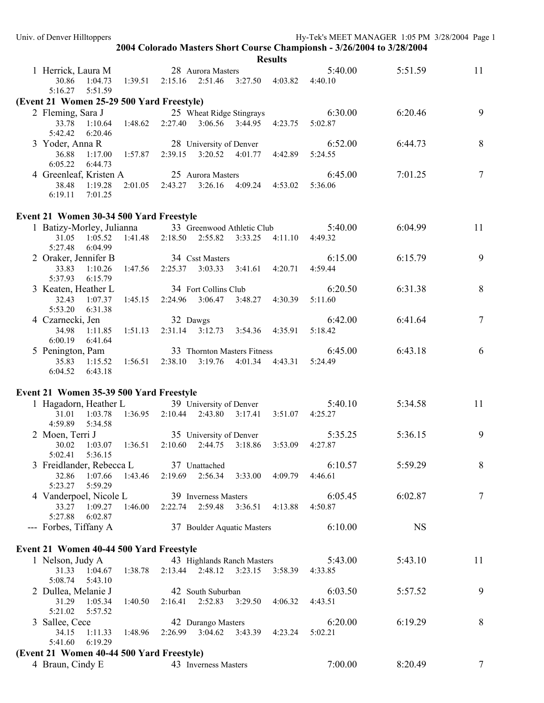|                                                      |         |                                                      |                         |                                 |                 | 2004 Colorado Masters Short Course Championsh - 3/26/2004 to 3/28/2004 |           |                 |
|------------------------------------------------------|---------|------------------------------------------------------|-------------------------|---------------------------------|-----------------|------------------------------------------------------------------------|-----------|-----------------|
|                                                      |         |                                                      |                         |                                 | <b>Results</b>  |                                                                        |           |                 |
| 1 Herrick, Laura M                                   |         |                                                      | 28 Aurora Masters       |                                 |                 | 5:40.00                                                                | 5:51.59   | 11              |
| 30.86 1:04.73                                        |         | 1:39.51  2:15.16  2:51.46  3:27.50  4:03.82  4:40.10 |                         |                                 |                 |                                                                        |           |                 |
| 5:16.27<br>5:51.59                                   |         |                                                      |                         |                                 |                 |                                                                        |           |                 |
| (Event 21 Women 25-29 500 Yard Freestyle)            |         |                                                      |                         |                                 |                 |                                                                        |           |                 |
| 2 Fleming, Sara J                                    |         |                                                      |                         | 25 Wheat Ridge Stingrays        |                 | 6:30.00                                                                | 6:20.46   | 9               |
| 33.78<br>1:10.64                                     | 1:48.62 |                                                      |                         | 2:27.40 3:06.56 3:44.95 4:23.75 |                 | 5:02.87                                                                |           |                 |
| 5:42.42<br>6:20.46                                   |         |                                                      |                         |                                 |                 |                                                                        |           |                 |
| 3 Yoder, Anna R                                      |         |                                                      |                         | 28 University of Denver         |                 | 6:52.00                                                                | 6:44.73   | 8               |
| 36.88<br>1:17.00<br>6:05.22<br>6:44.73               |         | 1:57.87  2:39.15  3:20.52  4:01.77  4:42.89          |                         |                                 |                 | 5:24.55                                                                |           |                 |
| 4 Greenleaf, Kristen A                               |         | 25 Aurora Masters                                    |                         |                                 |                 | 6:45.00                                                                | 7:01.25   | $\tau$          |
| 38.48 1:19.28                                        | 2:01.05 | 2:43.27 3:26.16                                      |                         | 4:09.24 4:53.02                 |                 | 5:36.06                                                                |           |                 |
| 6:19.11<br>7:01.25                                   |         |                                                      |                         |                                 |                 |                                                                        |           |                 |
|                                                      |         |                                                      |                         |                                 |                 |                                                                        |           |                 |
| Event 21 Women 30-34 500 Yard Freestyle              |         |                                                      |                         |                                 |                 |                                                                        |           |                 |
| 1 Batizy-Morley, Julianna 33 Greenwood Athletic Club |         |                                                      |                         |                                 |                 | 5:40.00                                                                | 6:04.99   | 11              |
| 31.05<br>1:05.52                                     | 1:41.48 | $2:18.50$ $2:55.82$                                  |                         | 3:33.25                         | 4:11.10         | 4:49.32                                                                |           |                 |
| 5:27.48<br>6:04.99                                   |         |                                                      |                         |                                 |                 |                                                                        |           |                 |
| 2 Oraker, Jennifer B                                 |         | 34 Csst Masters                                      |                         |                                 |                 | 6:15.00                                                                | 6:15.79   | 9               |
| 33.83<br>1:10.26                                     |         | $1:47.56$ $2:25.37$ $3:03.33$ $3:41.61$ $4:20.71$    |                         |                                 |                 | 4:59.44                                                                |           |                 |
| 5:37.93<br>6:15.79                                   |         |                                                      |                         |                                 |                 |                                                                        |           |                 |
| 3 Keaten, Heather L                                  |         | 34 Fort Collins Club                                 |                         |                                 |                 | 6:20.50                                                                | 6:31.38   | $\,8\,$         |
| 32.43<br>1:07.37                                     |         | $1:45.15$ $2:24.96$ $3:06.47$ $3:48.27$ $4:30.39$    |                         |                                 |                 | 5:11.60                                                                |           |                 |
| 5:53.20<br>6:31.38                                   |         |                                                      |                         |                                 |                 |                                                                        |           |                 |
| 4 Czarnecki, Jen                                     |         | 32 Dawgs                                             |                         |                                 |                 | 6:42.00                                                                | 6:41.64   | $\tau$          |
| 34.98 1:11.85                                        | 1:51.13 |                                                      |                         | 2:31.14 3:12.73 3:54.36 4:35.91 |                 | 5:18.42                                                                |           |                 |
| 6:00.19 6:41.64                                      |         |                                                      |                         |                                 |                 |                                                                        |           |                 |
| 5 Penington, Pam                                     |         |                                                      |                         | 33 Thornton Masters Fitness     |                 | 6:45.00                                                                | 6:43.18   | 6               |
| 35.83 1:15.52<br>6:04.52 6:43.18                     |         | 1:56.51  2:38.10  3:19.76  4:01.34  4:43.31  5:24.49 |                         |                                 |                 |                                                                        |           |                 |
|                                                      |         |                                                      |                         |                                 |                 |                                                                        |           |                 |
| Event 21 Women 35-39 500 Yard Freestyle              |         |                                                      |                         |                                 |                 |                                                                        |           |                 |
| 1 Hagadorn, Heather L 39 University of Denver        |         |                                                      |                         |                                 |                 | 5:40.10                                                                | 5:34.58   | 11              |
| 31.01<br>1:03.78                                     |         | 1:36.95 2:10.44 2:43.80 3:17.41                      |                         |                                 | 3:51.07 4:25.27 |                                                                        |           |                 |
| 4:59.89<br>5:34.58                                   |         |                                                      |                         |                                 |                 |                                                                        |           |                 |
| 2 Moen, Terri J                                      |         |                                                      | 35 University of Denver |                                 |                 | 5:35.25                                                                | 5:36.15   | 9               |
| 1:03.07<br>30.02                                     | 1:36.51 | $2:10.60$ $2:44.75$                                  |                         | 3:18.86                         | 3:53.09         | 4:27.87                                                                |           |                 |
| 5:02.41<br>5:36.15                                   |         |                                                      |                         |                                 |                 |                                                                        |           |                 |
| 3 Freidlander, Rebecca L                             |         |                                                      | 37 Unattached           |                                 |                 | 6:10.57                                                                | 5:59.29   | $\,8\,$         |
| 32.86<br>1:07.66                                     | 1:43.46 | 2:19.69 2:56.34                                      |                         | 3:33.00                         | 4:09.79         | 4:46.61                                                                |           |                 |
| 5:59.29<br>5:23.27                                   |         |                                                      |                         |                                 |                 |                                                                        |           |                 |
| 4 Vanderpoel, Nicole L                               |         |                                                      | 39 Inverness Masters    |                                 |                 | 6:05.45                                                                | 6:02.87   | $7\overline{ }$ |
| 33.27 1:09.27                                        | 1:46.00 | 2:22.74 2:59.48                                      |                         | 3:36.51                         | 4:13.88         | 4:50.87                                                                |           |                 |
| 5:27.88<br>6:02.87                                   |         |                                                      |                         |                                 |                 |                                                                        |           |                 |
| --- Forbes, Tiffany A                                |         |                                                      |                         | 37 Boulder Aquatic Masters      |                 | 6:10.00                                                                | <b>NS</b> |                 |
|                                                      |         |                                                      |                         |                                 |                 |                                                                        |           |                 |
| Event 21 Women 40-44 500 Yard Freestyle              |         |                                                      |                         |                                 |                 |                                                                        |           |                 |
| 1 Nelson, Judy A                                     |         |                                                      |                         | 43 Highlands Ranch Masters      |                 | 5:43.00                                                                | 5:43.10   | 11              |
| 31.33 1:04.67                                        | 1:38.78 |                                                      |                         | 2:13.44 2:48.12 3:23.15 3:58.39 |                 | 4:33.85                                                                |           |                 |
| 5:08.74<br>5:43.10                                   |         |                                                      |                         |                                 |                 |                                                                        |           | 9               |
| 2 Dullea, Melanie J<br>31.29 1:05.34                 |         |                                                      | 42 South Suburban       | 2:16.41 2:52.83 3:29.50 4:06.32 |                 | 6:03.50<br>4:43.51                                                     | 5:57.52   |                 |
| 5:21.02<br>5:57.52                                   | 1:40.50 |                                                      |                         |                                 |                 |                                                                        |           |                 |
| 3 Sallee, Cece                                       |         |                                                      | 42 Durango Masters      |                                 |                 | 6:20.00                                                                | 6:19.29   | 8               |
| 34.15<br>1:11.33                                     | 1:48.96 |                                                      |                         | 2:26.99 3:04.62 3:43.39         | 4:23.24         | 5:02.21                                                                |           |                 |
| 6:19.29<br>5:41.60                                   |         |                                                      |                         |                                 |                 |                                                                        |           |                 |
| (Event 21 Women 40-44 500 Yard Freestyle)            |         |                                                      |                         |                                 |                 |                                                                        |           |                 |
| 4 Braun, Cindy E                                     |         |                                                      | 43 Inverness Masters    |                                 |                 | 7:00.00                                                                | 8:20.49   | $\tau$          |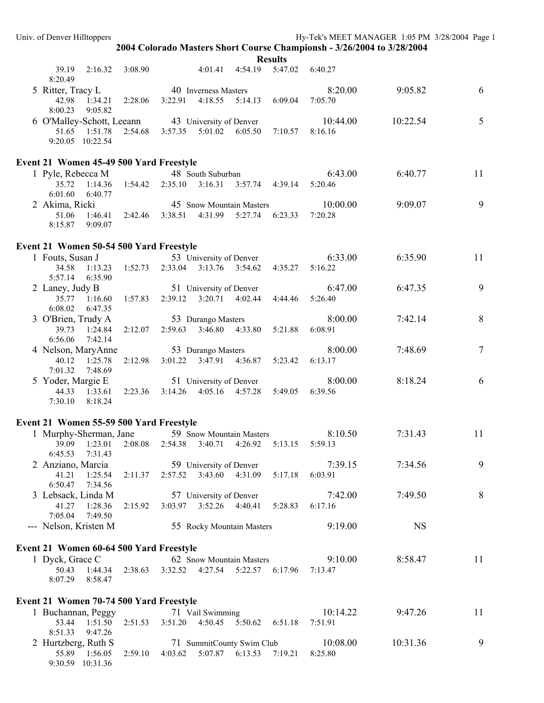9:30.59 10:31.36

**2004 Colorado Masters Short Course Championsh - 3/26/2004 to 3/28/2004** 

|                                                                                              |         |                                             |                                                    |                                 | results                                 |                     |           |                |
|----------------------------------------------------------------------------------------------|---------|---------------------------------------------|----------------------------------------------------|---------------------------------|-----------------------------------------|---------------------|-----------|----------------|
| 39.19<br>2:16.32<br>8:20.49                                                                  | 3:08.90 |                                             |                                                    | 4:01.41 4:54.19                 |                                         | 5:47.02 6:40.27     |           |                |
| 5 Ritter, Tracy L                                                                            |         | 40 Inverness Masters                        |                                                    |                                 |                                         | 8:20.00             | 9:05.82   | 6              |
| 42.98<br>1:34.21  2:28.06  3:22.91  4:18.55  5:14.13  6:09.04  7:05.70<br>8:00.23<br>9:05.82 |         |                                             |                                                    |                                 |                                         |                     |           |                |
| 6 O'Malley-Schott, Leeann                                                                    |         |                                             | 43 University of Denver                            |                                 |                                         | 10:44.00            | 10:22.54  | 5              |
| 51.65 1:51.78 2:54.68 3:57.35 5:01.02 6:05.50 7:10.57                                        |         |                                             |                                                    |                                 |                                         | 8:16.16             |           |                |
| 9:20.05 10:22.54                                                                             |         |                                             |                                                    |                                 |                                         |                     |           |                |
| Event 21 Women 45-49 500 Yard Freestyle                                                      |         |                                             |                                                    |                                 |                                         |                     |           |                |
| 1 Pyle, Rebecca M                                                                            |         |                                             | 48 South Suburban                                  |                                 |                                         | 6:43.00             | 6:40.77   | 11             |
| 35.72<br>1:14.36  1:54.42  2:35.10  3:16.31  3:57.74  4:39.14                                |         |                                             |                                                    |                                 |                                         | 5:20.46             |           |                |
| 6:01.60<br>6:40.77                                                                           |         |                                             |                                                    |                                 |                                         |                     |           | 9              |
| 2 Akima, Ricki<br>$1:46.41$ $2:42.46$ $3:38.51$<br>51.06                                     |         |                                             |                                                    | 45 Snow Mountain Masters        | 4:31.99 5:27.74 6:23.33                 | 10:00.00<br>7:20.28 | 9:09.07   |                |
| 8:15.87 9:09.07                                                                              |         |                                             |                                                    |                                 |                                         |                     |           |                |
| Event 21 Women 50-54 500 Yard Freestyle                                                      |         |                                             |                                                    |                                 |                                         |                     |           |                |
| 1 Fouts, Susan J                                                                             |         |                                             | 53 University of Denver                            |                                 |                                         | 6:33.00             | 6:35.90   | 11             |
| 34.58<br>$1:13.23$ $1:52.73$                                                                 |         |                                             |                                                    |                                 | 2:33.04 3:13.76 3:54.62 4:35.27 5:16.22 |                     |           |                |
| 5:57.14 6:35.90                                                                              |         |                                             |                                                    |                                 |                                         |                     |           |                |
| 2 Laney, Judy B                                                                              |         |                                             | 51 University of Denver                            |                                 |                                         | 6:47.00             | 6:47.35   | 9              |
| 35.77 1:16.60                                                                                |         | 1:57.83  2:39.12  3:20.71  4:02.44  4:44.46 |                                                    |                                 |                                         | 5:26.40             |           |                |
| 6:08.02<br>6:47.35                                                                           |         |                                             |                                                    |                                 |                                         |                     |           |                |
| 3 O'Brien, Trudy A                                                                           |         | 53 Durango Masters                          |                                                    |                                 |                                         | 8:00.00             | 7:42.14   | 8              |
| 39.73<br>1:24.84<br>6:56.06<br>7:42.14                                                       | 2:12.07 |                                             |                                                    | 2:59.63 3:46.80 4:33.80 5:21.88 |                                         | 6:08.91             |           |                |
| 4 Nelson, MaryAnne                                                                           |         | 53 Durango Masters                          |                                                    |                                 |                                         | 8:00.00             | 7:48.69   | $\overline{7}$ |
| 40.12 1:25.78                                                                                | 2:12.98 |                                             |                                                    |                                 | 3:01.22 3:47.91 4:36.87 5:23.42         | 6:13.17             |           |                |
| 7:01.32<br>7:48.69                                                                           |         |                                             |                                                    |                                 |                                         |                     |           |                |
| 5 Yoder, Margie E                                                                            |         |                                             |                                                    | 51 University of Denver         |                                         | 8:00.00             | 8:18.24   | 6              |
| 44.33 1:33.61                                                                                | 2:23.36 | 3:14.26                                     |                                                    | 4:05.16 4:57.28                 | 5:49.05                                 | 6:39.56             |           |                |
| 7:30.10<br>8:18.24                                                                           |         |                                             |                                                    |                                 |                                         |                     |           |                |
| Event 21 Women 55-59 500 Yard Freestyle                                                      |         |                                             |                                                    |                                 |                                         |                     |           |                |
| 1 Murphy-Sherman, Jane 59 Snow Mountain Masters                                              |         |                                             |                                                    |                                 |                                         | 8:10.50             | 7:31.43   | 11             |
| 39.09<br>1:23.01                                                                             | 2:08.08 | 2:54.38                                     | 3:40.71                                            | 4:26.92                         | 5:13.15                                 | 5:59.13             |           |                |
| 6:45.53<br>7:31.43                                                                           |         |                                             |                                                    |                                 |                                         |                     |           |                |
| 2 Anziano, Marcia                                                                            |         |                                             | 59 University of Denver                            |                                 |                                         | 7:39.15             | 7:34.56   | 9              |
| 41.21<br>1:25.54                                                                             | 2:11.37 |                                             | 2:57.52 3:43.60 4:31.09                            |                                 | 5:17.18                                 | 6:03.91             |           |                |
| 6:50.47<br>7:34.56                                                                           |         |                                             |                                                    |                                 |                                         |                     |           |                |
| 3 Lebsack, Linda M<br>41.27<br>1:28.36                                                       | 2:15.92 |                                             | 57 University of Denver<br>3:03.97 3:52.26 4:40.41 |                                 | 5:28.83                                 | 7:42.00<br>6:17.16  | 7:49.50   | $8\,$          |
| 7:05.04<br>7:49.50                                                                           |         |                                             |                                                    |                                 |                                         |                     |           |                |
| --- Nelson, Kristen M                                                                        |         |                                             |                                                    | 55 Rocky Mountain Masters       |                                         | 9:19.00             | <b>NS</b> |                |
| Event 21 Women 60-64 500 Yard Freestyle                                                      |         |                                             |                                                    |                                 |                                         |                     |           |                |
| 1 Dyck, Grace C                                                                              |         |                                             |                                                    | 62 Snow Mountain Masters        |                                         | 9:10.00             | 8:58.47   | 11             |
| 50.43<br>1:44.34                                                                             | 2:38.63 |                                             |                                                    | 3:32.52 4:27.54 5:22.57 6:17.96 |                                         | 7:13.47             |           |                |
| 8:07.29<br>8:58.47                                                                           |         |                                             |                                                    |                                 |                                         |                     |           |                |
| Event 21 Women 70-74 500 Yard Freestyle                                                      |         |                                             |                                                    |                                 |                                         |                     |           |                |
| 1 Buchannan, Peggy                                                                           |         |                                             | 71 Vail Swimming                                   |                                 |                                         | 10:14.22            | 9:47.26   | 11             |
| 53.44<br>1:51.50                                                                             | 2:51.53 | 3:51.20                                     | 4:50.45                                            | 5:50.62                         | 6:51.18                                 | 7:51.91             |           |                |
| 8:51.33<br>9:47.26                                                                           |         |                                             |                                                    |                                 |                                         |                     |           |                |
| 2 Hurtzberg, Ruth S                                                                          |         |                                             |                                                    | 71 SummitCounty Swim Club       |                                         | 10:08.00            | 10:31.36  | 9              |
| 55.89 1:56.05                                                                                | 2:59.10 |                                             | 4:03.62 5:07.87 6:13.53 7:19.21                    |                                 |                                         | 8:25.80             |           |                |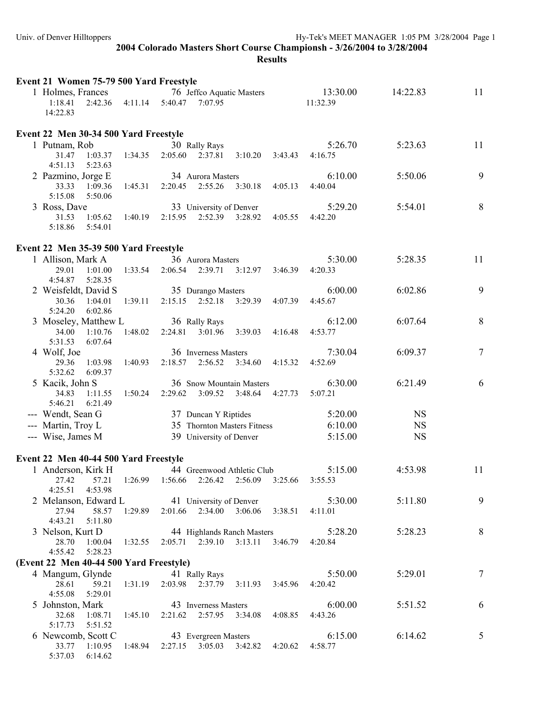| Event 21 Women 75-79 500 Yard Freestyle |                 |                      |                         |                                                               |         |                      |           |        |
|-----------------------------------------|-----------------|----------------------|-------------------------|---------------------------------------------------------------|---------|----------------------|-----------|--------|
| 1 Holmes, Frances<br>1:18.41            | 2:42.36 4:11.14 | 5:40.47              | 7:07.95                 | 76 Jeffco Aquatic Masters                                     |         | 13:30.00<br>11:32.39 | 14:22.83  | 11     |
| 14:22.83                                |                 |                      |                         |                                                               |         |                      |           |        |
| Event 22 Men 30-34 500 Yard Freestyle   |                 |                      |                         |                                                               |         |                      |           |        |
| 1 Putnam, Rob                           |                 |                      | 30 Rally Rays           |                                                               |         | 5:26.70              | 5:23.63   | 11     |
| 31.47<br>1:03.37<br>4:51.13<br>5:23.63  | 1:34.35         |                      | 2:05.60 2:37.81         | 3:10.20                                                       | 3:43.43 | 4:16.75              |           |        |
| 2 Pazmino, Jorge E                      |                 |                      | 34 Aurora Masters       |                                                               |         | 6:10.00              | 5:50.06   | 9      |
| 33.33<br>1:09.36                        | 1:45.31         |                      | 2:20.45 2:55.26         | 3:30.18                                                       | 4:05.13 | 4:40.04              |           |        |
| 5:15.08<br>5:50.06                      |                 |                      |                         |                                                               |         |                      |           |        |
| 3 Ross, Dave                            |                 |                      | 33 University of Denver |                                                               |         | 5:29.20              | 5:54.01   | 8      |
| 31.53<br>1:05.62<br>5:18.86<br>5:54.01  | 1:40.19         | 2:15.95              | 2:52.39 3:28.92         |                                                               | 4:05.55 | 4:42.20              |           |        |
|                                         |                 |                      |                         |                                                               |         |                      |           |        |
| Event 22 Men 35-39 500 Yard Freestyle   |                 |                      |                         |                                                               |         |                      |           |        |
| 1 Allison, Mark A                       |                 |                      | 36 Aurora Masters       |                                                               |         | 5:30.00              | 5:28.35   | 11     |
| 29.01<br>1:01.00                        | 1:33.54         | 2:06.54              | 2:39.71                 | 3:12.97                                                       | 3:46.39 | 4:20.33              |           |        |
| 5:28.35<br>4:54.87                      |                 |                      |                         |                                                               |         |                      |           |        |
| 2 Weisfeldt, David S                    |                 |                      | 35 Durango Masters      |                                                               |         | 6:00.00              | 6:02.86   | 9      |
| 30.36<br>1:04.01                        | 1:39.11         |                      | $2:15.15$ $2:52.18$     | 3:29.39                                                       | 4:07.39 | 4:45.67              |           |        |
| 5:24.20<br>6:02.86                      |                 |                      |                         |                                                               |         |                      |           |        |
| 3 Moseley, Matthew L                    |                 |                      | 36 Rally Rays           |                                                               |         | 6:12.00              | 6:07.64   | 8      |
| 34.00<br>1:10.76                        | 1:48.02         | 2:24.81              | 3:01.96                 | 3:39.03                                                       | 4:16.48 | 4:53.77              |           |        |
| 5:31.53<br>6:07.64                      |                 |                      |                         |                                                               |         |                      |           |        |
| 4 Wolf, Joe                             |                 |                      | 36 Inverness Masters    |                                                               |         | 7:30.04              | 6:09.37   | $\tau$ |
| 29.36<br>1:03.98<br>5:32.62<br>6:09.37  | 1:40.93         |                      | 2:18.57 2:56.52         | 3:34.60                                                       | 4:15.32 | 4:52.69              |           |        |
| 5 Kacik, John S                         |                 |                      |                         | 36 Snow Mountain Masters                                      |         | 6:30.00              | 6:21.49   | 6      |
| 34.83<br>1:11.55                        | 1:50.24         |                      | $2:29.62$ $3:09.52$     | 3:48.64 4:27.73                                               |         | 5:07.21              |           |        |
| 5:46.21<br>6:21.49                      |                 |                      |                         |                                                               |         |                      |           |        |
| --- Wendt, Sean G                       |                 |                      | 37 Duncan Y Riptides    |                                                               |         | 5:20.00              | <b>NS</b> |        |
| --- Martin, Troy L                      |                 |                      |                         | 35 Thornton Masters Fitness                                   |         | 6:10.00              | <b>NS</b> |        |
| --- Wise, James M                       |                 |                      | 39 University of Denver |                                                               |         | 5:15.00              | <b>NS</b> |        |
|                                         |                 |                      |                         |                                                               |         |                      |           |        |
| Event 22 Men 40-44 500 Yard Freestyle   |                 |                      |                         |                                                               |         |                      |           |        |
| 1 Anderson, Kirk H                      |                 |                      |                         | 44 Greenwood Athletic Club                                    |         | 5:15.00              | 4:53.98   | 11     |
| 27.42<br>57.21                          |                 |                      |                         | 1:26.99 1:56.66 2:26.42 2:56.09 3:25.66 3:55.53               |         |                      |           |        |
| 4:25.51<br>4:53.98                      |                 |                      |                         |                                                               |         |                      |           |        |
| 2 Melanson, Edward L                    |                 |                      |                         | 41 University of Denver                                       |         | 5:30.00              | 5:11.80   | 9      |
| 27.94<br>58.57                          | 1:29.89         |                      | 2:01.66 2:34.00 3:06.06 |                                                               | 3:38.51 | 4:11.01              |           |        |
| 4:43.21<br>5:11.80                      |                 |                      |                         |                                                               |         |                      |           |        |
| 3 Nelson, Kurt D                        |                 |                      |                         | 44 Highlands Ranch Masters<br>2:05.71 2:39.10 3:13.11 3:46.79 |         | 5:28.20              | 5:28.23   | 8      |
| 28.70<br>1:00.04<br>4:55.42<br>5:28.23  | 1:32.55         |                      |                         |                                                               |         | 4:20.84              |           |        |
| (Event 22 Men 40-44 500 Yard Freestyle) |                 |                      |                         |                                                               |         |                      |           |        |
| 4 Mangum, Glynde                        |                 |                      | 41 Rally Rays           |                                                               |         | 5:50.00              | 5:29.01   | $\tau$ |
| 59.21<br>28.61                          | 1:31.19         |                      |                         | 2:03.98 2:37.79 3:11.93 3:45.96                               |         | 4:20.42              |           |        |
| 4:55.08<br>5:29.01                      |                 |                      |                         |                                                               |         |                      |           |        |
| 5 Johnston, Mark                        |                 |                      | 43 Inverness Masters    |                                                               |         | 6:00.00              | 5:51.52   | 6      |
| 32.68 1:08.71                           | 1:45.10         |                      |                         | 2:21.62 2:57.95 3:34.08 4:08.85                               |         | 4:43.26              |           |        |
| 5:17.73<br>5:51.52                      |                 |                      |                         |                                                               |         |                      |           |        |
| 6 Newcomb, Scott C                      |                 | 43 Evergreen Masters |                         |                                                               |         | 6:15.00              | 6:14.62   | 5      |
| 33.77 1:10.95                           | 1:48.94         |                      |                         | 2:27.15 3:05.03 3:42.82                                       | 4:20.62 | 4:58.77              |           |        |
| 5:37.03 6:14.62                         |                 |                      |                         |                                                               |         |                      |           |        |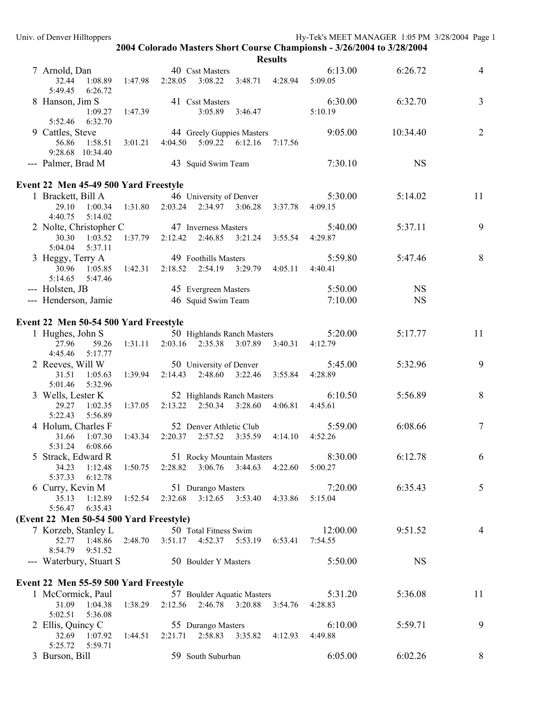| Results |
|---------|
|---------|

|                                                                             |         |                                                                          | results                         |                    |           |                |
|-----------------------------------------------------------------------------|---------|--------------------------------------------------------------------------|---------------------------------|--------------------|-----------|----------------|
| 7 Arnold, Dan<br>32.44<br>1:08.89 1:47.98 2:28.05<br>5:49.45<br>6:26.72     |         | 40 Csst Masters                                                          | 3:08.22 3:48.71 4:28.94 5:09.05 | 6:13.00            | 6:26.72   | $\overline{4}$ |
| 8 Hanson, Jim S<br>1:09.27                                                  | 1:47.39 | 41 Csst Masters<br>3:05.89 3:46.47                                       |                                 | 6:30.00<br>5:10.19 | 6:32.70   | $\mathfrak{Z}$ |
| 6:32.70<br>5:52.46<br>9 Cattles, Steve<br>56.86 1:58.51<br>9:28.68 10:34.40 |         | 44 Greely Guppies Masters<br>3:01.21  4:04.50  5:09.22  6:12.16  7:17.56 |                                 | 9:05.00            | 10:34.40  | $\overline{2}$ |
| --- Palmer, Brad M                                                          |         | 43 Squid Swim Team                                                       |                                 | 7:30.10            | <b>NS</b> |                |
| Event 22 Men 45-49 500 Yard Freestyle                                       |         |                                                                          |                                 |                    |           |                |
| 1 Brackett, Bill A                                                          |         | 46 University of Denver                                                  |                                 | 5:30.00            | 5:14.02   | 11             |
| 29.10<br>4:40.75<br>5:14.02                                                 |         | $1:00.34$ $1:31.80$ $2:03.24$ $2:34.97$ $3:06.28$ $3:37.78$              |                                 | 4:09.15            |           |                |
| 2 Nolte, Christopher C                                                      |         | 47 Inverness Masters                                                     |                                 | 5:40.00            | 5:37.11   | 9              |
| 30.30<br>1:03.52<br>5:37.11<br>5:04.04                                      |         | $1:37.79$ $2:12.42$ $2:46.85$                                            | 3:21.24<br>3:55.54              | 4:29.87            |           |                |
| 3 Heggy, Terry A                                                            |         | 49 Foothills Masters                                                     |                                 | 5:59.80            | 5:47.46   | 8              |
| 30.96<br>5:14.65<br>5:47.46                                                 |         | 1:05.85 1:42.31 2:18.52 2:54.19 3:29.79 4:05.11                          |                                 | 4:40.41            |           |                |
| --- Holsten, JB                                                             |         | 45 Evergreen Masters                                                     |                                 | 5:50.00            | <b>NS</b> |                |
| --- Henderson, Jamie                                                        |         | 46 Squid Swim Team                                                       |                                 | 7:10.00            | <b>NS</b> |                |
| Event 22 Men 50-54 500 Yard Freestyle                                       |         |                                                                          |                                 |                    |           |                |
| 1 Hughes, John S                                                            |         | 50 Highlands Ranch Masters                                               |                                 | 5:20.00            | 5:17.77   | 11             |
| 27.96<br>59.26<br>4:45.46<br>5:17.77                                        |         | 1:31.11 2:03.16 2:35.38 3:07.89 3:40.31                                  |                                 | 4:12.79            |           |                |
| 2 Reeves, Will W                                                            |         | 50 University of Denver                                                  |                                 | 5:45.00            | 5:32.96   | 9              |
| 1:05.63<br>31.51<br>5:01.46<br>5:32.96                                      |         | 1:39.94 2:14.43 2:48.60 3:22.46                                          | 3:55.84                         | 4:28.89            |           |                |
| 3 Wells, Lester K                                                           |         | 52 Highlands Ranch Masters                                               |                                 | 6:10.50            | 5:56.89   | $8\,$          |
| 29.27<br>1:02.35<br>5:22.43<br>5:56.89                                      | 1:37.05 | $2:13.22$ $2:50.34$ $3:28.60$                                            | 4:06.81                         | 4:45.61            |           |                |
| 4 Holum, Charles F                                                          |         | 52 Denver Athletic Club                                                  |                                 | 5:59.00            | 6:08.66   | $\overline{7}$ |
| 1:07.30<br>31.66<br>5:31.24<br>6:08.66                                      | 1:43.34 | 2:20.37 2:57.52 3:35.59 4:14.10                                          |                                 | 4:52.26            |           |                |
| 5 Strack, Edward R                                                          |         | 51 Rocky Mountain Masters                                                |                                 | 8:30.00            | 6:12.78   | 6              |
| 34.23<br>1:12.48<br>5:37.33<br>6:12.78                                      |         | $1:50.75$ $2:28.82$ $3:06.76$ $3:44.63$ $4:22.60$                        |                                 | 5:00.27            |           |                |
| 6 Curry, Kevin M                                                            |         | 51 Durango Masters                                                       |                                 | 7:20.00            | 6:35.43   | 5              |
| 35.13<br>5:56.47<br>6:35.43                                                 |         | 1:12.89  1:52.54  2:32.68  3:12.65  3:53.40  4:33.86                     |                                 | 5:15.04            |           |                |
| (Event 22 Men 50-54 500 Yard Freestyle)                                     |         |                                                                          |                                 |                    |           |                |
| 7 Korzeb, Stanley L                                                         |         | 50 Total Fitness Swim                                                    |                                 | 12:00.00           | 9:51.52   | $\overline{4}$ |
| 52.77<br>8:54.79<br>9:51.52                                                 |         | 1:48.86 2:48.70 3:51.17 4:52.37 5:53.19                                  | 6:53.41                         | 7:54.55            |           |                |
| --- Waterbury, Stuart S                                                     |         | 50 Boulder Y Masters                                                     |                                 | 5:50.00            | <b>NS</b> |                |
| Event 22 Men 55-59 500 Yard Freestyle                                       |         |                                                                          |                                 |                    |           |                |
| 1 McCormick, Paul                                                           |         | 57 Boulder Aquatic Masters                                               |                                 | 5:31.20            | 5:36.08   | 11             |
| 31.09<br>1:04.38<br>5:02.51<br>5:36.08                                      |         | 1:38.29  2:12.56  2:46.78  3:20.88  3:54.76                              |                                 | 4:28.83            |           |                |
| 2 Ellis, Quincy C<br>32.69<br>1:07.92<br>5:25.72   5:59.71                  |         | 55 Durango Masters<br>1:44.51  2:21.71  2:58.83  3:35.82  4:12.93        |                                 | 6:10.00<br>4:49.88 | 5:59.71   | 9              |
| 3 Burson, Bill                                                              |         | 59 South Suburban                                                        |                                 | 6:05.00            | 6:02.26   | 8              |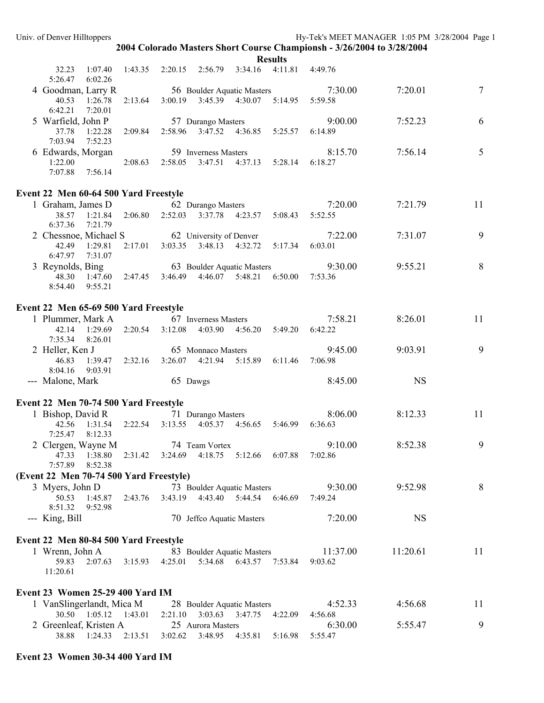**Results** 

|                                                                                        |         |                                         |                      |                                         | results                                         |          |           |        |
|----------------------------------------------------------------------------------------|---------|-----------------------------------------|----------------------|-----------------------------------------|-------------------------------------------------|----------|-----------|--------|
| 32.23<br>1:07.40<br>5:26.47<br>6:02.26                                                 |         | $1:43.35$ $2:20.15$ $2:56.79$ $3:34.16$ |                      |                                         | 4:11.81 4:49.76                                 |          |           |        |
| 4 Goodman, Larry R                                                                     |         |                                         |                      | 56 Boulder Aquatic Masters              |                                                 | 7:30.00  | 7:20.01   | $\tau$ |
| 40.53<br>1:26.78<br>6:42.21<br>7:20.01                                                 |         |                                         |                      |                                         | 2:13.64 3:00.19 3:45.39 4:30.07 5:14.95 5:59.58 |          |           |        |
| 5 Warfield, John P                                                                     |         |                                         | 57 Durango Masters   |                                         |                                                 | 9:00.00  | 7:52.23   | 6      |
| 37.78<br>1:22.28<br>7:03.94<br>7:52.23                                                 |         |                                         |                      |                                         | 2:09.84 2:58.96 3:47.52 4:36.85 5:25.57         | 6:14.89  |           |        |
| 6 Edwards, Morgan                                                                      |         |                                         | 59 Inverness Masters |                                         |                                                 | 8:15.70  | 7:56.14   | 5      |
| 1:22.00<br>7:07.88<br>7:56.14                                                          |         | $2:08.63$ $2:58.05$                     | 3:47.51              |                                         | 4:37.13   5:28.14                               | 6:18.27  |           |        |
| Event 22 Men 60-64 500 Yard Freestyle                                                  |         |                                         |                      |                                         |                                                 |          |           |        |
| 1 Graham, James D                                                                      |         |                                         | 62 Durango Masters   |                                         |                                                 | 7:20.00  | 7:21.79   | 11     |
| 38.57<br>1:21.84<br>6:37.36<br>7:21.79                                                 |         |                                         |                      | 2:06.80 2:52.03 3:37.78 4:23.57 5:08.43 |                                                 | 5:52.55  |           |        |
| 2 Chessnoe, Michael S                                                                  |         | 62 University of Denver                 |                      |                                         |                                                 | 7:22.00  | 7:31.07   | 9      |
| 42.49<br>1:29.81<br>6:47.97<br>7:31.07                                                 | 2:17.01 |                                         |                      |                                         | 3:03.35 3:48.13 4:32.72 5:17.34                 | 6:03.01  |           |        |
| 3 Reynolds, Bing                                                                       |         |                                         |                      | 63 Boulder Aquatic Masters              |                                                 | 9:30.00  | 9:55.21   | $8\,$  |
| 48.30 1:47.60 2:47.45 3:46.49 4:46.07 5:48.21 6:50.00<br>9:55.21<br>8:54.40            |         |                                         |                      |                                         |                                                 | 7:53.36  |           |        |
| Event 22 Men 65-69 500 Yard Freestyle                                                  |         |                                         |                      |                                         |                                                 |          |           |        |
| 1 Plummer, Mark A                                                                      |         | 67 Inverness Masters                    |                      |                                         |                                                 | 7:58.21  | 8:26.01   | 11     |
| 42.14 1:29.69<br>7:35.34<br>8:26.01                                                    |         | $2:20.54$ $3:12.08$                     |                      |                                         | 4:03.90 4:56.20 5:49.20 6:42.22                 |          |           |        |
| 2 Heller, Ken J                                                                        |         | 65 Monnaco Masters                      |                      |                                         |                                                 | 9:45.00  | 9:03.91   | 9      |
| 1:39.47 2:32.16 3:26.07 4:21.94<br>46.83<br>9:03.91<br>8:04.16                         |         |                                         |                      |                                         | 5:15.89 6:11.46                                 | 7:06.98  |           |        |
| --- Malone, Mark                                                                       |         | 65 Dawgs                                |                      |                                         |                                                 | 8:45.00  | <b>NS</b> |        |
| Event 22 Men 70-74 500 Yard Freestyle                                                  |         |                                         |                      |                                         |                                                 |          |           |        |
| 1 Bishop, David R                                                                      |         |                                         | 71 Durango Masters   |                                         |                                                 | 8:06.00  | 8:12.33   | 11     |
| 1:31.54 2:22.54 3:13.55 4:05.37 4:56.65 5:46.99 6:36.63<br>42.56<br>7:25.47<br>8:12.33 |         |                                         |                      |                                         |                                                 |          |           |        |
| 2 Clergen, Wayne M 74 Team Vortex                                                      |         |                                         |                      |                                         |                                                 | 9:10.00  | 8:52.38   | 9      |
| 47.33 1:38.80 2:31.42 3:24.69 4:18.75 5:12.66 6:07.88<br>7:57.89 8:52.38               |         |                                         |                      |                                         |                                                 | 7:02.86  |           |        |
| (Event 22 Men 70-74 500 Yard Freestyle)                                                |         |                                         |                      |                                         |                                                 |          |           |        |
| 3 Myers, John D                                                                        |         |                                         |                      | 73 Boulder Aquatic Masters              |                                                 | 9:30.00  | 9:52.98   | 8      |
| 50.53<br>1:45.87<br>8:51.32<br>9:52.98                                                 | 2:43.76 | 3:43.19                                 |                      | 4:43.40   5:44.54                       | 6:46.69                                         | 7:49.24  |           |        |
| --- King, Bill                                                                         |         |                                         |                      | 70 Jeffco Aquatic Masters               |                                                 | 7:20.00  | <b>NS</b> |        |
| Event 22 Men 80-84 500 Yard Freestyle                                                  |         |                                         |                      |                                         |                                                 |          |           |        |
| 1 Wrenn, John A                                                                        |         |                                         |                      | 83 Boulder Aquatic Masters              |                                                 | 11:37.00 | 11:20.61  | 11     |
| 59.83<br>2:07.63<br>11:20.61                                                           | 3:15.93 | 4:25.01                                 |                      | 5:34.68 6:43.57                         | 7:53.84                                         | 9:03.62  |           |        |
| <b>Event 23 Women 25-29 400 Yard IM</b>                                                |         |                                         |                      |                                         |                                                 |          |           |        |
| 1 VanSlingerlandt, Mica M                                                              |         |                                         |                      | 28 Boulder Aquatic Masters              |                                                 | 4:52.33  | 4:56.68   | 11     |
| 30.50  1:05.12  1:43.01                                                                |         | 2:21.10                                 | 3:03.63 3:47.75      |                                         | 4:22.09                                         | 4:56.68  |           |        |
| 2 Greenleaf, Kristen A                                                                 |         |                                         | 25 Aurora Masters    |                                         |                                                 | 6:30.00  | 5:55.47   | 9      |
| 38.88<br>1:24.33                                                                       | 2:13.51 | 3:02.62                                 | 3:48.95              | 4:35.81                                 | 5:16.98                                         | 5:55.47  |           |        |

# **Event 23 Women 30-34 400 Yard IM**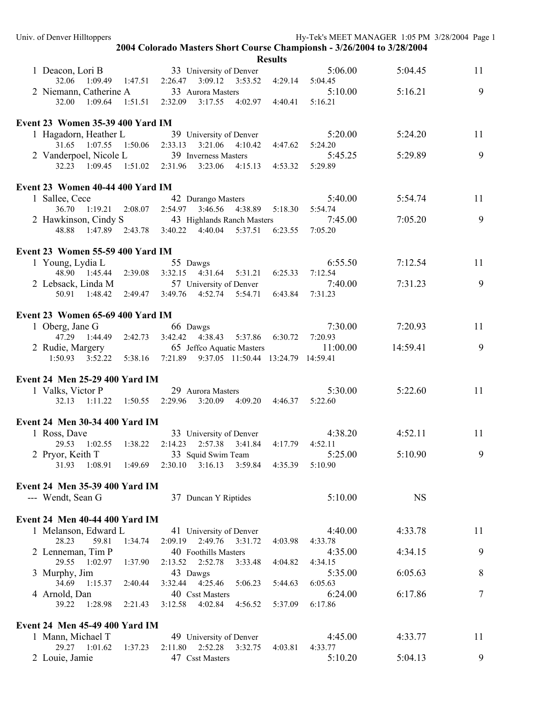| Univ. of Denver Hilltoppers                |         |                                                                        |                               |                 |                    | Hy-Tek's MEET MANAGER 1:05 PM 3/28/2004 Page 1 |    |
|--------------------------------------------|---------|------------------------------------------------------------------------|-------------------------------|-----------------|--------------------|------------------------------------------------|----|
|                                            |         | 2004 Colorado Masters Short Course Championsh - 3/26/2004 to 3/28/2004 |                               |                 |                    |                                                |    |
|                                            |         |                                                                        |                               | <b>Results</b>  |                    |                                                |    |
| 1 Deacon, Lori B                           |         | 33 University of Denver                                                |                               |                 | 5:06.00            | 5:04.45                                        | 11 |
| 32.06 1:09.49                              | 1:47.51 | 2:26.47                                                                | $3:09.12$ $3:53.52$ $4:29.14$ |                 | 5:04.45            |                                                |    |
| 2 Niemann, Catherine A                     |         | 33 Aurora Masters                                                      |                               |                 | 5:10.00            | 5:16.21                                        | 9  |
| 32.00<br>1:09.64                           | 1:51.51 | 2:32.09<br>3:17.55                                                     |                               | 4:02.97 4:40.41 | 5:16.21            |                                                |    |
| <b>Event 23 Women 35-39 400 Yard IM</b>    |         |                                                                        |                               |                 |                    |                                                |    |
|                                            |         |                                                                        |                               |                 |                    |                                                |    |
| 1 Hagadorn, Heather L                      |         | 39 University of Denver                                                |                               |                 | 5:20.00            | 5:24.20                                        | 11 |
| 31.65 1:07.55 1:50.06                      |         | $2:33.13$ $3:21.06$                                                    | 4:10.42                       | 4:47.62         | 5:24.20<br>5:45.25 | 5:29.89                                        | 9  |
| 2 Vanderpoel, Nicole L                     |         | 39 Inverness Masters<br>32.23 1:09.45 1:51.02 2:31.96 3:23.06          |                               | 4:53.32         | 5:29.89            |                                                |    |
|                                            |         |                                                                        | 4:15.13                       |                 |                    |                                                |    |
| Event 23 Women 40-44 400 Yard IM           |         |                                                                        |                               |                 |                    |                                                |    |
| 1 Sallee, Cece                             |         | 42 Durango Masters                                                     |                               |                 | 5:40.00            | 5:54.74                                        | 11 |
| 36.70 1:19.21 2:08.07                      |         | 2:54.97 3:46.56                                                        | 4:38.89                       | 5:18.30         | 5:54.74            |                                                |    |
| 2 Hawkinson, Cindy S                       |         | 43 Highlands Ranch Masters                                             |                               |                 | 7:45.00            | 7:05.20                                        | 9  |
| 48.88                                      |         | $1:47.89$ $2:43.78$ $3:40.22$ $4:40.04$                                | 5:37.51                       | 6:23.55         | 7:05.20            |                                                |    |
|                                            |         |                                                                        |                               |                 |                    |                                                |    |
| Event 23 Women 55-59 400 Yard IM           |         |                                                                        |                               |                 |                    |                                                |    |
| 1 Young, Lydia L                           |         | 55 Dawgs                                                               |                               |                 | 6:55.50            | 7:12.54                                        | 11 |
| 48.90 1:45.44 2:39.08                      |         | 3:32.15 4:31.64                                                        | 5:31.21                       | 6:25.33         | 7:12.54            |                                                |    |
| 2 Lebsack, Linda M                         |         | 57 University of Denver                                                |                               |                 | 7:40.00            | 7:31.23                                        | 9  |
|                                            |         | 50.91  1:48.42  2:49.47  3:49.76  4:52.74  5:54.71                     |                               | 6:43.84         | 7:31.23            |                                                |    |
|                                            |         |                                                                        |                               |                 |                    |                                                |    |
| Event 23 Women 65-69 400 Yard IM           |         |                                                                        |                               |                 |                    |                                                |    |
| 1 Oberg, Jane G                            |         | 66 Dawgs                                                               |                               |                 | 7:30.00            | 7:20.93                                        | 11 |
| 47.29 1:44.49 2:42.73                      |         | 3:42.42 4:38.43                                                        | 5:37.86                       | 6:30.72         | 7:20.93            |                                                |    |
| 2 Rudie, Margery 65 Jeffeo Aquatic Masters |         |                                                                        |                               |                 | 11:00.00           | 14:59.41                                       | 9  |
|                                            |         | 1:50.93 3:52.22 5:38.16 7:21.89 9:37.05 11:50.44 13:24.79 14:59.41     |                               |                 |                    |                                                |    |
|                                            |         |                                                                        |                               |                 |                    |                                                |    |
| Event 24 Men 25-29 400 Yard IM             |         |                                                                        |                               |                 |                    |                                                |    |
| 1 Valks, Victor P                          |         | 29 Aurora Masters                                                      |                               |                 | 5:30.00            | 5:22.60                                        | 11 |
| 32.13 1:11.22 1:50.55 2:29.96              |         | 3:20.09                                                                |                               | 4:09.20 4:46.37 | 5:22.60            |                                                |    |
|                                            |         |                                                                        |                               |                 |                    |                                                |    |
| <b>Event 24 Men 30-34 400 Yard IM</b>      |         |                                                                        |                               |                 |                    |                                                |    |
| 1 Ross, Dave                               |         | 33 University of Denver                                                |                               |                 | 4:38.20            | 4:52.11                                        | 11 |
| 29.53<br>1:02.55                           | 1:38.22 | 2:14.23<br>2:57.38                                                     | 3:41.84                       | 4:17.79         | 4:52.11            |                                                |    |
| 2 Pryor, Keith T                           |         | 33 Squid Swim Team                                                     |                               |                 | 5:25.00            | 5:10.90                                        | 9  |
| 31.93<br>1:08.91                           | 1:49.69 | $2:30.10$ $3:16.13$                                                    | 3:59.84                       | 4:35.39         | 5:10.90            |                                                |    |
|                                            |         |                                                                        |                               |                 |                    |                                                |    |
| Event 24 Men 35-39 400 Yard IM             |         |                                                                        |                               |                 |                    |                                                |    |
| --- Wendt, Sean G                          |         | 37 Duncan Y Riptides                                                   |                               |                 | 5:10.00            | <b>NS</b>                                      |    |
| Event 24 Men 40-44 400 Yard IM             |         |                                                                        |                               |                 |                    |                                                |    |
| 1 Melanson, Edward L                       |         |                                                                        |                               |                 | 4:40.00            | 4:33.78                                        | 11 |
| 28.23<br>59.81                             | 1:34.74 | 41 University of Denver<br>2:09.19                                     | 2:49.76 3:31.72               | 4:03.98         | 4:33.78            |                                                |    |
|                                            |         | 40 Foothills Masters                                                   |                               |                 | 4:35.00            | 4:34.15                                        | 9  |
| 2 Lenneman, Tim P<br>29.55<br>1:02.97      | 1:37.90 | 2:13.52<br>2:52.78                                                     |                               |                 | 4:34.15            |                                                |    |
|                                            |         |                                                                        | 3:33.48                       | 4:04.82         |                    |                                                |    |
| 3 Murphy, Jim<br>34.69<br>1:15.37          | 2:40.44 | 43 Dawgs<br>3:32.44 4:25.46                                            |                               |                 | 5:35.00<br>6:05.63 | 6:05.63                                        | 8  |
|                                            |         |                                                                        | 5:06.23                       | 5:44.63         |                    |                                                | 7  |
| 4 Arnold, Dan<br>1:28.98<br>39.22          |         | 40 Csst Masters<br>4:02.84                                             |                               |                 | 6:24.00<br>6:17.86 | 6:17.86                                        |    |
|                                            | 2:21.43 | 3:12.58                                                                | 4:56.52                       | 5:37.09         |                    |                                                |    |
| Event 24 Men 45-49 400 Yard IM             |         |                                                                        |                               |                 |                    |                                                |    |
| 1 Mann, Michael T                          |         | 49 University of Denver                                                |                               |                 | 4:45.00            | 4:33.77                                        | 11 |
| 29.27 1:01.62                              | 1:37.23 | 2:11.80<br>2:52.28                                                     | 3:32.75                       | 4:03.81         | 4:33.77            |                                                |    |
| 2 Louie, Jamie                             |         | 47 Csst Masters                                                        |                               |                 | 5:10.20            | 5:04.13                                        | 9  |
|                                            |         |                                                                        |                               |                 |                    |                                                |    |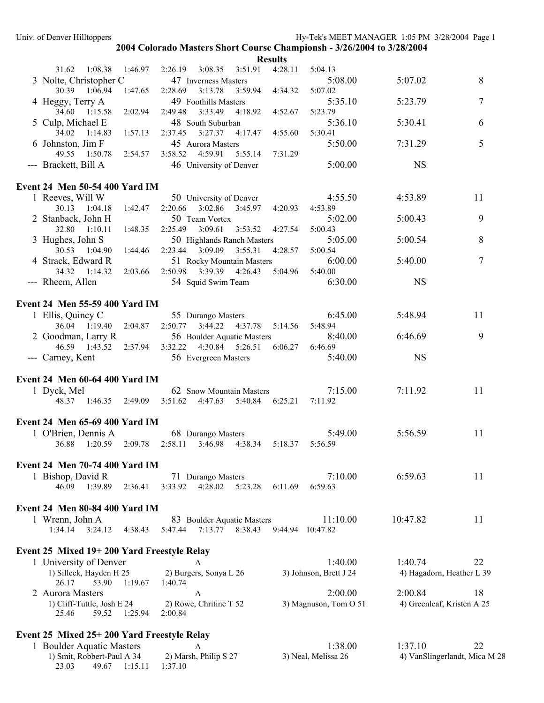23.03 49.67 1:15.11 1:37.10

|                                              |         |                                                       |                         | <b>Results</b> |                        |                            |                               |
|----------------------------------------------|---------|-------------------------------------------------------|-------------------------|----------------|------------------------|----------------------------|-------------------------------|
| 31.62<br>1:08.38                             | 1:46.97 | 2:26.19<br>3:08.35                                    | 3:51.91                 | 4:28.11        | 5:04.13                |                            |                               |
| 3 Nolte, Christopher C                       |         | 47 Inverness Masters                                  |                         |                | 5:08.00                | 5:07.02                    | 8                             |
| 30.39 1:06.94                                | 1:47.65 | 2:28.69<br>3:13.78                                    | 3:59.94                 | 4:34.32        | 5:07.02                |                            |                               |
| 4 Heggy, Terry A                             |         | 49 Foothills Masters                                  |                         |                | 5:35.10                | 5:23.79                    | $\tau$                        |
| 34.60 1:15.58                                | 2:02.94 | 2:49.48<br>3:33.49                                    | 4:18.92                 | 4:52.67        | 5:23.79                |                            |                               |
| 5 Culp, Michael E                            |         | 48 South Suburban                                     |                         |                | 5:36.10                | 5:30.41                    | 6                             |
| 34.02<br>1:14.83                             | 1:57.13 | 2:37.45<br>3:27.37                                    | 4:17.47                 | 4:55.60        | 5:30.41                |                            |                               |
| 6 Johnston, Jim F                            |         | 45 Aurora Masters                                     |                         |                | 5:50.00                | 7:31.29                    | 5                             |
| 49.55 1:50.78                                | 2:54.57 | 3:58.52 4:59.91                                       | 5:55.14                 | 7:31.29        |                        |                            |                               |
| --- Brackett, Bill A                         |         | 46 University of Denver                               |                         |                | 5:00.00                | <b>NS</b>                  |                               |
|                                              |         |                                                       |                         |                |                        |                            |                               |
| <b>Event 24 Men 50-54 400 Yard IM</b>        |         |                                                       |                         |                |                        |                            |                               |
| 1 Reeves, Will W                             |         | 50 University of Denver                               |                         |                | 4:55.50                | 4:53.89                    | 11                            |
| 30.13 1:04.18                                | 1:42.47 | 2:20.66                                               | 3:02.86 3:45.97         | 4:20.93        | 4:53.89                |                            |                               |
| 2 Stanback, John H                           |         | 50 Team Vortex                                        | 3:53.52                 |                | 5:02.00                | 5:00.43                    | 9                             |
| 32.80 1:10.11                                | 1:48.35 | 2:25.49<br>3:09.61                                    |                         | 4:27.54        | 5:00.43                | 5:00.54                    | 8                             |
| 3 Hughes, John S<br>30.53 1:04.90            | 1:44.46 | 50 Highlands Ranch Masters<br>2:23.44 3:09.09 3:55.31 |                         | 4:28.57        | 5:05.00<br>5:00.54     |                            |                               |
| 4 Strack, Edward R                           |         | 51 Rocky Mountain Masters                             |                         |                | 6:00.00                | 5:40.00                    | $\tau$                        |
| 34.32 1:14.32                                | 2:03.66 | 2:50.98 3:39.39 4:26.43                               |                         | 5:04.96        | 5:40.00                |                            |                               |
| --- Rheem, Allen                             |         | 54 Squid Swim Team                                    |                         |                | 6:30.00                | <b>NS</b>                  |                               |
|                                              |         |                                                       |                         |                |                        |                            |                               |
| Event 24 Men 55-59 400 Yard IM               |         |                                                       |                         |                |                        |                            |                               |
| 1 Ellis, Quincy C                            |         | 55 Durango Masters                                    |                         |                | 6:45.00                | 5:48.94                    | 11                            |
| 36.04 1:19.40                                | 2:04.87 | 2:50.77 3:44.22 4:37.78 5:14.56                       |                         |                | 5:48.94                |                            |                               |
| 2 Goodman, Larry R                           |         | 56 Boulder Aquatic Masters                            |                         |                | 8:40.00                | 6:46.69                    | 9                             |
| 46.59 1:43.52                                | 2:37.94 | 3:32.22 4:30.84 5:26.51                               |                         | 6:06.27        | 6:46.69                |                            |                               |
| --- Carney, Kent                             |         | 56 Evergreen Masters                                  |                         |                | 5:40.00                | <b>NS</b>                  |                               |
|                                              |         |                                                       |                         |                |                        |                            |                               |
| <b>Event 24 Men 60-64 400 Yard IM</b>        |         |                                                       |                         |                |                        |                            |                               |
| 1 Dyck, Mel                                  |         | 62 Snow Mountain Masters                              |                         |                | 7:15.00                | 7:11.92                    | 11                            |
|                                              |         | 48.37 1:46.35 2:49.09 3:51.62 4:47.63                 | 5:40.84 6:25.21         |                | 7:11.92                |                            |                               |
|                                              |         |                                                       |                         |                |                        |                            |                               |
| Event 24 Men 65-69 400 Yard IM               |         |                                                       |                         |                |                        |                            |                               |
| 1 O'Brien, Dennis A                          |         | 68 Durango Masters                                    |                         |                | 5:49.00                | 5:56.59                    | 11                            |
| 36.88<br>$1:20.59$ $2:09.78$                 |         | 2:58.11                                               | 3:46.98 4:38.34 5:18.37 |                | 5:56.59                |                            |                               |
|                                              |         |                                                       |                         |                |                        |                            |                               |
| <b>Event 24 Men 70-74 400 Yard IM</b>        |         |                                                       |                         |                |                        |                            |                               |
| 1 Bishop, David R                            |         | 71 Durango Masters                                    |                         |                | 7:10.00                | 6:59.63                    | 11                            |
| 46.09<br>1:39.89                             | 2:36.41 | 3:33.92<br>4:28.02                                    | 5:23.28                 | 6:11.69        | 6:59.63                |                            |                               |
|                                              |         |                                                       |                         |                |                        |                            |                               |
| <b>Event 24 Men 80-84 400 Yard IM</b>        |         |                                                       |                         |                |                        |                            |                               |
| 1 Wrenn, John A                              |         | 83 Boulder Aquatic Masters                            |                         |                | 11:10.00               | 10:47.82                   | 11                            |
| 3:24.12<br>1:34.14                           | 4:38.43 | 5:47.44<br>7:13.77                                    | 8:38.43                 |                | 9:44.94 10:47.82       |                            |                               |
|                                              |         |                                                       |                         |                |                        |                            |                               |
| Event 25 Mixed 19+ 200 Yard Freestyle Relay  |         |                                                       |                         |                |                        |                            |                               |
| 1 University of Denver                       |         | A                                                     |                         |                | 1:40.00                | 1:40.74                    | 22                            |
| 1) Silleck, Hayden H 25                      |         | 2) Burgers, Sonya L 26                                |                         |                | 3) Johnson, Brett J 24 | 4) Hagadorn, Heather L 39  |                               |
| 26.17<br>53.90                               | 1:19.67 | 1:40.74                                               |                         |                |                        |                            |                               |
| 2 Aurora Masters                             |         | A                                                     |                         |                | 2:00.00                | 2:00.84                    | 18                            |
| 1) Cliff-Tuttle, Josh E 24<br>25.46<br>59.52 | 1:25.94 | 2) Rowe, Chritine T 52<br>2:00.84                     |                         |                | 3) Magnuson, Tom O 51  | 4) Greenleaf, Kristen A 25 |                               |
|                                              |         |                                                       |                         |                |                        |                            |                               |
| Event 25 Mixed 25+ 200 Yard Freestyle Relay  |         |                                                       |                         |                |                        |                            |                               |
| 1 Boulder Aquatic Masters                    |         | A                                                     |                         |                | 1:38.00                | 1:37.10                    | 22                            |
| 1) Smit, Robbert-Paul A 34                   |         | 2) Marsh, Philip S 27                                 |                         |                | 3) Neal, Melissa 26    |                            | 4) VanSlingerlandt, Mica M 28 |
|                                              |         |                                                       |                         |                |                        |                            |                               |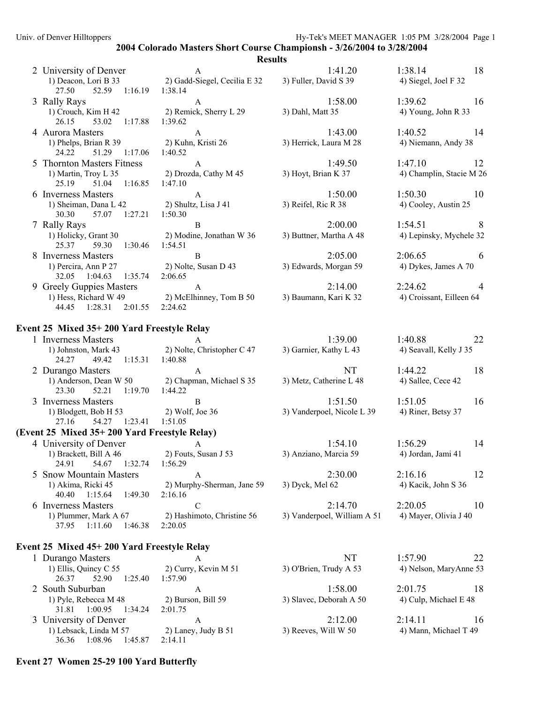# **Results**

|                                                                                          | results                                      |                                   |                                           |
|------------------------------------------------------------------------------------------|----------------------------------------------|-----------------------------------|-------------------------------------------|
| 2 University of Denver<br>1) Deacon, Lori B 33                                           | $\mathbf{A}$<br>2) Gadd-Siegel, Cecilia E 32 | 1:41.20<br>3) Fuller, David S 39  | 1:38.14<br>18<br>4) Siegel, Joel F 32     |
| 52.59 1:16.19 1:38.14<br>27.50                                                           |                                              |                                   |                                           |
| 3 Rally Rays<br>$1)$ Crouch, Kim H 42<br>26.15<br>53.02 1:17.88 1:39.62                  | $\mathbf{A}$<br>2) Remick, Sherry L 29       | 1:58.00<br>3) Dahl, Matt 35       | 1:39.62<br>16<br>4) Young, John R 33      |
| 4 Aurora Masters<br>1) Phelps, Brian R 39                                                | $\mathbf{A}$<br>2) Kuhn, Kristi 26           | 1:43.00<br>3) Herrick, Laura M 28 | 1:40.52<br>14<br>4) Niemann, Andy 38      |
| 51.29 1:17.06<br>24.22                                                                   | 1:40.52                                      |                                   |                                           |
| 5 Thornton Masters Fitness<br>1) Martin, Troy L 35<br>51.04 1:16.85<br>25.19             | A<br>2) Drozda, Cathy M 45<br>1:47.10        | 1:49.50<br>3) Hoyt, Brian K 37    | 1:47.10<br>12<br>4) Champlin, Stacie M 26 |
| 6 Inverness Masters<br>1) Sheiman, Dana L 42<br>30.30<br>57.07 1:27.21                   | A<br>2) Shultz, Lisa J 41<br>1:50.30         | 1:50.00<br>3) Reifel, Ric R 38    | $1:50.30$ 10<br>4) Cooley, Austin 25      |
| 7 Rally Rays                                                                             | B                                            | 2:00.00                           | 8<br>1:54.51                              |
| 1) Holicky, Grant 30<br>25.37<br>59.30 1:30.46                                           | 2) Modine, Jonathan W 36<br>1:54.51          | 3) Buttner, Martha A 48           | 4) Lepinsky, Mychele 32                   |
| 8 Inverness Masters                                                                      | B                                            | 2:05.00                           | 2:06.65<br>-6                             |
| 1) Percira, Ann P 27 2) Nolte, Susan D 43<br>1:35.74<br>32.05 1:04.63                    | 2:06.65                                      | 3) Edwards, Morgan 59             | 4) Dykes, James A 70                      |
| 9 Greely Guppies Masters                                                                 | $\mathbf{A}$                                 | 2:14.00                           | 2:24.62<br>4                              |
| 1) Hess, Richard W 49 2) McElhinney, Tom B 50<br>1:28.31<br>2:01.55<br>44.45             | 2:24.62                                      | 3) Baumann, Kari K 32             | 4) Croissant, Eilleen 64                  |
| Event 25 Mixed 35+200 Yard Freestyle Relay                                               |                                              |                                   |                                           |
| 1 Inverness Masters                                                                      | $\mathsf{A}$                                 | 1:39.00                           | 1:40.88<br>22                             |
| 1) Johnston, Mark 43 2) Nolte, Christopher C 47<br>1:15.31<br>49.42<br>24.27             | 1:40.88                                      | 3) Garnier, Kathy L 43            | 4) Seavall, Kelly J 35                    |
| 2 Durango Masters                                                                        | $\mathbf{A}$                                 | NT                                | 1:44.22<br>18                             |
| 1) Anderson, Dean W 50 2) Chapman, Michael S 35<br>52.21<br>$1:19.70$ $1:44.22$<br>23.30 |                                              | 3) Metz, Catherine L 48           | 4) Sallee, Cece 42                        |
| 3 Inverness Masters                                                                      | B                                            | 1:51.50                           | 1:51.05<br>16                             |
| 1) Blodgett, Bob H 53 2) Wolf, Joe 36<br>27.16<br>54.27  1:23.41  1:51.05                |                                              | 3) Vanderpoel, Nicole L 39        | 4) Riner, Betsy 37                        |
| (Event 25 Mixed 35+200 Yard Freestyle Relay)                                             |                                              |                                   |                                           |
| 4 University of Denver                                                                   | $\mathbf{A}$                                 | 1:54.10                           | 1:56.29<br>14                             |
| 1) Brackett, Bill A 46<br>24.91<br>54.67<br>1:32.74                                      | 2) Fouts, Susan J 53<br>1:56.29              | 3) Anziano, Marcia 59             | 4) Jordan, Jami 41                        |
| <b>Snow Mountain Masters</b>                                                             | A                                            | 2:30.00                           | 2:16.16<br>12                             |
| 1) Akima, Ricki 45<br>40.40<br>1:49.30<br>1:15.64                                        | 2) Murphy-Sherman, Jane 59<br>2:16.16        | 3) Dyck, Mel 62                   | 4) Kacik, John S 36                       |
| 6 Inverness Masters                                                                      | $\mathbf C$                                  | 2:14.70                           | 2:20.05<br>10                             |
| 1) Plummer, Mark A 67<br>37.95<br>1:11.60<br>1:46.38                                     | 2) Hashimoto, Christine 56<br>2:20.05        | 3) Vanderpoel, William A 51       | 4) Mayer, Olivia J 40                     |
| Event 25 Mixed 45+ 200 Yard Freestyle Relay                                              |                                              |                                   |                                           |
| 1 Durango Masters                                                                        | A                                            | NT                                | 1:57.90<br>22                             |
| 1) Ellis, Quincy C 55<br>26.37<br>52.90<br>1:25.40                                       | 2) Curry, Kevin M 51<br>1:57.90              | 3) O'Brien, Trudy A 53            | 4) Nelson, MaryAnne 53                    |
| 2 South Suburban                                                                         | A                                            | 1:58.00                           | 2:01.75<br>18                             |
| 1) Pyle, Rebecca M 48<br>1:00.95<br>31.81<br>1:34.24                                     | 2) Burson, Bill 59<br>2:01.75                | 3) Slavec, Deborah A 50           | 4) Culp, Michael E 48                     |
| 3 University of Denver                                                                   | A                                            | 2:12.00                           | 2:14.11<br>16                             |
| 1) Lebsack, Linda M 57                                                                   | 2) Laney, Judy B 51                          | 3) Reeves, Will W 50              | 4) Mann, Michael T 49                     |

# **Event 27 Women 25-29 100 Yard Butterfly**

36.36 1:08.96 1:45.87 2:14.11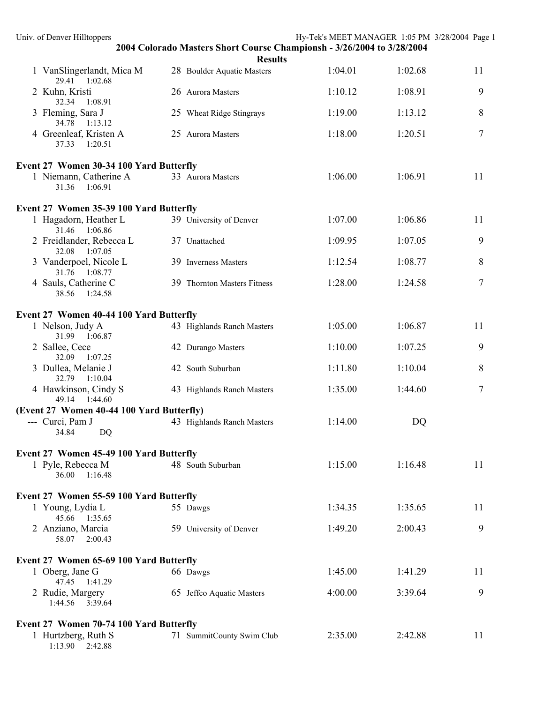| Univ. of Denver Hilltoppers                                |                                                                        | Hy-Tek's MEET MANAGER 1:05 PM 3/28/2004 Page 1 |         |    |
|------------------------------------------------------------|------------------------------------------------------------------------|------------------------------------------------|---------|----|
|                                                            | 2004 Colorado Masters Short Course Championsh - 3/26/2004 to 3/28/2004 |                                                |         |    |
| 1 VanSlingerlandt, Mica M<br>29.41 1:02.68                 | <b>Results</b><br>28 Boulder Aquatic Masters                           | 1:04.01                                        | 1:02.68 | 11 |
| 2 Kuhn, Kristi<br>32.34<br>1:08.91                         | 26 Aurora Masters                                                      | 1:10.12                                        | 1:08.91 | 9  |
| 3 Fleming, Sara J<br>34.78<br>1:13.12                      | 25 Wheat Ridge Stingrays                                               | 1:19.00                                        | 1:13.12 | 8  |
| 4 Greenleaf, Kristen A<br>37.33<br>1:20.51                 | 25 Aurora Masters                                                      | 1:18.00                                        | 1:20.51 | 7  |
| Event 27 Women 30-34 100 Yard Butterfly                    |                                                                        |                                                |         |    |
| 1 Niemann, Catherine A<br>31.36<br>1:06.91                 | 33 Aurora Masters                                                      | 1:06.00                                        | 1:06.91 | 11 |
| Event 27 Women 35-39 100 Yard Butterfly                    |                                                                        |                                                |         |    |
| 1 Hagadorn, Heather L<br>31.46 1:06.86                     | 39 University of Denver                                                | 1:07.00                                        | 1:06.86 | 11 |
| 2 Freidlander, Rebecca L<br>32.08 1:07.05                  | 37 Unattached                                                          | 1:09.95                                        | 1:07.05 | 9  |
| 3 Vanderpoel, Nicole L<br>31.76 1:08.77                    | 39 Inverness Masters                                                   | 1:12.54                                        | 1:08.77 | 8  |
| 4 Sauls, Catherine C<br>38.56<br>1:24.58                   | 39 Thornton Masters Fitness                                            | 1:28.00                                        | 1:24.58 | 7  |
| Event 27 Women 40-44 100 Yard Butterfly                    |                                                                        |                                                |         |    |
| 1 Nelson, Judy A<br>31.99 1:06.87                          | 43 Highlands Ranch Masters                                             | 1:05.00                                        | 1:06.87 | 11 |
| 2 Sallee, Cece<br>32.09 1:07.25                            | 42 Durango Masters                                                     | 1:10.00                                        | 1:07.25 | 9  |
| 3 Dullea, Melanie J<br>32.79 1:10.04                       | 42 South Suburban                                                      | 1:11.80                                        | 1:10.04 | 8  |
| 4 Hawkinson, Cindy S<br>49.14<br>1:44.60                   | 43 Highlands Ranch Masters                                             | 1:35.00                                        | 1:44.60 | 7  |
| (Event 27 Women 40-44 100 Yard Butterfly)                  |                                                                        |                                                |         |    |
| --- Curci, Pam J<br><b>DQ</b><br>34.84                     | 43 Highlands Ranch Masters                                             | 1:14.00                                        | DQ      |    |
| Event 27 Women 45-49 100 Yard Butterfly                    |                                                                        |                                                |         |    |
| 1 Pyle, Rebecca M<br>36.00<br>1:16.48                      | 48 South Suburban                                                      | 1:15.00                                        | 1:16.48 | 11 |
| Event 27 Women 55-59 100 Yard Butterfly                    |                                                                        |                                                |         |    |
| 1 Young, Lydia L<br>45.66 1:35.65                          | 55 Dawgs                                                               | 1:34.35                                        | 1:35.65 | 11 |
| 2 Anziano, Marcia<br>2:00.43<br>58.07                      | 59 University of Denver                                                | 1:49.20                                        | 2:00.43 | 9  |
|                                                            |                                                                        |                                                |         |    |
| Event 27 Women 65-69 100 Yard Butterfly<br>1 Oberg, Jane G | 66 Dawgs                                                               | 1:45.00                                        | 1:41.29 | 11 |
| 47.45<br>1:41.29<br>2 Rudie, Margery                       | 65 Jeffco Aquatic Masters                                              | 4:00.00                                        | 3:39.64 | 9  |
| 1:44.56 3:39.64                                            |                                                                        |                                                |         |    |
| Event 27 Women 70-74 100 Yard Butterfly                    |                                                                        |                                                |         |    |
| 1 Hurtzberg, Ruth S<br>1:13.90<br>2:42.88                  | 71 SummitCounty Swim Club                                              | 2:35.00                                        | 2:42.88 | 11 |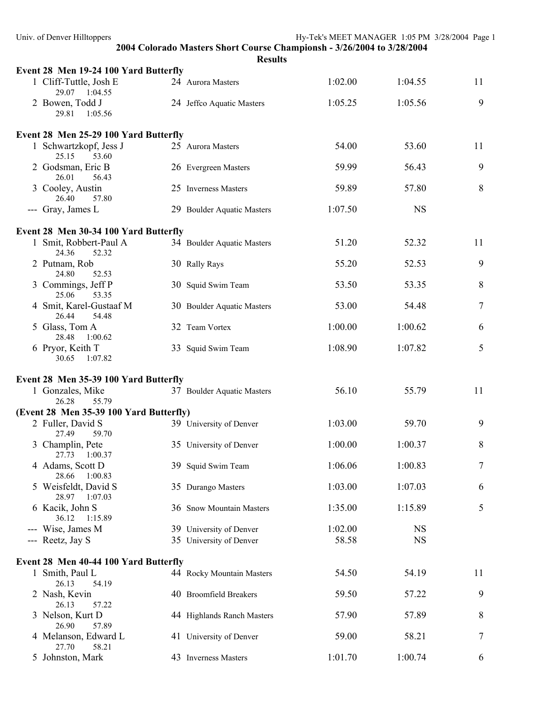| Univ. of Denver Hilltoppers               |                            | Hy-Tek's MEET MANAGER 1:05 PM 3/28/2004 Page 1                         |    |
|-------------------------------------------|----------------------------|------------------------------------------------------------------------|----|
|                                           | <b>Results</b>             | 2004 Colorado Masters Short Course Championsh - 3/26/2004 to 3/28/2004 |    |
| Event 28 Men 19-24 100 Yard Butterfly     |                            |                                                                        |    |
| 1 Cliff-Tuttle, Josh E<br>29.07 1:04.55   | 24 Aurora Masters          | 1:02.00<br>1:04.55                                                     | 11 |
| 2 Bowen, Todd J<br>29.81 1:05.56          | 24 Jeffco Aquatic Masters  | 1:05.25<br>1:05.56                                                     | 9  |
| Event 28 Men 25-29 100 Yard Butterfly     |                            |                                                                        |    |
| 1 Schwartzkopf, Jess J<br>25.15<br>53.60  | 25 Aurora Masters          | 54.00<br>53.60                                                         | 11 |
| 2 Godsman, Eric B<br>26.01<br>56.43       | 26 Evergreen Masters       | 59.99<br>56.43                                                         | 9  |
| 3 Cooley, Austin<br>26.40<br>57.80        | 25 Inverness Masters       | 59.89<br>57.80                                                         | 8  |
| --- Gray, James L                         | 29 Boulder Aquatic Masters | 1:07.50<br><b>NS</b>                                                   |    |
| Event 28 Men 30-34 100 Yard Butterfly     |                            |                                                                        |    |
| 1 Smit, Robbert-Paul A<br>24.36<br>52.32  | 34 Boulder Aquatic Masters | 52.32<br>51.20                                                         | 11 |
| 2 Putnam, Rob<br>24.80<br>52.53           | 30 Rally Rays              | 55.20<br>52.53                                                         | 9  |
| 3 Commings, Jeff P<br>25.06<br>53.35      | 30 Squid Swim Team         | 53.50<br>53.35                                                         | 8  |
| 4 Smit, Karel-Gustaaf M<br>26.44<br>54.48 | 30 Boulder Aquatic Masters | 53.00<br>54.48                                                         | 7  |
| 5 Glass, Tom A<br>28.48<br>1:00.62        | 32 Team Vortex             | 1:00.00<br>1:00.62                                                     | 6  |
| 6 Pryor, Keith T<br>30.65<br>1:07.82      | 33 Squid Swim Team         | 1:08.90<br>1:07.82                                                     | 5  |
| Event 28 Men 35-39 100 Yard Butterfly     |                            |                                                                        |    |
| 1 Gonzales, Mike<br>26.28<br>55.79        | 37 Boulder Aquatic Masters | 56.10<br>55.79                                                         | 11 |
| (Event 28 Men 35-39 100 Yard Butterfly)   |                            |                                                                        |    |
| 2 Fuller, David S<br>27.49<br>59.70       | 39 University of Denver    | 1:03.00<br>59.70                                                       | 9  |
| 3 Champlin, Pete<br>27.73<br>1:00.37      | 35 University of Denver    | 1:00.00<br>1:00.37                                                     | 8  |
| 4 Adams, Scott D<br>28.66<br>1:00.83      | 39 Squid Swim Team         | 1:06.06<br>1:00.83                                                     | 7  |
| 5 Weisfeldt, David S<br>28.97 1:07.03     | 35 Durango Masters         | 1:03.00<br>1:07.03                                                     | 6  |
| 6 Kacik, John S<br>36.12<br>1:15.89       | 36 Snow Mountain Masters   | 1:35.00<br>1:15.89                                                     | 5  |
| --- Wise, James M                         | 39 University of Denver    | 1:02.00<br><b>NS</b>                                                   |    |
| --- Reetz, Jay S                          | 35 University of Denver    | <b>NS</b><br>58.58                                                     |    |
| Event 28 Men 40-44 100 Yard Butterfly     |                            |                                                                        |    |
| 1 Smith, Paul L<br>26.13<br>54.19         | 44 Rocky Mountain Masters  | 54.19<br>54.50                                                         | 11 |
| 2 Nash, Kevin<br>26.13<br>57.22           | 40 Broomfield Breakers     | 59.50<br>57.22                                                         | 9  |
| 3 Nelson, Kurt D<br>26.90<br>57.89        | 44 Highlands Ranch Masters | 57.90<br>57.89                                                         | 8  |
| 4 Melanson, Edward L<br>58.21<br>27.70    | 41 University of Denver    | 58.21<br>59.00                                                         | 7  |
| 5 Johnston, Mark                          | 43 Inverness Masters       | 1:00.74<br>1:01.70                                                     | 6  |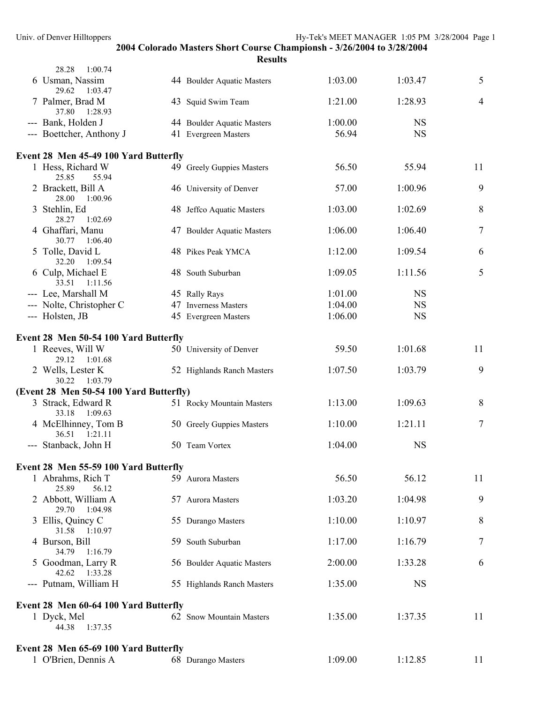| 28.28<br>1:00.74                        |                            |         |           |                |
|-----------------------------------------|----------------------------|---------|-----------|----------------|
| 6 Usman, Nassim<br>29.62<br>1:03.47     | 44 Boulder Aquatic Masters | 1:03.00 | 1:03.47   | 5              |
| 7 Palmer, Brad M<br>37.80<br>1:28.93    | 43 Squid Swim Team         | 1:21.00 | 1:28.93   | $\overline{4}$ |
| --- Bank, Holden J                      | 44 Boulder Aquatic Masters | 1:00.00 | <b>NS</b> |                |
| --- Boettcher, Anthony J                | 41 Evergreen Masters       | 56.94   | <b>NS</b> |                |
| Event 28 Men 45-49 100 Yard Butterfly   |                            |         |           |                |
| 1 Hess, Richard W<br>25.85<br>55.94     | 49 Greely Guppies Masters  | 56.50   | 55.94     | 11             |
| 2 Brackett, Bill A<br>28.00<br>1:00.96  | 46 University of Denver    | 57.00   | 1:00.96   | 9              |
| 3 Stehlin, Ed<br>28.27<br>1:02.69       | 48 Jeffco Aquatic Masters  | 1:03.00 | 1:02.69   | $\,8\,$        |
| 4 Ghaffari, Manu<br>30.77 1:06.40       | 47 Boulder Aquatic Masters | 1:06.00 | 1:06.40   | 7              |
| 5 Tolle, David L<br>32.20<br>1:09.54    | 48 Pikes Peak YMCA         | 1:12.00 | 1:09.54   | 6              |
| 6 Culp, Michael E<br>33.51<br>1:11.56   | 48 South Suburban          | 1:09.05 | 1:11.56   | 5              |
| --- Lee, Marshall M                     | 45 Rally Rays              | 1:01.00 | <b>NS</b> |                |
| --- Nolte, Christopher C                | 47 Inverness Masters       | 1:04.00 | <b>NS</b> |                |
| --- Holsten, JB                         | 45 Evergreen Masters       | 1:06.00 | <b>NS</b> |                |
| Event 28 Men 50-54 100 Yard Butterfly   |                            |         |           |                |
| 1 Reeves, Will W<br>29.12<br>1:01.68    | 50 University of Denver    | 59.50   | 1:01.68   | 11             |
| 2 Wells, Lester K<br>30.22 1:03.79      | 52 Highlands Ranch Masters | 1:07.50 | 1:03.79   | 9              |
| (Event 28 Men 50-54 100 Yard Butterfly) |                            |         |           |                |
| 3 Strack, Edward R<br>33.18<br>1:09.63  | 51 Rocky Mountain Masters  | 1:13.00 | 1:09.63   | 8              |
| 4 McElhinney, Tom B<br>36.51 1:21.11    | 50 Greely Guppies Masters  | 1:10.00 | 1:21.11   | 7              |
| --- Stanback, John H                    | 50 Team Vortex             | 1:04.00 | <b>NS</b> |                |
| Event 28 Men 55-59 100 Yard Butterfly   |                            |         |           |                |
| 1 Abrahms, Rich T<br>25.89<br>56.12     | 59 Aurora Masters          | 56.50   | 56.12     | 11             |
| 2 Abbott, William A<br>1:04.98<br>29.70 | 57 Aurora Masters          | 1:03.20 | 1:04.98   | 9              |
| 3 Ellis, Quincy C<br>31.58<br>1:10.97   | 55 Durango Masters         | 1:10.00 | 1:10.97   | 8              |
| 4 Burson, Bill<br>34.79<br>1:16.79      | 59 South Suburban          | 1:17.00 | 1:16.79   | $\tau$         |
| 5 Goodman, Larry R<br>42.62<br>1:33.28  | 56 Boulder Aquatic Masters | 2:00.00 | 1:33.28   | 6              |
| --- Putnam, William H                   | 55 Highlands Ranch Masters | 1:35.00 | <b>NS</b> |                |
| Event 28 Men 60-64 100 Yard Butterfly   |                            |         |           |                |
| 1 Dyck, Mel<br>1:37.35<br>44.38         | 62 Snow Mountain Masters   | 1:35.00 | 1:37.35   | 11             |
| Event 28 Men 65-69 100 Yard Butterfly   |                            |         |           |                |
| 1 O'Brien, Dennis A                     | 68 Durango Masters         | 1:09.00 | 1:12.85   | 11             |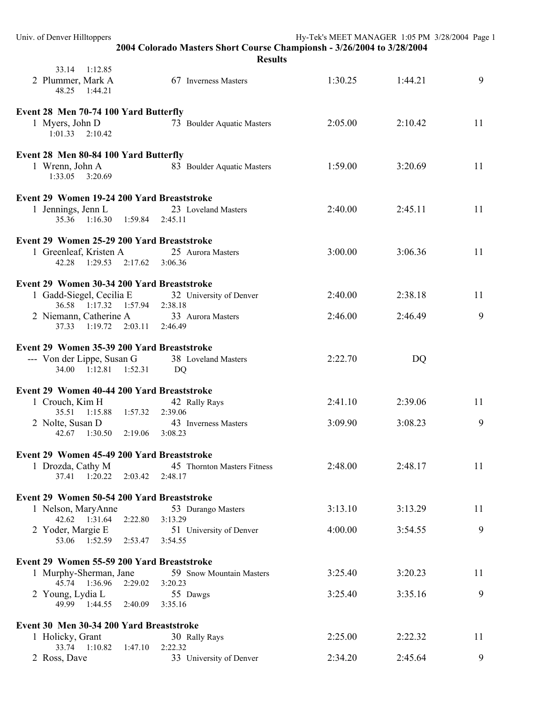| Univ. of Denver Hilltoppers                                                 |                                                                                          | Hy-Tek's MEET MANAGER 1:05 PM 3/28/2004 Page 1 |         |    |
|-----------------------------------------------------------------------------|------------------------------------------------------------------------------------------|------------------------------------------------|---------|----|
|                                                                             | 2004 Colorado Masters Short Course Championsh - 3/26/2004 to 3/28/2004<br><b>Results</b> |                                                |         |    |
| 33.14 1:12.85<br>2 Plummer, Mark A<br>48.25 1:44.21                         | 67 Inverness Masters                                                                     | 1:30.25                                        | 1:44.21 | 9  |
| Event 28 Men 70-74 100 Yard Butterfly                                       |                                                                                          |                                                |         |    |
| 1 Myers, John D<br>$1:01.33$ $2:10.42$                                      | 73 Boulder Aquatic Masters                                                               | 2:05.00                                        | 2:10.42 | 11 |
| Event 28 Men 80-84 100 Yard Butterfly                                       |                                                                                          |                                                |         |    |
| 1 Wrenn, John A<br>1:33.05 3:20.69                                          | 83 Boulder Aquatic Masters                                                               | 1:59.00                                        | 3:20.69 | 11 |
| Event 29 Women 19-24 200 Yard Breaststroke                                  |                                                                                          |                                                |         |    |
| 1 Jennings, Jenn L<br>35.36 1:16.30 1:59.84 2:45.11                         | 23 Loveland Masters                                                                      | 2:40.00                                        | 2:45.11 | 11 |
| Event 29 Women 25-29 200 Yard Breaststroke                                  |                                                                                          |                                                |         |    |
| 1 Greenleaf, Kristen A<br>42.28 1:29.53 2:17.62 3:06.36                     | 25 Aurora Masters                                                                        | 3:00.00                                        | 3:06.36 | 11 |
| Event 29 Women 30-34 200 Yard Breaststroke                                  |                                                                                          |                                                |         |    |
| 1 Gadd-Siegel, Cecilia E<br>36.58 1:17.32 1:57.94                           | 32 University of Denver                                                                  | 2:40.00                                        | 2:38.18 | 11 |
| 2 Niemann, Catherine A<br>37.33 1:19.72 2:03.11                             | 2:38.18<br>33 Aurora Masters<br>2:46.49                                                  | 2:46.00                                        | 2:46.49 | 9  |
| Event 29 Women 35-39 200 Yard Breaststroke                                  |                                                                                          |                                                |         |    |
| --- Von der Lippe, Susan G<br>34.00 1:12.81 1:52.31                         | 38 Loveland Masters<br>DQ                                                                | 2:22.70                                        | DQ      |    |
| Event 29 Women 40-44 200 Yard Breaststroke                                  |                                                                                          |                                                |         |    |
| 1 Crouch, Kim H                                                             | 42 Rally Rays                                                                            | 2:41.10                                        | 2:39.06 | 11 |
| 35.51 1:15.88<br>1:57.32<br>2 Nolte, Susan D<br>42.67<br>1:30.50<br>2:19.06 | 2:39.06<br>43 Inverness Masters<br>3:08.23                                               | 3:09.90                                        | 3:08.23 | 9  |
| Event 29 Women 45-49 200 Yard Breaststroke                                  |                                                                                          |                                                |         |    |
| 1 Drozda, Cathy M<br>37.41 1:20.22<br>2:03.42                               | 45 Thornton Masters Fitness<br>2:48.17                                                   | 2:48.00                                        | 2:48.17 | 11 |
| Event 29 Women 50-54 200 Yard Breaststroke                                  |                                                                                          |                                                |         |    |
| 1 Nelson, MaryAnne                                                          | 53 Durango Masters                                                                       | 3:13.10                                        | 3:13.29 | 11 |
| 42.62 1:31.64 2:22.80                                                       | 3:13.29                                                                                  | 4:00.00                                        | 3:54.55 | 9  |
| 2 Yoder, Margie E<br>53.06 1:52.59 2:53.47                                  | 51 University of Denver<br>3:54.55                                                       |                                                |         |    |
| Event 29 Women 55-59 200 Yard Breaststroke                                  |                                                                                          |                                                |         |    |
| 1 Murphy-Sherman, Jane<br>45.74 1:36.96<br>2:29.02                          | 59 Snow Mountain Masters<br>3:20.23                                                      | 3:25.40                                        | 3:20.23 | 11 |
| 2 Young, Lydia L<br>49.99 1:44.55 2:40.09                                   | 55 Dawgs<br>3:35.16                                                                      | 3:25.40                                        | 3:35.16 | 9  |
| Event 30 Men 30-34 200 Yard Breaststroke                                    |                                                                                          |                                                |         |    |
| 1 Holicky, Grant                                                            | 30 Rally Rays                                                                            | 2:25.00                                        | 2:22.32 | 11 |
| 33.74 1:10.82 1:47.10<br>2 Ross, Dave                                       | 2:22.32<br>33 University of Denver                                                       | 2:34.20                                        | 2:45.64 | 9  |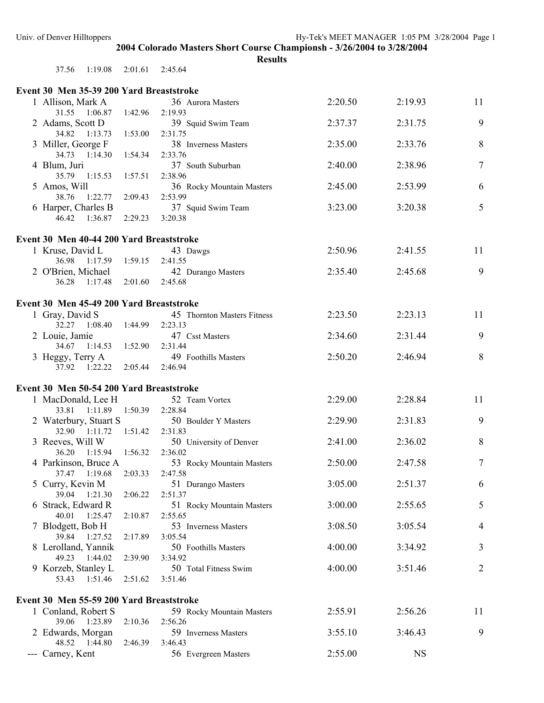| 37.56 | 1:19.08 | 2:01.61 | 2:45.64 |
|-------|---------|---------|---------|
|       |         |         |         |

| Event 30 Men 35-39 200 Yard Breaststroke                       |                                        |         |           |                |
|----------------------------------------------------------------|----------------------------------------|---------|-----------|----------------|
| 1 Allison, Mark A                                              | 36 Aurora Masters                      | 2:20.50 | 2:19.93   | 11             |
| 31.55 1:06.87<br>1:42.96                                       | 2:19.93                                |         |           |                |
| 2 Adams, Scott D                                               | 39 Squid Swim Team                     | 2:37.37 | 2:31.75   | 9              |
| 34.82 1:13.73<br>1:53.00                                       | 2:31.75                                |         |           |                |
| 3 Miller, George F                                             | 38 Inverness Masters                   | 2:35.00 | 2:33.76   | $8\,$          |
| 34.73  1:14.30<br>1:54.34<br>4 Blum, Juri                      | 2:33.76<br>37 South Suburban           | 2:40.00 | 2:38.96   | $\overline{7}$ |
| 35.79 1:15.53<br>1:57.51                                       | 2:38.96                                |         |           |                |
| 5 Amos, Will                                                   | 36 Rocky Mountain Masters              | 2:45.00 | 2:53.99   | 6              |
| 1:22.77<br>2:09.43<br>38.76                                    | 2:53.99                                |         |           |                |
| 6 Harper, Charles B                                            | 37 Squid Swim Team                     | 3:23.00 | 3:20.38   | 5              |
| 46.42  1:36.87<br>2:29.23                                      | 3:20.38                                |         |           |                |
|                                                                |                                        |         |           |                |
| Event 30 Men 40-44 200 Yard Breaststroke<br>1 Kruse, David L   | 43 Dawgs                               | 2:50.96 | 2:41.55   | 11             |
| 36.98 1:17.59<br>1:59.15                                       | 2:41.55                                |         |           |                |
| 2 O'Brien, Michael                                             | 42 Durango Masters                     | 2:35.40 | 2:45.68   | 9              |
| 36.28 1:17.48<br>2:01.60                                       | 2:45.68                                |         |           |                |
|                                                                |                                        |         |           |                |
| Event 30 Men 45-49 200 Yard Breaststroke                       |                                        |         |           |                |
| 1 Gray, David S<br>32.27 1:08.40<br>1:44.99                    | 45 Thornton Masters Fitness<br>2:23.13 | 2:23.50 | 2:23.13   | 11             |
| 2 Louie, Jamie                                                 | 47 Csst Masters                        | 2:34.60 | 2:31.44   | 9              |
| 34.67 1:14.53<br>1:52.90                                       | 2:31.44                                |         |           |                |
| 3 Heggy, Terry A                                               | 49 Foothills Masters                   | 2:50.20 | 2:46.94   | 8              |
| 37.92 1:22.22<br>2:05.44                                       | 2:46.94                                |         |           |                |
|                                                                |                                        |         |           |                |
| Event 30 Men 50-54 200 Yard Breaststroke<br>1 MacDonald, Lee H | 52 Team Vortex                         | 2:29.00 | 2:28.84   | 11             |
| 33.81 1:11.89 1:50.39                                          | 2:28.84                                |         |           |                |
| 2 Waterbury, Stuart S                                          | 50 Boulder Y Masters                   | 2:29.90 | 2:31.83   | 9              |
| 32.90 1:11.72 1:51.42                                          | 2:31.83                                |         |           |                |
| 3 Reeves, Will W                                               | 50 University of Denver                | 2:41.00 | 2:36.02   | 8              |
| 36.20 1:15.94 1:56.32                                          | 2:36.02                                |         |           |                |
| 4 Parkinson, Bruce A                                           | 53 Rocky Mountain Masters              | 2:50.00 | 2:47.58   | $\tau$         |
| 2:03.33<br>37.47 1:19.68                                       | 2:47.58                                | 3:05.00 | 2:51.37   |                |
| 5 Curry, Kevin M<br>39.04 1:21.30<br>2:06.22                   | 51 Durango Masters<br>2:51.37          |         |           | 6              |
| 6 Strack, Edward R                                             | 51 Rocky Mountain Masters              | 3:00.00 | 2:55.65   | 5              |
| 40.01<br>1:25.47<br>2:10.87                                    | 2:55.65                                |         |           |                |
| 7 Blodgett, Bob H                                              | 53 Inverness Masters                   | 3:08.50 | 3:05.54   | $\overline{4}$ |
| 39.84 1:27.52<br>2:17.89                                       | 3:05.54                                |         |           |                |
| 8 Lerolland, Yannik                                            | 50 Foothills Masters                   | 4:00.00 | 3:34.92   | 3              |
| 49.23 1:44.02<br>2:39.90                                       | 3:34.92                                |         |           |                |
| 9 Korzeb, Stanley L<br>53.43 1:51.46<br>2:51.62                | 50 Total Fitness Swim<br>3:51.46       | 4:00.00 | 3:51.46   | 2              |
|                                                                |                                        |         |           |                |
| Event 30 Men 55-59 200 Yard Breaststroke                       |                                        |         |           |                |
| 1 Conland, Robert S                                            | 59 Rocky Mountain Masters              | 2:55.91 | 2:56.26   | 11             |
| 39.06 1:23.89<br>2:10.36                                       | 2:56.26                                |         |           |                |
| 2 Edwards, Morgan                                              | 59 Inverness Masters                   | 3:55.10 | 3:46.43   | 9              |
| 48.52  1:44.80<br>2:46.39                                      | 3:46.43                                |         |           |                |
| --- Carney, Kent                                               | 56 Evergreen Masters                   | 2:55.00 | <b>NS</b> |                |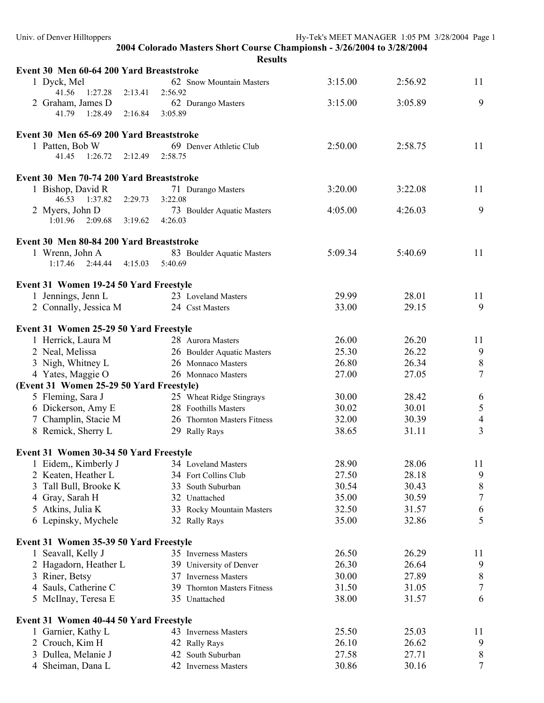| <b>Results</b> |
|----------------|
|----------------|

| Event 30 Men 60-64 200 Yard Breaststroke    |                                              |                |                |                       |
|---------------------------------------------|----------------------------------------------|----------------|----------------|-----------------------|
| 1 Dyck, Mel                                 | 62 Snow Mountain Masters                     | 3:15.00        | 2:56.92        | 11                    |
| 41.56 1:27.28<br>2:13.41                    | 2:56.92                                      |                |                |                       |
| 2 Graham, James D                           | 62 Durango Masters                           | 3:15.00        | 3:05.89        | 9                     |
| 2:16.84 3:05.89<br>41.79 1:28.49            |                                              |                |                |                       |
| Event 30 Men 65-69 200 Yard Breaststroke    |                                              |                |                |                       |
| 1 Patten, Bob W                             | 69 Denver Athletic Club                      | 2:50.00        | 2:58.75        | 11                    |
| 41.45 1:26.72 2:12.49 2:58.75               |                                              |                |                |                       |
| Event 30 Men 70-74 200 Yard Breaststroke    |                                              |                |                |                       |
| 1 Bishop, David R                           | 71 Durango Masters                           | 3:20.00        | 3:22.08        | 11                    |
| 46.53 1:37.82<br>2:29.73 3:22.08            |                                              |                |                |                       |
| 2 Myers, John D                             | 73 Boulder Aquatic Masters                   | 4:05.00        | 4:26.03        | 9                     |
| $1:01.96$ $2:09.68$ $3:19.62$ $4:26.03$     |                                              |                |                |                       |
| Event 30 Men 80-84 200 Yard Breaststroke    |                                              |                |                |                       |
| 1 Wrenn, John A                             | 83 Boulder Aquatic Masters                   | 5:09.34        | 5:40.69        | 11                    |
| 2:44.44 4:15.03 5:40.69<br>1:17.46          |                                              |                |                |                       |
|                                             |                                              |                |                |                       |
| Event 31 Women 19-24 50 Yard Freestyle      |                                              |                |                |                       |
| 1 Jennings, Jenn L                          | 23 Loveland Masters                          | 29.99<br>33.00 | 28.01<br>29.15 | 11<br>9               |
| 2 Connally, Jessica M                       | 24 Csst Masters                              |                |                |                       |
| Event 31 Women 25-29 50 Yard Freestyle      |                                              |                |                |                       |
| 1 Herrick, Laura M                          | 28 Aurora Masters                            | 26.00          | 26.20          | 11                    |
| 2 Neal, Melissa                             | 26 Boulder Aquatic Masters                   | 25.30          | 26.22          | 9                     |
| 3 Nigh, Whitney L                           | 26 Monnaco Masters                           | 26.80          | 26.34          | $\,8\,$               |
| 4 Yates, Maggie O                           | 26 Monnaco Masters                           | 27.00          | 27.05          | $\overline{7}$        |
| (Event 31 Women 25-29 50 Yard Freestyle)    |                                              |                |                |                       |
| 5 Fleming, Sara J                           | 25 Wheat Ridge Stingrays                     | 30.00          | 28.42          | 6                     |
| 6 Dickerson, Amy E                          | 28 Foothills Masters                         | 30.02          | 30.01          | $\sqrt{5}$            |
| 7 Champlin, Stacie M                        | 26 Thornton Masters Fitness                  | 32.00          | 30.39          | $\overline{4}$        |
| 8 Remick, Sherry L                          | 29 Rally Rays                                | 38.65          | 31.11          | $\overline{3}$        |
| Event 31 Women 30-34 50 Yard Freestyle      |                                              |                |                |                       |
| 1 Eidem, Kimberly J                         | 34 Loveland Masters                          | 28.90          | 28.06          | 11                    |
| 2 Keaten, Heather L                         | 34 Fort Collins Club                         | 27.50          | 28.18          | 9                     |
| 3 Tall Bull, Brooke K                       | 33 South Suburban                            | 30.54          | 30.43          | $8\,$                 |
| Gray, Sarah H<br>4                          | 32 Unattached                                | 35.00          | 30.59          | $\boldsymbol{7}$      |
| 5 Atkins, Julia K                           | 33 Rocky Mountain Masters                    | 32.50          | 31.57          | 6                     |
| 6 Lepinsky, Mychele                         | 32 Rally Rays                                | 35.00          | 32.86          | 5                     |
|                                             |                                              |                |                |                       |
| Event 31 Women 35-39 50 Yard Freestyle      |                                              |                |                |                       |
| 1 Seavall, Kelly J                          | 35 Inverness Masters                         | 26.50          | 26.29          | 11                    |
| 2 Hagadorn, Heather L                       | 39 University of Denver                      | 26.30          | 26.64          | 9                     |
| 3 Riner, Betsy                              | 37 Inverness Masters                         | 30.00          | 27.89          | $8\,$                 |
| 4 Sauls, Catherine C<br>5 McIlnay, Teresa E | 39 Thornton Masters Fitness<br>35 Unattached | 31.50<br>38.00 | 31.05<br>31.57 | $\boldsymbol{7}$<br>6 |
|                                             |                                              |                |                |                       |
| Event 31 Women 40-44 50 Yard Freestyle      |                                              |                |                |                       |
| 1 Garnier, Kathy L                          | 43 Inverness Masters                         | 25.50          | 25.03          | 11                    |
| 2 Crouch, Kim H                             | 42 Rally Rays                                | 26.10          | 26.62          | 9                     |
| 3 Dullea, Melanie J                         | 42 South Suburban                            | 27.58          | 27.71          | $\,8\,$               |
| 4 Sheiman, Dana L                           | 42 Inverness Masters                         | 30.86          | 30.16          | 7                     |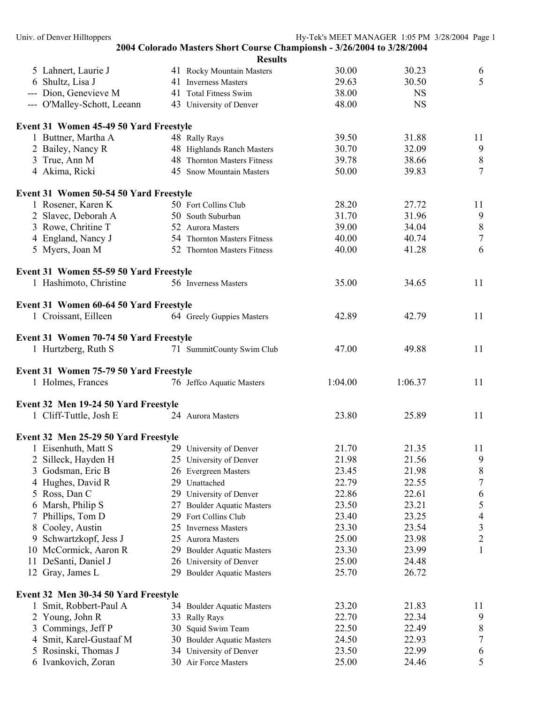Univ. of Denver Hilltoppers extending the Hy-Tek's MEET MANAGER 1:05 PM 3/28/2004 Page 1 **2004 Colorado Masters Short Course Championsh - 3/26/2004 to 3/28/2004 Results**  5 Lahnert, Laurie J 41 Rocky Mountain Masters 30.00 30.23 6 6 Shultz, Lisa J 41 Inverness Masters 29.63 30.50 5 --- Dion, Genevieve M 41 Total Fitness Swim 38.00 NS --- O'Malley-Schott, Leeann 43 University of Denver 48.00 NS **Event 31 Women 45-49 50 Yard Freestyle**  1 Buttner, Martha A 48 Rally Rays 39.50 31.88 11 2 Bailey, Nancy R 48 Highlands Ranch Masters 30.70 32.09 9 3 True, Ann M 38 Thornton Masters Fitness 39.78 38.66 8 4 Akima, Ricki 45 Snow Mountain Masters 50.00 39.83 7 **Event 31 Women 50-54 50 Yard Freestyle**  1 Rosener, Karen K 50 Fort Collins Club 28.20 27.72 11 2 Slavec, Deborah A 50 South Suburban 31.70 31.96 9 3 Rowe, Chritine T 52 Aurora Masters 39.00 34.04 8 4 England, Nancy J 54 Thornton Masters Fitness 40.00 40.74 7 5 Myers, Joan M 52 Thornton Masters Fitness 40.00 41.28 6 **Event 31 Women 55-59 50 Yard Freestyle**  1 Hashimoto, Christine 56 Inverness Masters 35.00 34.65 11 **Event 31 Women 60-64 50 Yard Freestyle**  1 Croissant, Eilleen 64 Greely Guppies Masters 42.89 42.79 11 **Event 31 Women 70-74 50 Yard Freestyle**  1 Hurtzberg, Ruth S 71 SummitCounty Swim Club 47.00 49.88 11 **Event 31 Women 75-79 50 Yard Freestyle**  1 Holmes, Frances 76 Jeffco Aquatic Masters 1:04.00 1:06.37 11 **Event 32 Men 19-24 50 Yard Freestyle**  1 Cliff-Tuttle, Josh E 24 Aurora Masters 23.80 25.89 11 **Event 32 Men 25-29 50 Yard Freestyle**  1 Eisenhuth, Matt S 29 University of Denver 21.70 21.35 11 2 Silleck, Hayden H 25 University of Denver 21.98 21.56 9 3 Godsman, Eric B 26 Evergreen Masters 23.45 21.98 8 4 Hughes, David R 29 Unattached 22.79 22.55 7 5 Ross, Dan C 29 University of Denver 22.86 22.61 6 6 Marsh, Philip S 27 Boulder Aquatic Masters 23.50 23.21 5 7 Phillips, Tom D 29 Fort Collins Club 23.40 23.25 4<br>8 Cooley. Austin 25 Inverness Masters 23.30 23.54 3

9 Schwartzkopf, Jess J 25 Aurora Masters 25.00 23.98 2 10 McCormick, Aaron R 29 Boulder Aquatic Masters 23.30 23.99 1 11 DeSanti, Daniel J 26 University of Denver 25.00 24.48 12 Gray, James L 29 Boulder Aquatic Masters 25.70 26.72 **Event 32 Men 30-34 50 Yard Freestyle**  1 Smit, Robbert-Paul A 34 Boulder Aquatic Masters 23.20 21.83 11 2 Young, John R 33 Rally Rays 22.70 22.34 9 3 Commings, Jeff P 30 Squid Swim Team 22.50 22.49 8 4 Smit, Karel-Gustaaf M 30 Boulder Aquatic Masters 24.50 22.93 7 5 Rosinski, Thomas J 34 University of Denver 23.50 22.99 6 6 Ivankovich, Zoran 30 Air Force Masters 25.00 24.46 5

8 Cooley, Austin 25 Inverness Masters 23.30 23.54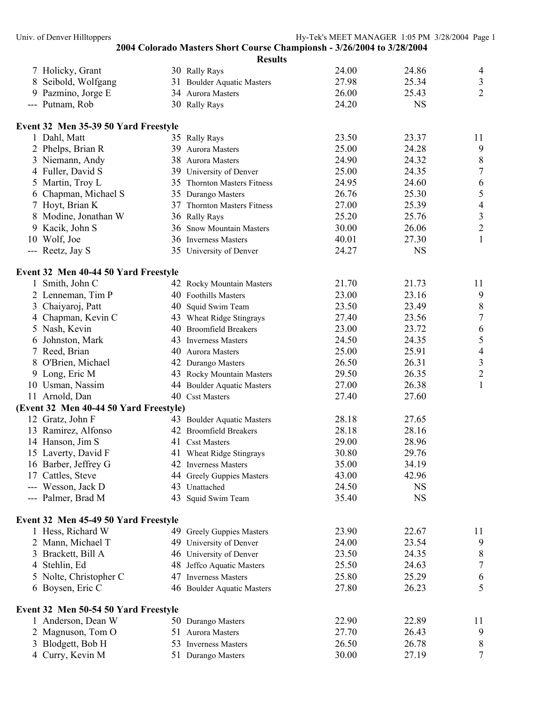|               |                                        |    | <b>Results</b>               |       |           |                  |
|---------------|----------------------------------------|----|------------------------------|-------|-----------|------------------|
|               | 7 Holicky, Grant                       |    | 30 Rally Rays                | 24.00 | 24.86     | 4                |
|               | Seibold, Wolfgang                      |    | 31 Boulder Aquatic Masters   | 27.98 | 25.34     | $\mathfrak{Z}$   |
| 9             | Pazmino, Jorge E                       |    | 34 Aurora Masters            | 26.00 | 25.43     | $\overline{2}$   |
|               | --- Putnam, Rob                        |    | 30 Rally Rays                | 24.20 | <b>NS</b> |                  |
|               | Event 32 Men 35-39 50 Yard Freestyle   |    |                              |       |           |                  |
|               | 1 Dahl, Matt                           |    | 35 Rally Rays                | 23.50 | 23.37     | 11               |
|               | 2 Phelps, Brian R                      | 39 | Aurora Masters               | 25.00 | 24.28     | 9                |
|               | 3 Niemann, Andy                        |    | 38 Aurora Masters            | 24.90 | 24.32     | $\,$ 8 $\,$      |
|               | 4 Fuller, David S                      |    | 39 University of Denver      | 25.00 | 24.35     | $\boldsymbol{7}$ |
|               | 5 Martin, Troy L                       |    | 35 Thornton Masters Fitness  | 24.95 | 24.60     | $\sqrt{6}$       |
|               | 6 Chapman, Michael S                   |    | 35 Durango Masters           | 26.76 | 25.30     | 5                |
| 7             | Hoyt, Brian K                          |    | 37 Thornton Masters Fitness  | 27.00 | 25.39     | $\overline{4}$   |
| 8             | Modine, Jonathan W                     |    | 36 Rally Rays                | 25.20 | 25.76     | $\mathfrak{Z}$   |
| 9             | Kacik, John S                          | 36 | <b>Snow Mountain Masters</b> | 30.00 | 26.06     | $\overline{2}$   |
|               | 10 Wolf, Joe                           |    | 36 Inverness Masters         | 40.01 | 27.30     | $\mathbf{1}$     |
|               | --- Reetz, Jay S                       |    | 35 University of Denver      | 24.27 | <b>NS</b> |                  |
|               | Event 32 Men 40-44 50 Yard Freestyle   |    |                              |       |           |                  |
|               | 1 Smith, John C                        |    | 42 Rocky Mountain Masters    | 21.70 | 21.73     | 11               |
|               | 2 Lenneman, Tim P                      |    | 40 Foothills Masters         | 23.00 | 23.16     | 9                |
| 3             | Chaiyaroj, Patt                        |    | 40 Squid Swim Team           | 23.50 | 23.49     | $\, 8$           |
| 4             | Chapman, Kevin C                       |    | 43 Wheat Ridge Stingrays     | 27.40 | 23.56     | $\sqrt{ }$       |
|               | 5 Nash, Kevin                          |    | 40 Broomfield Breakers       | 23.00 | 23.72     | $\sqrt{6}$       |
|               | 6 Johnston, Mark                       |    | 43 Inverness Masters         | 24.50 | 24.35     | 5                |
|               | 7 Reed, Brian                          |    | 40 Aurora Masters            | 25.00 | 25.91     | $\overline{4}$   |
|               | 8 O'Brien, Michael                     |    | 42 Durango Masters           | 26.50 | 26.31     | $\mathfrak{Z}$   |
|               | 9 Long, Eric M                         |    | 43 Rocky Mountain Masters    | 29.50 | 26.35     | $\overline{c}$   |
|               | 10 Usman, Nassim                       |    | 44 Boulder Aquatic Masters   | 27.00 | 26.38     | $\mathbf{1}$     |
|               | 11 Arnold, Dan                         |    | 40 Csst Masters              | 27.40 | 27.60     |                  |
|               | (Event 32 Men 40-44 50 Yard Freestyle) |    |                              |       |           |                  |
|               | 12 Gratz, John F                       |    | 43 Boulder Aquatic Masters   | 28.18 | 27.65     |                  |
|               | 13 Ramirez, Alfonso                    |    | 42 Broomfield Breakers       | 28.18 | 28.16     |                  |
|               | 14 Hanson, Jim S                       |    | 41 Csst Masters              | 29.00 | 28.96     |                  |
|               | 15 Laverty, David F                    |    | 41 Wheat Ridge Stingrays     | 30.80 | 29.76     |                  |
|               | 16 Barber, Jeffrey G                   |    | 42 Inverness Masters         | 35.00 | 34.19     |                  |
|               | 17 Cattles, Steve                      |    | 44 Greely Guppies Masters    | 43.00 | 42.96     |                  |
|               | --- Wesson, Jack D                     |    | 43 Unattached                | 24.50 | <b>NS</b> |                  |
|               | --- Palmer, Brad M                     |    | 43 Squid Swim Team           | 35.40 | <b>NS</b> |                  |
|               | Event 32 Men 45-49 50 Yard Freestyle   |    |                              |       |           |                  |
|               | 1 Hess, Richard W                      |    | 49 Greely Guppies Masters    | 23.90 | 22.67     | 11               |
|               | 2 Mann, Michael T                      |    | 49 University of Denver      | 24.00 | 23.54     | 9                |
|               | 3 Brackett, Bill A                     |    | 46 University of Denver      | 23.50 | 24.35     | 8                |
|               | 4 Stehlin, Ed                          |    | 48 Jeffco Aquatic Masters    | 25.50 | 24.63     | 7                |
| $\mathcal{L}$ | Nolte, Christopher C                   |    | 47 Inverness Masters         | 25.80 | 25.29     | 6                |
|               | 6 Boysen, Eric C                       |    | 46 Boulder Aquatic Masters   | 27.80 | 26.23     | 5                |
|               | Event 32 Men 50-54 50 Yard Freestyle   |    |                              |       |           |                  |
|               | 1 Anderson, Dean W                     |    | 50 Durango Masters           | 22.90 | 22.89     | 11               |
|               | Magnuson, Tom O                        |    | 51 Aurora Masters            | 27.70 | 26.43     | 9                |
|               | Blodgett, Bob H                        |    | 53 Inverness Masters         | 26.50 | 26.78     | 8                |
|               | 4 Curry, Kevin M                       |    | 51 Durango Masters           | 30.00 | 27.19     | 7                |
|               |                                        |    |                              |       |           |                  |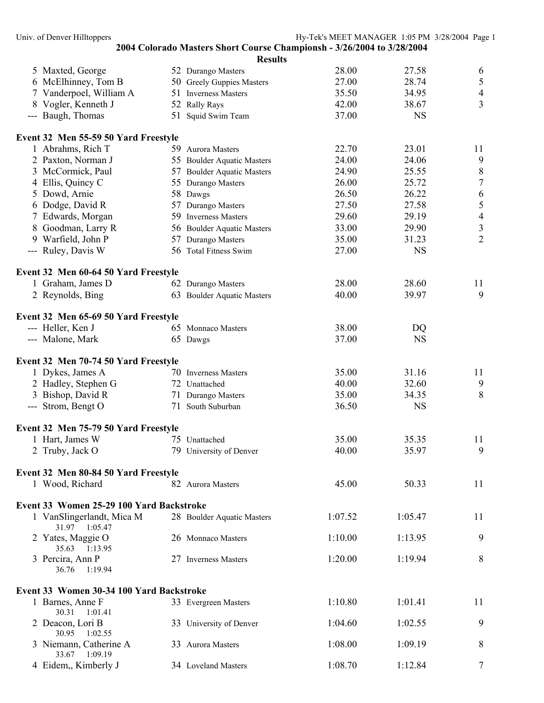|                                          | <b>Results</b>             |         |           |                  |
|------------------------------------------|----------------------------|---------|-----------|------------------|
| 5 Maxted, George                         | 52 Durango Masters         | 28.00   | 27.58     | 6                |
| 6 McElhinney, Tom B                      | 50 Greely Guppies Masters  | 27.00   | 28.74     | $\sqrt{5}$       |
| 7 Vanderpoel, William A                  | 51 Inverness Masters       | 35.50   | 34.95     | $\overline{4}$   |
| 8 Vogler, Kenneth J                      | 52 Rally Rays              | 42.00   | 38.67     | $\overline{3}$   |
| --- Baugh, Thomas                        | 51 Squid Swim Team         | 37.00   | <b>NS</b> |                  |
| Event 32 Men 55-59 50 Yard Freestyle     |                            |         |           |                  |
| 1 Abrahms, Rich T                        | 59 Aurora Masters          | 22.70   | 23.01     | 11               |
| 2 Paxton, Norman J                       | 55 Boulder Aquatic Masters | 24.00   | 24.06     | 9                |
| 3 McCormick, Paul                        | 57 Boulder Aquatic Masters | 24.90   | 25.55     | $\,8\,$          |
| 4 Ellis, Quincy C                        | 55 Durango Masters         | 26.00   | 25.72     | $\boldsymbol{7}$ |
| 5 Dowd, Arnie                            | 58 Dawgs                   | 26.50   | 26.22     | $\sqrt{6}$       |
| 6 Dodge, David R                         | 57 Durango Masters         | 27.50   | 27.58     | 5                |
| 7 Edwards, Morgan                        | 59 Inverness Masters       | 29.60   | 29.19     | $\overline{4}$   |
| 8 Goodman, Larry R                       | 56 Boulder Aquatic Masters | 33.00   | 29.90     | $\frac{3}{2}$    |
| 9 Warfield, John P                       | 57 Durango Masters         | 35.00   | 31.23     |                  |
| --- Ruley, Davis W                       | 56 Total Fitness Swim      | 27.00   | <b>NS</b> |                  |
| Event 32 Men 60-64 50 Yard Freestyle     |                            |         |           |                  |
| 1 Graham, James D                        | 62 Durango Masters         | 28.00   | 28.60     | 11               |
| 2 Reynolds, Bing                         | 63 Boulder Aquatic Masters | 40.00   | 39.97     | 9                |
| Event 32 Men 65-69 50 Yard Freestyle     |                            |         |           |                  |
| --- Heller, Ken J                        | 65 Monnaco Masters         | 38.00   | DQ        |                  |
| --- Malone, Mark                         | 65 Dawgs                   | 37.00   | <b>NS</b> |                  |
|                                          |                            |         |           |                  |
| Event 32 Men 70-74 50 Yard Freestyle     |                            |         |           |                  |
| 1 Dykes, James A                         | 70 Inverness Masters       | 35.00   | 31.16     | 11               |
| 2 Hadley, Stephen G                      | 72 Unattached              | 40.00   | 32.60     | 9                |
| 3 Bishop, David R                        | 71 Durango Masters         | 35.00   | 34.35     | 8                |
| --- Strom, Bengt O                       | 71 South Suburban          | 36.50   | <b>NS</b> |                  |
| Event 32 Men 75-79 50 Yard Freestyle     |                            |         |           |                  |
| 1 Hart, James W                          | 75 Unattached              | 35.00   | 35.35     | 11               |
| 2 Truby, Jack O                          | 79 University of Denver    | 40.00   | 35.97     | 9                |
| Event 32 Men 80-84 50 Yard Freestyle     |                            |         |           |                  |
| 1 Wood, Richard                          | 82 Aurora Masters          | 45.00   | 50.33     | 11               |
| Event 33 Women 25-29 100 Yard Backstroke |                            |         |           |                  |
| 1 VanSlingerlandt, Mica M                | 28 Boulder Aquatic Masters | 1:07.52 | 1:05.47   | 11               |
| 31.97 1:05.47                            |                            |         |           |                  |
| 2 Yates, Maggie O<br>35.63 1:13.95       | 26 Monnaco Masters         | 1:10.00 | 1:13.95   | 9                |
| 3 Percira, Ann P                         | 27 Inverness Masters       | 1:20.00 | 1:19.94   | 8                |
| 36.76<br>1:19.94                         |                            |         |           |                  |
| Event 33 Women 30-34 100 Yard Backstroke |                            |         |           |                  |
| 1 Barnes, Anne F<br>30.31<br>1:01.41     | 33 Evergreen Masters       | 1:10.80 | 1:01.41   | 11               |
| 2 Deacon, Lori B<br>30.95<br>1:02.55     | 33 University of Denver    | 1:04.60 | 1:02.55   | 9                |
| 3 Niemann, Catherine A<br>33.67 1:09.19  | 33 Aurora Masters          | 1:08.00 | 1:09.19   | 8                |
| 4 Eidem,, Kimberly J                     | 34 Loveland Masters        | 1:08.70 | 1:12.84   | 7                |
|                                          |                            |         |           |                  |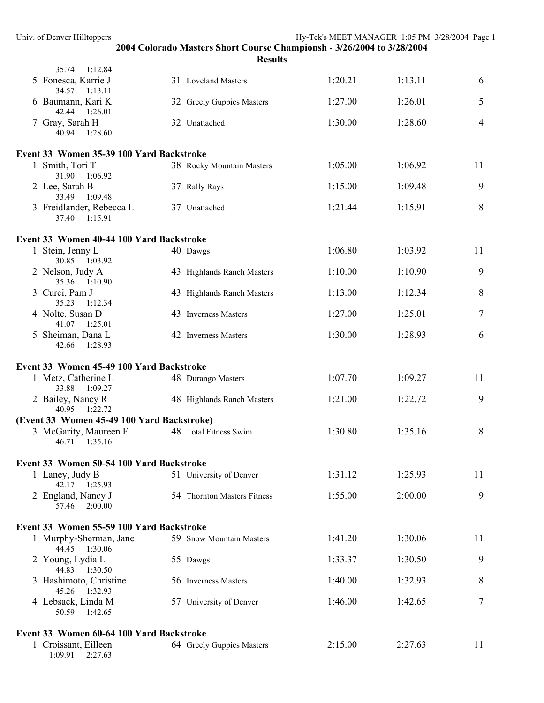|                                                                    | 2004 Colorado Masters Short Course Championsh - 3/26/2004 to 3/28/2004 |         |         |                |
|--------------------------------------------------------------------|------------------------------------------------------------------------|---------|---------|----------------|
| 35.74 1:12.84                                                      | <b>Results</b>                                                         |         |         |                |
| 5 Fonesca, Karrie J                                                | 31 Loveland Masters                                                    | 1:20.21 | 1:13.11 | 6              |
| 34.57 1:13.11<br>6 Baumann, Kari K                                 | 32 Greely Guppies Masters                                              | 1:27.00 | 1:26.01 | 5              |
| 42.44 1:26.01<br>7 Gray, Sarah H                                   | 32 Unattached                                                          | 1:30.00 | 1:28.60 | $\overline{4}$ |
| 40.94<br>1:28.60                                                   |                                                                        |         |         |                |
| Event 33 Women 35-39 100 Yard Backstroke                           |                                                                        |         |         |                |
| 1 Smith, Tori T<br>31.90 1:06.92                                   | 38 Rocky Mountain Masters                                              | 1:05.00 | 1:06.92 | 11             |
| 2 Lee, Sarah B<br>33.49 1:09.48                                    | 37 Rally Rays                                                          | 1:15.00 | 1:09.48 | 9              |
| 3 Freidlander, Rebecca L<br>37.40 1:15.91                          | 37 Unattached                                                          | 1:21.44 | 1:15.91 | 8              |
| Event 33 Women 40-44 100 Yard Backstroke                           |                                                                        |         |         |                |
| 1 Stein, Jenny L<br>30.85 1:03.92                                  | 40 Dawgs                                                               | 1:06.80 | 1:03.92 | 11             |
| 2 Nelson, Judy A<br>35.36 1:10.90                                  | 43 Highlands Ranch Masters                                             | 1:10.00 | 1:10.90 | 9              |
| 3 Curci, Pam J<br>35.23 1:12.34                                    | 43 Highlands Ranch Masters                                             | 1:13.00 | 1:12.34 | 8              |
| 4 Nolte, Susan D<br>41.07 1:25.01                                  | 43 Inverness Masters                                                   | 1:27.00 | 1:25.01 | $\overline{7}$ |
| 5 Sheiman, Dana L<br>42.66 1:28.93                                 | 42 Inverness Masters                                                   | 1:30.00 | 1:28.93 | 6              |
| Event 33 Women 45-49 100 Yard Backstroke                           |                                                                        |         |         |                |
| 1 Metz, Catherine L<br>33.88 1:09.27                               | 48 Durango Masters                                                     | 1:07.70 | 1:09.27 | 11             |
| 2 Bailey, Nancy R<br>40.95 1:22.72                                 | 48 Highlands Ranch Masters                                             | 1:21.00 | 1:22.72 | 9              |
| (Event 33 Women 45-49 100 Yard Backstroke)                         |                                                                        |         |         |                |
| 3 McGarity, Maureen F<br>46.71  1:35.16                            | 48 Total Fitness Swim                                                  | 1:30.80 | 1:35.16 | 8              |
| Event 33 Women 50-54 100 Yard Backstroke                           |                                                                        |         |         |                |
| 1 Laney, Judy B<br>42.17 1:25.93                                   | 51 University of Denver                                                | 1:31.12 | 1:25.93 | 11             |
| 2 England, Nancy J<br>2:00.00<br>57.46                             | 54 Thornton Masters Fitness                                            | 1:55.00 | 2:00.00 | 9              |
|                                                                    |                                                                        |         |         |                |
| Event 33 Women 55-59 100 Yard Backstroke<br>1 Murphy-Sherman, Jane | 59 Snow Mountain Masters                                               | 1:41.20 | 1:30.06 | 11             |
| 44.45 1:30.06                                                      |                                                                        |         |         | 9              |
| 2 Young, Lydia L<br>44.83 1:30.50                                  | 55 Dawgs                                                               | 1:33.37 | 1:30.50 |                |
| 3 Hashimoto, Christine<br>45.26 1:32.93                            | 56 Inverness Masters                                                   | 1:40.00 | 1:32.93 | 8              |
| 4 Lebsack, Linda M<br>50.59<br>1:42.65                             | 57 University of Denver                                                | 1:46.00 | 1:42.65 | 7              |
| Event 33 Women 60-64 100 Yard Backstroke                           |                                                                        |         |         |                |
| 1 Croissant, Eilleen<br>1:09.91<br>2:27.63                         | 64 Greely Guppies Masters                                              | 2:15.00 | 2:27.63 | 11             |

Univ. of Denver Hilltoppers Hy-Tek's MEET MANAGER 1:05 PM 3/28/2004 Page 1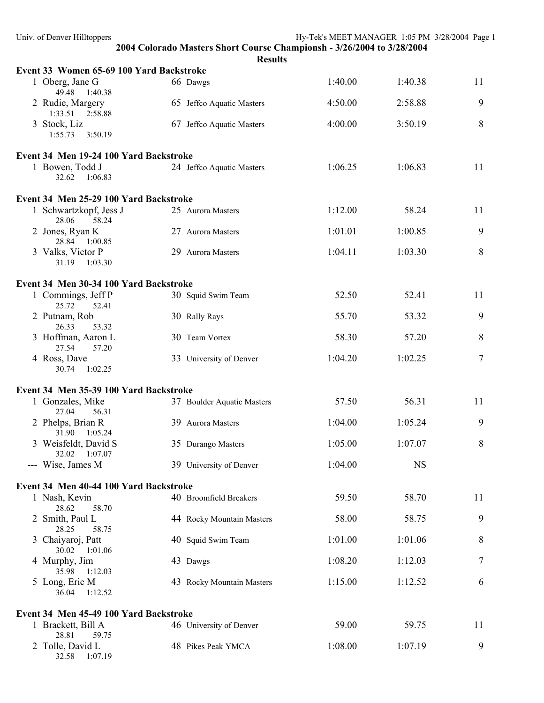| Univ. of Denver Hilltoppers              |                                                                                          | Hy-Tek's MEET MANAGER 1:05 PM 3/28/2004 Page 1 |           |    |
|------------------------------------------|------------------------------------------------------------------------------------------|------------------------------------------------|-----------|----|
|                                          | 2004 Colorado Masters Short Course Championsh - 3/26/2004 to 3/28/2004<br><b>Results</b> |                                                |           |    |
| Event 33 Women 65-69 100 Yard Backstroke |                                                                                          |                                                |           |    |
| 1 Oberg, Jane G<br>49.48<br>1:40.38      | 66 Dawgs                                                                                 | 1:40.00                                        | 1:40.38   | 11 |
| 2 Rudie, Margery<br>1:33.51 2:58.88      | 65 Jeffco Aquatic Masters                                                                | 4:50.00                                        | 2:58.88   | 9  |
| 3 Stock, Liz<br>1:55.73<br>3:50.19       | 67 Jeffco Aquatic Masters                                                                | 4:00.00                                        | 3:50.19   | 8  |
| Event 34 Men 19-24 100 Yard Backstroke   |                                                                                          |                                                |           |    |
| 1 Bowen, Todd J<br>32.62<br>1:06.83      | 24 Jeffco Aquatic Masters                                                                | 1:06.25                                        | 1:06.83   | 11 |
| Event 34 Men 25-29 100 Yard Backstroke   |                                                                                          |                                                |           |    |
| 1 Schwartzkopf, Jess J<br>28.06<br>58.24 | 25 Aurora Masters                                                                        | 1:12.00                                        | 58.24     | 11 |
| 2 Jones, Ryan K<br>28.84 1:00.85         | 27 Aurora Masters                                                                        | 1:01.01                                        | 1:00.85   | 9  |
| 3 Valks, Victor P<br>31.19<br>1:03.30    | 29 Aurora Masters                                                                        | 1:04.11                                        | 1:03.30   | 8  |
| Event 34 Men 30-34 100 Yard Backstroke   |                                                                                          |                                                |           |    |
| 1 Commings, Jeff P<br>25.72<br>52.41     | 30 Squid Swim Team                                                                       | 52.50                                          | 52.41     | 11 |
| 2 Putnam, Rob<br>26.33<br>53.32          | 30 Rally Rays                                                                            | 55.70                                          | 53.32     | 9  |
| 3 Hoffman, Aaron L<br>27.54<br>57.20     | 30 Team Vortex                                                                           | 58.30                                          | 57.20     | 8  |
| 4 Ross, Dave<br>30.74<br>1:02.25         | 33 University of Denver                                                                  | 1:04.20                                        | 1:02.25   | 7  |
| Event 34 Men 35-39 100 Yard Backstroke   |                                                                                          |                                                |           |    |
| 1 Gonzales, Mike<br>27.04<br>56.31       | 37 Boulder Aquatic Masters                                                               | 57.50                                          | 56.31     | 11 |
| 2 Phelps, Brian R<br>31.90<br>1:05.24    | 39 Aurora Masters                                                                        | 1:04.00                                        | 1:05.24   | 9  |
| 3 Weisfeldt, David S<br>32.02<br>1:07.07 | 35 Durango Masters                                                                       | 1:05.00                                        | 1:07.07   | 8  |
| --- Wise, James M                        | 39 University of Denver                                                                  | 1:04.00                                        | <b>NS</b> |    |
| Event 34 Men 40-44 100 Yard Backstroke   |                                                                                          |                                                |           |    |
| 1 Nash, Kevin<br>28.62<br>58.70          | 40 Broomfield Breakers                                                                   | 59.50                                          | 58.70     | 11 |
| 2 Smith, Paul L<br>28.25<br>58.75        | 44 Rocky Mountain Masters                                                                | 58.00                                          | 58.75     | 9  |
| 3 Chaiyaroj, Patt<br>30.02<br>1:01.06    | 40 Squid Swim Team                                                                       | 1:01.00                                        | 1:01.06   | 8  |
| 4 Murphy, Jim<br>1:12.03<br>35.98        | 43 Dawgs                                                                                 | 1:08.20                                        | 1:12.03   | 7  |
| 5 Long, Eric M<br>1:12.52<br>36.04       | 43 Rocky Mountain Masters                                                                | 1:15.00                                        | 1:12.52   | 6  |
| Event 34 Men 45-49 100 Yard Backstroke   |                                                                                          |                                                |           |    |
| 1 Brackett, Bill A<br>28.81<br>59.75     | 46 University of Denver                                                                  | 59.00                                          | 59.75     | 11 |
| 2 Tolle, David L<br>32.58<br>1:07.19     | 48 Pikes Peak YMCA                                                                       | 1:08.00                                        | 1:07.19   | 9  |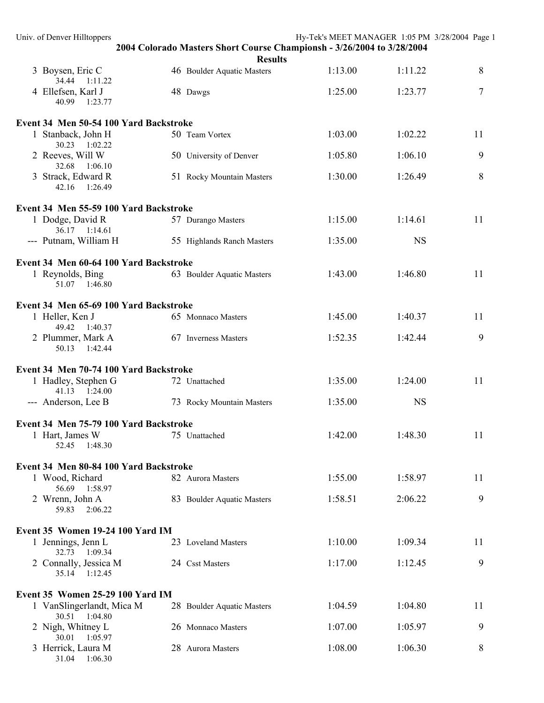| Univ. of Denver Hilltoppers                |                                                                        | Hy-Tek's MEET MANAGER 1:05 PM 3/28/2004 Page 1 |           |    |
|--------------------------------------------|------------------------------------------------------------------------|------------------------------------------------|-----------|----|
|                                            | 2004 Colorado Masters Short Course Championsh - 3/26/2004 to 3/28/2004 |                                                |           |    |
| 3 Boysen, Eric C                           | <b>Results</b><br>46 Boulder Aquatic Masters                           | 1:13.00                                        | 1:11.22   | 8  |
| 34.44<br>1:11.22<br>4 Ellefsen, Karl J     | 48 Dawgs                                                               | 1:25.00                                        | 1:23.77   | 7  |
| 40.99<br>1:23.77                           |                                                                        |                                                |           |    |
| Event 34 Men 50-54 100 Yard Backstroke     |                                                                        |                                                |           |    |
| 1 Stanback, John H<br>30.23 1:02.22        | 50 Team Vortex                                                         | 1:03.00                                        | 1:02.22   | 11 |
| 2 Reeves, Will W<br>32.68 1:06.10          | 50 University of Denver                                                | 1:05.80                                        | 1:06.10   | 9  |
| 3 Strack, Edward R<br>42.16 1:26.49        | 51 Rocky Mountain Masters                                              | 1:30.00                                        | 1:26.49   | 8  |
| Event 34 Men 55-59 100 Yard Backstroke     |                                                                        |                                                |           |    |
| 1 Dodge, David R<br>36.17 1:14.61          | 57 Durango Masters                                                     | 1:15.00                                        | 1:14.61   | 11 |
| --- Putnam, William H                      | 55 Highlands Ranch Masters                                             | 1:35.00                                        | <b>NS</b> |    |
| Event 34 Men 60-64 100 Yard Backstroke     |                                                                        |                                                |           |    |
| 1 Reynolds, Bing<br>51.07<br>1:46.80       | 63 Boulder Aquatic Masters                                             | 1:43.00                                        | 1:46.80   | 11 |
| Event 34 Men 65-69 100 Yard Backstroke     |                                                                        |                                                |           |    |
| 1 Heller, Ken J<br>49.42 1:40.37           | 65 Monnaco Masters                                                     | 1:45.00                                        | 1:40.37   | 11 |
| 2 Plummer, Mark A<br>50.13<br>1:42.44      | 67 Inverness Masters                                                   | 1:52.35                                        | 1:42.44   | 9  |
|                                            |                                                                        |                                                |           |    |
| Event 34 Men 70-74 100 Yard Backstroke     |                                                                        |                                                |           |    |
| 1 Hadley, Stephen G<br>41.13 1:24.00       | 72 Unattached                                                          | 1:35.00                                        | 1:24.00   | 11 |
| --- Anderson, Lee B                        | 73 Rocky Mountain Masters                                              | 1:35.00                                        | <b>NS</b> |    |
| Event 34 Men 75-79 100 Yard Backstroke     |                                                                        |                                                |           |    |
| 1 Hart, James W<br>52.45<br>1:48.30        | 75 Unattached                                                          | 1:42.00                                        | 1:48.30   | 11 |
| Event 34 Men 80-84 100 Yard Backstroke     |                                                                        |                                                |           |    |
| 1 Wood, Richard                            | 82 Aurora Masters                                                      | 1:55.00                                        | 1:58.97   | 11 |
| 56.69 1:58.97<br>2 Wrenn, John A           | 83 Boulder Aquatic Masters                                             | 1:58.51                                        | 2:06.22   | 9  |
| 59.83<br>2:06.22                           |                                                                        |                                                |           |    |
| Event 35 Women 19-24 100 Yard IM           |                                                                        |                                                |           |    |
| 1 Jennings, Jenn L<br>32.73<br>1:09.34     | 23 Loveland Masters                                                    | 1:10.00                                        | 1:09.34   | 11 |
| 2 Connally, Jessica M<br>35.14 1:12.45     | 24 Csst Masters                                                        | 1:17.00                                        | 1:12.45   | 9  |
|                                            |                                                                        |                                                |           |    |
| Event 35 Women 25-29 100 Yard IM           |                                                                        |                                                |           |    |
| 1 VanSlingerlandt, Mica M<br>30.51 1:04.80 | 28 Boulder Aquatic Masters                                             | 1:04.59                                        | 1:04.80   | 11 |
| 2 Nigh, Whitney L<br>30.01<br>1:05.97      | 26 Monnaco Masters                                                     | 1:07.00                                        | 1:05.97   | 9  |
| 3 Herrick, Laura M<br>31.04 1:06.30        | 28 Aurora Masters                                                      | 1:08.00                                        | 1:06.30   | 8  |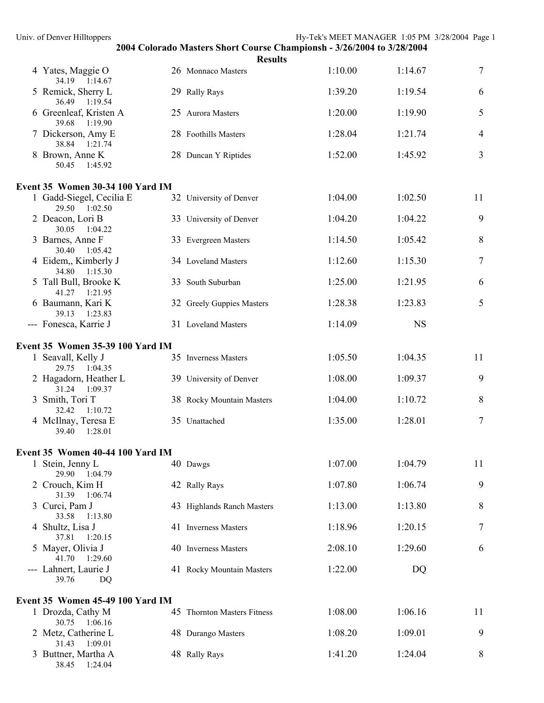| Univ. of Denver Hilltoppers               |                                                                                          | Hy-Tek's MEET MANAGER 1:05 PM 3/28/2004 Page 1 |           |                  |
|-------------------------------------------|------------------------------------------------------------------------------------------|------------------------------------------------|-----------|------------------|
|                                           | 2004 Colorado Masters Short Course Championsh - 3/26/2004 to 3/28/2004<br><b>Results</b> |                                                |           |                  |
| 4 Yates, Maggie O<br>34.19 1:14.67        | 26 Monnaco Masters                                                                       | 1:10.00                                        | 1:14.67   | $\boldsymbol{7}$ |
| 5 Remick, Sherry L<br>36.49 1:19.54       | 29 Rally Rays                                                                            | 1:39.20                                        | 1:19.54   | 6                |
| 6 Greenleaf, Kristen A<br>39.68 1:19.90   | 25 Aurora Masters                                                                        | 1:20.00                                        | 1:19.90   | 5                |
| 7 Dickerson, Amy E<br>38.84 1:21.74       | 28 Foothills Masters                                                                     | 1:28.04                                        | 1:21.74   | 4                |
| 8 Brown, Anne K<br>1:45.92<br>50.45       | 28 Duncan Y Riptides                                                                     | 1:52.00                                        | 1:45.92   | 3                |
| Event 35 Women 30-34 100 Yard IM          |                                                                                          |                                                |           |                  |
| 1 Gadd-Siegel, Cecilia E<br>29.50 1:02.50 | 32 University of Denver                                                                  | 1:04.00                                        | 1:02.50   | 11               |
| 2 Deacon, Lori B<br>30.05 1:04.22         | 33 University of Denver                                                                  | 1:04.20                                        | 1:04.22   | 9                |
| 3 Barnes, Anne F<br>30.40 1:05.42         | 33 Evergreen Masters                                                                     | 1:14.50                                        | 1:05.42   | 8                |
| 4 Eidem, Kimberly J<br>34.80 1:15.30      | 34 Loveland Masters                                                                      | 1:12.60                                        | 1:15.30   | $\boldsymbol{7}$ |
| 5 Tall Bull, Brooke K<br>41.27 1:21.95    | 33 South Suburban                                                                        | 1:25.00                                        | 1:21.95   | 6                |
| 6 Baumann, Kari K<br>39.13 1:23.83        | 32 Greely Guppies Masters                                                                | 1:28.38                                        | 1:23.83   | 5                |
| --- Fonesca, Karrie J                     | 31 Loveland Masters                                                                      | 1:14.09                                        | <b>NS</b> |                  |
| Event 35 Women 35-39 100 Yard IM          |                                                                                          |                                                |           |                  |
| 1 Seavall, Kelly J<br>29.75 1:04.35       | 35 Inverness Masters                                                                     | 1:05.50                                        | 1:04.35   | 11               |
| 2 Hagadorn, Heather L<br>31.24 1:09.37    | 39 University of Denver                                                                  | 1:08.00                                        | 1:09.37   | 9                |
| 3 Smith, Tori T<br>32.42 1:10.72          | 38 Rocky Mountain Masters                                                                | 1:04.00                                        | 1:10.72   | 8                |
| 4 McIlnay, Teresa E<br>39.40 1:28.01      | 35 Unattached                                                                            | 1:35.00                                        | 1:28.01   | 7                |
| Event 35 Women 40-44 100 Yard IM          |                                                                                          |                                                |           |                  |
| 1 Stein, Jenny L<br>29.90 1:04.79         | 40 Dawgs                                                                                 | 1:07.00                                        | 1:04.79   | 11               |
| 2 Crouch, Kim H<br>31.39 1:06.74          | 42 Rally Rays                                                                            | 1:07.80                                        | 1:06.74   | 9                |
| 3 Curci, Pam J<br>33.58 1:13.80           | 43 Highlands Ranch Masters                                                               | 1:13.00                                        | 1:13.80   | 8                |
| 4 Shultz, Lisa J<br>37.81<br>1:20.15      | 41 Inverness Masters                                                                     | 1:18.96                                        | 1:20.15   | 7                |
| 5 Mayer, Olivia J<br>41.70<br>1:29.60     | 40 Inverness Masters                                                                     | 2:08.10                                        | 1:29.60   | 6                |
| --- Lahnert, Laurie J<br>39.76<br>DQ      | 41 Rocky Mountain Masters                                                                | 1:22.00                                        | DQ        |                  |
| <b>Event 35 Women 45-49 100 Yard IM</b>   |                                                                                          |                                                |           |                  |
| 1 Drozda, Cathy M<br>30.75 1:06.16        | 45 Thornton Masters Fitness                                                              | 1:08.00                                        | 1:06.16   | 11               |
| 2 Metz, Catherine L<br>31.43 1:09.01      | 48 Durango Masters                                                                       | 1:08.20                                        | 1:09.01   | 9                |
| 3 Buttner, Martha A<br>38.45 1:24.04      | 48 Rally Rays                                                                            | 1:41.20                                        | 1:24.04   | 8                |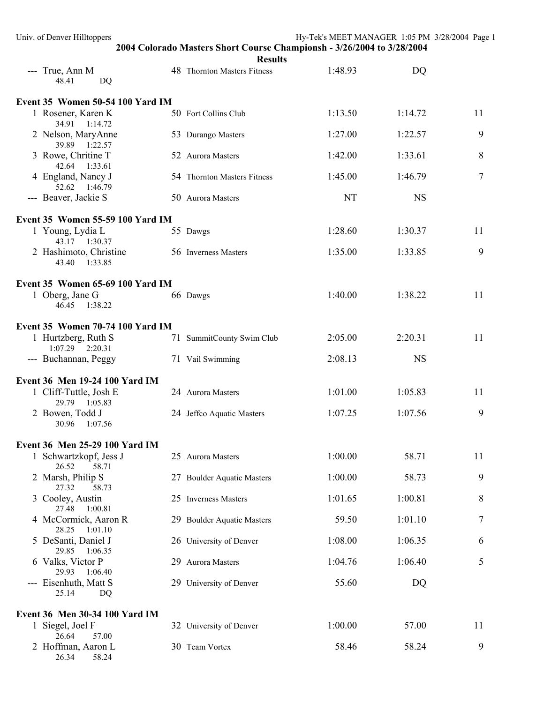| Univ. of Denver Hilltoppers                | 2004 Colorado Masters Short Course Championsh - 3/26/2004 to 3/28/2004 | Hy-Tek's MEET MANAGER 1:05 PM 3/28/2004 Page 1 |           |    |
|--------------------------------------------|------------------------------------------------------------------------|------------------------------------------------|-----------|----|
| --- True, Ann M<br>48.41<br><b>DQ</b>      | <b>Results</b><br>48 Thornton Masters Fitness                          | 1:48.93                                        | DQ        |    |
| Event 35 Women 50-54 100 Yard IM           |                                                                        |                                                |           |    |
| 1 Rosener, Karen K<br>34.91 1:14.72        | 50 Fort Collins Club                                                   | 1:13.50                                        | 1:14.72   | 11 |
| 2 Nelson, MaryAnne<br>39.89 1:22.57        | 53 Durango Masters                                                     | 1:27.00                                        | 1:22.57   | 9  |
| 3 Rowe, Chritine T<br>42.64 1:33.61        | 52 Aurora Masters                                                      | 1:42.00                                        | 1:33.61   | 8  |
| 4 England, Nancy J<br>52.62 1:46.79        | 54 Thornton Masters Fitness                                            | 1:45.00                                        | 1:46.79   | 7  |
| --- Beaver, Jackie S                       | 50 Aurora Masters                                                      | NT                                             | <b>NS</b> |    |
| Event 35 Women 55-59 100 Yard IM           |                                                                        |                                                |           |    |
| 1 Young, Lydia L<br>43.17 1:30.37          | 55 Dawgs                                                               | 1:28.60                                        | 1:30.37   | 11 |
| 2 Hashimoto, Christine<br>43.40<br>1:33.85 | 56 Inverness Masters                                                   | 1:35.00                                        | 1:33.85   | 9  |
| Event 35 Women 65-69 100 Yard IM           |                                                                        |                                                |           |    |
| 1 Oberg, Jane G<br>46.45<br>1:38.22        | 66 Dawgs                                                               | 1:40.00                                        | 1:38.22   | 11 |
| Event 35 Women 70-74 100 Yard IM           |                                                                        |                                                |           |    |
| 1 Hurtzberg, Ruth S<br>$1:07.29$ $2:20.31$ | 71 SummitCounty Swim Club                                              | 2:05.00                                        | 2:20.31   | 11 |
| --- Buchannan, Peggy                       | 71 Vail Swimming                                                       | 2:08.13                                        | <b>NS</b> |    |
| Event 36 Men 19-24 100 Yard IM             |                                                                        |                                                |           |    |
| 1 Cliff-Tuttle, Josh E<br>29.79 1:05.83    | 24 Aurora Masters                                                      | 1:01.00                                        | 1:05.83   | 11 |
| 2 Bowen, Todd J<br>30.96<br>1:07.56        | 24 Jeffco Aquatic Masters                                              | 1:07.25                                        | 1:07.56   | 9  |
| Event 36 Men 25-29 100 Yard IM             |                                                                        |                                                |           |    |
| 1 Schwartzkopf, Jess J<br>26.52<br>58.71   | 25 Aurora Masters                                                      | 1:00.00                                        | 58.71     | 11 |
| 2 Marsh, Philip S<br>27.32<br>58.73        | 27 Boulder Aquatic Masters                                             | 1:00.00                                        | 58.73     | 9  |
| 3 Cooley, Austin<br>27.48<br>1:00.81       | 25 Inverness Masters                                                   | 1:01.65                                        | 1:00.81   | 8  |
| 4 McCormick, Aaron R<br>28.25<br>1:01.10   | 29 Boulder Aquatic Masters                                             | 59.50                                          | 1:01.10   | 7  |
| 5 DeSanti, Daniel J<br>29.85<br>1:06.35    | 26 University of Denver                                                | 1:08.00                                        | 1:06.35   | 6  |
| 6 Valks, Victor P<br>29.93<br>1:06.40      | 29 Aurora Masters                                                      | 1:04.76                                        | 1:06.40   | 5  |
| --- Eisenhuth, Matt S<br>25.14<br>DQ       | 29 University of Denver                                                | 55.60                                          | DQ        |    |
| Event 36 Men 30-34 100 Yard IM             |                                                                        |                                                |           |    |
| 1 Siegel, Joel F<br>26.64<br>57.00         | 32 University of Denver                                                | 1:00.00                                        | 57.00     | 11 |
| 2 Hoffman, Aaron L<br>26.34<br>58.24       | 30 Team Vortex                                                         | 58.46                                          | 58.24     | 9  |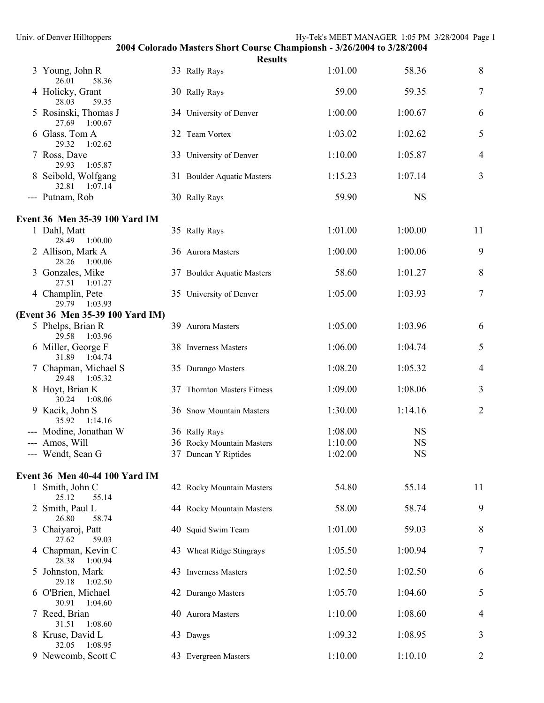| Univ. of Denver Hilltoppers              |        |                             | Hy-Tek's MEET MANAGER 1:05 PM 3/28/2004 Page 1                         |           |                |  |
|------------------------------------------|--------|-----------------------------|------------------------------------------------------------------------|-----------|----------------|--|
|                                          |        | <b>Results</b>              | 2004 Colorado Masters Short Course Championsh - 3/26/2004 to 3/28/2004 |           |                |  |
| 3 Young, John R<br>58.36<br>26.01        |        | 33 Rally Rays               | 1:01.00                                                                | 58.36     | 8              |  |
| 4 Holicky, Grant<br>28.03<br>59.35       |        | 30 Rally Rays               | 59.00                                                                  | 59.35     | 7              |  |
| 5 Rosinski, Thomas J<br>27.69 1:00.67    |        | 34 University of Denver     | 1:00.00                                                                | 1:00.67   | 6              |  |
| 6 Glass, Tom A<br>29.32<br>1:02.62       |        | 32 Team Vortex              | 1:03.02                                                                | 1:02.62   | 5              |  |
| 7 Ross, Dave<br>29.93<br>1:05.87         |        | 33 University of Denver     | 1:10.00                                                                | 1:05.87   | 4              |  |
| 8 Seibold, Wolfgang<br>32.81<br>1:07.14  |        | 31 Boulder Aquatic Masters  | 1:15.23                                                                | 1:07.14   | 3              |  |
| --- Putnam, Rob                          |        | 30 Rally Rays               | 59.90                                                                  | <b>NS</b> |                |  |
| Event 36 Men 35-39 100 Yard IM           |        |                             |                                                                        |           |                |  |
| 1 Dahl, Matt<br>28.49 1:00.00            |        | 35 Rally Rays               | 1:01.00                                                                | 1:00.00   | 11             |  |
| 2 Allison, Mark A<br>28.26<br>1:00.06    |        | 36 Aurora Masters           | 1:00.00                                                                | 1:00.06   | 9              |  |
| 3 Gonzales, Mike<br>27.51 1:01.27        |        | 37 Boulder Aquatic Masters  | 58.60                                                                  | 1:01.27   | 8              |  |
| 4 Champlin, Pete<br>29.79 1:03.93        |        | 35 University of Denver     | 1:05.00                                                                | 1:03.93   | 7              |  |
| (Event 36 Men 35-39 100 Yard IM)         |        |                             |                                                                        |           |                |  |
| 5 Phelps, Brian R<br>29.58 1:03.96       |        | 39 Aurora Masters           | 1:05.00                                                                | 1:03.96   | 6              |  |
| 6 Miller, George F<br>31.89 1:04.74      |        | 38 Inverness Masters        | 1:06.00                                                                | 1:04.74   | 5              |  |
| 7 Chapman, Michael S<br>29.48<br>1:05.32 |        | 35 Durango Masters          | 1:08.20                                                                | 1:05.32   | 4              |  |
| 8 Hoyt, Brian K<br>30.24<br>1:08.06      |        | 37 Thornton Masters Fitness | 1:09.00                                                                | 1:08.06   | 3              |  |
| 9 Kacik, John S<br>35.92<br>1:14.16      |        | 36 Snow Mountain Masters    | 1:30.00                                                                | 1:14.16   | $\overline{2}$ |  |
| --- Modine, Jonathan W                   | $\sim$ | 36 Rally Rays               | 1:08.00                                                                | <b>NS</b> |                |  |
| Amos, Will                               |        | 36 Rocky Mountain Masters   | 1:10.00                                                                | <b>NS</b> |                |  |
| --- Wendt, Sean G                        |        | 37 Duncan Y Riptides        | 1:02.00                                                                | <b>NS</b> |                |  |
| Event 36 Men 40-44 100 Yard IM           |        |                             |                                                                        |           |                |  |
| 1 Smith, John C<br>25.12<br>55.14        |        | 42 Rocky Mountain Masters   | 54.80                                                                  | 55.14     | 11             |  |
| 2 Smith, Paul L<br>26.80<br>58.74        |        | 44 Rocky Mountain Masters   | 58.00                                                                  | 58.74     | 9              |  |
| 3 Chaiyaroj, Patt<br>27.62<br>59.03      |        | 40 Squid Swim Team          | 1:01.00                                                                | 59.03     | 8              |  |
| 4 Chapman, Kevin C<br>28.38<br>1:00.94   |        | 43 Wheat Ridge Stingrays    | 1:05.50                                                                | 1:00.94   | 7              |  |
| 5 Johnston, Mark<br>29.18<br>1:02.50     |        | 43 Inverness Masters        | 1:02.50                                                                | 1:02.50   | 6              |  |
| 6 O'Brien, Michael<br>1:04.60<br>30.91   |        | 42 Durango Masters          | 1:05.70                                                                | 1:04.60   | 5              |  |
| 7 Reed, Brian<br>1:08.60<br>31.51        |        | 40 Aurora Masters           | 1:10.00                                                                | 1:08.60   | 4              |  |
| 8 Kruse, David L<br>1:08.95<br>32.05     |        | 43 Dawgs                    | 1:09.32                                                                | 1:08.95   | 3              |  |
| 9 Newcomb, Scott C                       |        | 43 Evergreen Masters        | 1:10.00                                                                | 1:10.10   | 2              |  |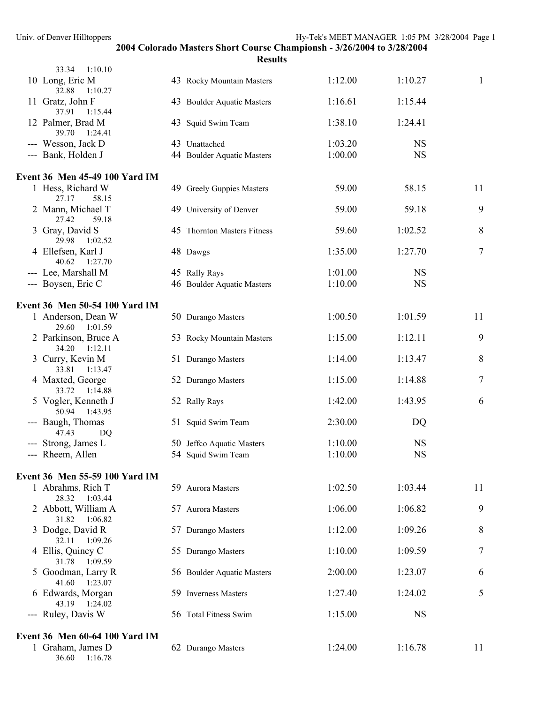| 33.34<br>1:10.10                         |                             |         |           |    |
|------------------------------------------|-----------------------------|---------|-----------|----|
| 10 Long, Eric M<br>32.88<br>1:10.27      | 43 Rocky Mountain Masters   | 1:12.00 | 1:10.27   | 1  |
| 11 Gratz, John F<br>37.91<br>1:15.44     | 43 Boulder Aquatic Masters  | 1:16.61 | 1:15.44   |    |
| 12 Palmer, Brad M<br>39.70<br>1:24.41    | 43 Squid Swim Team          | 1:38.10 | 1:24.41   |    |
| --- Wesson, Jack D                       | 43 Unattached               | 1:03.20 | <b>NS</b> |    |
| --- Bank, Holden J                       | 44 Boulder Aquatic Masters  | 1:00.00 | <b>NS</b> |    |
| Event 36 Men 45-49 100 Yard IM           |                             |         |           |    |
| 1 Hess, Richard W<br>27.17<br>58.15      | 49 Greely Guppies Masters   | 59.00   | 58.15     | 11 |
| 2 Mann, Michael T<br>27.42<br>59.18      | 49 University of Denver     | 59.00   | 59.18     | 9  |
| 3 Gray, David S<br>29.98<br>1:02.52      | 45 Thornton Masters Fitness | 59.60   | 1:02.52   | 8  |
| 4 Ellefsen, Karl J<br>40.62<br>1:27.70   | 48 Dawgs                    | 1:35.00 | 1:27.70   | 7  |
| --- Lee, Marshall M                      | 45 Rally Rays               | 1:01.00 | <b>NS</b> |    |
| --- Boysen, Eric C                       | 46 Boulder Aquatic Masters  | 1:10.00 | <b>NS</b> |    |
| Event 36 Men 50-54 100 Yard IM           |                             |         |           |    |
| 1 Anderson, Dean W<br>29.60<br>1:01.59   | 50 Durango Masters          | 1:00.50 | 1:01.59   | 11 |
| 2 Parkinson, Bruce A<br>34.20<br>1:12.11 | 53 Rocky Mountain Masters   | 1:15.00 | 1:12.11   | 9  |
| 3 Curry, Kevin M<br>33.81<br>1:13.47     | 51 Durango Masters          | 1:14.00 | 1:13.47   | 8  |
| 4 Maxted, George<br>33.72<br>1:14.88     | 52 Durango Masters          | 1:15.00 | 1:14.88   | 7  |
| 5 Vogler, Kenneth J<br>50.94<br>1:43.95  | 52 Rally Rays               | 1:42.00 | 1:43.95   | 6  |
| --- Baugh, Thomas<br>47.43<br>DQ         | 51 Squid Swim Team          | 2:30.00 | DQ        |    |
| --- Strong, James L                      | 50 Jeffco Aquatic Masters   | 1:10.00 | <b>NS</b> |    |
| --- Rheem, Allen                         | 54 Squid Swim Team          | 1:10.00 | <b>NS</b> |    |
| Event 36 Men 55-59 100 Yard IM           |                             |         |           |    |
| 1 Abrahms, Rich T<br>28.32<br>1:03.44    | 59 Aurora Masters           | 1:02.50 | 1:03.44   | 11 |
| 2 Abbott, William A<br>31.82<br>1:06.82  | 57 Aurora Masters           | 1:06.00 | 1:06.82   | 9  |
| 3 Dodge, David R<br>32.11<br>1:09.26     | 57 Durango Masters          | 1:12.00 | 1:09.26   | 8  |
| 4 Ellis, Quincy C<br>31.78<br>1:09.59    | 55 Durango Masters          | 1:10.00 | 1:09.59   | 7  |
| 5 Goodman, Larry R<br>41.60<br>1:23.07   | 56 Boulder Aquatic Masters  | 2:00.00 | 1:23.07   | 6  |
| 6 Edwards, Morgan<br>43.19<br>1:24.02    | 59 Inverness Masters        | 1:27.40 | 1:24.02   | 5  |
| --- Ruley, Davis W                       | 56 Total Fitness Swim       | 1:15.00 | <b>NS</b> |    |
| Event 36 Men 60-64 100 Yard IM           |                             |         |           |    |
| 1 Graham, James D<br>36.60 1:16.78       | 62 Durango Masters          | 1:24.00 | 1:16.78   | 11 |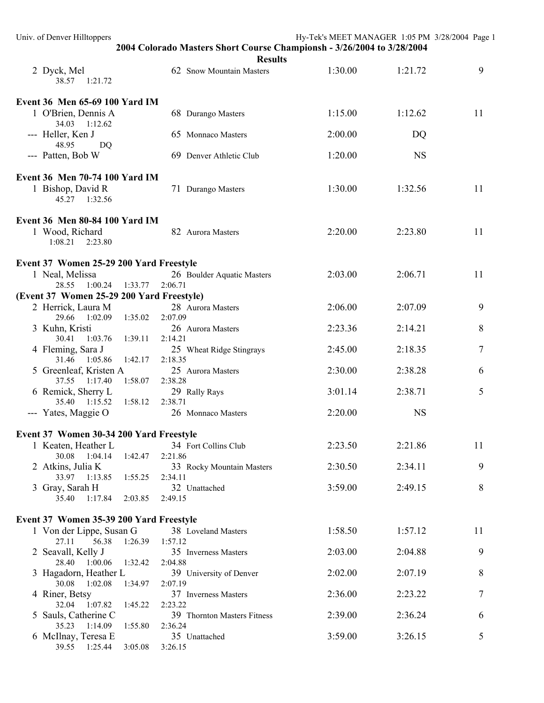| Univ. of Denver Hilltoppers                                     |                                                                        | Hy-Tek's MEET MANAGER 1:05 PM 3/28/2004 Page 1 |           |    |
|-----------------------------------------------------------------|------------------------------------------------------------------------|------------------------------------------------|-----------|----|
|                                                                 | 2004 Colorado Masters Short Course Championsh - 3/26/2004 to 3/28/2004 |                                                |           |    |
| 2 Dyck, Mel<br>38.57 1:21.72                                    | <b>Results</b><br>62 Snow Mountain Masters                             | 1:30.00                                        | 1:21.72   | 9  |
| Event 36 Men 65-69 100 Yard IM                                  |                                                                        |                                                |           |    |
| 1 O'Brien, Dennis A<br>34.03 1:12.62                            | 68 Durango Masters                                                     | 1:15.00                                        | 1:12.62   | 11 |
| --- Heller, Ken J<br>48.95<br>DQ                                | 65 Monnaco Masters                                                     | 2:00.00                                        | DQ        |    |
| --- Patten, Bob W                                               | 69 Denver Athletic Club                                                | 1:20.00                                        | <b>NS</b> |    |
| Event 36 Men 70-74 100 Yard IM                                  |                                                                        |                                                |           |    |
| 1 Bishop, David R<br>45.27 1:32.56                              | 71 Durango Masters                                                     | 1:30.00                                        | 1:32.56   | 11 |
| Event 36 Men 80-84 100 Yard IM                                  |                                                                        |                                                |           |    |
| 1 Wood, Richard<br>1:08.21<br>2:23.80                           | 82 Aurora Masters                                                      | 2:20.00                                        | 2:23.80   | 11 |
|                                                                 |                                                                        |                                                |           |    |
| Event 37 Women 25-29 200 Yard Freestyle                         |                                                                        |                                                |           |    |
| 1 Neal, Melissa                                                 | 26 Boulder Aquatic Masters                                             | 2:03.00                                        | 2:06.71   | 11 |
| 28.55 1:00.24 1:33.77                                           | 2:06.71                                                                |                                                |           |    |
| (Event 37 Women 25-29 200 Yard Freestyle)<br>2 Herrick, Laura M | 28 Aurora Masters                                                      | 2:06.00                                        | 2:07.09   | 9  |
| 29.66 1:02.09<br>1:35.02                                        | 2:07.09                                                                |                                                |           |    |
| 3 Kuhn, Kristi<br>30.41 1:03.76<br>1:39.11                      | 26 Aurora Masters<br>2:14.21                                           | 2:23.36                                        | 2:14.21   | 8  |
| 4 Fleming, Sara J<br>31.46 1:05.86<br>1:42.17                   | 25 Wheat Ridge Stingrays<br>2:18.35                                    | 2:45.00                                        | 2:18.35   | 7  |
| 5 Greenleaf, Kristen A                                          | 25 Aurora Masters                                                      | 2:30.00                                        | 2:38.28   | 6  |
| 37.55 1:17.40<br>1:58.07<br>6 Remick, Sherry L                  | 2:38.28<br>29 Rally Rays                                               | 3:01.14                                        | 2:38.71   | 5  |
| 35.40 1:15.52<br>1:58.12<br>--- Yates, Maggie O                 | 2:38.71<br>26 Monnaco Masters                                          | 2:20.00                                        | <b>NS</b> |    |
| Event 37 Women 30-34 200 Yard Freestyle                         |                                                                        |                                                |           |    |
| 1 Keaten, Heather L                                             | 34 Fort Collins Club                                                   | 2:23.50                                        | 2:21.86   | 11 |
| 1:42.47<br>30.08 1:04.14                                        | 2:21.86                                                                |                                                |           |    |
| 2 Atkins, Julia K<br>33.97 1:13.85<br>1:55.25                   | 33 Rocky Mountain Masters<br>2:34.11                                   | 2:30.50                                        | 2:34.11   | 9  |
| 3 Gray, Sarah H<br>35.40<br>1:17.84<br>2:03.85                  | 32 Unattached<br>2:49.15                                               | 3:59.00                                        | 2:49.15   | 8  |
|                                                                 |                                                                        |                                                |           |    |
| Event 37 Women 35-39 200 Yard Freestyle                         |                                                                        |                                                |           |    |
| 1 Von der Lippe, Susan G<br>27.11<br>56.38<br>1:26.39           | 38 Loveland Masters<br>1:57.12                                         | 1:58.50                                        | 1:57.12   | 11 |
| 2 Seavall, Kelly J<br>1:32.42<br>28.40<br>1:00.06               | 35 Inverness Masters<br>2:04.88                                        | 2:03.00                                        | 2:04.88   | 9  |
| 3 Hagadorn, Heather L<br>30.08 1:02.08<br>1:34.97               | 39 University of Denver<br>2:07.19                                     | 2:02.00                                        | 2:07.19   | 8  |
| 4 Riner, Betsy<br>1:45.22<br>32.04 1:07.82                      | 37 Inverness Masters<br>2:23.22                                        | 2:36.00                                        | 2:23.22   | 7  |
| 5 Sauls, Catherine C<br>35.23 1:14.09<br>1:55.80                | 39 Thornton Masters Fitness<br>2:36.24                                 | 2:39.00                                        | 2:36.24   | 6  |
| 6 McIlnay, Teresa E<br>39.55 1:25.44<br>3:05.08                 | 35 Unattached<br>3:26.15                                               | 3:59.00                                        | 3:26.15   | 5  |
|                                                                 |                                                                        |                                                |           |    |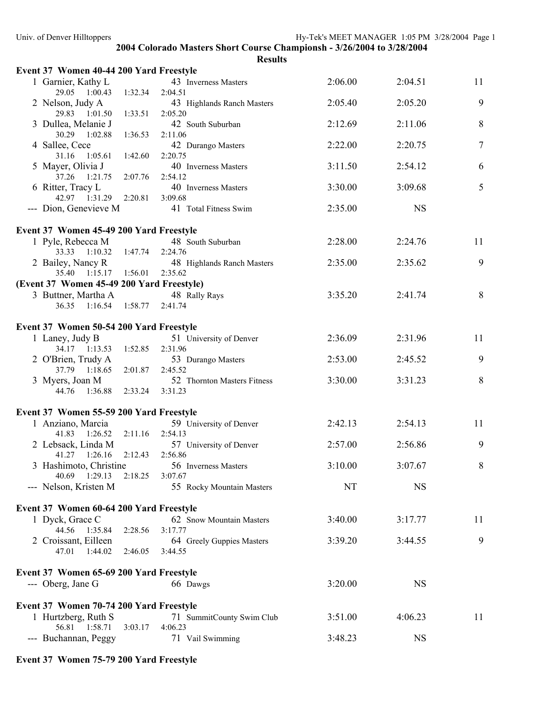| Event 37 Women 40-44 200 Yard Freestyle              |         |                                        |           |           |    |
|------------------------------------------------------|---------|----------------------------------------|-----------|-----------|----|
| 1 Garnier, Kathy L<br>29.05 1:00.43                  | 1:32.34 | 43 Inverness Masters<br>2:04.51        | 2:06.00   | 2:04.51   | 11 |
| 2 Nelson, Judy A<br>29.83 1:01.50                    | 1:33.51 | 43 Highlands Ranch Masters<br>2:05.20  | 2:05.40   | 2:05.20   | 9  |
| 3 Dullea, Melanie J<br>30.29 1:02.88                 | 1:36.53 | 42 South Suburban<br>2:11.06           | 2:12.69   | 2:11.06   | 8  |
| 4 Sallee, Cece<br>31.16 1:05.61                      | 1:42.60 | 42 Durango Masters<br>2:20.75          | 2:22.00   | 2:20.75   | 7  |
| 5 Mayer, Olivia J<br>37.26 1:21.75                   | 2:07.76 | 40 Inverness Masters<br>2:54.12        | 3:11.50   | 2:54.12   | 6  |
| 6 Ritter, Tracy L<br>42.97 1:31.29                   | 2:20.81 | 40 Inverness Masters<br>3:09.68        | 3:30.00   | 3:09.68   | 5  |
| --- Dion, Genevieve M                                |         | 41 Total Fitness Swim                  | 2:35.00   | <b>NS</b> |    |
| Event 37 Women 45-49 200 Yard Freestyle              |         |                                        |           |           |    |
| 1 Pyle, Rebecca M<br>33.33 1:10.32 1:47.74           |         | 48 South Suburban<br>2:24.76           | 2:28.00   | 2:24.76   | 11 |
| 2 Bailey, Nancy R<br>35.40 1:15.17 1:56.01           |         | 48 Highlands Ranch Masters<br>2:35.62  | 2:35.00   | 2:35.62   | 9  |
| (Event 37 Women 45-49 200 Yard Freestyle)            |         |                                        |           |           |    |
| 3 Buttner, Martha A<br>36.35 1:16.54 1:58.77 2:41.74 |         | 48 Rally Rays                          | 3:35.20   | 2:41.74   | 8  |
| Event 37 Women 50-54 200 Yard Freestyle              |         |                                        |           |           |    |
| 1 Laney, Judy B<br>34.17 1:13.53                     | 1:52.85 | 51 University of Denver<br>2:31.96     | 2:36.09   | 2:31.96   | 11 |
| 2 O'Brien, Trudy A<br>37.79 1:18.65                  | 2:01.87 | 53 Durango Masters<br>2:45.52          | 2:53.00   | 2:45.52   | 9  |
| 3 Myers, Joan M<br>44.76 1:36.88                     | 2:33.24 | 52 Thornton Masters Fitness<br>3:31.23 | 3:30.00   | 3:31.23   | 8  |
| Event 37 Women 55-59 200 Yard Freestyle              |         |                                        |           |           |    |
| 1 Anziano, Marcia                                    |         | 59 University of Denver                | 2:42.13   | 2:54.13   | 11 |
| 41.83 1:26.52                                        | 2:11.16 | 2:54.13                                |           |           |    |
| 2 Lebsack, Linda M<br>1:26.16<br>41.27               | 2:12.43 | 57 University of Denver<br>2:56.86     | 2:57.00   | 2:56.86   | 9  |
| 3 Hashimoto, Christine<br>40.69 1:29.13              | 2:18.25 | 56 Inverness Masters<br>3:07.67        | 3:10.00   | 3:07.67   | 8  |
| --- Nelson, Kristen M                                |         | 55 Rocky Mountain Masters              | <b>NT</b> | <b>NS</b> |    |
| Event 37 Women 60-64 200 Yard Freestyle              |         |                                        |           |           |    |
| 1 Dyck, Grace C                                      |         | 62 Snow Mountain Masters               | 3:40.00   | 3:17.77   | 11 |
| 44.56 1:35.84                                        | 2:28.56 | 3:17.77                                |           |           |    |
| 2 Croissant, Eilleen<br>47.01<br>1:44.02             | 2:46.05 | 64 Greely Guppies Masters<br>3:44.55   | 3:39.20   | 3:44.55   | 9  |
| Event 37 Women 65-69 200 Yard Freestyle              |         |                                        |           |           |    |
| --- Oberg, Jane G                                    |         | 66 Dawgs                               | 3:20.00   | <b>NS</b> |    |
| Event 37 Women 70-74 200 Yard Freestyle              |         |                                        |           |           |    |
| 1 Hurtzberg, Ruth S<br>56.81  1:58.71                | 3:03.17 | 71 SummitCounty Swim Club<br>4:06.23   | 3:51.00   | 4:06.23   | 11 |
| --- Buchannan, Peggy                                 |         | 71 Vail Swimming                       | 3:48.23   | <b>NS</b> |    |

# **Event 37 Women 75-79 200 Yard Freestyle**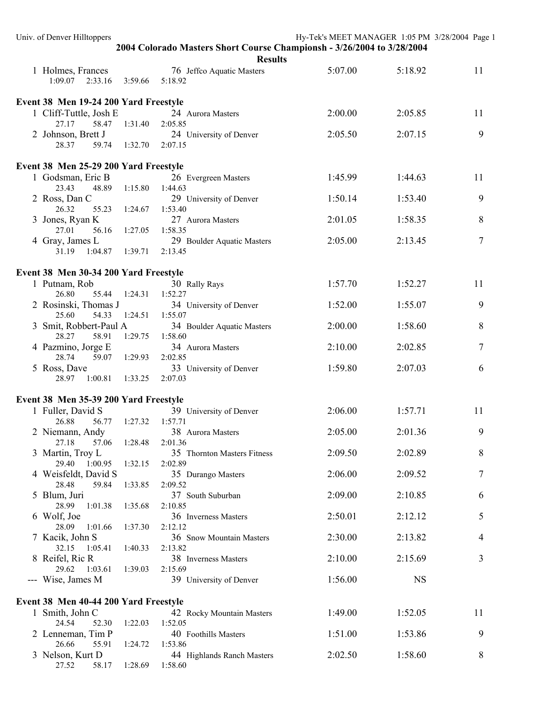| <b>Results</b><br>5:07.00<br>5:18.92<br>11<br>1 Holmes, Frances<br>76 Jeffco Aquatic Masters<br>1:09.07<br>2:33.16 3:59.66 5:18.92<br>Event 38 Men 19-24 200 Yard Freestyle<br>11<br>1 Cliff-Tuttle, Josh E<br>2:00.00<br>2:05.85<br>24 Aurora Masters<br>27.17<br>58.47 1:31.40<br>2:05.85<br>9<br>2 Johnson, Brett J<br>2:05.50<br>2:07.15<br>24 University of Denver<br>28.37<br>59.74 1:32.70<br>2:07.15<br>Event 38 Men 25-29 200 Yard Freestyle<br>11<br>1 Godsman, Eric B<br>1:45.99<br>1:44.63<br>26 Evergreen Masters<br>23.43<br>48.89<br>1:15.80<br>1:44.63<br>9<br>2 Ross, Dan C<br>1:50.14<br>1:53.40<br>29 University of Denver<br>55.23<br>1:53.40<br>26.32<br>1:24.67<br>8<br>3 Jones, Ryan K<br>2:01.05<br>1:58.35<br>27 Aurora Masters<br>27.01<br>56.16<br>1:27.05<br>1:58.35<br>$\tau$<br>4 Gray, James L<br>2:05.00<br>2:13.45<br>29 Boulder Aquatic Masters<br>1:04.87  1:39.71<br>2:13.45<br>31.19<br>Event 38 Men 30-34 200 Yard Freestyle<br>11<br>1 Putnam, Rob<br>1:57.70<br>1:52.27<br>30 Rally Rays<br>26.80<br>55.44<br>1:24.31<br>1:52.27<br>9<br>2 Rosinski, Thomas J<br>1:52.00<br>1:55.07<br>34 University of Denver<br>25.60<br>54.33<br>1:24.51<br>1:55.07<br>8<br>1:58.60<br>3 Smit, Robbert-Paul A<br>2:00.00<br>34 Boulder Aquatic Masters<br>28.27<br>58.91<br>1:29.75<br>1:58.60<br>4 Pazmino, Jorge E<br>7<br>2:10.00<br>2:02.85<br>34 Aurora Masters<br>28.74<br>59.07<br>1:29.93<br>2:02.85<br>5 Ross, Dave<br>1:59.80<br>2:07.03<br>6<br>33 University of Denver<br>1:00.81<br>1:33.25<br>2:07.03<br>28.97<br>Event 38 Men 35-39 200 Yard Freestyle<br>1 Fuller, David S<br>11<br>2:06.00<br>39 University of Denver<br>1:57.71<br>26.88<br>56.77 1:27.32<br>1:57.71<br>9<br>2:05.00<br>2:01.36<br>2 Niemann, Andy<br>38 Aurora Masters<br>27.18<br>1:28.48<br>57.06<br>2:01.36<br>8<br>3 Martin, Troy L<br>2:09.50<br>2:02.89<br>35 Thornton Masters Fitness<br>29.40<br>1:00.95<br>1:32.15<br>2:02.89<br>4 Weisfeldt, David S<br>2:06.00<br>2:09.52<br>7<br>35 Durango Masters<br>28.48<br>59.84<br>1:33.85<br>2:09.52<br>5 Blum, Juri<br>37 South Suburban<br>2:09.00<br>2:10.85<br>6<br>2:10.85<br>28.99<br>1:01.38<br>1:35.68<br>6 Wolf, Joe<br>5<br>2:50.01<br>2:12.12<br>36 Inverness Masters<br>28.09<br>1:01.66<br>1:37.30<br>2:12.12<br>7 Kacik, John S<br>2:30.00<br>2:13.82<br>36 Snow Mountain Masters<br>4<br>2:13.82<br>32.15<br>1:05.41<br>1:40.33<br>8 Reifel, Ric R<br>2:10.00<br>2:15.69<br>3<br>38 Inverness Masters<br>1:03.61<br>29.62<br>1:39.03<br>2:15.69<br>--- Wise, James M<br><b>NS</b><br>39 University of Denver<br>1:56.00<br>Event 38 Men 40-44 200 Yard Freestyle<br>11<br>1 Smith, John C<br>1:52.05<br>1:49.00<br>42 Rocky Mountain Masters<br>24.54<br>1:22.03<br>1:52.05<br>52.30<br>9<br>2 Lenneman, Tim P<br>1:51.00<br>1:53.86<br>40 Foothills Masters<br>26.66<br>55.91<br>1:24.72<br>1:53.86<br>3 Nelson, Kurt D<br>1:58.60<br>8<br>44 Highlands Ranch Masters<br>2:02.50<br>1:28.69 | Univ. of Denver Hilltoppers |         | 2004 Colorado Masters Short Course Championsh - 3/26/2004 to 3/28/2004 | Hy-Tek's MEET MANAGER 1:05 PM 3/28/2004 Page 1 |  |
|------------------------------------------------------------------------------------------------------------------------------------------------------------------------------------------------------------------------------------------------------------------------------------------------------------------------------------------------------------------------------------------------------------------------------------------------------------------------------------------------------------------------------------------------------------------------------------------------------------------------------------------------------------------------------------------------------------------------------------------------------------------------------------------------------------------------------------------------------------------------------------------------------------------------------------------------------------------------------------------------------------------------------------------------------------------------------------------------------------------------------------------------------------------------------------------------------------------------------------------------------------------------------------------------------------------------------------------------------------------------------------------------------------------------------------------------------------------------------------------------------------------------------------------------------------------------------------------------------------------------------------------------------------------------------------------------------------------------------------------------------------------------------------------------------------------------------------------------------------------------------------------------------------------------------------------------------------------------------------------------------------------------------------------------------------------------------------------------------------------------------------------------------------------------------------------------------------------------------------------------------------------------------------------------------------------------------------------------------------------------------------------------------------------------------------------------------------------------------------------------------------------------------------------------------------------------------------------------------------------------------------------------------------------------------------------------------------------------------------------------------------------------------------------------------------------------------------------------------------------------------------------------------------------------------------------------------------------------------|-----------------------------|---------|------------------------------------------------------------------------|------------------------------------------------|--|
|                                                                                                                                                                                                                                                                                                                                                                                                                                                                                                                                                                                                                                                                                                                                                                                                                                                                                                                                                                                                                                                                                                                                                                                                                                                                                                                                                                                                                                                                                                                                                                                                                                                                                                                                                                                                                                                                                                                                                                                                                                                                                                                                                                                                                                                                                                                                                                                                                                                                                                                                                                                                                                                                                                                                                                                                                                                                                                                                                                              |                             |         |                                                                        |                                                |  |
|                                                                                                                                                                                                                                                                                                                                                                                                                                                                                                                                                                                                                                                                                                                                                                                                                                                                                                                                                                                                                                                                                                                                                                                                                                                                                                                                                                                                                                                                                                                                                                                                                                                                                                                                                                                                                                                                                                                                                                                                                                                                                                                                                                                                                                                                                                                                                                                                                                                                                                                                                                                                                                                                                                                                                                                                                                                                                                                                                                              |                             |         |                                                                        |                                                |  |
|                                                                                                                                                                                                                                                                                                                                                                                                                                                                                                                                                                                                                                                                                                                                                                                                                                                                                                                                                                                                                                                                                                                                                                                                                                                                                                                                                                                                                                                                                                                                                                                                                                                                                                                                                                                                                                                                                                                                                                                                                                                                                                                                                                                                                                                                                                                                                                                                                                                                                                                                                                                                                                                                                                                                                                                                                                                                                                                                                                              |                             |         |                                                                        |                                                |  |
|                                                                                                                                                                                                                                                                                                                                                                                                                                                                                                                                                                                                                                                                                                                                                                                                                                                                                                                                                                                                                                                                                                                                                                                                                                                                                                                                                                                                                                                                                                                                                                                                                                                                                                                                                                                                                                                                                                                                                                                                                                                                                                                                                                                                                                                                                                                                                                                                                                                                                                                                                                                                                                                                                                                                                                                                                                                                                                                                                                              |                             |         |                                                                        |                                                |  |
|                                                                                                                                                                                                                                                                                                                                                                                                                                                                                                                                                                                                                                                                                                                                                                                                                                                                                                                                                                                                                                                                                                                                                                                                                                                                                                                                                                                                                                                                                                                                                                                                                                                                                                                                                                                                                                                                                                                                                                                                                                                                                                                                                                                                                                                                                                                                                                                                                                                                                                                                                                                                                                                                                                                                                                                                                                                                                                                                                                              |                             |         |                                                                        |                                                |  |
|                                                                                                                                                                                                                                                                                                                                                                                                                                                                                                                                                                                                                                                                                                                                                                                                                                                                                                                                                                                                                                                                                                                                                                                                                                                                                                                                                                                                                                                                                                                                                                                                                                                                                                                                                                                                                                                                                                                                                                                                                                                                                                                                                                                                                                                                                                                                                                                                                                                                                                                                                                                                                                                                                                                                                                                                                                                                                                                                                                              |                             |         |                                                                        |                                                |  |
|                                                                                                                                                                                                                                                                                                                                                                                                                                                                                                                                                                                                                                                                                                                                                                                                                                                                                                                                                                                                                                                                                                                                                                                                                                                                                                                                                                                                                                                                                                                                                                                                                                                                                                                                                                                                                                                                                                                                                                                                                                                                                                                                                                                                                                                                                                                                                                                                                                                                                                                                                                                                                                                                                                                                                                                                                                                                                                                                                                              |                             |         |                                                                        |                                                |  |
|                                                                                                                                                                                                                                                                                                                                                                                                                                                                                                                                                                                                                                                                                                                                                                                                                                                                                                                                                                                                                                                                                                                                                                                                                                                                                                                                                                                                                                                                                                                                                                                                                                                                                                                                                                                                                                                                                                                                                                                                                                                                                                                                                                                                                                                                                                                                                                                                                                                                                                                                                                                                                                                                                                                                                                                                                                                                                                                                                                              |                             |         |                                                                        |                                                |  |
|                                                                                                                                                                                                                                                                                                                                                                                                                                                                                                                                                                                                                                                                                                                                                                                                                                                                                                                                                                                                                                                                                                                                                                                                                                                                                                                                                                                                                                                                                                                                                                                                                                                                                                                                                                                                                                                                                                                                                                                                                                                                                                                                                                                                                                                                                                                                                                                                                                                                                                                                                                                                                                                                                                                                                                                                                                                                                                                                                                              |                             |         |                                                                        |                                                |  |
|                                                                                                                                                                                                                                                                                                                                                                                                                                                                                                                                                                                                                                                                                                                                                                                                                                                                                                                                                                                                                                                                                                                                                                                                                                                                                                                                                                                                                                                                                                                                                                                                                                                                                                                                                                                                                                                                                                                                                                                                                                                                                                                                                                                                                                                                                                                                                                                                                                                                                                                                                                                                                                                                                                                                                                                                                                                                                                                                                                              |                             |         |                                                                        |                                                |  |
|                                                                                                                                                                                                                                                                                                                                                                                                                                                                                                                                                                                                                                                                                                                                                                                                                                                                                                                                                                                                                                                                                                                                                                                                                                                                                                                                                                                                                                                                                                                                                                                                                                                                                                                                                                                                                                                                                                                                                                                                                                                                                                                                                                                                                                                                                                                                                                                                                                                                                                                                                                                                                                                                                                                                                                                                                                                                                                                                                                              |                             |         |                                                                        |                                                |  |
|                                                                                                                                                                                                                                                                                                                                                                                                                                                                                                                                                                                                                                                                                                                                                                                                                                                                                                                                                                                                                                                                                                                                                                                                                                                                                                                                                                                                                                                                                                                                                                                                                                                                                                                                                                                                                                                                                                                                                                                                                                                                                                                                                                                                                                                                                                                                                                                                                                                                                                                                                                                                                                                                                                                                                                                                                                                                                                                                                                              |                             |         |                                                                        |                                                |  |
|                                                                                                                                                                                                                                                                                                                                                                                                                                                                                                                                                                                                                                                                                                                                                                                                                                                                                                                                                                                                                                                                                                                                                                                                                                                                                                                                                                                                                                                                                                                                                                                                                                                                                                                                                                                                                                                                                                                                                                                                                                                                                                                                                                                                                                                                                                                                                                                                                                                                                                                                                                                                                                                                                                                                                                                                                                                                                                                                                                              |                             |         |                                                                        |                                                |  |
|                                                                                                                                                                                                                                                                                                                                                                                                                                                                                                                                                                                                                                                                                                                                                                                                                                                                                                                                                                                                                                                                                                                                                                                                                                                                                                                                                                                                                                                                                                                                                                                                                                                                                                                                                                                                                                                                                                                                                                                                                                                                                                                                                                                                                                                                                                                                                                                                                                                                                                                                                                                                                                                                                                                                                                                                                                                                                                                                                                              |                             |         |                                                                        |                                                |  |
|                                                                                                                                                                                                                                                                                                                                                                                                                                                                                                                                                                                                                                                                                                                                                                                                                                                                                                                                                                                                                                                                                                                                                                                                                                                                                                                                                                                                                                                                                                                                                                                                                                                                                                                                                                                                                                                                                                                                                                                                                                                                                                                                                                                                                                                                                                                                                                                                                                                                                                                                                                                                                                                                                                                                                                                                                                                                                                                                                                              |                             |         |                                                                        |                                                |  |
|                                                                                                                                                                                                                                                                                                                                                                                                                                                                                                                                                                                                                                                                                                                                                                                                                                                                                                                                                                                                                                                                                                                                                                                                                                                                                                                                                                                                                                                                                                                                                                                                                                                                                                                                                                                                                                                                                                                                                                                                                                                                                                                                                                                                                                                                                                                                                                                                                                                                                                                                                                                                                                                                                                                                                                                                                                                                                                                                                                              |                             |         |                                                                        |                                                |  |
|                                                                                                                                                                                                                                                                                                                                                                                                                                                                                                                                                                                                                                                                                                                                                                                                                                                                                                                                                                                                                                                                                                                                                                                                                                                                                                                                                                                                                                                                                                                                                                                                                                                                                                                                                                                                                                                                                                                                                                                                                                                                                                                                                                                                                                                                                                                                                                                                                                                                                                                                                                                                                                                                                                                                                                                                                                                                                                                                                                              |                             |         |                                                                        |                                                |  |
|                                                                                                                                                                                                                                                                                                                                                                                                                                                                                                                                                                                                                                                                                                                                                                                                                                                                                                                                                                                                                                                                                                                                                                                                                                                                                                                                                                                                                                                                                                                                                                                                                                                                                                                                                                                                                                                                                                                                                                                                                                                                                                                                                                                                                                                                                                                                                                                                                                                                                                                                                                                                                                                                                                                                                                                                                                                                                                                                                                              |                             |         |                                                                        |                                                |  |
|                                                                                                                                                                                                                                                                                                                                                                                                                                                                                                                                                                                                                                                                                                                                                                                                                                                                                                                                                                                                                                                                                                                                                                                                                                                                                                                                                                                                                                                                                                                                                                                                                                                                                                                                                                                                                                                                                                                                                                                                                                                                                                                                                                                                                                                                                                                                                                                                                                                                                                                                                                                                                                                                                                                                                                                                                                                                                                                                                                              |                             |         |                                                                        |                                                |  |
|                                                                                                                                                                                                                                                                                                                                                                                                                                                                                                                                                                                                                                                                                                                                                                                                                                                                                                                                                                                                                                                                                                                                                                                                                                                                                                                                                                                                                                                                                                                                                                                                                                                                                                                                                                                                                                                                                                                                                                                                                                                                                                                                                                                                                                                                                                                                                                                                                                                                                                                                                                                                                                                                                                                                                                                                                                                                                                                                                                              |                             |         |                                                                        |                                                |  |
|                                                                                                                                                                                                                                                                                                                                                                                                                                                                                                                                                                                                                                                                                                                                                                                                                                                                                                                                                                                                                                                                                                                                                                                                                                                                                                                                                                                                                                                                                                                                                                                                                                                                                                                                                                                                                                                                                                                                                                                                                                                                                                                                                                                                                                                                                                                                                                                                                                                                                                                                                                                                                                                                                                                                                                                                                                                                                                                                                                              |                             |         |                                                                        |                                                |  |
|                                                                                                                                                                                                                                                                                                                                                                                                                                                                                                                                                                                                                                                                                                                                                                                                                                                                                                                                                                                                                                                                                                                                                                                                                                                                                                                                                                                                                                                                                                                                                                                                                                                                                                                                                                                                                                                                                                                                                                                                                                                                                                                                                                                                                                                                                                                                                                                                                                                                                                                                                                                                                                                                                                                                                                                                                                                                                                                                                                              |                             |         |                                                                        |                                                |  |
|                                                                                                                                                                                                                                                                                                                                                                                                                                                                                                                                                                                                                                                                                                                                                                                                                                                                                                                                                                                                                                                                                                                                                                                                                                                                                                                                                                                                                                                                                                                                                                                                                                                                                                                                                                                                                                                                                                                                                                                                                                                                                                                                                                                                                                                                                                                                                                                                                                                                                                                                                                                                                                                                                                                                                                                                                                                                                                                                                                              |                             |         |                                                                        |                                                |  |
|                                                                                                                                                                                                                                                                                                                                                                                                                                                                                                                                                                                                                                                                                                                                                                                                                                                                                                                                                                                                                                                                                                                                                                                                                                                                                                                                                                                                                                                                                                                                                                                                                                                                                                                                                                                                                                                                                                                                                                                                                                                                                                                                                                                                                                                                                                                                                                                                                                                                                                                                                                                                                                                                                                                                                                                                                                                                                                                                                                              |                             |         |                                                                        |                                                |  |
|                                                                                                                                                                                                                                                                                                                                                                                                                                                                                                                                                                                                                                                                                                                                                                                                                                                                                                                                                                                                                                                                                                                                                                                                                                                                                                                                                                                                                                                                                                                                                                                                                                                                                                                                                                                                                                                                                                                                                                                                                                                                                                                                                                                                                                                                                                                                                                                                                                                                                                                                                                                                                                                                                                                                                                                                                                                                                                                                                                              |                             |         |                                                                        |                                                |  |
|                                                                                                                                                                                                                                                                                                                                                                                                                                                                                                                                                                                                                                                                                                                                                                                                                                                                                                                                                                                                                                                                                                                                                                                                                                                                                                                                                                                                                                                                                                                                                                                                                                                                                                                                                                                                                                                                                                                                                                                                                                                                                                                                                                                                                                                                                                                                                                                                                                                                                                                                                                                                                                                                                                                                                                                                                                                                                                                                                                              |                             |         |                                                                        |                                                |  |
|                                                                                                                                                                                                                                                                                                                                                                                                                                                                                                                                                                                                                                                                                                                                                                                                                                                                                                                                                                                                                                                                                                                                                                                                                                                                                                                                                                                                                                                                                                                                                                                                                                                                                                                                                                                                                                                                                                                                                                                                                                                                                                                                                                                                                                                                                                                                                                                                                                                                                                                                                                                                                                                                                                                                                                                                                                                                                                                                                                              |                             |         |                                                                        |                                                |  |
|                                                                                                                                                                                                                                                                                                                                                                                                                                                                                                                                                                                                                                                                                                                                                                                                                                                                                                                                                                                                                                                                                                                                                                                                                                                                                                                                                                                                                                                                                                                                                                                                                                                                                                                                                                                                                                                                                                                                                                                                                                                                                                                                                                                                                                                                                                                                                                                                                                                                                                                                                                                                                                                                                                                                                                                                                                                                                                                                                                              |                             |         |                                                                        |                                                |  |
|                                                                                                                                                                                                                                                                                                                                                                                                                                                                                                                                                                                                                                                                                                                                                                                                                                                                                                                                                                                                                                                                                                                                                                                                                                                                                                                                                                                                                                                                                                                                                                                                                                                                                                                                                                                                                                                                                                                                                                                                                                                                                                                                                                                                                                                                                                                                                                                                                                                                                                                                                                                                                                                                                                                                                                                                                                                                                                                                                                              |                             |         |                                                                        |                                                |  |
|                                                                                                                                                                                                                                                                                                                                                                                                                                                                                                                                                                                                                                                                                                                                                                                                                                                                                                                                                                                                                                                                                                                                                                                                                                                                                                                                                                                                                                                                                                                                                                                                                                                                                                                                                                                                                                                                                                                                                                                                                                                                                                                                                                                                                                                                                                                                                                                                                                                                                                                                                                                                                                                                                                                                                                                                                                                                                                                                                                              |                             |         |                                                                        |                                                |  |
|                                                                                                                                                                                                                                                                                                                                                                                                                                                                                                                                                                                                                                                                                                                                                                                                                                                                                                                                                                                                                                                                                                                                                                                                                                                                                                                                                                                                                                                                                                                                                                                                                                                                                                                                                                                                                                                                                                                                                                                                                                                                                                                                                                                                                                                                                                                                                                                                                                                                                                                                                                                                                                                                                                                                                                                                                                                                                                                                                                              |                             |         |                                                                        |                                                |  |
|                                                                                                                                                                                                                                                                                                                                                                                                                                                                                                                                                                                                                                                                                                                                                                                                                                                                                                                                                                                                                                                                                                                                                                                                                                                                                                                                                                                                                                                                                                                                                                                                                                                                                                                                                                                                                                                                                                                                                                                                                                                                                                                                                                                                                                                                                                                                                                                                                                                                                                                                                                                                                                                                                                                                                                                                                                                                                                                                                                              |                             |         |                                                                        |                                                |  |
|                                                                                                                                                                                                                                                                                                                                                                                                                                                                                                                                                                                                                                                                                                                                                                                                                                                                                                                                                                                                                                                                                                                                                                                                                                                                                                                                                                                                                                                                                                                                                                                                                                                                                                                                                                                                                                                                                                                                                                                                                                                                                                                                                                                                                                                                                                                                                                                                                                                                                                                                                                                                                                                                                                                                                                                                                                                                                                                                                                              |                             |         |                                                                        |                                                |  |
|                                                                                                                                                                                                                                                                                                                                                                                                                                                                                                                                                                                                                                                                                                                                                                                                                                                                                                                                                                                                                                                                                                                                                                                                                                                                                                                                                                                                                                                                                                                                                                                                                                                                                                                                                                                                                                                                                                                                                                                                                                                                                                                                                                                                                                                                                                                                                                                                                                                                                                                                                                                                                                                                                                                                                                                                                                                                                                                                                                              |                             |         |                                                                        |                                                |  |
|                                                                                                                                                                                                                                                                                                                                                                                                                                                                                                                                                                                                                                                                                                                                                                                                                                                                                                                                                                                                                                                                                                                                                                                                                                                                                                                                                                                                                                                                                                                                                                                                                                                                                                                                                                                                                                                                                                                                                                                                                                                                                                                                                                                                                                                                                                                                                                                                                                                                                                                                                                                                                                                                                                                                                                                                                                                                                                                                                                              |                             |         |                                                                        |                                                |  |
|                                                                                                                                                                                                                                                                                                                                                                                                                                                                                                                                                                                                                                                                                                                                                                                                                                                                                                                                                                                                                                                                                                                                                                                                                                                                                                                                                                                                                                                                                                                                                                                                                                                                                                                                                                                                                                                                                                                                                                                                                                                                                                                                                                                                                                                                                                                                                                                                                                                                                                                                                                                                                                                                                                                                                                                                                                                                                                                                                                              |                             |         |                                                                        |                                                |  |
|                                                                                                                                                                                                                                                                                                                                                                                                                                                                                                                                                                                                                                                                                                                                                                                                                                                                                                                                                                                                                                                                                                                                                                                                                                                                                                                                                                                                                                                                                                                                                                                                                                                                                                                                                                                                                                                                                                                                                                                                                                                                                                                                                                                                                                                                                                                                                                                                                                                                                                                                                                                                                                                                                                                                                                                                                                                                                                                                                                              |                             |         |                                                                        |                                                |  |
|                                                                                                                                                                                                                                                                                                                                                                                                                                                                                                                                                                                                                                                                                                                                                                                                                                                                                                                                                                                                                                                                                                                                                                                                                                                                                                                                                                                                                                                                                                                                                                                                                                                                                                                                                                                                                                                                                                                                                                                                                                                                                                                                                                                                                                                                                                                                                                                                                                                                                                                                                                                                                                                                                                                                                                                                                                                                                                                                                                              |                             |         |                                                                        |                                                |  |
|                                                                                                                                                                                                                                                                                                                                                                                                                                                                                                                                                                                                                                                                                                                                                                                                                                                                                                                                                                                                                                                                                                                                                                                                                                                                                                                                                                                                                                                                                                                                                                                                                                                                                                                                                                                                                                                                                                                                                                                                                                                                                                                                                                                                                                                                                                                                                                                                                                                                                                                                                                                                                                                                                                                                                                                                                                                                                                                                                                              |                             |         |                                                                        |                                                |  |
|                                                                                                                                                                                                                                                                                                                                                                                                                                                                                                                                                                                                                                                                                                                                                                                                                                                                                                                                                                                                                                                                                                                                                                                                                                                                                                                                                                                                                                                                                                                                                                                                                                                                                                                                                                                                                                                                                                                                                                                                                                                                                                                                                                                                                                                                                                                                                                                                                                                                                                                                                                                                                                                                                                                                                                                                                                                                                                                                                                              |                             |         |                                                                        |                                                |  |
|                                                                                                                                                                                                                                                                                                                                                                                                                                                                                                                                                                                                                                                                                                                                                                                                                                                                                                                                                                                                                                                                                                                                                                                                                                                                                                                                                                                                                                                                                                                                                                                                                                                                                                                                                                                                                                                                                                                                                                                                                                                                                                                                                                                                                                                                                                                                                                                                                                                                                                                                                                                                                                                                                                                                                                                                                                                                                                                                                                              |                             |         |                                                                        |                                                |  |
|                                                                                                                                                                                                                                                                                                                                                                                                                                                                                                                                                                                                                                                                                                                                                                                                                                                                                                                                                                                                                                                                                                                                                                                                                                                                                                                                                                                                                                                                                                                                                                                                                                                                                                                                                                                                                                                                                                                                                                                                                                                                                                                                                                                                                                                                                                                                                                                                                                                                                                                                                                                                                                                                                                                                                                                                                                                                                                                                                                              |                             |         |                                                                        |                                                |  |
|                                                                                                                                                                                                                                                                                                                                                                                                                                                                                                                                                                                                                                                                                                                                                                                                                                                                                                                                                                                                                                                                                                                                                                                                                                                                                                                                                                                                                                                                                                                                                                                                                                                                                                                                                                                                                                                                                                                                                                                                                                                                                                                                                                                                                                                                                                                                                                                                                                                                                                                                                                                                                                                                                                                                                                                                                                                                                                                                                                              |                             |         |                                                                        |                                                |  |
|                                                                                                                                                                                                                                                                                                                                                                                                                                                                                                                                                                                                                                                                                                                                                                                                                                                                                                                                                                                                                                                                                                                                                                                                                                                                                                                                                                                                                                                                                                                                                                                                                                                                                                                                                                                                                                                                                                                                                                                                                                                                                                                                                                                                                                                                                                                                                                                                                                                                                                                                                                                                                                                                                                                                                                                                                                                                                                                                                                              |                             |         |                                                                        |                                                |  |
|                                                                                                                                                                                                                                                                                                                                                                                                                                                                                                                                                                                                                                                                                                                                                                                                                                                                                                                                                                                                                                                                                                                                                                                                                                                                                                                                                                                                                                                                                                                                                                                                                                                                                                                                                                                                                                                                                                                                                                                                                                                                                                                                                                                                                                                                                                                                                                                                                                                                                                                                                                                                                                                                                                                                                                                                                                                                                                                                                                              |                             |         |                                                                        |                                                |  |
|                                                                                                                                                                                                                                                                                                                                                                                                                                                                                                                                                                                                                                                                                                                                                                                                                                                                                                                                                                                                                                                                                                                                                                                                                                                                                                                                                                                                                                                                                                                                                                                                                                                                                                                                                                                                                                                                                                                                                                                                                                                                                                                                                                                                                                                                                                                                                                                                                                                                                                                                                                                                                                                                                                                                                                                                                                                                                                                                                                              |                             |         |                                                                        |                                                |  |
|                                                                                                                                                                                                                                                                                                                                                                                                                                                                                                                                                                                                                                                                                                                                                                                                                                                                                                                                                                                                                                                                                                                                                                                                                                                                                                                                                                                                                                                                                                                                                                                                                                                                                                                                                                                                                                                                                                                                                                                                                                                                                                                                                                                                                                                                                                                                                                                                                                                                                                                                                                                                                                                                                                                                                                                                                                                                                                                                                                              |                             |         |                                                                        |                                                |  |
|                                                                                                                                                                                                                                                                                                                                                                                                                                                                                                                                                                                                                                                                                                                                                                                                                                                                                                                                                                                                                                                                                                                                                                                                                                                                                                                                                                                                                                                                                                                                                                                                                                                                                                                                                                                                                                                                                                                                                                                                                                                                                                                                                                                                                                                                                                                                                                                                                                                                                                                                                                                                                                                                                                                                                                                                                                                                                                                                                                              |                             |         |                                                                        |                                                |  |
|                                                                                                                                                                                                                                                                                                                                                                                                                                                                                                                                                                                                                                                                                                                                                                                                                                                                                                                                                                                                                                                                                                                                                                                                                                                                                                                                                                                                                                                                                                                                                                                                                                                                                                                                                                                                                                                                                                                                                                                                                                                                                                                                                                                                                                                                                                                                                                                                                                                                                                                                                                                                                                                                                                                                                                                                                                                                                                                                                                              |                             |         |                                                                        |                                                |  |
|                                                                                                                                                                                                                                                                                                                                                                                                                                                                                                                                                                                                                                                                                                                                                                                                                                                                                                                                                                                                                                                                                                                                                                                                                                                                                                                                                                                                                                                                                                                                                                                                                                                                                                                                                                                                                                                                                                                                                                                                                                                                                                                                                                                                                                                                                                                                                                                                                                                                                                                                                                                                                                                                                                                                                                                                                                                                                                                                                                              |                             |         |                                                                        |                                                |  |
|                                                                                                                                                                                                                                                                                                                                                                                                                                                                                                                                                                                                                                                                                                                                                                                                                                                                                                                                                                                                                                                                                                                                                                                                                                                                                                                                                                                                                                                                                                                                                                                                                                                                                                                                                                                                                                                                                                                                                                                                                                                                                                                                                                                                                                                                                                                                                                                                                                                                                                                                                                                                                                                                                                                                                                                                                                                                                                                                                                              | 27.52<br>58.17              | 1:58.60 |                                                                        |                                                |  |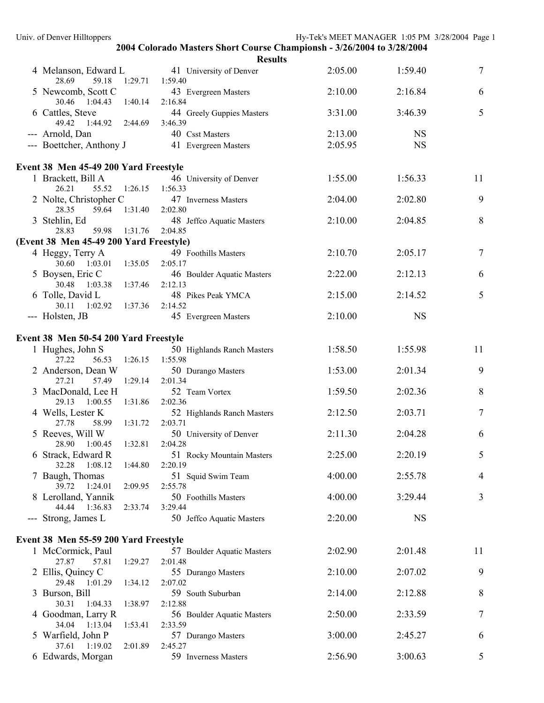|                                                    | 2004 Colorado Masters Short Course Championsh - 3/26/2004 to 3/28/2004 |         |           |        |
|----------------------------------------------------|------------------------------------------------------------------------|---------|-----------|--------|
|                                                    | <b>Results</b>                                                         |         |           |        |
| 4 Melanson, Edward L<br>59.18<br>1:29.71<br>28.69  | 41 University of Denver<br>1:59.40                                     | 2:05.00 | 1:59.40   | $\tau$ |
| 5 Newcomb, Scott C<br>30.46 1:04.43<br>1:40.14     | 43 Evergreen Masters<br>2:16.84                                        | 2:10.00 | 2:16.84   | 6      |
| 6 Cattles, Steve<br>49.42  1:44.92  2:44.69        | 44 Greely Guppies Masters<br>3:46.39                                   | 3:31.00 | 3:46.39   | 5      |
| --- Arnold, Dan                                    | 40 Csst Masters                                                        | 2:13.00 | <b>NS</b> |        |
| --- Boettcher, Anthony J                           | 41 Evergreen Masters                                                   | 2:05.95 | <b>NS</b> |        |
|                                                    |                                                                        |         |           |        |
| Event 38 Men 45-49 200 Yard Freestyle              |                                                                        |         |           |        |
| 1 Brackett, Bill A<br>26.21<br>55.52 1:26.15       | 46 University of Denver<br>1:56.33                                     | 1:55.00 | 1:56.33   | 11     |
| 2 Nolte, Christopher C                             | 47 Inverness Masters                                                   | 2:04.00 | 2:02.80   | 9      |
| 59.64 1:31.40<br>28.35                             | 2:02.80                                                                |         |           |        |
| 3 Stehlin, Ed<br>28.83<br>59.98 1:31.76            | 48 Jeffco Aquatic Masters<br>2:04.85                                   | 2:10.00 | 2:04.85   | 8      |
| (Event 38 Men 45-49 200 Yard Freestyle)            |                                                                        |         |           |        |
| 4 Heggy, Terry A                                   | 49 Foothills Masters                                                   | 2:10.70 | 2:05.17   | $\tau$ |
| 30.60  1:03.01  1:35.05                            | 2:05.17                                                                |         |           |        |
| 5 Boysen, Eric C<br>30.48<br>1:03.38 1:37.46       | 46 Boulder Aquatic Masters                                             | 2:22.00 | 2:12.13   | 6      |
| 6 Tolle, David L                                   | 2:12.13<br>48 Pikes Peak YMCA                                          | 2:15.00 | 2:14.52   | 5      |
| 30.11<br>1:02.92 1:37.36                           | 2:14.52                                                                |         |           |        |
| --- Holsten, JB                                    | 45 Evergreen Masters                                                   | 2:10.00 | <b>NS</b> |        |
| Event 38 Men 50-54 200 Yard Freestyle              |                                                                        |         |           |        |
| 1 Hughes, John S                                   | 50 Highlands Ranch Masters                                             | 1:58.50 | 1:55.98   | 11     |
| 27.22<br>56.53<br>1:26.15                          | 1:55.98                                                                |         |           |        |
| 2 Anderson, Dean W<br>27.21<br>57.49<br>1:29.14    | 50 Durango Masters<br>2:01.34                                          | 1:53.00 | 2:01.34   | 9      |
| 3 MacDonald, Lee H                                 | 52 Team Vortex                                                         | 1:59.50 | 2:02.36   | $8\,$  |
| 29.13<br>1:00.55 1:31.86                           | 2:02.36                                                                |         |           |        |
| 4 Wells, Lester K<br>27.78<br>58.99<br>1:31.72     | 52 Highlands Ranch Masters<br>2:03.71                                  | 2:12.50 | 2:03.71   | 7      |
| 5 Reeves, Will W                                   | 50 University of Denver                                                | 2:11.30 | 2:04.28   | 6      |
| 1:00.45  1:32.81  2:04.28<br>28.90                 |                                                                        |         |           |        |
| 6 Strack, Edward R<br>32.28<br>1:08.12<br>1:44.80  | 51 Rocky Mountain Masters<br>2:20.19                                   | 2:25.00 | 2:20.19   | 5      |
| 7 Baugh, Thomas                                    | 51 Squid Swim Team                                                     | 4:00.00 | 2:55.78   | 4      |
| 39.72<br>1:24.01<br>2:09.95                        | 2:55.78                                                                |         |           |        |
| 8 Lerolland, Yannik<br>44.44<br>1:36.83<br>2:33.74 | 50 Foothills Masters<br>3:29.44                                        | 4:00.00 | 3:29.44   | 3      |
| --- Strong, James L                                | 50 Jeffco Aquatic Masters                                              | 2:20.00 | <b>NS</b> |        |
| Event 38 Men 55-59 200 Yard Freestyle              |                                                                        |         |           |        |
| 1 McCormick, Paul                                  | 57 Boulder Aquatic Masters                                             | 2:02.90 | 2:01.48   | 11     |
| 27.87<br>57.81<br>1:29.27                          | 2:01.48                                                                |         |           |        |
| 2 Ellis, Quincy C<br>29.48<br>1:01.29<br>1:34.12   | 55 Durango Masters<br>2:07.02                                          | 2:10.00 | 2:07.02   | 9      |
| 3 Burson, Bill                                     | 59 South Suburban                                                      | 2:14.00 | 2:12.88   | 8      |
| 30.31<br>1:04.33<br>1:38.97                        | 2:12.88                                                                |         |           |        |
| 4 Goodman, Larry R<br>34.04<br>1:13.04<br>1:53.41  | 56 Boulder Aquatic Masters<br>2:33.59                                  | 2:50.00 | 2:33.59   | 7      |
| 5 Warfield, John P                                 | 57 Durango Masters                                                     | 3:00.00 | 2:45.27   | 6      |
| 37.61<br>1:19.02<br>2:01.89                        | 2:45.27                                                                |         |           |        |
| 6 Edwards, Morgan                                  | 59 Inverness Masters                                                   | 2:56.90 | 3:00.63   | 5      |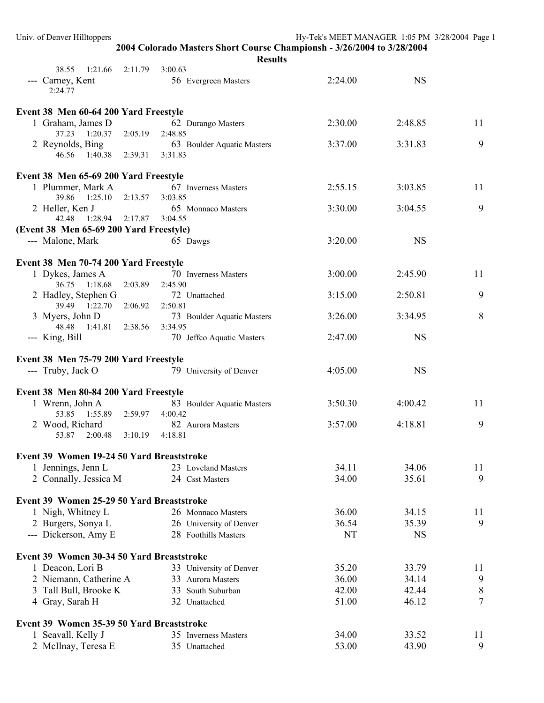| 2004 Colorado Masters Short Course Championsh - 3/26/2004 to 3/28/2004 |                                               |         |                            |         |           |                |
|------------------------------------------------------------------------|-----------------------------------------------|---------|----------------------------|---------|-----------|----------------|
|                                                                        |                                               |         | <b>Results</b>             |         |           |                |
|                                                                        | 38.55 1:21.66<br>2:11.79<br>--- Carney, Kent  | 3:00.63 | 56 Evergreen Masters       | 2:24.00 | <b>NS</b> |                |
|                                                                        | 2:24.77                                       |         |                            |         |           |                |
|                                                                        | Event 38 Men 60-64 200 Yard Freestyle         |         |                            |         |           |                |
|                                                                        | 1 Graham, James D                             |         | 62 Durango Masters         | 2:30.00 | 2:48.85   | 11             |
|                                                                        | 37.23 1:20.37<br>2:05.19                      | 2:48.85 |                            |         |           |                |
|                                                                        | 2 Reynolds, Bing                              |         | 63 Boulder Aquatic Masters | 3:37.00 | 3:31.83   | 9              |
|                                                                        | 46.56 1:40.38 2:39.31 3:31.83                 |         |                            |         |           |                |
|                                                                        | Event 38 Men 65-69 200 Yard Freestyle         |         |                            |         |           |                |
|                                                                        | 1 Plummer, Mark A                             |         | 67 Inverness Masters       | 2:55.15 | 3:03.85   | 11             |
|                                                                        | 39.86 1:25.10<br>2:13.57                      | 3:03.85 |                            |         |           |                |
|                                                                        | 2 Heller, Ken J                               |         | 65 Monnaco Masters         | 3:30.00 | 3:04.55   | 9              |
|                                                                        | 42.48 1:28.94 2:17.87                         | 3:04.55 |                            |         |           |                |
|                                                                        | (Event 38 Men 65-69 200 Yard Freestyle)       |         |                            |         |           |                |
|                                                                        | --- Malone, Mark                              |         | 65 Dawgs                   | 3:20.00 | <b>NS</b> |                |
|                                                                        | Event 38 Men 70-74 200 Yard Freestyle         |         |                            |         |           |                |
|                                                                        | 1 Dykes, James A                              |         | 70 Inverness Masters       | 3:00.00 | 2:45.90   | 11             |
|                                                                        | 36.75 1:18.68<br>2:03.89                      | 2:45.90 |                            |         |           |                |
|                                                                        | 2 Hadley, Stephen G                           |         | 72 Unattached              | 3:15.00 | 2:50.81   | 9              |
|                                                                        | 39.49 1:22.70 2:06.92                         | 2:50.81 |                            |         |           |                |
|                                                                        | 3 Myers, John D                               |         | 73 Boulder Aquatic Masters | 3:26.00 | 3:34.95   | 8              |
|                                                                        | 48.48<br>1:41.81<br>2:38.56<br>--- King, Bill | 3:34.95 | 70 Jeffco Aquatic Masters  | 2:47.00 | <b>NS</b> |                |
|                                                                        |                                               |         |                            |         |           |                |
|                                                                        | Event 38 Men 75-79 200 Yard Freestyle         |         |                            |         |           |                |
|                                                                        | --- Truby, Jack O                             |         | 79 University of Denver    | 4:05.00 | <b>NS</b> |                |
|                                                                        | Event 38 Men 80-84 200 Yard Freestyle         |         |                            |         |           |                |
|                                                                        | 1 Wrenn, John A                               |         | 83 Boulder Aquatic Masters | 3:50.30 | 4:00.42   | 11             |
|                                                                        | 53.85 1:55.89 2:59.97 4:00.42                 |         |                            |         |           |                |
|                                                                        | 2 Wood, Richard                               |         | 82 Aurora Masters          | 3:57.00 | 4:18.81   | 9              |
|                                                                        | 53.87 2:00.48<br>3:10.19                      | 4:18.81 |                            |         |           |                |
|                                                                        | Event 39 Women 19-24 50 Yard Breaststroke     |         |                            |         |           |                |
|                                                                        | 1 Jennings, Jenn L                            |         | 23 Loveland Masters        | 34.11   | 34.06     | 11             |
|                                                                        | 2 Connally, Jessica M                         |         | 24 Csst Masters            | 34.00   | 35.61     | 9              |
|                                                                        |                                               |         |                            |         |           |                |
|                                                                        | Event 39 Women 25-29 50 Yard Breaststroke     |         |                            |         |           |                |
|                                                                        | 1 Nigh, Whitney L                             |         | 26 Monnaco Masters         | 36.00   | 34.15     | 11             |
|                                                                        | 2 Burgers, Sonya L                            |         | 26 University of Denver    | 36.54   | 35.39     | 9              |
|                                                                        | --- Dickerson, Amy E                          |         | 28 Foothills Masters       | NT      | <b>NS</b> |                |
|                                                                        | Event 39 Women 30-34 50 Yard Breaststroke     |         |                            |         |           |                |
|                                                                        | 1 Deacon, Lori B                              |         | 33 University of Denver    | 35.20   | 33.79     | 11             |
|                                                                        | 2 Niemann, Catherine A                        |         | 33 Aurora Masters          | 36.00   | 34.14     | 9              |
|                                                                        | 3 Tall Bull, Brooke K                         |         | 33 South Suburban          | 42.00   | 42.44     | 8              |
|                                                                        | 4 Gray, Sarah H                               |         | 32 Unattached              | 51.00   | 46.12     | $\overline{7}$ |
|                                                                        |                                               |         |                            |         |           |                |
|                                                                        | Event 39 Women 35-39 50 Yard Breaststroke     |         |                            |         |           |                |
|                                                                        | 1 Seavall, Kelly J                            |         | 35 Inverness Masters       | 34.00   | 33.52     | 11             |
|                                                                        | 2 McIlnay, Teresa E                           |         | 35 Unattached              | 53.00   | 43.90     | 9              |

Univ. of Denver Hilltoppers Hy-Tek's MEET MANAGER 1:05 PM 3/28/2004 Page 1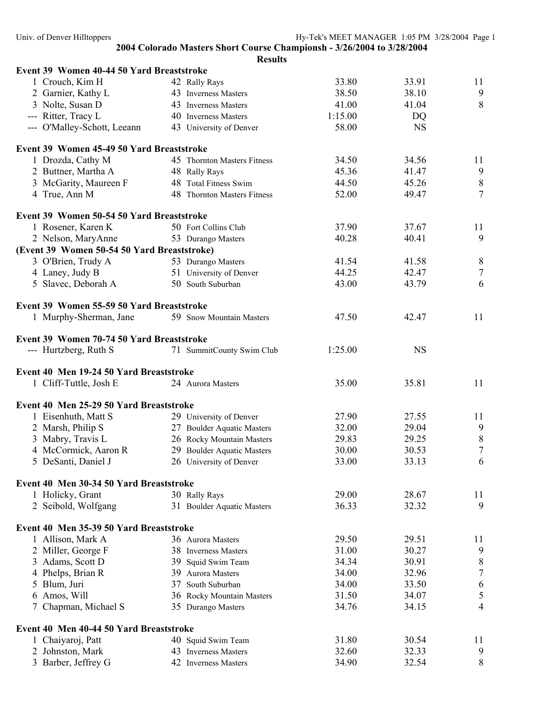**2004 Colorado Masters Short Course Championsh - 3/26/2004 to 3/28/2004 Results Event 39 Women 40-44 50 Yard Breaststroke**  1 Crouch, Kim H 42 Rally Rays 33.80 33.91 11 2 Garnier, Kathy L 43 Inverness Masters 38.50 38.10 9 3 Nolte, Susan D 43 Inverness Masters 41.00 41.04 8 --- Ritter, Tracy L 40 Inverness Masters 1:15.00 DQ --- O'Malley-Schott, Leeann 43 University of Denver 58.00 NS **Event 39 Women 45-49 50 Yard Breaststroke**  1 Drozda, Cathy M 45 Thornton Masters Fitness 34.50 34.56 11 2 Buttner, Martha A 48 Rally Rays 45.36 41.47 9 3 McGarity, Maureen F 48 Total Fitness Swim 44.50 45.26 8 4 True, Ann M 48 Thornton Masters Fitness 52.00 49.47 7 **Event 39 Women 50-54 50 Yard Breaststroke**  1 Rosener, Karen K 50 Fort Collins Club 37.90 37.67 11 2 Nelson, MaryAnne 53 Durango Masters 40.28 40.41 9 **(Event 39 Women 50-54 50 Yard Breaststroke)**  3 O'Brien, Trudy A 53 Durango Masters 41.54 41.58 8 4 Laney, Judy B 51 University of Denver 44.25 42.47 7 5 Slavec, Deborah A 50 South Suburban 43.00 43.79 6 **Event 39 Women 55-59 50 Yard Breaststroke**  1 Murphy-Sherman, Jane 59 Snow Mountain Masters 47.50 42.47 11 **Event 39 Women 70-74 50 Yard Breaststroke**  --- Hurtzberg, Ruth S 71 SummitCounty Swim Club 1:25.00 NS **Event 40 Men 19-24 50 Yard Breaststroke**  1 Cliff-Tuttle, Josh E 24 Aurora Masters 35.00 35.81 11 **Event 40 Men 25-29 50 Yard Breaststroke**  1 Eisenhuth, Matt S 29 University of Denver 27.90 27.55 11 2 Marsh, Philip S 27 Boulder Aquatic Masters 32.00 29.04 9 3 Mabry, Travis L 26 Rocky Mountain Masters 29.83 29.25 8<br>4 McCormick. Aaron R 29 Boulder Aquatic Masters 30.00 30.53 7 4 McCormick, Aaron R 29 Boulder Aquatic Masters 30.00 30.53 5 DeSanti, Daniel J 26 University of Denver 33.00 33.13 6 **Event 40 Men 30-34 50 Yard Breaststroke**  1 Holicky, Grant 30 Rally Rays 29.00 28.67 11 2 Seibold, Wolfgang 31 Boulder Aquatic Masters 36.33 32.32 9 **Event 40 Men 35-39 50 Yard Breaststroke**  1 Allison, Mark A 36 Aurora Masters 29.50 29.51 11 2 Miller, George F 38 Inverness Masters 31.00 30.27 9 3 Adams, Scott D 39 Squid Swim Team 34.34 30.91 8 4 Phelps, Brian R 39 Aurora Masters 34.00 32.96 7 5 Blum, Juri 37 South Suburban 34.00 33.50 6 6 Amos, Will 36 Rocky Mountain Masters 31.50 34.07 5 7 Chapman, Michael S 35 Durango Masters 34.76 34.15 4 **Event 40 Men 40-44 50 Yard Breaststroke**  1 Chaiyaroj, Patt 40 Squid Swim Team 31.80 30.54 11

2 Johnston, Mark 43 Inverness Masters 32.60 32.33 9 3 Barber, Jeffrey G 42 Inverness Masters 34.90 32.54 8

Univ. of Denver Hilltoppers extending the Hy-Tek's MEET MANAGER 1:05 PM 3/28/2004 Page 1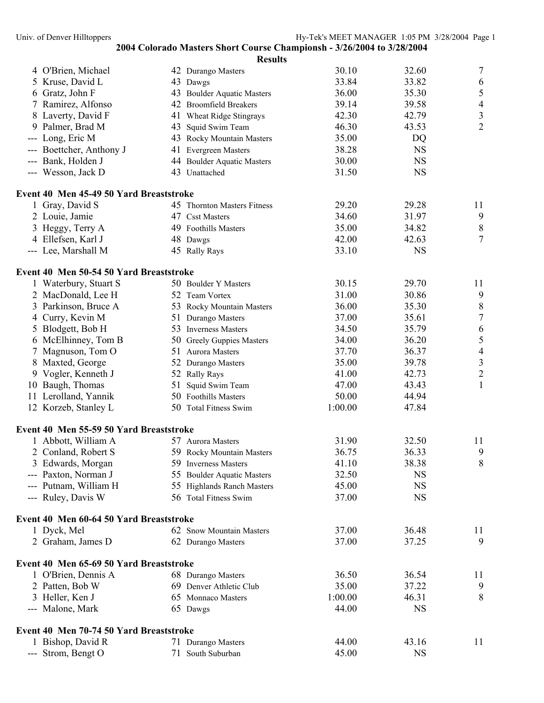|    |                                         |    | <b>Results</b>              |         |           |                |
|----|-----------------------------------------|----|-----------------------------|---------|-----------|----------------|
|    | 4 O'Brien, Michael                      |    | 42 Durango Masters          | 30.10   | 32.60     | $\tau$         |
|    | 5 Kruse, David L                        |    | 43 Dawgs                    | 33.84   | 33.82     | 6              |
|    | 6 Gratz, John F                         |    | 43 Boulder Aquatic Masters  | 36.00   | 35.30     | $\sqrt{5}$     |
|    | 7 Ramirez, Alfonso                      |    | 42 Broomfield Breakers      | 39.14   | 39.58     | $\overline{4}$ |
|    | 8 Laverty, David F                      |    | 41 Wheat Ridge Stingrays    | 42.30   | 42.79     | $\mathfrak{Z}$ |
| 9. | Palmer, Brad M                          | 43 | Squid Swim Team             | 46.30   | 43.53     | $\overline{2}$ |
|    | --- Long, Eric M                        |    | 43 Rocky Mountain Masters   | 35.00   | DQ        |                |
|    | --- Boettcher, Anthony J                |    | 41 Evergreen Masters        | 38.28   | <b>NS</b> |                |
|    | --- Bank, Holden J                      |    | 44 Boulder Aquatic Masters  | 30.00   | <b>NS</b> |                |
|    | --- Wesson, Jack D                      |    | 43 Unattached               | 31.50   | <b>NS</b> |                |
|    | Event 40 Men 45-49 50 Yard Breaststroke |    |                             |         |           |                |
|    | 1 Gray, David S                         |    | 45 Thornton Masters Fitness | 29.20   | 29.28     | 11             |
|    | 2 Louie, Jamie                          |    | 47 Csst Masters             | 34.60   | 31.97     | 9              |
|    | Heggy, Terry A                          |    | 49 Foothills Masters        | 35.00   | 34.82     | $8\phantom{1}$ |
|    | 4 Ellefsen, Karl J                      |    | 48 Dawgs                    | 42.00   | 42.63     | $\tau$         |
|    | --- Lee, Marshall M                     |    | 45 Rally Rays               | 33.10   | <b>NS</b> |                |
|    | Event 40 Men 50-54 50 Yard Breaststroke |    |                             |         |           |                |
|    | 1 Waterbury, Stuart S                   |    | 50 Boulder Y Masters        | 30.15   | 29.70     | 11             |
|    | 2 MacDonald, Lee H                      |    | 52 Team Vortex              | 31.00   | 30.86     | 9              |
| 3  | Parkinson, Bruce A                      |    | 53 Rocky Mountain Masters   | 36.00   | 35.30     | $\,8\,$        |
| 4  | Curry, Kevin M                          |    | 51 Durango Masters          | 37.00   | 35.61     | $\overline{7}$ |
| 5  | Blodgett, Bob H                         |    | 53 Inverness Masters        | 34.50   | 35.79     | 6              |
|    | 6 McElhinney, Tom B                     |    | 50 Greely Guppies Masters   | 34.00   | 36.20     | 5              |
| 7  | Magnuson, Tom O                         |    | 51 Aurora Masters           | 37.70   | 36.37     | $\overline{4}$ |
|    | 8 Maxted, George                        |    | 52 Durango Masters          | 35.00   | 39.78     | $\mathfrak{Z}$ |
|    | 9 Vogler, Kenneth J                     |    | 52 Rally Rays               | 41.00   | 42.73     | $\overline{2}$ |
|    | 10 Baugh, Thomas                        | 51 | Squid Swim Team             | 47.00   | 43.43     | $\mathbf{1}$   |
|    | 11 Lerolland, Yannik                    |    | 50 Foothills Masters        | 50.00   | 44.94     |                |
|    | 12 Korzeb, Stanley L                    |    | 50 Total Fitness Swim       | 1:00.00 | 47.84     |                |
|    | Event 40 Men 55-59 50 Yard Breaststroke |    |                             |         |           |                |
|    | 1 Abbott, William A                     |    | 57 Aurora Masters           | 31.90   | 32.50     | 11             |
|    | 2 Conland, Robert S                     |    | 59 Rocky Mountain Masters   | 36.75   | 36.33     | 9              |
|    | 3 Edwards, Morgan                       |    | 59 Inverness Masters        | 41.10   | 38.38     | 8              |
|    | --- Paxton, Norman J                    |    | 55 Boulder Aquatic Masters  | 32.50   | <b>NS</b> |                |
|    | --- Putnam, William H                   |    | 55 Highlands Ranch Masters  | 45.00   | <b>NS</b> |                |
|    | --- Ruley, Davis W                      |    | 56 Total Fitness Swim       | 37.00   | <b>NS</b> |                |
|    | Event 40 Men 60-64 50 Yard Breaststroke |    |                             |         |           |                |
|    | 1 Dyck, Mel                             |    | 62 Snow Mountain Masters    | 37.00   | 36.48     | 11             |
|    | 2 Graham, James D                       |    | 62 Durango Masters          | 37.00   | 37.25     | 9              |
|    |                                         |    |                             |         |           |                |
|    | Event 40 Men 65-69 50 Yard Breaststroke |    |                             |         |           |                |
|    | 1 O'Brien, Dennis A                     |    | 68 Durango Masters          | 36.50   | 36.54     | 11             |
|    | 2 Patten, Bob W                         |    | 69 Denver Athletic Club     | 35.00   | 37.22     | 9              |
|    | 3 Heller, Ken J                         |    | 65 Monnaco Masters          | 1:00.00 | 46.31     | 8              |
|    | --- Malone, Mark                        |    | 65 Dawgs                    | 44.00   | <b>NS</b> |                |
|    | Event 40 Men 70-74 50 Yard Breaststroke |    |                             |         |           |                |
|    | 1 Bishop, David R                       |    | 71 Durango Masters          | 44.00   | 43.16     | 11             |
|    | --- Strom, Bengt O                      |    | 71 South Suburban           | 45.00   | <b>NS</b> |                |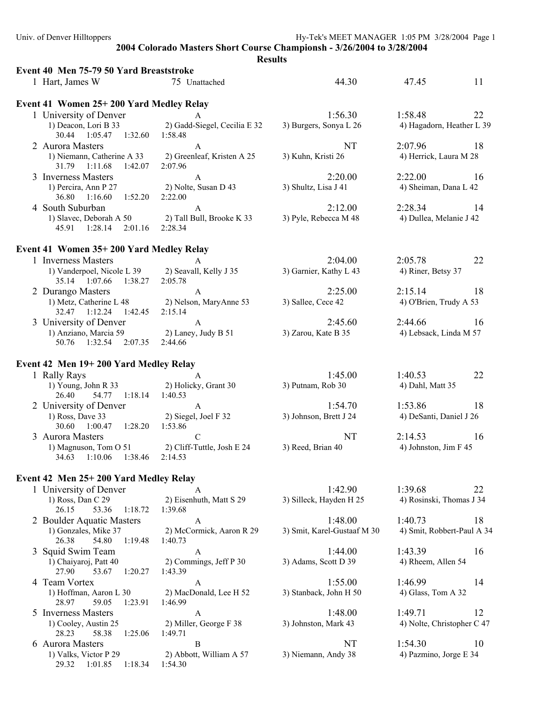| 2004 Colorado Masters Short Course Championsh - 3/26/2004 to 3/28/2004<br><b>Results</b><br>Event 40 Men 75-79 50 Yard Breaststroke<br>1 Hart, James W<br>44.30<br>11<br>75 Unattached<br>47.45<br>Event 41 Women 25+200 Yard Medley Relay<br>1 University of Denver<br>1:56.30<br>1:58.48<br>22<br>A<br>2) Gadd-Siegel, Cecilia E 32<br>1) Deacon, Lori B 33<br>3) Burgers, Sonya L 26<br>4) Hagadorn, Heather L 39<br>30.44 1:05.47 1:32.60 1:58.48<br>NT<br>2:07.96<br>18<br>2 Aurora Masters<br>A<br>2) Greenleaf, Kristen A 25<br>1) Niemann, Catherine A 33<br>3) Kuhn, Kristi 26<br>4) Herrick, Laura M 28<br>31.79 1:11.68<br>1:42.07<br>2:07.96<br>3 Inverness Masters<br>2:20.00<br>2:22.00<br>16<br>A<br>2) Nolte, Susan D 43<br>3) Shultz, Lisa J 41<br>4) Sheiman, Dana L 42<br>1) Percira, Ann P 27<br>36.80  1:16.60  1:52.20<br>2:22.00<br>4 South Suburban<br>2:12.00<br>2:28.34<br>14<br>$\mathbf{A}$<br>1) Slavec, Deborah A 50<br>2) Tall Bull, Brooke K 33<br>3) Pyle, Rebecca M 48<br>4) Dullea, Melanie J 42<br>45.91  1:28.14<br>2:01.16<br>2:28.34<br>Event 41 Women 35+200 Yard Medley Relay<br>2:04.00<br>22<br>1 Inverness Masters<br>2:05.78<br>$\mathsf{A}$<br>1) Vanderpoel, Nicole L 39<br>2) Seavall, Kelly J 35<br>3) Garnier, Kathy L 43<br>4) Riner, Betsy 37<br>35.14 1:07.66 1:38.27<br>2:05.78<br>2 Durango Masters<br>2:25.00<br>2:15.14<br>18<br>$\mathbf{A}$<br>1) Metz, Catherine L 48 2) Nelson, MaryAnne 53<br>3) Sallee, Cece 42<br>4) O'Brien, Trudy A 53<br>32.47 1:12.24 1:42.45<br>2:15.14<br>3 University of Denver<br>2:45.60<br>2:44.66<br>16<br>$\mathbf{A}$<br>1) Anziano, Marcia 59<br>2) Laney, Judy B 51<br>3) Zarou, Kate B 35<br>4) Lebsack, Linda M 57<br>50.76 1:32.54 2:07.35<br>2:44.66<br>Event 42 Men 19+200 Yard Medley Relay<br>1:45.00<br>1 Rally Rays<br>1:40.53<br>22<br>A<br>1) Young, John R 33 2) Holicky, Grant 30<br>3) Putnam, Rob 30<br>4) Dahl, Matt 35<br>54.77   1:18.14<br>26.40<br>1:40.53<br>2 University of Denver<br>1:54.70<br>1:53.86<br>18<br>$\mathbf{A}$<br>1) Ross, Dave 33<br>2) Siegel, Joel F 32<br>3) Johnson, Brett J 24<br>4) DeSanti, Daniel J 26<br>30.60 1:00.47<br>1:28.20<br>1:53.86<br>3 Aurora Masters<br>NT<br>2:14.53<br>16<br>${\bf C}$<br>1) Magnuson, Tom O 51<br>2) Cliff-Tuttle, Josh E 24<br>3) Reed, Brian 40<br>4) Johnston, Jim F 45<br>1:38.46<br>34.63 1:10.06<br>2:14.53<br>Event 42 Men 25+200 Yard Medley Relay<br>1 University of Denver<br>1:42.90<br>1:39.68<br>22<br>A<br>1) Ross, Dan C 29<br>2) Eisenhuth, Matt S 29<br>3) Silleck, Hayden H 25<br>4) Rosinski, Thomas J 34<br>26.15<br>53.36<br>1:18.72<br>1:39.68<br>2 Boulder Aquatic Masters<br>1:48.00<br>1:40.73<br>18<br>$\mathbf{A}$<br>1) Gonzales, Mike 37<br>2) McCormick, Aaron R 29<br>3) Smit, Karel-Gustaaf M 30<br>4) Smit, Robbert-Paul A 34<br>54.80<br>1:19.48<br>26.38<br>1:40.73<br>3 Squid Swim Team<br>1:44.00<br>16<br>1:43.39<br>A<br>3) Adams, Scott D 39<br>1) Chaiyaroj, Patt 40<br>2) Commings, Jeff P 30<br>4) Rheem, Allen 54<br>27.90<br>53.67<br>1:20.27<br>1:43.39<br>4 Team Vortex<br>1:55.00<br>1:46.99<br>14<br>A<br>1) Hoffman, Aaron L 30<br>2) MacDonald, Lee H 52<br>3) Stanback, John H 50<br>4) Glass, Tom A 32<br>28.97<br>59.05<br>1:23.91<br>1:46.99<br>1:48.00<br>5 Inverness Masters<br>1:49.71<br>12<br>A<br>1) Cooley, Austin 25<br>2) Miller, George F 38<br>3) Johnston, Mark 43<br>4) Nolte, Christopher C 47<br>28.23<br>58.38<br>1:25.06<br>1:49.71<br>NT<br>10<br>6 Aurora Masters<br>1:54.30<br>B<br>1) Valks, Victor P 29<br>2) Abbott, William A 57<br>3) Niemann, Andy 38<br>4) Pazmino, Jorge E 34<br>29.32 1:01.85 1:18.34<br>1:54.30 | Univ. of Denver Hilltoppers |  | Hy-Tek's MEET MANAGER 1:05 PM 3/28/2004 Page 1 |
|------------------------------------------------------------------------------------------------------------------------------------------------------------------------------------------------------------------------------------------------------------------------------------------------------------------------------------------------------------------------------------------------------------------------------------------------------------------------------------------------------------------------------------------------------------------------------------------------------------------------------------------------------------------------------------------------------------------------------------------------------------------------------------------------------------------------------------------------------------------------------------------------------------------------------------------------------------------------------------------------------------------------------------------------------------------------------------------------------------------------------------------------------------------------------------------------------------------------------------------------------------------------------------------------------------------------------------------------------------------------------------------------------------------------------------------------------------------------------------------------------------------------------------------------------------------------------------------------------------------------------------------------------------------------------------------------------------------------------------------------------------------------------------------------------------------------------------------------------------------------------------------------------------------------------------------------------------------------------------------------------------------------------------------------------------------------------------------------------------------------------------------------------------------------------------------------------------------------------------------------------------------------------------------------------------------------------------------------------------------------------------------------------------------------------------------------------------------------------------------------------------------------------------------------------------------------------------------------------------------------------------------------------------------------------------------------------------------------------------------------------------------------------------------------------------------------------------------------------------------------------------------------------------------------------------------------------------------------------------------------------------------------------------------------------------------------------------------------------------------------------------------------------------------------------------------------------------------------------------------------------------------------------------------------------------------------------------------------------------------------------------------------------------------------------------------------------------------------------------------------------------------------------------------------------------------------------------------------------------------------------------------------------------------------------------|-----------------------------|--|------------------------------------------------|
|                                                                                                                                                                                                                                                                                                                                                                                                                                                                                                                                                                                                                                                                                                                                                                                                                                                                                                                                                                                                                                                                                                                                                                                                                                                                                                                                                                                                                                                                                                                                                                                                                                                                                                                                                                                                                                                                                                                                                                                                                                                                                                                                                                                                                                                                                                                                                                                                                                                                                                                                                                                                                                                                                                                                                                                                                                                                                                                                                                                                                                                                                                                                                                                                                                                                                                                                                                                                                                                                                                                                                                                                                                                                                    |                             |  |                                                |
|                                                                                                                                                                                                                                                                                                                                                                                                                                                                                                                                                                                                                                                                                                                                                                                                                                                                                                                                                                                                                                                                                                                                                                                                                                                                                                                                                                                                                                                                                                                                                                                                                                                                                                                                                                                                                                                                                                                                                                                                                                                                                                                                                                                                                                                                                                                                                                                                                                                                                                                                                                                                                                                                                                                                                                                                                                                                                                                                                                                                                                                                                                                                                                                                                                                                                                                                                                                                                                                                                                                                                                                                                                                                                    |                             |  |                                                |
|                                                                                                                                                                                                                                                                                                                                                                                                                                                                                                                                                                                                                                                                                                                                                                                                                                                                                                                                                                                                                                                                                                                                                                                                                                                                                                                                                                                                                                                                                                                                                                                                                                                                                                                                                                                                                                                                                                                                                                                                                                                                                                                                                                                                                                                                                                                                                                                                                                                                                                                                                                                                                                                                                                                                                                                                                                                                                                                                                                                                                                                                                                                                                                                                                                                                                                                                                                                                                                                                                                                                                                                                                                                                                    |                             |  |                                                |
|                                                                                                                                                                                                                                                                                                                                                                                                                                                                                                                                                                                                                                                                                                                                                                                                                                                                                                                                                                                                                                                                                                                                                                                                                                                                                                                                                                                                                                                                                                                                                                                                                                                                                                                                                                                                                                                                                                                                                                                                                                                                                                                                                                                                                                                                                                                                                                                                                                                                                                                                                                                                                                                                                                                                                                                                                                                                                                                                                                                                                                                                                                                                                                                                                                                                                                                                                                                                                                                                                                                                                                                                                                                                                    |                             |  |                                                |
|                                                                                                                                                                                                                                                                                                                                                                                                                                                                                                                                                                                                                                                                                                                                                                                                                                                                                                                                                                                                                                                                                                                                                                                                                                                                                                                                                                                                                                                                                                                                                                                                                                                                                                                                                                                                                                                                                                                                                                                                                                                                                                                                                                                                                                                                                                                                                                                                                                                                                                                                                                                                                                                                                                                                                                                                                                                                                                                                                                                                                                                                                                                                                                                                                                                                                                                                                                                                                                                                                                                                                                                                                                                                                    |                             |  |                                                |
|                                                                                                                                                                                                                                                                                                                                                                                                                                                                                                                                                                                                                                                                                                                                                                                                                                                                                                                                                                                                                                                                                                                                                                                                                                                                                                                                                                                                                                                                                                                                                                                                                                                                                                                                                                                                                                                                                                                                                                                                                                                                                                                                                                                                                                                                                                                                                                                                                                                                                                                                                                                                                                                                                                                                                                                                                                                                                                                                                                                                                                                                                                                                                                                                                                                                                                                                                                                                                                                                                                                                                                                                                                                                                    |                             |  |                                                |
|                                                                                                                                                                                                                                                                                                                                                                                                                                                                                                                                                                                                                                                                                                                                                                                                                                                                                                                                                                                                                                                                                                                                                                                                                                                                                                                                                                                                                                                                                                                                                                                                                                                                                                                                                                                                                                                                                                                                                                                                                                                                                                                                                                                                                                                                                                                                                                                                                                                                                                                                                                                                                                                                                                                                                                                                                                                                                                                                                                                                                                                                                                                                                                                                                                                                                                                                                                                                                                                                                                                                                                                                                                                                                    |                             |  |                                                |
|                                                                                                                                                                                                                                                                                                                                                                                                                                                                                                                                                                                                                                                                                                                                                                                                                                                                                                                                                                                                                                                                                                                                                                                                                                                                                                                                                                                                                                                                                                                                                                                                                                                                                                                                                                                                                                                                                                                                                                                                                                                                                                                                                                                                                                                                                                                                                                                                                                                                                                                                                                                                                                                                                                                                                                                                                                                                                                                                                                                                                                                                                                                                                                                                                                                                                                                                                                                                                                                                                                                                                                                                                                                                                    |                             |  |                                                |
|                                                                                                                                                                                                                                                                                                                                                                                                                                                                                                                                                                                                                                                                                                                                                                                                                                                                                                                                                                                                                                                                                                                                                                                                                                                                                                                                                                                                                                                                                                                                                                                                                                                                                                                                                                                                                                                                                                                                                                                                                                                                                                                                                                                                                                                                                                                                                                                                                                                                                                                                                                                                                                                                                                                                                                                                                                                                                                                                                                                                                                                                                                                                                                                                                                                                                                                                                                                                                                                                                                                                                                                                                                                                                    |                             |  |                                                |
|                                                                                                                                                                                                                                                                                                                                                                                                                                                                                                                                                                                                                                                                                                                                                                                                                                                                                                                                                                                                                                                                                                                                                                                                                                                                                                                                                                                                                                                                                                                                                                                                                                                                                                                                                                                                                                                                                                                                                                                                                                                                                                                                                                                                                                                                                                                                                                                                                                                                                                                                                                                                                                                                                                                                                                                                                                                                                                                                                                                                                                                                                                                                                                                                                                                                                                                                                                                                                                                                                                                                                                                                                                                                                    |                             |  |                                                |
|                                                                                                                                                                                                                                                                                                                                                                                                                                                                                                                                                                                                                                                                                                                                                                                                                                                                                                                                                                                                                                                                                                                                                                                                                                                                                                                                                                                                                                                                                                                                                                                                                                                                                                                                                                                                                                                                                                                                                                                                                                                                                                                                                                                                                                                                                                                                                                                                                                                                                                                                                                                                                                                                                                                                                                                                                                                                                                                                                                                                                                                                                                                                                                                                                                                                                                                                                                                                                                                                                                                                                                                                                                                                                    |                             |  |                                                |
|                                                                                                                                                                                                                                                                                                                                                                                                                                                                                                                                                                                                                                                                                                                                                                                                                                                                                                                                                                                                                                                                                                                                                                                                                                                                                                                                                                                                                                                                                                                                                                                                                                                                                                                                                                                                                                                                                                                                                                                                                                                                                                                                                                                                                                                                                                                                                                                                                                                                                                                                                                                                                                                                                                                                                                                                                                                                                                                                                                                                                                                                                                                                                                                                                                                                                                                                                                                                                                                                                                                                                                                                                                                                                    |                             |  |                                                |
|                                                                                                                                                                                                                                                                                                                                                                                                                                                                                                                                                                                                                                                                                                                                                                                                                                                                                                                                                                                                                                                                                                                                                                                                                                                                                                                                                                                                                                                                                                                                                                                                                                                                                                                                                                                                                                                                                                                                                                                                                                                                                                                                                                                                                                                                                                                                                                                                                                                                                                                                                                                                                                                                                                                                                                                                                                                                                                                                                                                                                                                                                                                                                                                                                                                                                                                                                                                                                                                                                                                                                                                                                                                                                    |                             |  |                                                |
|                                                                                                                                                                                                                                                                                                                                                                                                                                                                                                                                                                                                                                                                                                                                                                                                                                                                                                                                                                                                                                                                                                                                                                                                                                                                                                                                                                                                                                                                                                                                                                                                                                                                                                                                                                                                                                                                                                                                                                                                                                                                                                                                                                                                                                                                                                                                                                                                                                                                                                                                                                                                                                                                                                                                                                                                                                                                                                                                                                                                                                                                                                                                                                                                                                                                                                                                                                                                                                                                                                                                                                                                                                                                                    |                             |  |                                                |
|                                                                                                                                                                                                                                                                                                                                                                                                                                                                                                                                                                                                                                                                                                                                                                                                                                                                                                                                                                                                                                                                                                                                                                                                                                                                                                                                                                                                                                                                                                                                                                                                                                                                                                                                                                                                                                                                                                                                                                                                                                                                                                                                                                                                                                                                                                                                                                                                                                                                                                                                                                                                                                                                                                                                                                                                                                                                                                                                                                                                                                                                                                                                                                                                                                                                                                                                                                                                                                                                                                                                                                                                                                                                                    |                             |  |                                                |
|                                                                                                                                                                                                                                                                                                                                                                                                                                                                                                                                                                                                                                                                                                                                                                                                                                                                                                                                                                                                                                                                                                                                                                                                                                                                                                                                                                                                                                                                                                                                                                                                                                                                                                                                                                                                                                                                                                                                                                                                                                                                                                                                                                                                                                                                                                                                                                                                                                                                                                                                                                                                                                                                                                                                                                                                                                                                                                                                                                                                                                                                                                                                                                                                                                                                                                                                                                                                                                                                                                                                                                                                                                                                                    |                             |  |                                                |
|                                                                                                                                                                                                                                                                                                                                                                                                                                                                                                                                                                                                                                                                                                                                                                                                                                                                                                                                                                                                                                                                                                                                                                                                                                                                                                                                                                                                                                                                                                                                                                                                                                                                                                                                                                                                                                                                                                                                                                                                                                                                                                                                                                                                                                                                                                                                                                                                                                                                                                                                                                                                                                                                                                                                                                                                                                                                                                                                                                                                                                                                                                                                                                                                                                                                                                                                                                                                                                                                                                                                                                                                                                                                                    |                             |  |                                                |
|                                                                                                                                                                                                                                                                                                                                                                                                                                                                                                                                                                                                                                                                                                                                                                                                                                                                                                                                                                                                                                                                                                                                                                                                                                                                                                                                                                                                                                                                                                                                                                                                                                                                                                                                                                                                                                                                                                                                                                                                                                                                                                                                                                                                                                                                                                                                                                                                                                                                                                                                                                                                                                                                                                                                                                                                                                                                                                                                                                                                                                                                                                                                                                                                                                                                                                                                                                                                                                                                                                                                                                                                                                                                                    |                             |  |                                                |
|                                                                                                                                                                                                                                                                                                                                                                                                                                                                                                                                                                                                                                                                                                                                                                                                                                                                                                                                                                                                                                                                                                                                                                                                                                                                                                                                                                                                                                                                                                                                                                                                                                                                                                                                                                                                                                                                                                                                                                                                                                                                                                                                                                                                                                                                                                                                                                                                                                                                                                                                                                                                                                                                                                                                                                                                                                                                                                                                                                                                                                                                                                                                                                                                                                                                                                                                                                                                                                                                                                                                                                                                                                                                                    |                             |  |                                                |
|                                                                                                                                                                                                                                                                                                                                                                                                                                                                                                                                                                                                                                                                                                                                                                                                                                                                                                                                                                                                                                                                                                                                                                                                                                                                                                                                                                                                                                                                                                                                                                                                                                                                                                                                                                                                                                                                                                                                                                                                                                                                                                                                                                                                                                                                                                                                                                                                                                                                                                                                                                                                                                                                                                                                                                                                                                                                                                                                                                                                                                                                                                                                                                                                                                                                                                                                                                                                                                                                                                                                                                                                                                                                                    |                             |  |                                                |
|                                                                                                                                                                                                                                                                                                                                                                                                                                                                                                                                                                                                                                                                                                                                                                                                                                                                                                                                                                                                                                                                                                                                                                                                                                                                                                                                                                                                                                                                                                                                                                                                                                                                                                                                                                                                                                                                                                                                                                                                                                                                                                                                                                                                                                                                                                                                                                                                                                                                                                                                                                                                                                                                                                                                                                                                                                                                                                                                                                                                                                                                                                                                                                                                                                                                                                                                                                                                                                                                                                                                                                                                                                                                                    |                             |  |                                                |
|                                                                                                                                                                                                                                                                                                                                                                                                                                                                                                                                                                                                                                                                                                                                                                                                                                                                                                                                                                                                                                                                                                                                                                                                                                                                                                                                                                                                                                                                                                                                                                                                                                                                                                                                                                                                                                                                                                                                                                                                                                                                                                                                                                                                                                                                                                                                                                                                                                                                                                                                                                                                                                                                                                                                                                                                                                                                                                                                                                                                                                                                                                                                                                                                                                                                                                                                                                                                                                                                                                                                                                                                                                                                                    |                             |  |                                                |
|                                                                                                                                                                                                                                                                                                                                                                                                                                                                                                                                                                                                                                                                                                                                                                                                                                                                                                                                                                                                                                                                                                                                                                                                                                                                                                                                                                                                                                                                                                                                                                                                                                                                                                                                                                                                                                                                                                                                                                                                                                                                                                                                                                                                                                                                                                                                                                                                                                                                                                                                                                                                                                                                                                                                                                                                                                                                                                                                                                                                                                                                                                                                                                                                                                                                                                                                                                                                                                                                                                                                                                                                                                                                                    |                             |  |                                                |
|                                                                                                                                                                                                                                                                                                                                                                                                                                                                                                                                                                                                                                                                                                                                                                                                                                                                                                                                                                                                                                                                                                                                                                                                                                                                                                                                                                                                                                                                                                                                                                                                                                                                                                                                                                                                                                                                                                                                                                                                                                                                                                                                                                                                                                                                                                                                                                                                                                                                                                                                                                                                                                                                                                                                                                                                                                                                                                                                                                                                                                                                                                                                                                                                                                                                                                                                                                                                                                                                                                                                                                                                                                                                                    |                             |  |                                                |
|                                                                                                                                                                                                                                                                                                                                                                                                                                                                                                                                                                                                                                                                                                                                                                                                                                                                                                                                                                                                                                                                                                                                                                                                                                                                                                                                                                                                                                                                                                                                                                                                                                                                                                                                                                                                                                                                                                                                                                                                                                                                                                                                                                                                                                                                                                                                                                                                                                                                                                                                                                                                                                                                                                                                                                                                                                                                                                                                                                                                                                                                                                                                                                                                                                                                                                                                                                                                                                                                                                                                                                                                                                                                                    |                             |  |                                                |
|                                                                                                                                                                                                                                                                                                                                                                                                                                                                                                                                                                                                                                                                                                                                                                                                                                                                                                                                                                                                                                                                                                                                                                                                                                                                                                                                                                                                                                                                                                                                                                                                                                                                                                                                                                                                                                                                                                                                                                                                                                                                                                                                                                                                                                                                                                                                                                                                                                                                                                                                                                                                                                                                                                                                                                                                                                                                                                                                                                                                                                                                                                                                                                                                                                                                                                                                                                                                                                                                                                                                                                                                                                                                                    |                             |  |                                                |
|                                                                                                                                                                                                                                                                                                                                                                                                                                                                                                                                                                                                                                                                                                                                                                                                                                                                                                                                                                                                                                                                                                                                                                                                                                                                                                                                                                                                                                                                                                                                                                                                                                                                                                                                                                                                                                                                                                                                                                                                                                                                                                                                                                                                                                                                                                                                                                                                                                                                                                                                                                                                                                                                                                                                                                                                                                                                                                                                                                                                                                                                                                                                                                                                                                                                                                                                                                                                                                                                                                                                                                                                                                                                                    |                             |  |                                                |
|                                                                                                                                                                                                                                                                                                                                                                                                                                                                                                                                                                                                                                                                                                                                                                                                                                                                                                                                                                                                                                                                                                                                                                                                                                                                                                                                                                                                                                                                                                                                                                                                                                                                                                                                                                                                                                                                                                                                                                                                                                                                                                                                                                                                                                                                                                                                                                                                                                                                                                                                                                                                                                                                                                                                                                                                                                                                                                                                                                                                                                                                                                                                                                                                                                                                                                                                                                                                                                                                                                                                                                                                                                                                                    |                             |  |                                                |
|                                                                                                                                                                                                                                                                                                                                                                                                                                                                                                                                                                                                                                                                                                                                                                                                                                                                                                                                                                                                                                                                                                                                                                                                                                                                                                                                                                                                                                                                                                                                                                                                                                                                                                                                                                                                                                                                                                                                                                                                                                                                                                                                                                                                                                                                                                                                                                                                                                                                                                                                                                                                                                                                                                                                                                                                                                                                                                                                                                                                                                                                                                                                                                                                                                                                                                                                                                                                                                                                                                                                                                                                                                                                                    |                             |  |                                                |
|                                                                                                                                                                                                                                                                                                                                                                                                                                                                                                                                                                                                                                                                                                                                                                                                                                                                                                                                                                                                                                                                                                                                                                                                                                                                                                                                                                                                                                                                                                                                                                                                                                                                                                                                                                                                                                                                                                                                                                                                                                                                                                                                                                                                                                                                                                                                                                                                                                                                                                                                                                                                                                                                                                                                                                                                                                                                                                                                                                                                                                                                                                                                                                                                                                                                                                                                                                                                                                                                                                                                                                                                                                                                                    |                             |  |                                                |
|                                                                                                                                                                                                                                                                                                                                                                                                                                                                                                                                                                                                                                                                                                                                                                                                                                                                                                                                                                                                                                                                                                                                                                                                                                                                                                                                                                                                                                                                                                                                                                                                                                                                                                                                                                                                                                                                                                                                                                                                                                                                                                                                                                                                                                                                                                                                                                                                                                                                                                                                                                                                                                                                                                                                                                                                                                                                                                                                                                                                                                                                                                                                                                                                                                                                                                                                                                                                                                                                                                                                                                                                                                                                                    |                             |  |                                                |
|                                                                                                                                                                                                                                                                                                                                                                                                                                                                                                                                                                                                                                                                                                                                                                                                                                                                                                                                                                                                                                                                                                                                                                                                                                                                                                                                                                                                                                                                                                                                                                                                                                                                                                                                                                                                                                                                                                                                                                                                                                                                                                                                                                                                                                                                                                                                                                                                                                                                                                                                                                                                                                                                                                                                                                                                                                                                                                                                                                                                                                                                                                                                                                                                                                                                                                                                                                                                                                                                                                                                                                                                                                                                                    |                             |  |                                                |
|                                                                                                                                                                                                                                                                                                                                                                                                                                                                                                                                                                                                                                                                                                                                                                                                                                                                                                                                                                                                                                                                                                                                                                                                                                                                                                                                                                                                                                                                                                                                                                                                                                                                                                                                                                                                                                                                                                                                                                                                                                                                                                                                                                                                                                                                                                                                                                                                                                                                                                                                                                                                                                                                                                                                                                                                                                                                                                                                                                                                                                                                                                                                                                                                                                                                                                                                                                                                                                                                                                                                                                                                                                                                                    |                             |  |                                                |
|                                                                                                                                                                                                                                                                                                                                                                                                                                                                                                                                                                                                                                                                                                                                                                                                                                                                                                                                                                                                                                                                                                                                                                                                                                                                                                                                                                                                                                                                                                                                                                                                                                                                                                                                                                                                                                                                                                                                                                                                                                                                                                                                                                                                                                                                                                                                                                                                                                                                                                                                                                                                                                                                                                                                                                                                                                                                                                                                                                                                                                                                                                                                                                                                                                                                                                                                                                                                                                                                                                                                                                                                                                                                                    |                             |  |                                                |
|                                                                                                                                                                                                                                                                                                                                                                                                                                                                                                                                                                                                                                                                                                                                                                                                                                                                                                                                                                                                                                                                                                                                                                                                                                                                                                                                                                                                                                                                                                                                                                                                                                                                                                                                                                                                                                                                                                                                                                                                                                                                                                                                                                                                                                                                                                                                                                                                                                                                                                                                                                                                                                                                                                                                                                                                                                                                                                                                                                                                                                                                                                                                                                                                                                                                                                                                                                                                                                                                                                                                                                                                                                                                                    |                             |  |                                                |
|                                                                                                                                                                                                                                                                                                                                                                                                                                                                                                                                                                                                                                                                                                                                                                                                                                                                                                                                                                                                                                                                                                                                                                                                                                                                                                                                                                                                                                                                                                                                                                                                                                                                                                                                                                                                                                                                                                                                                                                                                                                                                                                                                                                                                                                                                                                                                                                                                                                                                                                                                                                                                                                                                                                                                                                                                                                                                                                                                                                                                                                                                                                                                                                                                                                                                                                                                                                                                                                                                                                                                                                                                                                                                    |                             |  |                                                |
|                                                                                                                                                                                                                                                                                                                                                                                                                                                                                                                                                                                                                                                                                                                                                                                                                                                                                                                                                                                                                                                                                                                                                                                                                                                                                                                                                                                                                                                                                                                                                                                                                                                                                                                                                                                                                                                                                                                                                                                                                                                                                                                                                                                                                                                                                                                                                                                                                                                                                                                                                                                                                                                                                                                                                                                                                                                                                                                                                                                                                                                                                                                                                                                                                                                                                                                                                                                                                                                                                                                                                                                                                                                                                    |                             |  |                                                |
|                                                                                                                                                                                                                                                                                                                                                                                                                                                                                                                                                                                                                                                                                                                                                                                                                                                                                                                                                                                                                                                                                                                                                                                                                                                                                                                                                                                                                                                                                                                                                                                                                                                                                                                                                                                                                                                                                                                                                                                                                                                                                                                                                                                                                                                                                                                                                                                                                                                                                                                                                                                                                                                                                                                                                                                                                                                                                                                                                                                                                                                                                                                                                                                                                                                                                                                                                                                                                                                                                                                                                                                                                                                                                    |                             |  |                                                |
|                                                                                                                                                                                                                                                                                                                                                                                                                                                                                                                                                                                                                                                                                                                                                                                                                                                                                                                                                                                                                                                                                                                                                                                                                                                                                                                                                                                                                                                                                                                                                                                                                                                                                                                                                                                                                                                                                                                                                                                                                                                                                                                                                                                                                                                                                                                                                                                                                                                                                                                                                                                                                                                                                                                                                                                                                                                                                                                                                                                                                                                                                                                                                                                                                                                                                                                                                                                                                                                                                                                                                                                                                                                                                    |                             |  |                                                |
|                                                                                                                                                                                                                                                                                                                                                                                                                                                                                                                                                                                                                                                                                                                                                                                                                                                                                                                                                                                                                                                                                                                                                                                                                                                                                                                                                                                                                                                                                                                                                                                                                                                                                                                                                                                                                                                                                                                                                                                                                                                                                                                                                                                                                                                                                                                                                                                                                                                                                                                                                                                                                                                                                                                                                                                                                                                                                                                                                                                                                                                                                                                                                                                                                                                                                                                                                                                                                                                                                                                                                                                                                                                                                    |                             |  |                                                |
|                                                                                                                                                                                                                                                                                                                                                                                                                                                                                                                                                                                                                                                                                                                                                                                                                                                                                                                                                                                                                                                                                                                                                                                                                                                                                                                                                                                                                                                                                                                                                                                                                                                                                                                                                                                                                                                                                                                                                                                                                                                                                                                                                                                                                                                                                                                                                                                                                                                                                                                                                                                                                                                                                                                                                                                                                                                                                                                                                                                                                                                                                                                                                                                                                                                                                                                                                                                                                                                                                                                                                                                                                                                                                    |                             |  |                                                |
|                                                                                                                                                                                                                                                                                                                                                                                                                                                                                                                                                                                                                                                                                                                                                                                                                                                                                                                                                                                                                                                                                                                                                                                                                                                                                                                                                                                                                                                                                                                                                                                                                                                                                                                                                                                                                                                                                                                                                                                                                                                                                                                                                                                                                                                                                                                                                                                                                                                                                                                                                                                                                                                                                                                                                                                                                                                                                                                                                                                                                                                                                                                                                                                                                                                                                                                                                                                                                                                                                                                                                                                                                                                                                    |                             |  |                                                |
|                                                                                                                                                                                                                                                                                                                                                                                                                                                                                                                                                                                                                                                                                                                                                                                                                                                                                                                                                                                                                                                                                                                                                                                                                                                                                                                                                                                                                                                                                                                                                                                                                                                                                                                                                                                                                                                                                                                                                                                                                                                                                                                                                                                                                                                                                                                                                                                                                                                                                                                                                                                                                                                                                                                                                                                                                                                                                                                                                                                                                                                                                                                                                                                                                                                                                                                                                                                                                                                                                                                                                                                                                                                                                    |                             |  |                                                |
|                                                                                                                                                                                                                                                                                                                                                                                                                                                                                                                                                                                                                                                                                                                                                                                                                                                                                                                                                                                                                                                                                                                                                                                                                                                                                                                                                                                                                                                                                                                                                                                                                                                                                                                                                                                                                                                                                                                                                                                                                                                                                                                                                                                                                                                                                                                                                                                                                                                                                                                                                                                                                                                                                                                                                                                                                                                                                                                                                                                                                                                                                                                                                                                                                                                                                                                                                                                                                                                                                                                                                                                                                                                                                    |                             |  |                                                |
|                                                                                                                                                                                                                                                                                                                                                                                                                                                                                                                                                                                                                                                                                                                                                                                                                                                                                                                                                                                                                                                                                                                                                                                                                                                                                                                                                                                                                                                                                                                                                                                                                                                                                                                                                                                                                                                                                                                                                                                                                                                                                                                                                                                                                                                                                                                                                                                                                                                                                                                                                                                                                                                                                                                                                                                                                                                                                                                                                                                                                                                                                                                                                                                                                                                                                                                                                                                                                                                                                                                                                                                                                                                                                    |                             |  |                                                |
|                                                                                                                                                                                                                                                                                                                                                                                                                                                                                                                                                                                                                                                                                                                                                                                                                                                                                                                                                                                                                                                                                                                                                                                                                                                                                                                                                                                                                                                                                                                                                                                                                                                                                                                                                                                                                                                                                                                                                                                                                                                                                                                                                                                                                                                                                                                                                                                                                                                                                                                                                                                                                                                                                                                                                                                                                                                                                                                                                                                                                                                                                                                                                                                                                                                                                                                                                                                                                                                                                                                                                                                                                                                                                    |                             |  |                                                |
|                                                                                                                                                                                                                                                                                                                                                                                                                                                                                                                                                                                                                                                                                                                                                                                                                                                                                                                                                                                                                                                                                                                                                                                                                                                                                                                                                                                                                                                                                                                                                                                                                                                                                                                                                                                                                                                                                                                                                                                                                                                                                                                                                                                                                                                                                                                                                                                                                                                                                                                                                                                                                                                                                                                                                                                                                                                                                                                                                                                                                                                                                                                                                                                                                                                                                                                                                                                                                                                                                                                                                                                                                                                                                    |                             |  |                                                |
|                                                                                                                                                                                                                                                                                                                                                                                                                                                                                                                                                                                                                                                                                                                                                                                                                                                                                                                                                                                                                                                                                                                                                                                                                                                                                                                                                                                                                                                                                                                                                                                                                                                                                                                                                                                                                                                                                                                                                                                                                                                                                                                                                                                                                                                                                                                                                                                                                                                                                                                                                                                                                                                                                                                                                                                                                                                                                                                                                                                                                                                                                                                                                                                                                                                                                                                                                                                                                                                                                                                                                                                                                                                                                    |                             |  |                                                |
|                                                                                                                                                                                                                                                                                                                                                                                                                                                                                                                                                                                                                                                                                                                                                                                                                                                                                                                                                                                                                                                                                                                                                                                                                                                                                                                                                                                                                                                                                                                                                                                                                                                                                                                                                                                                                                                                                                                                                                                                                                                                                                                                                                                                                                                                                                                                                                                                                                                                                                                                                                                                                                                                                                                                                                                                                                                                                                                                                                                                                                                                                                                                                                                                                                                                                                                                                                                                                                                                                                                                                                                                                                                                                    |                             |  |                                                |
|                                                                                                                                                                                                                                                                                                                                                                                                                                                                                                                                                                                                                                                                                                                                                                                                                                                                                                                                                                                                                                                                                                                                                                                                                                                                                                                                                                                                                                                                                                                                                                                                                                                                                                                                                                                                                                                                                                                                                                                                                                                                                                                                                                                                                                                                                                                                                                                                                                                                                                                                                                                                                                                                                                                                                                                                                                                                                                                                                                                                                                                                                                                                                                                                                                                                                                                                                                                                                                                                                                                                                                                                                                                                                    |                             |  |                                                |
|                                                                                                                                                                                                                                                                                                                                                                                                                                                                                                                                                                                                                                                                                                                                                                                                                                                                                                                                                                                                                                                                                                                                                                                                                                                                                                                                                                                                                                                                                                                                                                                                                                                                                                                                                                                                                                                                                                                                                                                                                                                                                                                                                                                                                                                                                                                                                                                                                                                                                                                                                                                                                                                                                                                                                                                                                                                                                                                                                                                                                                                                                                                                                                                                                                                                                                                                                                                                                                                                                                                                                                                                                                                                                    |                             |  |                                                |
|                                                                                                                                                                                                                                                                                                                                                                                                                                                                                                                                                                                                                                                                                                                                                                                                                                                                                                                                                                                                                                                                                                                                                                                                                                                                                                                                                                                                                                                                                                                                                                                                                                                                                                                                                                                                                                                                                                                                                                                                                                                                                                                                                                                                                                                                                                                                                                                                                                                                                                                                                                                                                                                                                                                                                                                                                                                                                                                                                                                                                                                                                                                                                                                                                                                                                                                                                                                                                                                                                                                                                                                                                                                                                    |                             |  |                                                |
|                                                                                                                                                                                                                                                                                                                                                                                                                                                                                                                                                                                                                                                                                                                                                                                                                                                                                                                                                                                                                                                                                                                                                                                                                                                                                                                                                                                                                                                                                                                                                                                                                                                                                                                                                                                                                                                                                                                                                                                                                                                                                                                                                                                                                                                                                                                                                                                                                                                                                                                                                                                                                                                                                                                                                                                                                                                                                                                                                                                                                                                                                                                                                                                                                                                                                                                                                                                                                                                                                                                                                                                                                                                                                    |                             |  |                                                |